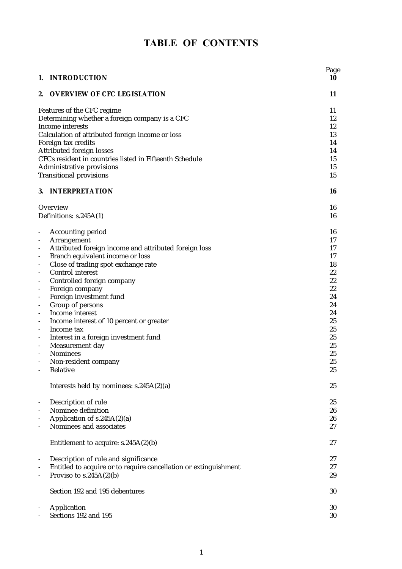# TABLE OF CONTENTS

|                                                      | 1. INTRODUCTION                                                  | Page<br>10 |  |
|------------------------------------------------------|------------------------------------------------------------------|------------|--|
| 2.                                                   | <b>OVERVIEW OF CFC LEGISLATION</b>                               | 11         |  |
|                                                      | Features of the CFC regime                                       |            |  |
| Determining whether a foreign company is a CFC       |                                                                  |            |  |
|                                                      | Income interests                                                 |            |  |
|                                                      | Calculation of attributed foreign income or loss                 | 13         |  |
|                                                      | Foreign tax credits                                              | 14         |  |
|                                                      | Attributed foreign losses                                        | 14         |  |
|                                                      | CFCs resident in countries listed in Fifteenth Schedule          | 15         |  |
|                                                      | Administrative provisions                                        | 15         |  |
|                                                      | <b>Transitional provisions</b>                                   | 15         |  |
|                                                      | 3. INTERPRETATION                                                | 16         |  |
|                                                      | Overview                                                         | 16         |  |
|                                                      | Definitions: $s.245A(1)$                                         | 16         |  |
| $\blacksquare$                                       | <b>Accounting period</b>                                         | 16         |  |
| $\overline{\phantom{a}}$                             | Arrangement                                                      | 17         |  |
| $\overline{\phantom{a}}$                             | Attributed foreign income and attributed foreign loss            | 17         |  |
| $\overline{\phantom{a}}$                             | Branch equivalent income or loss                                 | 17         |  |
| $\overline{\phantom{a}}$                             | Close of trading spot exchange rate                              | 18         |  |
| $\overline{\phantom{a}}$                             | Control interest                                                 | 22         |  |
| $\overline{\phantom{a}}$                             | Controlled foreign company                                       | 22<br>22   |  |
| $\overline{\phantom{a}}$                             | Foreign company<br>Foreign investment fund                       | 24         |  |
| $\overline{\phantom{a}}$<br>$\overline{\phantom{a}}$ | Group of persons                                                 | 24         |  |
| $\overline{\phantom{a}}$                             | Income interest                                                  | 24         |  |
| $\overline{\phantom{a}}$                             | Income interest of 10 percent or greater                         | 25         |  |
| $\overline{\phantom{a}}$                             | Income tax                                                       | 25         |  |
| $\overline{\phantom{a}}$                             | Interest in a foreign investment fund                            | 25         |  |
| $\overline{\phantom{a}}$                             | Measurement day                                                  | 25         |  |
| $\blacksquare$                                       | <b>Nominees</b>                                                  | 25         |  |
| $\blacksquare$                                       | Non-resident company                                             | 25         |  |
| $\sim$ $-$                                           | Relative                                                         | 25         |  |
|                                                      | Interests held by nominees: s.245A(2)(a)                         | 25         |  |
| $\overline{\phantom{a}}$                             | Description of rule                                              | 25         |  |
| $\overline{\phantom{a}}$                             | Nominee definition                                               | 26         |  |
| $\overline{\phantom{a}}$                             | Application of s.245A(2)(a)                                      | 26         |  |
| $\overline{\phantom{a}}$                             | Nominees and associates                                          | 27         |  |
|                                                      | Entitlement to acquire: $s.245A(2)(b)$                           | 27         |  |
| $\overline{\phantom{a}}$                             | Description of rule and significance                             | 27         |  |
| $\overline{\phantom{a}}$                             | Entitled to acquire or to require cancellation or extinguishment | 27         |  |
| $\overline{\phantom{a}}$                             | Proviso to $s.245A(2)(b)$                                        | 29         |  |
|                                                      | Section 192 and 195 debentures                                   | 30         |  |
|                                                      | Application                                                      | 30         |  |
|                                                      | Sections 192 and 195                                             | 30         |  |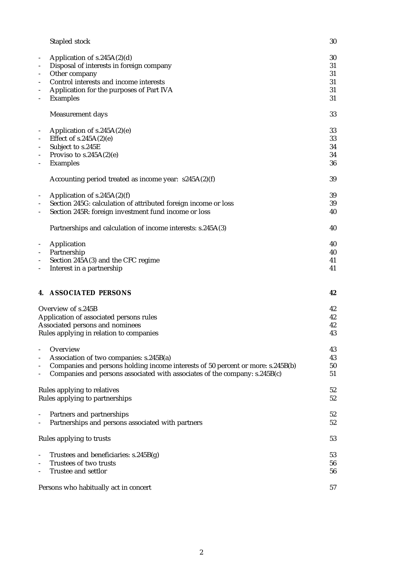|                              | Stapled stock                                                                   | 30 |
|------------------------------|---------------------------------------------------------------------------------|----|
|                              | Application of $s.245A(2)(d)$                                                   | 30 |
|                              | Disposal of interests in foreign company                                        | 31 |
| $\qquad \qquad \blacksquare$ | Other company                                                                   | 31 |
| $\qquad \qquad \blacksquare$ | Control interests and income interests                                          | 31 |
|                              | Application for the purposes of Part IVA                                        | 31 |
|                              | <b>Examples</b>                                                                 | 31 |
|                              |                                                                                 |    |
|                              | Measurement days                                                                | 33 |
|                              | Application of $s.245A(2)(e)$                                                   | 33 |
|                              | Effect of $s.245A(2)(e)$                                                        | 33 |
| $\overline{\phantom{m}}$     | Subject to s.245E                                                               | 34 |
|                              | Proviso to $s.245A(2)(e)$                                                       | 34 |
| $\qquad \qquad \blacksquare$ | <b>Examples</b>                                                                 | 36 |
|                              |                                                                                 |    |
|                              | Accounting period treated as income year: $s245A(2)(f)$                         | 39 |
|                              | Application of $s.245A(2)(f)$                                                   | 39 |
|                              | Section 245G: calculation of attributed foreign income or loss                  | 39 |
|                              | Section 245R: foreign investment fund income or loss                            | 40 |
|                              |                                                                                 |    |
|                              | Partnerships and calculation of income interests: s.245A(3)                     | 40 |
|                              | Application                                                                     | 40 |
|                              | Partnership                                                                     | 40 |
|                              | Section 245A(3) and the CFC regime                                              | 41 |
|                              | Interest in a partnership                                                       | 41 |
|                              |                                                                                 |    |
| 4.                           | <b>ASSOCIATED PERSONS</b>                                                       | 42 |
|                              | Overview of s.245B                                                              | 42 |
|                              | Application of associated persons rules                                         | 42 |
|                              | Associated persons and nominees                                                 | 42 |
|                              | Rules applying in relation to companies                                         | 43 |
|                              |                                                                                 |    |
|                              | Overview                                                                        | 43 |
|                              | Association of two companies: s.245B(a)                                         | 43 |
|                              | Companies and persons holding income interests of 50 percent or more: s.245B(b) | 50 |
|                              | Companies and persons associated with associates of the company: s.245B(c)      | 51 |
|                              |                                                                                 |    |
|                              | Rules applying to relatives                                                     | 52 |
|                              | Rules applying to partnerships                                                  | 52 |
|                              | Partners and partnerships                                                       | 52 |
|                              | Partnerships and persons associated with partners                               | 52 |
|                              |                                                                                 |    |
|                              | Rules applying to trusts                                                        | 53 |
|                              | Trustees and beneficiaries: s.245B(g)                                           | 53 |
|                              | Trustees of two trusts                                                          | 56 |
|                              | Trustee and settlor                                                             | 56 |
|                              |                                                                                 |    |
|                              |                                                                                 |    |
|                              | Persons who habitually act in concert                                           | 57 |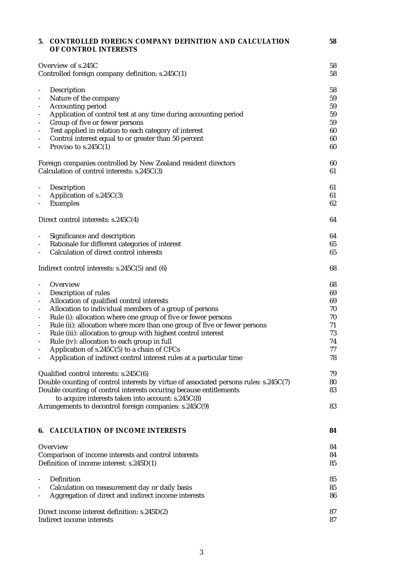| 5.                              | <b>CONTROLLED FOREIGN COMPANY DEFINITION AND CALCULATION</b><br>OF CONTROL INTERESTS                               | 58       |
|---------------------------------|--------------------------------------------------------------------------------------------------------------------|----------|
|                                 | Overview of s.245C                                                                                                 | 58       |
|                                 | Controlled foreign company definition: s.245C(1)                                                                   | 58       |
| $\qquad \qquad \blacksquare$    | Description                                                                                                        | 58       |
| $\qquad \qquad \blacksquare$    | Nature of the company                                                                                              | 59       |
| $\overline{\phantom{a}}$        | Accounting period                                                                                                  | 59       |
| $\overline{\phantom{a}}$        | Application of control test at any time during accounting period                                                   | 59       |
| $\overline{\phantom{a}}$        | Group of five or fewer persons                                                                                     | 59       |
| $\overline{\phantom{a}}$        | Test applied in relation to each category of interest                                                              | 60       |
| $\overline{\phantom{0}}$        | Control interest equal to or greater than 50 percent                                                               | 60       |
| $\qquad \qquad \blacksquare$    | Proviso to $s.245C(1)$                                                                                             | 60       |
|                                 | Foreign companies controlled by New Zealand resident directors                                                     | 60       |
|                                 | Calculation of control interests: s.245C(3)                                                                        | 61       |
| $\qquad \qquad \blacksquare$    | Description                                                                                                        | 61       |
| $\qquad \qquad \blacksquare$    | Application of s.245C(3)                                                                                           | 61       |
| $\overline{\phantom{a}}$        | <b>Examples</b>                                                                                                    | 62       |
|                                 | Direct control interests: s.245C(4)                                                                                | 64       |
| $\qquad \qquad \blacksquare$    | Significance and description                                                                                       | 64       |
| $\qquad \qquad \blacksquare$    | Rationale for different categories of interest                                                                     | 65       |
| $\overline{\phantom{a}}$        | Calculation of direct control interests                                                                            | 65       |
|                                 | Indirect control interests: $s.245C(5)$ and (6)                                                                    | 68       |
| $\qquad \qquad \blacksquare$    | Overview                                                                                                           | 68       |
| $\overline{\phantom{a}}$        | Description of rules                                                                                               | 69       |
| $\overline{\phantom{a}}$        | Allocation of qualified control interests                                                                          | 69       |
| $\overline{\phantom{a}}$        | Allocation to individual members of a group of persons                                                             | 70       |
| $\overline{\phantom{a}}$        | Rule (i): allocation where one group of five or fewer persons                                                      | 70       |
| $\qquad \qquad \blacksquare$    | Rule (ii): allocation where more than one group of five or fewer persons                                           | 71       |
| $\overline{\phantom{a}}$        | Rule (iii): allocation to group with highest control interest                                                      | 73       |
|                                 | Rule (iv): allocation to each group in full                                                                        | 74<br>77 |
| $\qquad \qquad \blacksquare$    | Application of s.245C(5) to a chain of CFCs<br>Application of indirect control interest rules at a particular time | 78       |
|                                 | Qualified control interests: $s.245C(6)$                                                                           | 79       |
|                                 | Double counting of control interests by virtue of associated persons rules: s.245C(7)                              | 80       |
|                                 | Double counting of control interests occuring because entitlements                                                 | 83       |
|                                 | to acquire interests taken into account: s.245C(8)<br>Arrangements to decontrol foreign companies: s.245C(9)       | 83       |
|                                 |                                                                                                                    |          |
| 6.                              | <b>CALCULATION OF INCOME INTERESTS</b>                                                                             | 84       |
|                                 | Overview                                                                                                           | 84       |
|                                 | Comparison of income interests and control interests                                                               | 84       |
|                                 | Definition of income interest: s.245D(1)                                                                           | 85       |
| $\overline{a}$                  | Definition                                                                                                         | 85       |
| $\overline{a}$                  | Calculation on measurement day or daily basis                                                                      | 85       |
| $\qquad \qquad \blacksquare$    | Aggregation of direct and indirect income interests                                                                | 86       |
|                                 | Direct income interest definition: s.245D(2)                                                                       | 87       |
| Indirect income interests<br>87 |                                                                                                                    |          |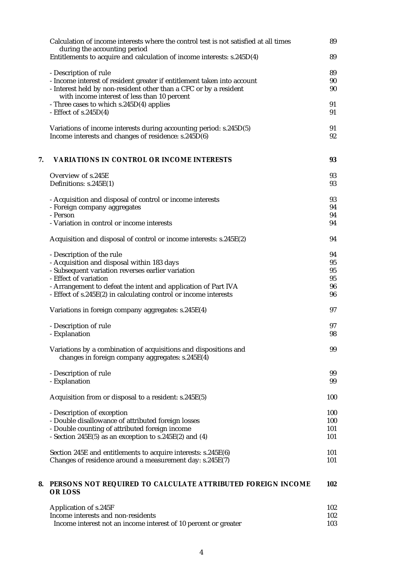|    | Calculation of income interests where the control test is not satisfied at all times<br>during the accounting period<br>Entitlements to acquire and calculation of income interests: s.245D(4) | 89<br>89 |
|----|------------------------------------------------------------------------------------------------------------------------------------------------------------------------------------------------|----------|
|    |                                                                                                                                                                                                |          |
|    | - Description of rule                                                                                                                                                                          | 89       |
|    | - Income interest of resident greater if entitlement taken into account                                                                                                                        | 90       |
|    | - Interest held by non-resident other than a CFC or by a resident                                                                                                                              | 90       |
|    | with income interest of less than 10 percent                                                                                                                                                   |          |
|    | - Three cases to which s.245D(4) applies                                                                                                                                                       | 91       |
|    | - Effect of $s.245D(4)$                                                                                                                                                                        | 91       |
|    |                                                                                                                                                                                                |          |
|    | Variations of income interests during accounting period: s.245D(5)                                                                                                                             | 91       |
|    | Income interests and changes of residence: s.245D(6)                                                                                                                                           | 92       |
| 7. | <b>VARIATIONS IN CONTROL OR INCOME INTERESTS</b>                                                                                                                                               | 93       |
|    |                                                                                                                                                                                                |          |
|    | Overview of s.245E                                                                                                                                                                             | 93       |
|    | Definitions: s.245E(1)                                                                                                                                                                         | 93       |
|    |                                                                                                                                                                                                |          |
|    | - Acquisition and disposal of control or income interests                                                                                                                                      | 93       |
|    | - Foreign company aggregates                                                                                                                                                                   | 94       |
|    | - Person<br>- Variation in control or income interests                                                                                                                                         | 94       |
|    |                                                                                                                                                                                                | 94       |
|    | Acquisition and disposal of control or income interests: s.245E(2)                                                                                                                             | 94       |
|    | - Description of the rule                                                                                                                                                                      | 94       |
|    | - Acquisition and disposal within 183 days                                                                                                                                                     | 95       |
|    | - Subsequent variation reverses earlier variation                                                                                                                                              | 95       |
|    | - Effect of variation                                                                                                                                                                          | 95       |
|    | - Arrangement to defeat the intent and application of Part IVA                                                                                                                                 | 96       |
|    | - Effect of s.245E(2) in calculating control or income interests                                                                                                                               | 96       |
|    | Variations in foreign company aggregates: s.245E(4)                                                                                                                                            | 97       |
|    |                                                                                                                                                                                                |          |
|    | - Description of rule<br>- Explanation                                                                                                                                                         | 97<br>98 |
|    |                                                                                                                                                                                                |          |
|    | Variations by a combination of acquisitions and dispositions and<br>changes in foreign company aggregates: s.245E(4)                                                                           | 99       |
|    |                                                                                                                                                                                                |          |
|    | - Description of rule                                                                                                                                                                          | 99       |
|    | - Explanation                                                                                                                                                                                  | 99       |
|    | Acquisition from or disposal to a resident: s.245E(5)                                                                                                                                          | 100      |
|    | - Description of exception                                                                                                                                                                     | 100      |
|    | - Double disallowance of attributed foreign losses                                                                                                                                             | 100      |
|    | - Double counting of attributed foreign income                                                                                                                                                 | 101      |
|    | - Section $245E(5)$ as an exception to s.245E(2) and (4)                                                                                                                                       | 101      |
|    |                                                                                                                                                                                                |          |
|    | Section 245E and entitlements to acquire interests: s.245E(6)                                                                                                                                  | 101      |
|    | Changes of residence around a measurement day: s.245E(7)                                                                                                                                       | 101      |
| 8. | PERSONS NOT REQUIRED TO CALCULATE ATTRIBUTED FOREIGN INCOME                                                                                                                                    | 102      |
|    | OR LOSS                                                                                                                                                                                        |          |
|    | Application of s.245F                                                                                                                                                                          | 102      |
|    | Income interests and non-residents                                                                                                                                                             | 102      |
|    | Income interest not an income interest of 10 percent or greater                                                                                                                                | 103      |
|    |                                                                                                                                                                                                |          |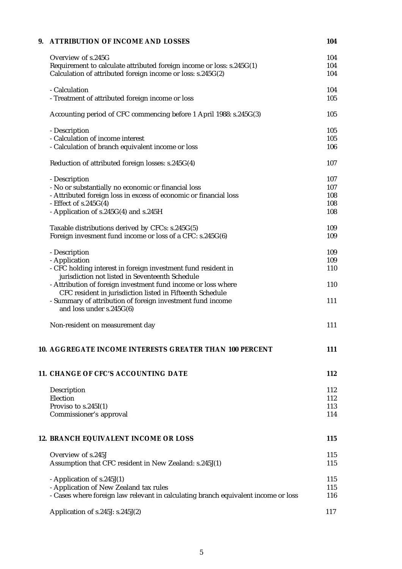| 9. | <b>ATTRIBUTION OF INCOME AND LOSSES</b>                                                  | 104 |
|----|------------------------------------------------------------------------------------------|-----|
|    | Overview of s.245G                                                                       | 104 |
|    | Requirement to calculate attributed foreign income or loss: s.245G(1)                    | 104 |
|    | Calculation of attributed foreign income or loss: s.245G(2)                              | 104 |
|    | - Calculation                                                                            | 104 |
|    | - Treatment of attributed foreign income or loss                                         | 105 |
|    | Accounting period of CFC commencing before 1 April 1988: s.245G(3)                       | 105 |
|    | - Description                                                                            | 105 |
|    | - Calculation of income interest                                                         | 105 |
|    | - Calculation of branch equivalent income or loss                                        | 106 |
|    | Reduction of attributed foreign losses: s.245G(4)                                        | 107 |
|    | - Description                                                                            | 107 |
|    | - No or substantially no economic or financial loss                                      | 107 |
|    | - Attributed foreign loss in excess of economic or financial loss                        | 108 |
|    | - Effect of $s.245G(4)$                                                                  | 108 |
|    | - Application of s.245G(4) and s.245H                                                    | 108 |
|    | Taxable distributions derived by CFCs: s.245G(5)                                         | 109 |
|    | Foreign invesment fund income or loss of a CFC: s.245G(6)                                | 109 |
|    | - Description                                                                            | 109 |
|    | - Application                                                                            | 109 |
|    | - CFC holding interest in foreign investment fund resident in                            | 110 |
|    | jurisdiction not listed in Seventeenth Schedule                                          |     |
|    | - Attribution of foreign investment fund income or loss where                            | 110 |
|    | CFC resident in jurisdiction listed in Fifteenth Schedule                                |     |
|    | - Summary of attribution of foreign investment fund income<br>and loss under $s.245G(6)$ | 111 |
|    | Non-resident on measurement day                                                          | 111 |
|    | <b>10. AGGREGATE INCOME INTERESTS GREATER THAN 100 PERCENT</b>                           | 111 |
|    | 11. CHANGE OF CFC'S ACCOUNTING DATE                                                      | 112 |
|    |                                                                                          |     |
|    | Description                                                                              | 112 |
|    | Election                                                                                 | 112 |
|    | Proviso to $s.245I(1)$                                                                   | 113 |
|    | Commissioner's approval                                                                  | 114 |
|    | 12. BRANCH EQUIVALENT INCOME OR LOSS                                                     | 115 |
|    | Overview of s.245J                                                                       | 115 |
|    | Assumption that CFC resident in New Zealand: s.245J(1)                                   | 115 |
|    | - Application of s.245J(1)                                                               | 115 |
|    | - Application of New Zealand tax rules                                                   | 115 |
|    | - Cases where foreign law relevant in calculating branch equivalent income or loss       | 116 |
|    | Application of s.245J: s.245J(2)                                                         | 117 |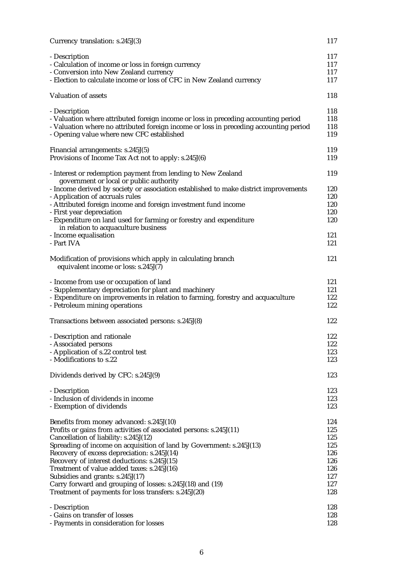| Currency translation: s.245J(3)                                                                                   | 117 |
|-------------------------------------------------------------------------------------------------------------------|-----|
| - Description                                                                                                     | 117 |
| - Calculation of income or loss in foreign currency                                                               | 117 |
| - Conversion into New Zealand currency                                                                            | 117 |
| - Election to calculate income or loss of CFC in New Zealand currency                                             | 117 |
| Valuation of assets                                                                                               | 118 |
| - Description                                                                                                     | 118 |
| - Valuation where attributed foreign income or loss in preceding accounting period                                | 118 |
| - Valuation where no attributed foreign income or loss in preceding accounting period                             | 118 |
| - Opening value where new CFC established                                                                         | 119 |
| Financial arrangements: s.245J(5)                                                                                 | 119 |
| Provisions of Income Tax Act not to apply: s.245J(6)                                                              | 119 |
| - Interest or redemption payment from lending to New Zealand<br>government or local or public authority           | 119 |
| - Income derived by society or association established to make district improvements                              | 120 |
| - Application of accruals rules                                                                                   | 120 |
|                                                                                                                   | 120 |
| - Attributed foreign income and foreign investment fund income                                                    |     |
| - First year depreciation                                                                                         | 120 |
| - Expenditure on land used for farming or forestry and expenditure<br>in relation to acquaculture business        | 120 |
| - Income equalisation                                                                                             | 121 |
| - Part IVA                                                                                                        | 121 |
| Modification of provisions which apply in calculating branch<br>equivalent income or loss: s.245J(7)              | 121 |
| - Income from use or occupation of land                                                                           | 121 |
| - Supplementary depreciation for plant and machinery                                                              | 121 |
| - Expenditure on improvements in relation to farming, forestry and acquaculture                                   | 122 |
| - Petroleum mining operations                                                                                     | 122 |
| Transactions between associated persons: s.245J(8)                                                                | 122 |
| - Description and rationale                                                                                       | 122 |
| - Associated persons                                                                                              | 122 |
| - Application of s.22 control test                                                                                | 123 |
| - Modifications to s.22                                                                                           | 123 |
|                                                                                                                   |     |
| Dividends derived by CFC: s.245J(9)                                                                               | 123 |
| - Description                                                                                                     | 123 |
| - Inclusion of dividends in income                                                                                | 123 |
| - Exemption of dividends                                                                                          | 123 |
| Benefits from money advanced: s.245J(10)                                                                          | 124 |
| Profits or gains from activities of associated persons: s.245J(11)                                                | 125 |
| Cancellation of liability: s.245J(12)                                                                             | 125 |
| Spreading of income on acquisition of land by Government: s.245J(13)                                              | 125 |
| Recovery of excess depreciation: s.245J(14)                                                                       | 126 |
| Recovery of interest deductions: s.245J(15)                                                                       | 126 |
| Treatment of value added taxes: s.245J(16)                                                                        | 126 |
|                                                                                                                   | 127 |
| Subsidies and grants: s.245J(17)                                                                                  | 127 |
| Carry forward and grouping of losses: s.245J(18) and (19)<br>Treatment of payments for loss transfers: s.245J(20) | 128 |
|                                                                                                                   |     |
| - Description                                                                                                     | 128 |
| - Gains on transfer of losses                                                                                     | 128 |
| - Payments in consideration for losses                                                                            | 128 |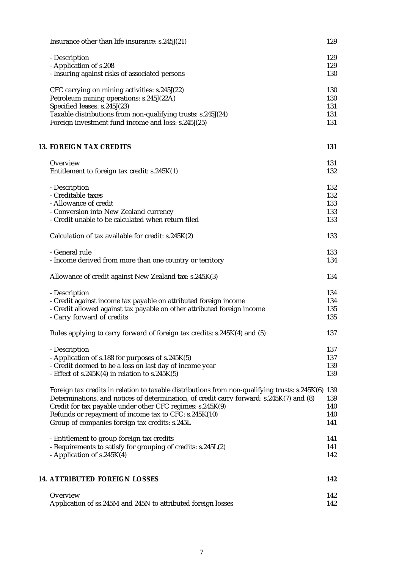| Insurance other than life insurance: s.245J(21)                                                         | 129        |
|---------------------------------------------------------------------------------------------------------|------------|
| - Description                                                                                           | 129        |
| - Application of s.208                                                                                  | 129        |
| - Insuring against risks of associated persons                                                          | 130        |
|                                                                                                         |            |
| CFC carrying on mining activities: s.245J(22)                                                           | 130        |
| Petroleum mining operations: s.245J(22A)                                                                | 130        |
| Specified leases: s.245J(23)                                                                            | 131        |
| Taxable distributions from non-qualifying trusts: s.245J(24)                                            | 131        |
| Foreign investment fund income and loss: s.245J(25)                                                     | 131        |
| <b>13. FOREIGN TAX CREDITS</b>                                                                          | 131        |
|                                                                                                         |            |
| Overview                                                                                                | 131        |
| Entitlement to foreign tax credit: s.245K(1)                                                            | 132        |
| - Description                                                                                           | 132        |
| - Creditable taxes                                                                                      | 132        |
| - Allowance of credit                                                                                   | 133        |
| - Conversion into New Zealand currency                                                                  | 133        |
| - Credit unable to be calculated when return filed                                                      | 133        |
| Calculation of tax available for credit: s.245K(2)                                                      | 133        |
| - General rule                                                                                          | 133        |
| - Income derived from more than one country or territory                                                | 134        |
| Allowance of credit against New Zealand tax: s.245K(3)                                                  | 134        |
| - Description                                                                                           | 134        |
| - Credit against income tax payable on attributed foreign income                                        | 134        |
| - Credit allowed against tax payable on other attributed foreign income                                 | 135        |
| - Carry forward of credits                                                                              | 135        |
|                                                                                                         |            |
| Rules applying to carry forward of foreign tax credits: s.245K(4) and (5)                               | 137        |
| - Description                                                                                           | 137        |
| - Application of s.188 for purposes of s.245K(5)                                                        | 137        |
| - Credit deemed to be a loss on last day of income year                                                 | 139        |
| - Effect of $s.245K(4)$ in relation to $s.245K(5)$                                                      | 139        |
| Foreign tax credits in relation to taxable distributions from non-qualifying trusts: s.245K(6)          | 139        |
| Determinations, and notices of determination, of credit carry forward: s.245K(7) and (8)                | 139        |
|                                                                                                         | 140        |
| Credit for tax payable under other CFC regimes: s.245K(9)                                               |            |
| Refunds or repayment of income tax to CFC: s.245K(10)<br>Group of companies foreign tax credits: s.245L | 140<br>141 |
|                                                                                                         |            |
| - Entitlement to group foreign tax credits                                                              | 141        |
| - Requirements to satisfy for grouping of credits: s.245L(2)                                            | 141        |
| - Application of s.245K(4)                                                                              | 142        |
| <b>14. ATTRIBUTED FOREIGN LOSSES</b>                                                                    | 142        |
|                                                                                                         |            |
| Overview                                                                                                | 142        |
| Application of ss.245M and 245N to attributed foreign losses                                            | 142        |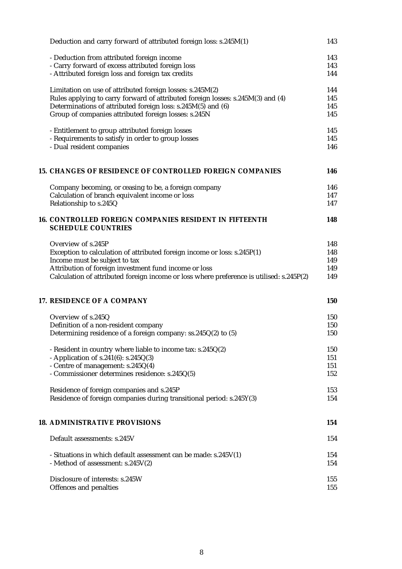| Deduction and carry forward of attributed foreign loss: s.245M(1)                          | 143 |
|--------------------------------------------------------------------------------------------|-----|
| - Deduction from attributed foreign income                                                 | 143 |
| - Carry forward of excess attributed foreign loss                                          | 143 |
| - Attributed foreign loss and foreign tax credits                                          | 144 |
|                                                                                            |     |
| Limitation on use of attributed foreign losses: s.245M(2)                                  | 144 |
| Rules applying to carry forward of attributed foreign losses: s.245M(3) and (4)            | 145 |
| Determinations of attributed foreign loss: s.245M(5) and (6)                               | 145 |
| Group of companies attributed foreign losses: s.245N                                       | 145 |
| - Entitlement to group attributed foreign losses                                           | 145 |
| - Requirements to satisfy in order to group losses                                         | 145 |
| - Dual resident companies                                                                  | 146 |
|                                                                                            |     |
| 15. CHANGES OF RESIDENCE OF CONTROLLED FOREIGN COMPANIES                                   | 146 |
| Company becoming, or ceasing to be, a foreign company                                      | 146 |
| Calculation of branch equivalent income or loss                                            | 147 |
| Relationship to s.245Q                                                                     | 147 |
| <b>16. CONTROLLED FOREIGN COMPANIES RESIDENT IN FIFTEENTH</b><br><b>SCHEDULE COUNTRIES</b> | 148 |
| Overview of s.245P                                                                         | 148 |
| Exception to calculation of attributed foreign income or loss: s.245P(1)                   | 148 |
| Income must be subject to tax                                                              | 149 |
| Attribution of foreign investment fund income or loss                                      | 149 |
| Calculation of attributed foreign income or loss where preference is utilised: s.245P(2)   | 149 |
| 17. RESIDENCE OF A COMPANY                                                                 | 150 |
| Overview of s.245Q                                                                         | 150 |
| Definition of a non-resident company                                                       | 150 |
| Determining residence of a foreign company: ss.245Q(2) to (5)                              | 150 |
| - Resident in country where liable to income tax: s.245Q(2)                                | 150 |
| - Application of s.241(6): $s.245Q(3)$                                                     | 151 |
| - Centre of management: s.245Q(4)                                                          | 151 |
| - Commissioner determines residence: s.245Q(5)                                             | 152 |
| Residence of foreign companies and s.245P                                                  | 153 |
| Residence of foreign companies during transitional period: s.245Y(3)                       | 154 |
|                                                                                            |     |
| <b>18. ADMINISTRATIVE PROVISIONS</b>                                                       | 154 |
| Default assessments: s.245V                                                                | 154 |
| - Situations in which default assessment can be made: $s.245V(1)$                          | 154 |
| - Method of assessment: s.245V(2)                                                          | 154 |
| Disclosure of interests: s.245W                                                            | 155 |
|                                                                                            | 155 |
| Offences and penalties                                                                     |     |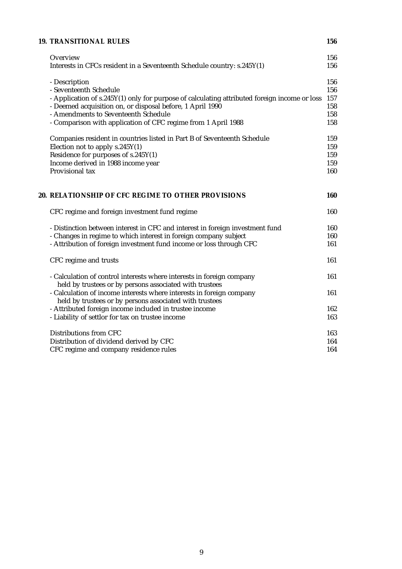| <b>19. TRANSITIONAL RULES</b>                                                                                                                                                                                                                                                                                 | 156                                    |
|---------------------------------------------------------------------------------------------------------------------------------------------------------------------------------------------------------------------------------------------------------------------------------------------------------------|----------------------------------------|
| Overview<br>Interests in CFCs resident in a Seventeenth Schedule country: s.245Y(1)                                                                                                                                                                                                                           | 156<br>156                             |
| - Description<br>- Seventeenth Schedule<br>- Application of s.245Y(1) only for purpose of calculating attributed foreign income or loss<br>- Deemed acquisition on, or disposal before, 1 April 1990<br>- Amendments to Seventeenth Schedule<br>- Comparison with application of CFC regime from 1 April 1988 | 156<br>156<br>157<br>158<br>158<br>158 |
| Companies resident in countries listed in Part B of Seventeenth Schedule<br>Election not to apply s.245Y(1)<br>Residence for purposes of s.245Y(1)<br>Income derived in 1988 income year<br>Provisional tax                                                                                                   | 159<br>159<br>159<br>159<br>160        |
| 20. RELATIONSHIP OF CFC REGIME TO OTHER PROVISIONS                                                                                                                                                                                                                                                            | 160                                    |
| CFC regime and foreign investment fund regime                                                                                                                                                                                                                                                                 | 160                                    |
| - Distinction between interest in CFC and interest in foreign investment fund<br>- Changes in regime to which interest in foreign company subject<br>- Attribution of foreign investment fund income or loss through CFC                                                                                      | 160<br>160<br>161                      |
| CFC regime and trusts                                                                                                                                                                                                                                                                                         | 161                                    |
| - Calculation of control interests where interests in foreign company<br>held by trustees or by persons associated with trustees                                                                                                                                                                              | 161                                    |
| - Calculation of income interests where interests in foreign company<br>held by trustees or by persons associated with trustees                                                                                                                                                                               | 161                                    |
| - Attributed foreign income included in trustee income<br>- Liability of settlor for tax on trustee income                                                                                                                                                                                                    | 162<br>163                             |
| Distributions from CFC<br>Distribution of dividend derived by CFC<br>CFC regime and company residence rules                                                                                                                                                                                                   | 163<br>164<br>164                      |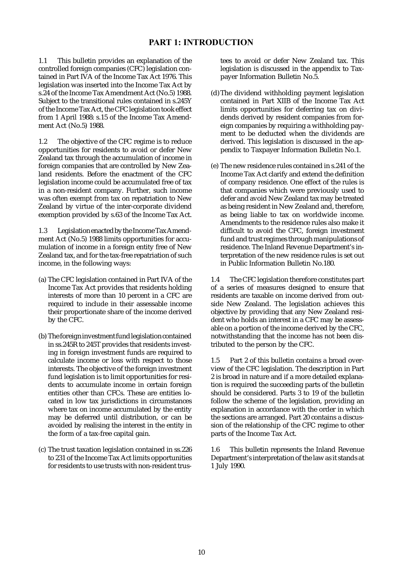# PART 1: INTRODUCTION

1.1 This bulletin provides an explanation of the controlled foreign companies (CFC) legislation contained in Part IVA of the Income Tax Act 1976. This legislation was inserted into the Income Tax Act by s.24 of the Income Tax Amendment Act (No.5) 1988. Subject to the transitional rules contained in s.245Y of the Income Tax Act, the CFC legislation took effect from 1 April 1988: s.15 of the Income Tax Amendment Act (No.5) 1988.

1.2 The objective of the CFC regime is to reduce opportunities for residents to avoid or defer New Zealand tax through the accumulation of income in foreign companies that are controlled by New Zealand residents. Before the enactment of the CFC legislation income could be accumulated free of tax in a non-resident company. Further, such income was often exempt from tax on repatriation to New Zealand by virtue of the inter-corporate dividend exemption provided by s.63 of the Income Tax Act.

1.3 Legislation enacted by the Income Tax Amendment Act (No.5) 1988 limits opportunities for accumulation of income in a foreign entity free of New Zealand tax, and for the tax-free repatriation of such income, in the following ways:

- (a) The CFC legislation contained in Part IVA of the Income Tax Act provides that residents holding interests of more than 10 percent in a CFC are required to include in their assessable income their proportionate share of the income derived by the CFC.
- (b) The foreign investment fund legislation contained in ss.245R to 245T provides that residents investing in foreign investment funds are required to calculate income or loss with respect to those interests. The objective of the foreign investment fund legislation is to limit opportunities for residents to accumulate income in certain foreign entities other than CFCs. These are entities located in low tax jurisdictions in circumstances where tax on income accumulated by the entity may be deferred until distribution, or can be avoided by realising the interest in the entity in the form of a tax-free capital gain.
- (c) The trust taxation legislation contained in ss.226 to 231 of the Income Tax Act limits opportunities for residents to use trusts with non-resident trus-

tees to avoid or defer New Zealand tax. This legislation is discussed in the appendix to Taxpayer Information Bulletin No.5.

- (d)The dividend withholding payment legislation contained in Part XIIB of the Income Tax Act limits opportunities for deferring tax on dividends derived by resident companies from foreign companies by requiring a withholding payment to be deducted when the dividends are derived. This legislation is discussed in the appendix to Taxpayer Information Bulletin No.1.
- (e) The new residence rules contained in s.241 of the Income Tax Act clarify and extend the definition of company residence. One effect of the rules is that companies which were previously used to defer and avoid New Zealand tax may be treated as being resident in New Zealand and, therefore, as being liable to tax on worldwide income. Amendments to the residence rules also make it difficult to avoid the CFC, foreign investment fund and trust regimes through manipulations of residence. The Inland Revenue Department's interpretation of the new residence rules is set out in Public Information Bulletin No.180.

1.4 The CFC legislation therefore constitutes part of a series of measures designed to ensure that residents are taxable on income derived from outside New Zealand. The legislation achieves this objective by providing that any New Zealand resident who holds an interest in a CFC may be assessable on a portion of the income derived by the CFC, notwithstanding that the income has not been distributed to the person by the CFC.

1.5 Part 2 of this bulletin contains a broad overview of the CFC legislation. The description in Part 2 is broad in nature and if a more detailed explanation is required the succeeding parts of the bulletin should be considered. Parts 3 to 19 of the bulletin follow the scheme of the legislation, providing an explanation in accordance with the order in which the sections are arranged. Part 20 contains a discussion of the relationship of the CFC regime to other parts of the Income Tax Act.

1.6 This bulletin represents the Inland Revenue Department's interpretation of the law as it stands at 1 July 1990.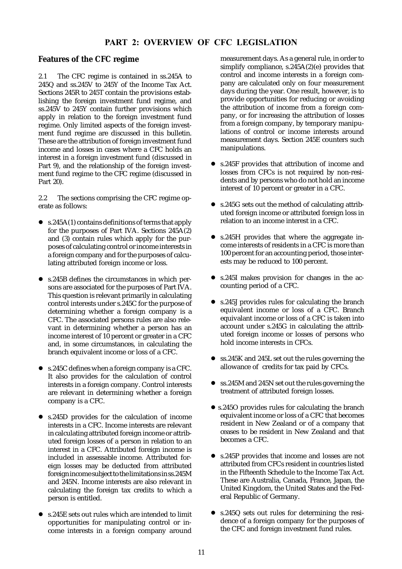# PART 2: OVERVIEW OF CFC LEGISLATION

# **Features of the CFC regime**

2.1 The CFC regime is contained in ss.245A to 245Q and ss.245V to 245Y of the Income Tax Act. Sections 245R to 245T contain the provisions establishing the foreign investment fund regime, and ss.245V to 245Y contain further provisions which apply in relation to the foreign investment fund regime. Only limited aspects of the foreign investment fund regime are discussed in this bulletin. These are the attribution of foreign investment fund income and losses in cases where a CFC holds an interest in a foreign investment fund (discussed in Part 9), and the relationship of the foreign investment fund regime to the CFC regime (discussed in Part 20).

2.2 The sections comprising the CFC regime operate as follows:

- s.245A(1) contains definitions of terms that apply for the purposes of Part IVA. Sections 245A(2) and (3) contain rules which apply for the purposes of calculating control or income interests in a foreign company and for the purposes of calculating attributed foreign income or loss.
- s.245B defines the circumstances in which persons are associated for the purposes of Part IVA. This question is relevant primarily in calculating control interests under s.245C for the purpose of determining whether a foreign company is a CFC. The associated persons rules are also relevant in determining whether a person has an income interest of 10 percent or greater in a CFC and, in some circumstances, in calculating the branch equivalent income or loss of a CFC.
- $\bullet$  s.245C defines when a foreign company is a CFC. It also provides for the calculation of control interests in a foreign company. Control interests are relevant in determining whether a foreign company is a CFC.
- s.245D provides for the calculation of income interests in a CFC. Income interests are relevant in calculating attributed foreign income or attributed foreign losses of a person in relation to an interest in a CFC. Attributed foreign income is included in assessable income. Attributed foreign losses may be deducted from attributed foreign income subject to the limitations in ss.245M and 245N. Income interests are also relevant in calculating the foreign tax credits to which a person is entitled.
- s.245E sets out rules which are intended to limit opportunities for manipulating control or income interests in a foreign company around

measurement days. As a general rule, in order to simplify compliance,  $s.245A(2)(e)$  provides that control and income interests in a foreign company are calculated only on four measurement days during the year. One result, however, is to provide opportunities for reducing or avoiding the attribution of income from a foreign company, or for increasing the attribution of losses from a foreign company, by temporary manipulations of control or income interests around measurement days. Section 245E counters such manipulations.

- s.245F provides that attribution of income and losses from CFCs is not required by non-residents and by persons who do not hold an income interest of 10 percent or greater in a CFC.
- $\bullet$  s.245G sets out the method of calculating attributed foreign income or attributed foreign loss in relation to an income interest in a CFC.
- s.245H provides that where the aggregate income interests of residents in a CFC is more than 100 percent for an accounting period, those interests may be reduced to 100 percent.
- $\bullet$  s.245I makes provision for changes in the accounting period of a CFC.
- s.245J provides rules for calculating the branch equivalent income or loss of a CFC. Branch equivalant income or loss of a CFC is taken into account under s.245G in calculating the attributed foreign income or losses of persons who hold income interests in CFCs.
- ss.245K and 245L set out the rules governing the allowance of credits for tax paid by CFCs.
- $\bullet$  ss.245M and 245N set out the rules governing the treatment of attributed foreign losses.
- $\bullet$  s.2450 provides rules for calculating the branch equivalent income or loss of a CFC that becomes resident in New Zealand or of a company that ceases to be resident in New Zealand and that becomes a CFC.
- s.245P provides that income and losses are not attributed from CFCs resident in countries listed in the Fifteenth Schedule to the Income Tax Act. These are Australia, Canada, France, Japan, the United Kingdom, the United States and the Federal Republic of Germany.
- s.245Q sets out rules for determining the residence of a foreign company for the purposes of the CFC and foreign investment fund rules.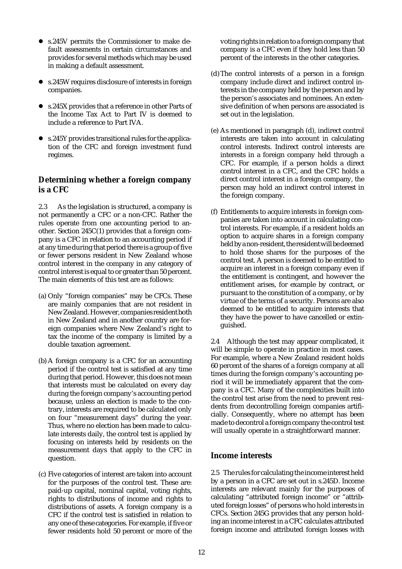- s.245V permits the Commissioner to make default assessments in certain circumstances and provides for several methods which may be used in making a default assessment.
- s.245W requires disclosure of interests in foreign companies.
- s.245X provides that a reference in other Parts of the Income Tax Act to Part IV is deemed to include a reference to Part IVA.
- $\bullet$  s.245Y provides transitional rules for the application of the CFC and foreign investment fund regimes.

# **Determining whether a foreign company is a CFC**

2.3 As the legislation is structured, a company is not permanently a CFC or a non-CFC. Rather the rules operate from one accounting period to another. Section 245C(1) provides that a foreign company is a CFC in relation to an accounting period if at any time during that period there is a group of five or fewer persons resident in New Zealand whose control interest in the company in any category of control interest is equal to or greater than 50 percent. The main elements of this test are as follows:

- (a) Only "foreign companies" may be CFCs. These are mainly companies that are not resident in New Zealand. However, companies resident both in New Zealand and in another country are foreign companies where New Zealand's right to tax the income of the company is limited by a double taxation agreement.
- (b) A foreign company is a CFC for an accounting period if the control test is satisfied at any time during that period. However, this does not mean that interests must be calculated on every day during the foreign company's accounting period because, unless an election is made to the contrary, interests are required to be calculated only on four "measurement days" during the year. Thus, where no election has been made to calculate interests daily, the control test is applied by focusing on interests held by residents on the measurement days that apply to the CFC in question.
- (c) Five categories of interest are taken into account for the purposes of the control test. These are: paid-up capital, nominal capital, voting rights, rights to distributions of income and rights to distributions of assets. A foreign company is a CFC if the control test is satisfied in relation to any one of these categories. For example, if five or fewer residents hold 50 percent or more of the

voting rights in relation to a foreign company that company is a CFC even if they hold less than 50 percent of the interests in the other categories.

- (d)The control interests of a person in a foreign company include direct and indirect control interests in the company held by the person and by the person's associates and nominees. An extensive definition of when persons are associated is set out in the legislation.
- (e) As mentioned in paragraph (d), indirect control interests are taken into account in calculating control interests. Indirect control interests are interests in a foreign company held through a CFC. For example, if a person holds a direct control interest in a CFC, and the CFC holds a direct control interest in a foreign company, the person may hold an indirect control interest in the foreign company.
- (f) Entitlements to acquire interests in foreign companies are taken into account in calculating control interests. For example, if a resident holds an option to acquire shares in a foreign company held by a non-resident, the resident will be deemed to hold those shares for the purposes of the control test. A person is deemed to be entitled to acquire an interest in a foreign company even if the entitlement is contingent, and however the entitlement arises, for example by contract, or pursuant to the constitution of a company, or by virtue of the terms of a security. Persons are also deemed to be entitled to acquire interests that they have the power to have cancelled or extinguished.

2.4 Although the test may appear complicated, it will be simple to operate in practice in most cases. For example, where a New Zealand resident holds 60 percent of the shares of a foreign company at all times during the foreign company's accounting period it will be immediately apparent that the company is a CFC. Many of the complexities built into the control test arise from the need to prevent residents from decontrolling foreign companies artificially. Consequently, where no attempt has been made to decontrol a foreign company the control test will usually operate in a straightforward manner.

# **Income interests**

2.5 The rules for calculating the income interest held by a person in a CFC are set out in s.245D. Income interests are relevant mainly for the purposes of calculating "attributed foreign income" or "attributed foreign losses" of persons who hold interests in CFCs. Section 245G provides that any person holding an income interest in a CFC calculates attributed foreign income and attributed foreign losses with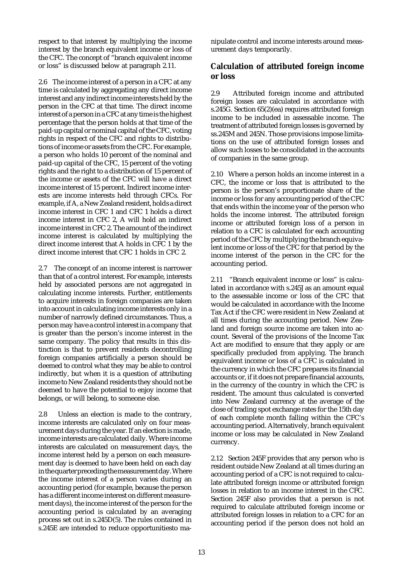respect to that interest by multiplying the income interest by the branch equivalent income or loss of the CFC. The concept of "branch equivalent income or loss" is discussed below at paragraph 2.11.

2.6 The income interest of a person in a CFC at any time is calculated by aggregating any direct income interest and any indirect income interests held by the person in the CFC at that time. The direct income interest of a person in a CFC at any time is the highest percentage that the person holds at that time of the paid-up capital or nominal capital of the CFC, voting rights in respect of the CFC and rights to distributions of income or assets from the CFC. For example, a person who holds 10 percent of the nominal and paid-up capital of the CFC, 15 percent of the voting rights and the right to a distribution of 15 percent of the income or assets of the CFC will have a direct income interest of 15 percent. Indirect income interests are income interests held through CFCs. For example, if A, a New Zealand resident, holds a direct income interest in CFC 1 and CFC 1 holds a direct income interest in CFC 2, A will hold an indirect income interest in CFC 2. The amount of the indirect income interest is calculated by multiplying the direct income interest that A holds in CFC 1 by the direct income interest that CFC 1 holds in CFC 2.

2.7 The concept of an income interest is narrower than that of a control interest. For example, interests held by associated persons are not aggregated in calculating income interests. Further, entitlements to acquire interests in foreign companies are taken into account in calculating income interests only in a number of narrowly defined circumstances. Thus, a person may have a control interest in a company that is greater than the person's income interest in the same company. The policy that results in this distinction is that to prevent residents decontrolling foreign companies artificially a person should be deemed to control what they may be able to control indirectly, but when it is a question of attributing income to New Zealand residents they should not be deemed to have the potential to enjoy income that belongs, or will belong, to someone else.

2.8 Unless an election is made to the contrary, income interests are calculated only on four measurement days during the year. If an election is made, income interests are calculated daily. Where income interests are calculated on measurement days, the income interest held by a person on each measurement day is deemed to have been held on each day in the quarter preceding the measurement day. Where the income interest of a person varies during an accounting period (for example, because the person has a different income interest on different measurement days), the income interest of the person for the accounting period is calculated by an averaging process set out in s.245D(5). The rules contained in s.245E are intended to reduce opportunitiesto manipulate control and income interests around measurement days temporarily.

# **Calculation of attributed foreign income or loss**

2.9 Attributed foreign income and attributed foreign losses are calculated in accordance with s.245G. Section 65(2)(ea) requires attributed foreign income to be included in assessable income. The treatment of attributed foreign losses is governed by ss.245M and 245N. Those provisions impose limitations on the use of attributed foreign losses and allow such losses to be consolidated in the accounts of companies in the same group.

2.10 Where a person holds an income interest in a CFC, the income or loss that is attributed to the person is the person's proportionate share of the income or loss for any accounting period of the CFC that ends within the income year of the person who holds the income interest. The attributed foreign income or attributed foreign loss of a person in relation to a CFC is calculated for each accounting period of the CFC by multiplying the branch equivalent income or loss of the CFC for that period by the income interest of the person in the CFC for the accounting period.

2.11 "Branch equivalent income or loss" is calculated in accordance with s.245J as an amount equal to the assessable income or loss of the CFC that would be calculated in accordance with the Income Tax Act if the CFC were resident in New Zealand at all times during the accounting period. New Zealand and foreign source income are taken into account. Several of the provisions of the Income Tax Act are modified to ensure that they apply or are specifically precluded from applying. The branch equivalent income or loss of a CFC is calculated in the currency in which the CFC prepares its financial accounts or, if it does not prepare financial accounts, in the currency of the country in which the CFC is resident. The amount thus calculated is converted into New Zealand currency at the average of the close of trading spot exchange rates for the 15th day of each complete month falling within the CFC's accounting period. Alternatively, branch equivalent income or loss may be calculated in New Zealand currency.

2.12 Section 245F provides that any person who is resident outside New Zealand at all times during an accounting period of a CFC is not required to calculate attributed foreign income or attributed foreign losses in relation to an income interest in the CFC. Section 245F also provides that a person is not required to calculate attributed foreign income or attributed foreign losses in relation to a CFC for an accounting period if the person does not hold an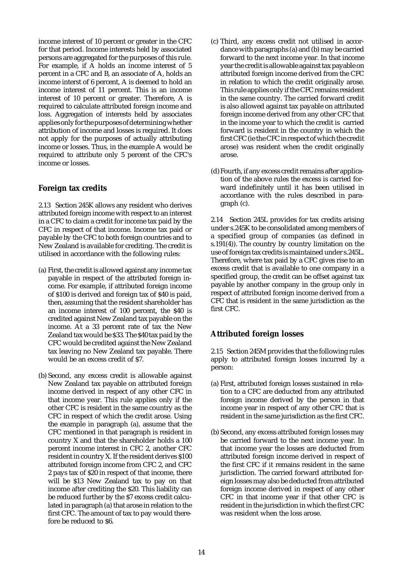income interest of 10 percent or greater in the CFC for that period. Income interests held by associated persons are aggregated for the purposes of this rule. For example, if A holds an income interest of 5 percent in a CFC and B, an associate of A, holds an income interst of 6 percent, A is deemed to hold an income interest of 11 percent. This is an income interest of 10 percent or greater. Therefore, A is required to calculate attributed foreign income and loss. Aggregation of interests held by associates applies only for the purposes of determining whether attribution of income and losses is required. It does not apply for the purposes of actually attributing income or losses. Thus, in the example A would be required to attribute only 5 percent of the CFC's income or losses.

# **Foreign tax credits**

2.13 Section 245K allows any resident who derives attributed foreign income with respect to an interest in a CFC to claim a credit for income tax paid by the CFC in respect of that income. Income tax paid or payable by the CFC to both foreign countries and to New Zealand is available for crediting. The credit is utilised in accordance with the following rules:

- (a) First, the credit is allowed against any income tax payable in respect of the attributed foreign income. For example, if attributed foreign income of \$100 is derived and foreign tax of \$40 is paid, then, assuming that the resident shareholder has an income interest of 100 percent, the \$40 is credited against New Zealand tax payable on the income. At a 33 percent rate of tax the New Zealand tax would be \$33. The \$40 tax paid by the CFC would be credited against the New Zealand tax leaving no New Zealand tax payable. There would be an excess credit of \$7.
- (b) Second, any excess credit is allowable against New Zealand tax payable on attributed foreign income derived in respect of any other CFC in that income year. This rule applies only if the other CFC is resident in the same country as the CFC in respect of which the credit arose. Using the example in paragraph (a), assume that the CFC mentioned in that paragraph is resident in country X and that the shareholder holds a 100 percent income interest in CFC 2, another CFC resident in country X. If the resident derives \$100 attributed foreign income from CFC 2, and CFC 2 pays tax of \$20 in respect of that income, there will be \$13 New Zealand tax to pay on that income after crediting the \$20. This liability can be reduced further by the \$7 excess credit calculated in paragraph (a) that arose in relation to the first CFC. The amount of tax to pay would therefore be reduced to \$6.
- (c) Third, any excess credit not utilised in accordance with paragraphs (a) and (b) may be carried forward to the next income year. In that income year the credit is allowable against tax payable on attributed foreign income derived from the CFC in relation to which the credit originally arose. This rule applies only if the CFC remains resident in the same country. The carried forward credit is also allowed against tax payable on attributed foreign income derived from any other CFC that in the income year to which the credit is carried forward is resident in the country in which the first CFC (ie the CFC in respect of which the credit arose) was resident when the credit originally arose.
- (d)Fourth, if any excess credit remains after application of the above rules the excess is carried forward indefinitely until it has been utilised in accordance with the rules described in paragraph (c).

2.14 Section 245L provides for tax credits arising under s.245K to be consolidated among members of a specified group of companies (as defined in s.191(4)). The country by country limitation on the use of foreign tax credits is maintained under s.245L. Therefore, where tax paid by a CFC gives rise to an excess credit that is available to one company in a specified group, the credit can be offset against tax payable by another company in the group only in respect of attributed foreign income derived from a CFC that is resident in the same jurisdiction as the first CFC.

# **Attributed foreign losses**

2.15 Section 245M provides that the following rules apply to attributed foreign losses incurred by a person:

- (a) First, attributed foreign losses sustained in relation to a CFC are deducted from any attributed foreign income derived by the person in that income year in respect of any other CFC that is resident in the same jurisdiction as the first CFC.
- (b) Second, any excess attributed foreign losses may be carried forward to the next income year. In that income year the losses are deducted from attributed foreign income derived in respect of the first CFC if it remains resident in the same jurisdiction. The carried forward attributed foreign losses may also be deducted from attributed foreign income derived in respect of any other CFC in that income year if that other CFC is resident in the jurisdiction in which the first CFC was resident when the loss arose.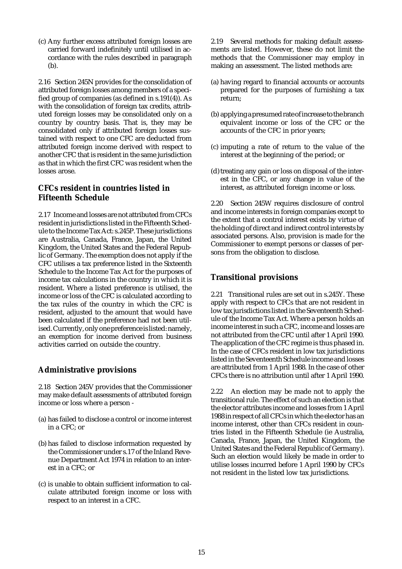(c) Any further excess attributed foreign losses are carried forward indefinitely until utilised in accordance with the rules described in paragraph (b).

2.16 Section 245N provides for the consolidation of attributed foreign losses among members of a specified group of companies (as defined in s.191(4)). As with the consolidation of foreign tax credits, attributed foreign losses may be consolidated only on a country by country basis. That is, they may be consolidated only if attributed foreign losses sustained with respect to one CFC are deducted from attributed foreign income derived with respect to another CFC that is resident in the same jurisdiction as that in which the first CFC was resident when the losses arose.

# **CFCs resident in countries listed in Fifteenth Schedule**

2.17 Income and losses are not attributed from CFCs resident in jurisdictions listed in the Fifteenth Schedule to the Income Tax Act: s.245P. These jurisdictions are Australia, Canada, France, Japan, the United Kingdom, the United States and the Federal Republic of Germany. The exemption does not apply if the CFC utilises a tax preference listed in the Sixteenth Schedule to the Income Tax Act for the purposes of income tax calculations in the country in which it is resident. Where a listed preference is utilised, the income or loss of the CFC is calculated according to the tax rules of the country in which the CFC is resident, adjusted to the amount that would have been calculated if the preference had not been utilised. Currently, only one preference is listed: namely, an exemption for income derived from business activities carried on outside the country.

# **Administrative provisions**

2.18 Section 245V provides that the Commissioner may make default assessments of attributed foreign income or loss where a person -

- (a) has failed to disclose a control or income interest in a CFC; or
- (b) has failed to disclose information requested by the Commissioner under s.17 of the Inland Revenue Department Act 1974 in relation to an interest in a CFC; or
- (c) is unable to obtain sufficient information to calculate attributed foreign income or loss with respect to an interest in a CFC.

2.19 Several methods for making default assessments are listed. However, these do not limit the methods that the Commissioner may employ in making an assessment. The listed methods are:

- (a) having regard to financial accounts or accounts prepared for the purposes of furnishing a tax return;
- (b) applying a presumed rate of increase to the branch equivalent income or loss of the CFC or the accounts of the CFC in prior years;
- (c) imputing a rate of return to the value of the interest at the beginning of the period; or
- (d) treating any gain or loss on disposal of the interest in the CFC, or any change in value of the interest, as attributed foreign income or loss.

2.20 Section 245W requires disclosure of control and income interests in foreign companies except to the extent that a control interest exists by virtue of the holding of direct and indirect control interests by associated persons. Also, provision is made for the Commissioner to exempt persons or classes of persons from the obligation to disclose.

# **Transitional provisions**

2.21 Transitional rules are set out in s.245Y. These apply with respect to CFCs that are not resident in low tax jurisdictions listed in the Seventeenth Schedule of the Income Tax Act. Where a person holds an income interest in such a CFC, income and losses are not attributed from the CFC until after 1 April 1990. The application of the CFC regime is thus phased in. In the case of CFCs resident in low tax jurisdictions listed in the Seventeenth Schedule income and losses are attributed from 1 April 1988. In the case of other CFCs there is no attribution until after 1 April 1990.

2.22 An election may be made not to apply the transitional rule. The effect of such an election is that the elector attributes income and losses from 1 April 1988 in respect of all CFCs in which the elector has an income interest, other than CFCs resident in countries listed in the Fifteenth Schedule (ie Australia, Canada, France, Japan, the United Kingdom, the United States and the Federal Republic of Germany). Such an election would likely be made in order to utilise losses incurred before 1 April 1990 by CFCs not resident in the listed low tax jurisdictions.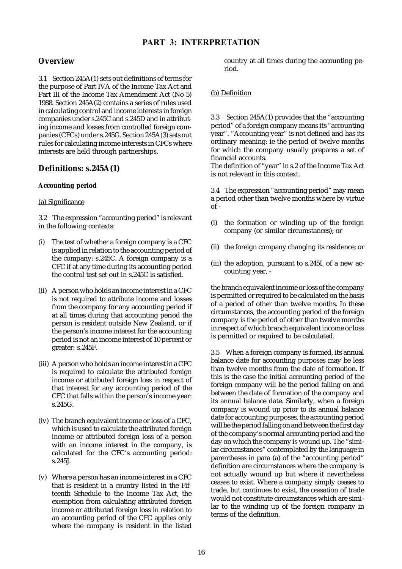# **Overview**

3.1 Section 245A(1) sets out definitions of terms for the purpose of Part IVA of the Income Tax Act and Part III of the Income Tax Amendment Act (No 5) 1988. Section 245A(2) contains a series of rules used in calculating control and income interests in foreign companies under s.245C and s.245D and in attributing income and losses from controlled foreign companies (CFCs) under s.245G. Section 245A(3) sets out rules for calculating income interests in CFCs where interests are held through partnerships.

# **Definitions: s.245A(1)**

# **Accounting period**

# (a) Significance

3.2 The expression "accounting period" is relevant in the following contexts:

- (i) The test of whether a foreign company is a CFC is applied in relation to the accounting period of the company: s.245C. A foreign company is a CFC if at any time during its accounting period the control test set out in s.245C is satisfied.
- (ii) A person who holds an income interest in a CFC is not required to attribute income and losses from the company for any accounting period if at all times during that accounting period the person is resident outside New Zealand, or if the person's income interest for the accounting period is not an income interest of 10 percent or greater: s.245F.
- (iii) A person who holds an income interest in a CFC is required to calculate the attributed foreign income or attributed foreign loss in respect of that interest for any accounting period of the CFC that falls within the person's income year: s.245G.
- (iv) The branch equivalent income or loss of a CFC, which is used to calculate the attributed foreign income or attributed foreign loss of a person with an income interest in the company, is calculated for the CFC's accounting period: s.245J.
- (v) Where a person has an income interest in a CFC that is resident in a country listed in the Fifteenth Schedule to the Income Tax Act, the exemption from calculating attributed foreign income or attributed foreign loss in relation to an accounting period of the CFC applies only where the company is resident in the listed

country at all times during the accounting period.

# (b) Definition

3.3 Section 245A(1) provides that the "accounting period" of a foreign company means its "accounting year". "Accounting year" is not defined and has its ordinary meaning: ie the period of twelve months for which the company usually prepares a set of financial accounts.

The definition of "year" in s.2 of the Income Tax Act is not relevant in this context.

3.4 The expression "accounting period" may mean a period other than twelve months where by virtue  $of -$ 

- (i) the formation or winding up of the foreign company (or similar circumstances); or
- (ii) the foreign company changing its residence; or
- (iii) the adoption, pursuant to s.245I, of a new accounting year, -

the branch equivalent income or loss of the company is permitted or required to be calculated on the basis of a period of other than twelve months. In these circumstances, the accounting period of the foreign company is the period of other than twelve months in respect of which branch equivalent income or loss is permitted or required to be calculated.

3.5 When a foreign company is formed, its annual balance date for accounting purposes may be less than twelve months from the date of formation. If this is the case the initial accounting period of the foreign company will be the period falling on and between the date of formation of the company and its annual balance date. Similarly, when a foreign company is wound up prior to its annual balance date for accounting purposes, the accounting period will be the period falling on and between the first day of the company's normal accounting period and the day on which the company is wound up. The "similar circumstances" contemplated by the language in parentheses in para (a) of the "accounting period" definition are circumstances where the company is not actually wound up but where it nevertheless ceases to exist. Where a company simply ceases to trade, but continues to exist, the cessation of trade would not constitute circumstances which are similar to the winding up of the foreign company in terms of the definition.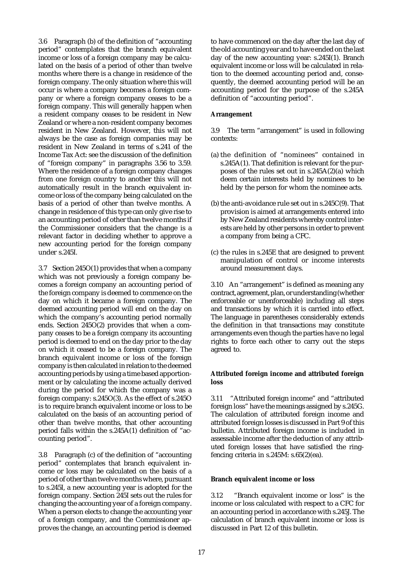3.6 Paragraph (b) of the definition of "accounting period" contemplates that the branch equivalent income or loss of a foreign company may be calculated on the basis of a period of other than twelve months where there is a change in residence of the foreign company. The only situation where this will occur is where a company becomes a foreign company or where a foreign company ceases to be a foreign company. This will generally happen when a resident company ceases to be resident in New Zealand or where a non-resident company becomes resident in New Zealand. However, this will not always be the case as foreign companies may be resident in New Zealand in terms of s.241 of the Income Tax Act: see the discussion of the definition of "foreign company" in paragraphs 3.56 to 3.59. Where the residence of a foreign company changes from one foreign country to another this will not automatically result in the branch equivalent income or loss of the company being calculated on the basis of a period of other than twelve months. A change in residence of this type can only give rise to an accounting period of other than twelve months if the Commissioner considers that the change is a relevant factor in deciding whether to approve a new accounting period for the foreign company under s.245I.

3.7 Section 245O(1) provides that when a company which was not previously a foreign company becomes a foreign company an accounting period of the foreign company is deemed to commence on the day on which it became a foreign company. The deemed accounting period will end on the day on which the company's accounting period normally ends. Section 245O(2) provides that when a company ceases to be a foreign company its accounting period is deemed to end on the day prior to the day on which it ceased to be a foreign company. The branch equivalent income or loss of the foreign company is then calculated in relation to the deemed accounting periods by using a time based apportionment or by calculating the income actually derived during the period for which the company was a foreign company: s.245O(3). As the effect of s.245O is to require branch equivalent income or loss to be calculated on the basis of an accounting period of other than twelve months, that other accounting period falls within the s.245A(1) definition of "accounting period".

3.8 Paragraph (c) of the definition of "accounting period" contemplates that branch equivalent income or loss may be calculated on the basis of a period of other than twelve months where, pursuant to s.245I, a new accounting year is adopted for the foreign company. Section 245I sets out the rules for changing the accounting year of a foreign company. When a person elects to change the accounting year of a foreign company, and the Commissioner approves the change, an accounting period is deemed to have commenced on the day after the last day of the old accounting year and to have ended on the last day of the new accounting year: s.245I(1). Branch equivalent income or loss will be calculated in relation to the deemed accounting period and, consequently, the deemed accounting period will be an accounting period for the purpose of the s.245A definition of "accounting period".

#### **Arrangement**

3.9 The term "arrangement" is used in following contexts:

- (a) the definition of "nominees" contained in s.245A(1). That definition is relevant for the purposes of the rules set out in s.245A(2)(a) which deem certain interests held by nominees to be held by the person for whom the nominee acts.
- (b) the anti-avoidance rule set out in s.245C(9). That provision is aimed at arrangements entered into by New Zealand residents whereby control interests are held by other persons in order to prevent a company from being a CFC.
- (c) the rules in s.245E that are designed to prevent manipulation of control or income interests around measurement days.

3.10 An "arrangement" is defined as meaning any contract, agreement, plan, or understanding (whether enforceable or unenforceable) including all steps and transactions by which it is carried into effect. The language in parentheses considerably extends the definition in that transactions may constitute arrangements even though the parties have no legal rights to force each other to carry out the steps agreed to.

#### **Attributed foreign income and attributed foreign loss**

3.11 "Attributed foreign income" and "attributed foreign loss" have the meanings assigned by s.245G. The calculation of attributed foreign income and attributed foreign losses is discussed in Part 9 of this bulletin. Attributed foreign income is included in assessable income after the deduction of any attributed foreign losses that have satisfied the ringfencing criteria in s.245M:  $s.65(2)(ea)$ .

#### **Branch equivalent income or loss**

3.12 "Branch equivalent income or loss" is the income or loss calculated with respect to a CFC for an accounting period in accordance with s.245J. The calculation of branch equivalent income or loss is discussed in Part 12 of this bulletin.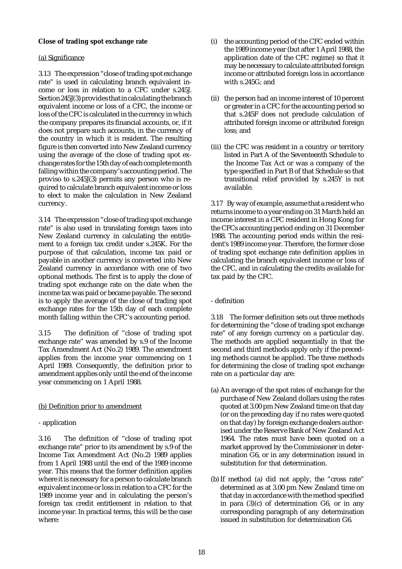### **Close of trading spot exchange rate**

### (a) Significance

3.13 The expression "close of trading spot exchange rate" is used in calculating branch equivalent income or loss in relation to a CFC under s.245J. Section 245J(3) provides that in calculating the branch equivalent income or loss of a CFC, the income or loss of the CFC is calculated in the currency in which the company prepares its financial accounts, or, if it does not prepare such accounts, in the currency of the country in which it is resident. The resulting figure is then converted into New Zealand currency using the average of the close of trading spot exchange rates for the 15th day of each complete month falling within the company's accounting period. The proviso to s.245J(3) permits any person who is required to calculate branch equivalent income or loss to elect to make the calculation in New Zealand currency.

3.14 The expression "close of trading spot exchange rate" is also used in translating foreign taxes into New Zealand currency in calculating the entitlement to a foreign tax credit under s.245K. For the purpose of that calculation, income tax paid or payable in another currency is converted into New Zealand currency in accordance with one of two optional methods. The first is to apply the close of trading spot exchange rate on the date when the income tax was paid or became payable. The second is to apply the average of the close of trading spot exchange rates for the 15th day of each complete month falling within the CFC's accounting period.

3.15 The definition of "close of trading spot exchange rate" was amended by s.9 of the Income Tax Amendment Act (No.2) 1989. The amendment applies from the income year commencing on 1 April 1989. Consequently, the definition prior to amendment applies only until the end of the income year commencing on 1 April 1988.

# (b) Definition prior to amendment

# - application

3.16 The definition of "close of trading spot exchange rate" prior to its amendment by s.9 of the Income Tax Amendment Act (No.2) 1989 applies from 1 April 1988 until the end of the 1989 income year. This means that the former definition applies where it is necessary for a person to calculate branch equivalent income or loss in relation to a CFC for the 1989 income year and in calculating the person's foreign tax credit entitlement in relation to that income year. In practical terms, this will be the case where:

- (i) the accounting period of the CFC ended within the 1989 income year (but after 1 April 1988, the application date of the CFC regime) so that it may be necessary to calculate attributed foreign income or attributed foreign loss in accordance with s.245G; and
- (ii) the person had an income interest of 10 percent or greater in a CFC for the accounting period so that s.245F does not preclude calculation of attributed foreign income or attributed foreign loss; and
- (iii) the CFC was resident in a country or territory listed in Part A of the Seventeenth Schedule to the Income Tax Act or was a company of the type specified in Part B of that Schedule so that transitional relief provided by s.245Y is not available.

3.17 By way of example, assume that a resident who returns income to a year ending on 31 March held an income interest in a CFC resident in Hong Kong for the CFCs accounting period ending on 31 December 1988. The accounting period ends within the resident's 1989 income year. Therefore, the former close of trading spot exchange rate definition applies in calculating the branch equivalent income or loss of the CFC, and in calculating the credits available for tax paid by the CFC.

# - definition

3.18 The former definition sets out three methods for determining the "close of trading spot exchange rate" of any foreign currency on a particular day. The methods are applied sequentially in that the second and third methods apply only if the preceding methods cannot be applied. The three methods for determining the close of trading spot exchange rate on a particular day are:

- (a) An average of the spot rates of exchange for the purchase of New Zealand dollars using the rates quoted at 3.00 pm New Zealand time on that day (or on the preceding day if no rates were quoted on that day) by foreign exchange dealers authorised under the Reserve Bank of New Zealand Act 1964. The rates must have been quoted on a market approved by the Commissioner in determination G6, or in any determination issued in substitution for that determination.
- (b) If method (a) did not apply, the "cross rate" determined as at 3.00 pm New Zealand time on that day in accordance with the method specified in para  $(3)(c)$  of determination G6, or in any corresponding paragraph of any determination issued in substitution for determination G6.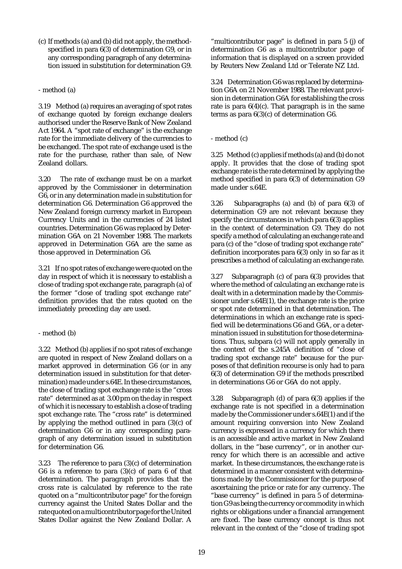(c) If methods (a) and (b) did not apply, the methodspecified in para 6(3) of determination G9, or in any corresponding paragraph of any determination issued in substitution for determination G9.

### - method (a)

3.19 Method (a) requires an averaging of spot rates of exchange quoted by foreign exchange dealers authorised under the Reserve Bank of New Zealand Act 1964. A "spot rate of exchange" is the exchange rate for the immediate delivery of the currencies to be exchanged. The spot rate of exchange used is the rate for the purchase, rather than sale, of New Zealand dollars.

3.20 The rate of exchange must be on a market approved by the Commissioner in determination G6, or in any determination made in substitution for determination G6. Determination G6 approved the New Zealand foreign currency market in European Currency Units and in the currencies of 24 listed countries. Determination G6 was replaced by Determination G6A on 21 November 1988. The markets approved in Determination G6A are the same as those approved in Determination G6.

3.21 If no spot rates of exchange were quoted on the day in respect of which it is necessary to establish a close of trading spot exchange rate, paragraph (a) of the former "close of trading spot exchange rate" definition provides that the rates quoted on the immediately preceding day are used.

# - method (b)

3.22 Method (b) applies if no spot rates of exchange are quoted in respect of New Zealand dollars on a market approved in determination G6 (or in any determination issued in substitution for that determination) made under s.64E. In these circumstances, the close of trading spot exchange rate is the "cross rate" determined as at 3.00 pm on the day in respect of which it is necessary to establish a close of trading spot exchange rate. The "cross rate" is determined by applying the method outlined in para (3)(c) of determination G6 or in any corresponding paragraph of any determination issued in substitution for determination G6.

3.23 The reference to para (3)(c) of determination G6 is a reference to para  $(3)(c)$  of para 6 of that determination. The paragraph provides that the cross rate is calculated by reference to the rate quoted on a "multicontributor page" for the foreign currency against the United States Dollar and the rate quoted on a multicontributor page for the United States Dollar against the New Zealand Dollar. A

"multicontributor page" is defined in para 5 (j) of determination G6 as a multicontributor page of information that is displayed on a screen provided by Reuters New Zealand Ltd or Telerate NZ Ltd.

3.24 Determination G6 was replaced by determination G6A on 21 November 1988. The relevant provision in determination G6A for establishing the cross rate is para  $6(4)(c)$ . That paragraph is in the same terms as para 6(3)(c) of determination G6.

- method (c)

3.25 Method (c) applies if methods (a) and (b) do not apply. It provides that the close of trading spot exchange rate is the rate determined by applying the method specified in para 6(3) of determination G9 made under s.64E.

3.26 Subparagraphs (a) and (b) of para 6(3) of determination G9 are not relevant because they specify the circumstances in which para 6(3) applies in the context of determination G9. They do not specify a method of calculating an exchange rate and para (c) of the "close of trading spot exchange rate" definition incorporates para 6(3) only in so far as it prescribes a method of calculating an exchange rate.

3.27 Subparagraph (c) of para 6(3) provides that where the method of calculating an exchange rate is dealt with in a determination made by the Commissioner under s.64E(1), the exchange rate is the price or spot rate determined in that determination. The determinations in which an exchange rate is specified will be determinations G6 and G6A, or a determination issued in substitution for those determinations. Thus, subpara (c) will not apply generally in the context of the s.245A definition of "close of trading spot exchange rate" because for the purposes of that definition recourse is only had to para 6(3) of determination G9 if the methods prescribed in determinations G6 or G6A do not apply.

3.28 Subparagraph (d) of para 6(3) applies if the exchange rate is not specified in a determination made by the Commissioner under s.64E(1) and if the amount requiring conversion into New Zealand currency is expressed in a currency for which there is an accessible and active market in New Zealand dollars, in the "base currency", or in another currency for which there is an accessible and active market. In these circumstances, the exchange rate is determined in a manner consistent with determinations made by the Commissioner for the purpose of ascertaining the price or rate for any currency. The "base currency" is defined in para 5 of determination G9 as being the currency or commodity in which rights or obligations under a financial arrangement are fixed. The base currency concept is thus not relevant in the context of the "close of trading spot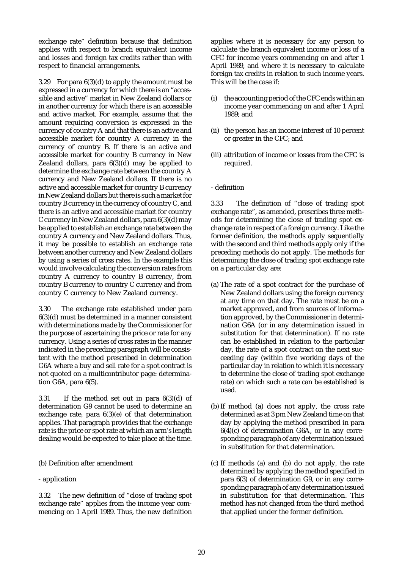exchange rate" definition because that definition applies with respect to branch equivalent income and losses and foreign tax credits rather than with respect to financial arrangements.

3.29 For para 6(3)(d) to apply the amount must be expressed in a currency for which there is an "accessible and active" market in New Zealand dollars or in another currency for which there is an accessible and active market. For example, assume that the amount requiring conversion is expressed in the currency of country A and that there is an active and accessible market for country A currency in the currency of country B. If there is an active and accessible market for country B currency in New Zealand dollars, para 6(3)(d) may be applied to determine the exchange rate between the country A currency and New Zealand dollars. If there is no active and accessible market for country B currency in New Zealand dollars but there is such a market for country B currency in the currency of country C, and there is an active and accessible market for country C currency in New Zealand dollars, para 6(3)(d) may be applied to establish an exchange rate between the country A currency and New Zealand dollars. Thus, it may be possible to establish an exchange rate between another currency and New Zealand dollars by using a series of cross rates. In the example this would involve calculating the conversion rates from country A currency to country B currency, from country B currency to country C currency and from country C currency to New Zealand currency.

3.30 The exchange rate established under para 6(3)(d) must be determined in a manner consistent with determinations made by the Commissioner for the purpose of ascertaining the price or rate for any currency. Using a series of cross rates in the manner indicated in the preceding paragraph will be consistent with the method prescribed in determination G6A where a buy and sell rate for a spot contract is not quoted on a multicontributor page: determination G6A, para 6(5).

3.31 If the method set out in para 6(3)(d) of determination G9 cannot be used to determine an exchange rate, para 6(3)(e) of that determination applies. That paragraph provides that the exchange rate is the price or spot rate at which an arm's length dealing would be expected to take place at the time.

# (b) Definition after amendment

# - application

3.32 The new definition of "close of trading spot exchange rate" applies from the income year commencing on 1 April 1989. Thus, the new definition applies where it is necessary for any person to calculate the branch equivalent income or loss of a CFC for income years commencing on and after 1 April 1989, and where it is necessary to calculate foreign tax credits in relation to such income years. This will be the case if:

- (i) the accounting period of the CFC ends within an income year commencing on and after 1 April 1989; and
- (ii) the person has an income interest of 10 percent or greater in the CFC; and
- (iii) attribution of income or losses from the CFC is required.

#### - definition

3.33 The definition of "close of trading spot exchange rate", as amended, prescribes three methods for determining the close of trading spot exchange rate in respect of a foreign currency. Like the former definition, the methods apply sequentially with the second and third methods apply only if the preceding methods do not apply. The methods for determining the close of trading spot exchange rate on a particular day are:

- (a) The rate of a spot contract for the purchase of New Zealand dollars using the foreign currency at any time on that day. The rate must be on a market approved, and from sources of information approved, by the Commissioner in determination G6A (or in any determination issued in substitution for that determination). If no rate can be established in relation to the particular day, the rate of a spot contract on the next succeeding day (within five working days of the particular day in relation to which it is necessary to determine the close of trading spot exchange rate) on which such a rate can be established is used.
- (b) If method (a) does not apply, the cross rate determined as at 3 pm New Zealand time on that day by applying the method prescribed in para  $6(4)(c)$  of determination G6A, or in any corresponding paragraph of any determination issued in substitution for that determination.
- (c) If methods (a) and (b) do not apply, the rate determined by applying the method specified in para 6(3) of determination G9, or in any corresponding paragraph of any determination issued in substitution for that determination. This method has not changed from the third method that applied under the former definition.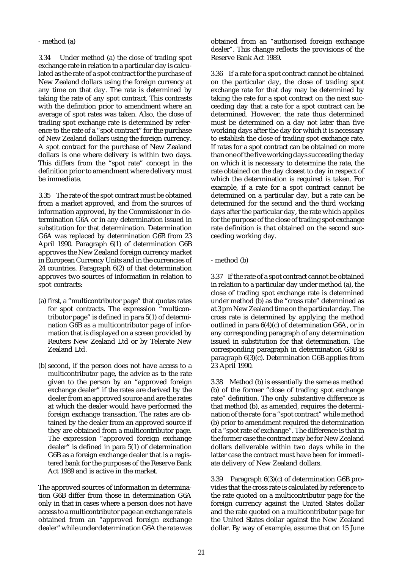#### - method (a)

3.34 Under method (a) the close of trading spot exchange rate in relation to a particular day is calculated as the rate of a spot contract for the purchase of New Zealand dollars using the foreign currency at any time on that day. The rate is determined by taking the rate of any spot contract. This contrasts with the definition prior to amendment where an average of spot rates was taken. Also, the close of trading spot exchange rate is determined by reference to the rate of a "spot contract" for the purchase of New Zealand dollars using the foreign currency. A spot contract for the purchase of New Zealand dollars is one where delivery is within two days. This differs from the "spot rate" concept in the definition prior to amendment where delivery must be immediate.

3.35 The rate of the spot contract must be obtained from a market approved, and from the sources of information approved, by the Commissioner in determination G6A or in any determination issued in substitution for that determination. Determination G6A was replaced by determination G6B from 23 April 1990. Paragraph 6(1) of determination G6B approves the New Zealand foreign currency market in European Currency Units and in the currencies of 24 countries. Paragraph 6(2) of that determination approves two sources of information in relation to spot contracts:

- (a) first, a "multicontributor page" that quotes rates for spot contracts. The expression "multicontributor page" is defined in para 5(1) of determination G6B as a multicontributor page of information that is displayed on a screen provided by Reuters New Zealand Ltd or by Telerate New Zealand Ltd.
- (b) second, if the person does not have access to a multicontributor page, the advice as to the rate given to the person by an "approved foreign exchange dealer" if the rates are derived by the dealer from an approved source and are the rates at which the dealer would have performed the foreign exchange transaction. The rates are obtained by the dealer from an approved source if they are obtained from a multicontributor page. The expression "approved foreign exchange dealer" is defined in para 5(1) of determination G6B as a foreign exchange dealer that is a registered bank for the purposes of the Reserve Bank Act 1989 and is active in the market.

The approved sources of information in determination G6B differ from those in determination G6A only in that in cases where a person does not have access to a multicontributor page an exchange rate is obtained from an "approved foreign exchange dealer" while under determination G6A the rate was

obtained from an "authorised foreign exchange dealer". This change reflects the provisions of the Reserve Bank Act 1989.

3.36 If a rate for a spot contract cannot be obtained on the particular day, the close of trading spot exchange rate for that day may be determined by taking the rate for a spot contract on the next succeeding day that a rate for a spot contract can be determined. However, the rate thus determined must be determined on a day not later than five working days after the day for which it is necessary to establish the close of trading spot exchange rate. If rates for a spot contract can be obtained on more than one of the five working days succeeding the day on which it is necessary to determine the rate, the rate obtained on the day closest to day in respect of which the determination is required is taken. For example, if a rate for a spot contract cannot be determined on a particular day, but a rate can be determined for the second and the third working days after the particular day, the rate which applies for the purpose of the close of trading spot exchange rate definition is that obtained on the second succeeding working day.

- method (b)

3.37 If the rate of a spot contract cannot be obtained in relation to a particular day under method (a), the close of trading spot exchange rate is determined under method (b) as the "cross rate" determined as at 3 pm New Zealand time on the particular day. The cross rate is determined by applying the method outlined in para 6(4)(c) of determination G6A, or in any corresponding paragraph of any determination issued in substitution for that determination. The corresponding paragraph in determination G6B is paragraph 6(3)(c). Determination G6B applies from 23 April 1990.

3.38 Method (b) is essentially the same as method (b) of the former "close of trading spot exchange rate" definition. The only substantive difference is that method (b), as amended, requires the determination of the rate for a "spot contract" while method (b) prior to amendment required the determination of a "spot rate of exchange". The difference is that in the former case the contract may be for New Zealand dollars deliverable within two days while in the latter case the contract must have been for immediate delivery of New Zealand dollars.

3.39 Paragraph 6(3)(c) of determination G6B provides that the cross rate is calculated by reference to the rate quoted on a multicontributor page for the foreign currency against the United States dollar and the rate quoted on a multicontributor page for the United States dollar against the New Zealand dollar. By way of example, assume that on 15 June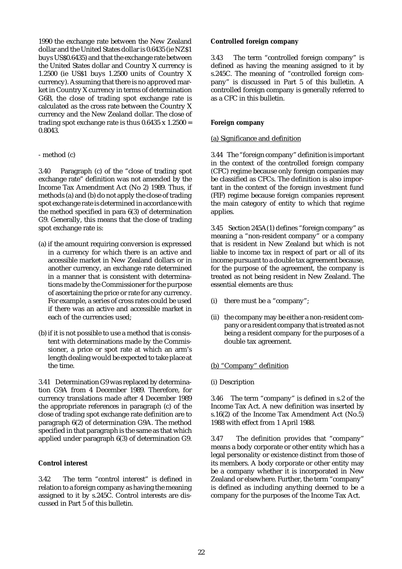1990 the exchange rate between the New Zealand dollar and the United States dollar is 0.6435 (ie NZ\$1 buys US\$0.6435) and that the exchange rate between the United States dollar and Country X currency is 1.2500 (ie US\$1 buys 1.2500 units of Country X currency). Assuming that there is no approved market in Country X currency in terms of determination G6B, the close of trading spot exchange rate is calculated as the cross rate between the Country X currency and the New Zealand dollar. The close of trading spot exchange rate is thus  $0.6435 \times 1.2500 =$ 0.8043.

#### - method (c)

3.40 Paragraph (c) of the "close of trading spot exchange rate" definition was not amended by the Income Tax Amendment Act (No 2) 1989. Thus, if methods (a) and (b) do not apply the close of trading spot exchange rate is determined in accordance with the method specified in para 6(3) of determination G9. Generally, this means that the close of trading spot exchange rate is:

- (a) if the amount requiring conversion is expressed in a currency for which there is an active and accessible market in New Zealand dollars or in another currency, an exchange rate determined in a manner that is consistent with determinations made by the Commissioner for the purpose of ascertaining the price or rate for any currency. For example, a series of cross rates could be used if there was an active and accessible market in each of the currencies used;
- (b) if it is not possible to use a method that is consistent with determinations made by the Commissioner, a price or spot rate at which an arm's length dealing would be expected to take place at the time.

3.41 Determination G9 was replaced by determination G9A from 4 December 1989. Therefore, for currency translations made after 4 December 1989 the appropriate references in paragraph (c) of the close of trading spot exchange rate definition are to paragraph 6(2) of determination G9A. The method specified in that paragraph is the same as that which applied under paragraph 6(3) of determination G9.

#### **Control interest**

3.42 The term "control interest" is defined in relation to a foreign company as having the meaning assigned to it by s.245C. Control interests are discussed in Part 5 of this bulletin.

#### **Controlled foreign company**

3.43 The term "controlled foreign company" is defined as having the meaning assigned to it by s.245C. The meaning of "controlled foreign company" is discussed in Part 5 of this bulletin. A controlled foreign company is generally referred to as a CFC in this bulletin.

#### **Foreign company**

#### (a) Significance and definition

3.44 The "foreign company" definition is important in the context of the controlled foreign company (CFC) regime because only foreign companies may be classified as CFCs. The definition is also important in the context of the foreign investment fund (FIF) regime because foreign companies represent the main category of entity to which that regime applies.

3.45 Section 245A(1) defines "foreign company" as meaning a "non-resident company" or a company that is resident in New Zealand but which is not liable to income tax in respect of part or all of its income pursuant to a double tax agreement because, for the purpose of the agreement, the company is treated as not being resident in New Zealand. The essential elements are thus:

- (i) there must be a "company";
- (ii) the company may be either a non-resident company or a resident company that is treated as not being a resident company for the purposes of a double tax agreement.

# (b) "Company" definition

# (i) Description

3.46 The term "company" is defined in s.2 of the Income Tax Act. A new definition was inserted by s.16(2) of the Income Tax Amendment Act (No.5) 1988 with effect from 1 April 1988.

3.47 The definition provides that "company" means a body corporate or other entity which has a legal personality or existence distinct from those of its members. A body corporate or other entity may be a company whether it is incorporated in New Zealand or elsewhere. Further, the term "company" is defined as including anything deemed to be a company for the purposes of the Income Tax Act.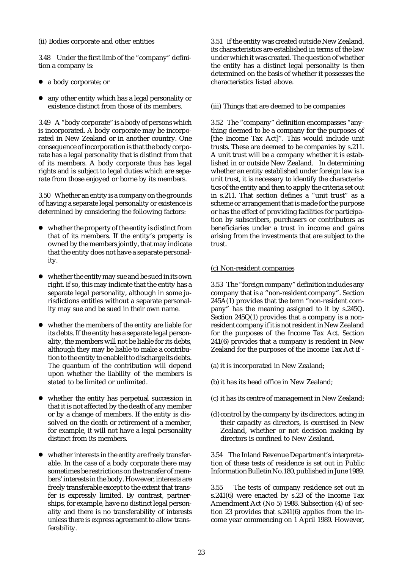(ii) Bodies corporate and other entities

3.48 Under the first limb of the "company" definition a company is:

- a body corporate; or
- $\bullet$  any other entity which has a legal personality or existence distinct from those of its members.

3.49 A "body corporate" is a body of persons which is incorporated. A body corporate may be incorporated in New Zealand or in another country. One consequence of incorporation is that the body corporate has a legal personality that is distinct from that of its members. A body corporate thus has legal rights and is subject to legal duties which are separate from those enjoyed or borne by its members.

3.50 Whether an entity is a company on the grounds of having a separate legal personality or existence is determined by considering the following factors:

- $\bullet$  whether the property of the entity is distinct from that of its members. If the entity's property is owned by the members jointly, that may indicate that the entity does not have a separate personality.
- $\bullet$  whether the entity may sue and be sued in its own right. If so, this may indicate that the entity has a separate legal personality, although in some jurisdictions entities without a separate personality may sue and be sued in their own name.
- whether the members of the entity are liable for its debts. If the entity has a separate legal personality, the members will not be liable for its debts, although they may be liable to make a contribution to the entity to enable it to discharge its debts. The quantum of the contribution will depend upon whether the liability of the members is stated to be limited or unlimited.
- whether the entity has perpetual succession in that it is not affected by the death of any member or by a change of members. If the entity is dissolved on the death or retirement of a member, for example, it will not have a legal personality distinct from its members.
- $\bullet$  whether interests in the entity are freely transferable. In the case of a body corporate there may sometimes be restrictions on the transfer of members' interests in the body. However, interests are freely transferable except to the extent that transfer is expressly limited. By contrast, partnerships, for example, have no distinct legal personality and there is no transferability of interests unless there is express agreement to allow transferability.

3.51 If the entity was created outside New Zealand, its characteristics are established in terms of the law under which it was created. The question of whether the entity has a distinct legal personality is then determined on the basis of whether it possesses the characteristics listed above.

#### (iii) Things that are deemed to be companies

3.52 The "company" definition encompasses "anything deemed to be a company for the purposes of [the Income Tax Act]". This would include unit trusts. These are deemed to be companies by s.211. A unit trust will be a company whether it is established in or outside New Zealand. In determining whether an entity established under foreign law is a unit trust, it is necessary to identify the characteristics of the entity and then to apply the criteria set out in s.211. That section defines a "unit trust" as a scheme or arrangement that is made for the purpose or has the effect of providing facilities for participation by subscribers, purchasers or contributors as beneficiaries under a trust in income and gains arising from the investments that are subject to the trust.

#### (c) Non-resident companies

3.53 The "foreign company" definition includes any company that is a "non-resident company". Section 245A(1) provides that the term "non-resident company" has the meaning assigned to it by s.245Q. Section 245Q(1) provides that a company is a nonresident company if it is not resident in New Zealand for the purposes of the Income Tax Act. Section 241(6) provides that a company is resident in New Zealand for the purposes of the Income Tax Act if -

- (a) it is incorporated in New Zealand;
- (b) it has its head office in New Zealand;
- (c) it has its centre of management in New Zealand;
- (d)control by the company by its directors, acting in their capacity as directors, is exercised in New Zealand, whether or not decision making by directors is confined to New Zealand.

3.54 The Inland Revenue Department's interpretation of these tests of residence is set out in Public Information Bulletin No.180, published in June 1989.

3.55 The tests of company residence set out in s.241(6) were enacted by s.23 of the Income Tax Amendment Act (No 5) 1988. Subsection (4) of section 23 provides that s.241(6) applies from the income year commencing on 1 April 1989. However,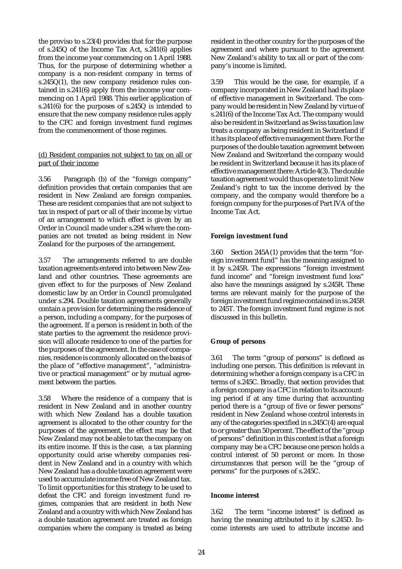the proviso to s.23(4) provides that for the purpose of s.245Q of the Income Tax Act, s.241(6) applies from the income year commencing on 1 April 1988. Thus, for the purpose of determining whether a company is a non-resident company in terms of s.245Q(1), the new company residence rules contained in s.241(6) apply from the income year commencing on 1 April 1988. This earlier application of s.241(6) for the purposes of s.245Q is intended to ensure that the new company residence rules apply to the CFC and foreign investment fund regimes from the commencement of those regimes.

#### (d) Resident companies not subject to tax on all or part of their income

3.56 Paragraph (b) of the "foreign company" definition provides that certain companies that are resident in New Zealand are foreign companies. These are resident companies that are not subject to tax in respect of part or all of their income by virtue of an arrangement to which effect is given by an Order in Council made under s.294 where the companies are not treated as being resident in New Zealand for the purposes of the arrangement.

3.57 The arrangements referred to are double taxation agreements entered into between New Zealand and other countries. These agreements are given effect to for the purposes of New Zealand domestic law by an Order in Council promulgated under s.294. Double taxation agreements generally contain a provision for determining the residence of a person, including a company, for the purposes of the agreement. If a person is resident in both of the state parties to the agreement the residence provision will allocate residence to one of the parties for the purposes of the agreement. In the case of companies, residence is commonly allocated on the basis of the place of "effective management", "administrative or practical management" or by mutual agreement between the parties.

3.58 Where the residence of a company that is resident in New Zealand and in another country with which New Zealand has a double taxation agreement is allocated to the other country for the purposes of the agreement, the effect may be that New Zealand may not be able to tax the company on its entire income. If this is the case, a tax planning opportunity could arise whereby companies resident in New Zealand and in a country with which New Zealand has a double taxation agreement were used to accumulate income free of New Zealand tax. To limit opportunities for this strategy to be used to defeat the CFC and foreign investment fund regimes, companies that are resident in both New Zealand and a country with which New Zealand has a double taxation agreement are treated as foreign companies where the company is treated as being resident in the other country for the purposes of the agreement and where pursuant to the agreement New Zealand's ability to tax all or part of the company's income is limited.

3.59 This would be the case, for example, if a company incorporated in New Zealand had its place of effective management in Switzerland. The company would be resident in New Zealand by virtue of s.241(6) of the Income Tax Act. The company would also be resident in Switzerland as Swiss taxation law treats a company as being resident in Switzerland if it has its place of effective management there. For the purposes of the double taxation agreement between New Zealand and Switzerland the company would be resident in Switzerland because it has its place of effective management there: Article 4(3). The double taxation agreement would thus operate to limit New Zealand's right to tax the income derived by the company, and the company would therefore be a foreign company for the purposes of Part IVA of the Income Tax Act.

# **Foreign investment fund**

3.60 Section 245A(1) provides that the term "foreign investment fund" has the meaning assigned to it by s.245R. The expressions "foreign investment fund income" and "foreign investment fund loss" also have the meanings assigned by s.245R. These terms are relevant mainly for the purpose of the foreign investment fund regime contained in ss.245R to 245T. The foreign investment fund regime is not discussed in this bulletin.

# **Group of persons**

3.61 The term "group of persons" is defined as including one person. This definition is relevant in determining whether a foreign company is a CFC in terms of s.245C. Broadly, that section provides that a foreign company is a CFC in relation to its accounting period if at any time during that accounting period there is a "group of five or fewer persons" resident in New Zealand whose control interests in any of the categories specified in s.245C(4) are equal to or greater than 50 percent. The effect of the "group of persons" definition in this context is that a foreign company may be a CFC because one person holds a control interest of 50 percent or more. In those circumstances that person will be the "group of persons" for the purposes of s.245C.

#### **Income interest**

3.62 The term "income interest" is defined as having the meaning attributed to it by s.245D. Income interests are used to attribute income and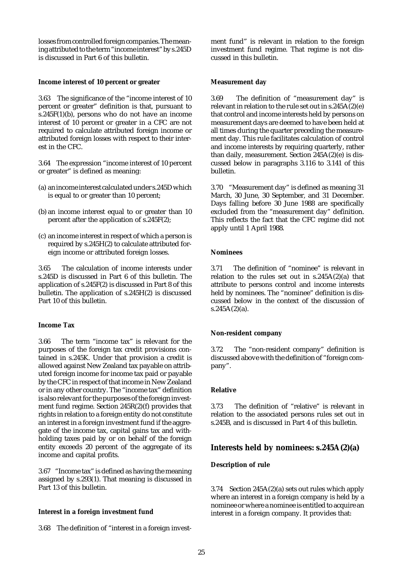losses from controlled foreign companies. The meaning attributed to the term "income interest" by s.245D is discussed in Part 6 of this bulletin.

#### **Income interest of 10 percent or greater**

3.63 The significance of the "income interest of 10 percent or greater" definition is that, pursuant to  $\overline{s}$ .245F(1)(b), persons who do not have an income interest of 10 percent or greater in a CFC are not required to calculate attributed foreign income or attributed foreign losses with respect to their interest in the CFC.

3.64 The expression "income interest of 10 percent or greater" is defined as meaning:

- (a) an income interest calculated under s.245D which is equal to or greater than 10 percent;
- (b) an income interest equal to or greater than 10 percent after the application of s.245F(2);
- (c) an income interest in respect of which a person is required by s.245H(2) to calculate attributed foreign income or attributed foreign losses.

3.65 The calculation of income interests under s.245D is discussed in Part 6 of this bulletin. The application of s.245F(2) is discussed in Part 8 of this bulletin. The application of s.245H(2) is discussed Part 10 of this bulletin.

### **Income Tax**

3.66 The term "income tax" is relevant for the purposes of the foreign tax credit provisions contained in s.245K. Under that provision a credit is allowed against New Zealand tax payable on attributed foreign income for income tax paid or payable by the CFC in respect of that income in New Zealand or in any other country. The "income tax" definition is also relevant for the purposes of the foreign investment fund regime. Section 245R(2)(f) provides that rights in relation to a foreign entity do not constitute an interest in a foreign investment fund if the aggregate of the income tax, capital gains tax and withholding taxes paid by or on behalf of the foreign entity exceeds 20 percent of the aggregate of its income and capital profits.

3.67 "Income tax" is defined as having the meaning assigned by s.293(1). That meaning is discussed in Part 13 of this bulletin.

#### **Interest in a foreign investment fund**

3.68 The definition of "interest in a foreign invest-

ment fund" is relevant in relation to the foreign investment fund regime. That regime is not discussed in this bulletin.

### **Measurement day**

3.69 The definition of "measurement day" is relevant in relation to the rule set out in s.245A(2)(e) that control and income interests held by persons on measurement days are deemed to have been held at all times during the quarter preceding the measurement day. This rule facilitates calculation of control and income interests by requiring quarterly, rather than daily, measurement. Section 245A(2)(e) is discussed below in paragraphs 3.116 to 3.141 of this bulletin.

3.70 "Measurement day" is defined as meaning 31 March, 30 June, 30 September, and 31 December. Days falling before 30 June 1988 are specifically excluded from the "measurement day" definition. This reflects the fact that the CFC regime did not apply until 1 April 1988.

# **Nominees**

3.71 The definition of "nominee" is relevant in relation to the rules set out in  $s.245A(2)(a)$  that attribute to persons control and income interests held by nominees. The "nominee" definition is discussed below in the context of the discussion of  $s.245A(2)(a)$ .

# **Non-resident company**

3.72 The "non-resident company" definition is discussed above with the definition of "foreign company".

#### **Relative**

3.73 The definition of "relative" is relevant in relation to the associated persons rules set out in s.245B, and is discussed in Part 4 of this bulletin.

# **Interests held by nominees: s.245A(2)(a)**

# **Description of rule**

3.74 Section 245A(2)(a) sets out rules which apply where an interest in a foreign company is held by a nominee or where a nominee is entitled to acquire an interest in a foreign company. It provides that: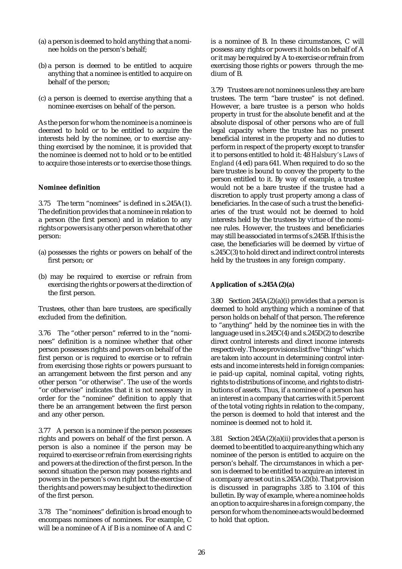- (a) a person is deemed to hold anything that a nominee holds on the person's behalf;
- (b) a person is deemed to be entitled to acquire anything that a nominee is entitled to acquire on behalf of the person;
- (c) a person is deemed to exercise anything that a nominee exercises on behalf of the person.

As the person for whom the nominee is a nominee is deemed to hold or to be entitled to acquire the interests held by the nominee, or to exercise anything exercised by the nominee, it is provided that the nominee is deemed not to hold or to be entitled to acquire those interests or to exercise those things.

#### **Nominee definition**

3.75 The term "nominees" is defined in s.245A(1). The definition provides that a nominee in relation to a person (the first person) and in relation to any rights or powers is any other person where that other person:

- (a) possesses the rights or powers on behalf of the first person; or
- (b) may be required to exercise or refrain from exercising the rights or powers at the direction of the first person.

Trustees, other than bare trustees, are specifically excluded from the definition.

3.76 The "other person" referred to in the "nominees" definition is a nominee whether that other person possesses rights and powers on behalf of the first person or is required to exercise or to refrain from exercising those rights or powers pursuant to an arrangement between the first person and any other person "or otherwise". The use of the words "or otherwise" indicates that it is not necessary in order for the "nominee" definition to apply that there be an arrangement between the first person and any other person.

3.77 A person is a nominee if the person possesses rights and powers on behalf of the first person. A person is also a nominee if the person may be required to exercise or refrain from exercising rights and powers at the direction of the first person. In the second situation the person may possess rights and powers in the person's own right but the exercise of the rights and powers may be subject to the direction of the first person.

3.78 The "nominees" definition is broad enough to encompass nominees of nominees. For example, C will be a nominee of A if B is a nominee of A and C is a nominee of B. In these circumstances, C will possess any rights or powers it holds on behalf of A or it may be required by A to exercise or refrain from exercising those rights or powers through the medium of B.

3.79 Trustees are not nominees unless they are bare trustees. The term "bare trustee" is not defined. However, a bare trustee is a person who holds property in trust for the absolute benefit and at the absolute disposal of other persons who are of full legal capacity where the trustee has no present beneficial interest in the property and no duties to perform in respect of the property except to transfer it to persons entitled to hold it: 48 *Halsbury's Laws of England* (4 ed) para 641. When required to do so the bare trustee is bound to convey the property to the person entitled to it. By way of example, a trustee would not be a bare trustee if the trustee had a discretion to apply trust property among a class of beneficiaries. In the case of such a trust the beneficiaries of the trust would not be deemed to hold interests held by the trustees by virtue of the nominee rules. However, the trustees and beneficiaries may still be associated in terms of s.245B. If this is the case, the beneficiaries will be deemed by virtue of s.245C(3) to hold direct and indirect control interests held by the trustees in any foreign company.

# **Application of s.245A(2)(a)**

3.80 Section  $245A(2)(a)(i)$  provides that a person is deemed to hold anything which a nominee of that person holds on behalf of that person. The reference to "anything" held by the nominee ties in with the language used in s.245C(4) and s.245D(2) to describe direct control interests and direct income interests respectively. Those provisions list five "things" which are taken into account in determining control interests and income interests held in foreign companies: ie paid-up capital, nominal capital, voting rights, rights to distributions of income, and rights to distributions of assets. Thus, if a nominee of a person has an interest in a company that carries with it 5 percent of the total voting rights in relation to the company, the person is deemed to hold that interest and the nominee is deemed not to hold it.

3.81 Section  $245A(2)(a)(ii)$  provides that a person is deemed to be entitled to acquire anything which any nominee of the person is entitled to acquire on the person's behalf. The circumstances in which a person is deemed to be entitled to acquire an interest in a company are set out in s.245A(2)(b). That provision is discussed in paragraphs 3.85 to 3.104 of this bulletin. By way of example, where a nominee holds an option to acquire shares in a foreign company, the person for whom the nominee acts would be deemed to hold that option.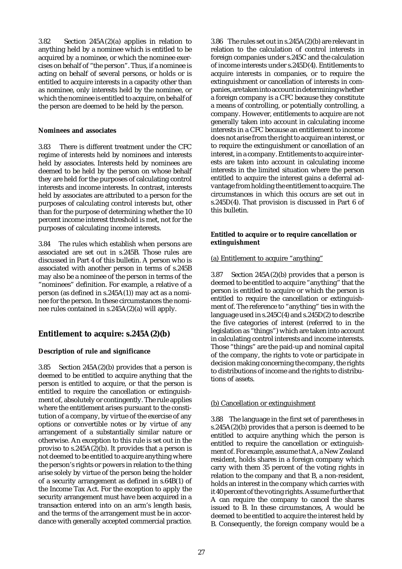3.82 Section 245A(2)(a) applies in relation to anything held by a nominee which is entitled to be acquired by a nominee, or which the nominee exercises on behalf of "the person". Thus, if a nominee is acting on behalf of several persons, or holds or is entitled to acquire interests in a capacity other than as nominee, only interests held by the nominee, or which the nominee is entitled to acquire, on behalf of the person are deemed to be held by the person.

#### **Nominees and associates**

3.83 There is different treatment under the CFC regime of interests held by nominees and interests held by associates. Interests held by nominees are deemed to be held by the person on whose behalf they are held for the purposes of calculating control interests and income interests. In contrast, interests held by associates are attributed to a person for the purposes of calculating control interests but, other than for the purpose of determining whether the 10 percent income interest threshold is met, not for the purposes of calculating income interests.

3.84 The rules which establish when persons are associated are set out in s.245B. Those rules are discussed in Part 4 of this bulletin. A person who is associated with another person in terms of s.245B may also be a nominee of the person in terms of the "nominees" definition. For example, a relative of a person (as defined in s.245A(1)) may act as a nominee for the person. In these circumstances the nominee rules contained in s.245A(2)(a) will apply.

# **Entitlement to acquire: s.245A(2)(b)**

# **Description of rule and significance**

3.85 Section 245A(2)(b) provides that a person is deemed to be entitled to acquire anything that the person is entitled to acquire, or that the person is entitled to require the cancellation or extinguishment of, absolutely or contingently. The rule applies where the entitlement arises pursuant to the constitution of a company, by virtue of the exercise of any options or convertible notes or by virtue of any arrangement of a substantially similar nature or otherwise. An exception to this rule is set out in the proviso to s.245A(2)(b). It provides that a person is not deemed to be entitled to acquire anything where the person's rights or powers in relation to the thing arise solely by virtue of the person being the holder of a security arrangement as defined in s.64B(1) of the Income Tax Act. For the exception to apply the security arrangement must have been acquired in a transaction entered into on an arm's length basis, and the terms of the arrangement must be in accordance with generally accepted commercial practice.

3.86 The rules set out in s.245A(2)(b) are relevant in relation to the calculation of control interests in foreign companies under s.245C and the calculation of income interests under s.245D(4). Entitlements to acquire interests in companies, or to require the extinguishment or cancellation of interests in companies, are taken into account in determining whether a foreign company is a CFC because they constitute a means of controlling, or potentially controlling, a company. However, entitlements to acquire are not generally taken into account in calculating income interests in a CFC because an entitlement to income does not arise from the right to acquire an interest, or to require the extinguishment or cancellation of an interest, in a company. Entitlements to acquire interests are taken into account in calculating income interests in the limited situation where the person entitled to acquire the interest gains a deferral advantage from holding the entitlement to acquire. The circumstances in which this occurs are set out in s.245D(4). That provision is discussed in Part 6 of this bulletin.

# **Entitled to acquire or to require cancellation or extinguishment**

# (a) Entitlement to acquire "anything"

3.87 Section 245A(2)(b) provides that a person is deemed to be entitled to acquire "anything" that the person is entitled to acquire or which the person is entitled to require the cancellation or extinguishment of. The reference to "anything" ties in with the language used in s.245C(4) and s.245D(2) to describe the five categories of interest (referred to in the legislation as "things") which are taken into account in calculating control interests and income interests. Those "things" are the paid-up and nominal capital of the company, the rights to vote or participate in decision making concerning the company, the rights to distributions of income and the rights to distributions of assets.

# (b) Cancellation or extinguishment

3.88 The language in the first set of parentheses in s.245A(2)(b) provides that a person is deemed to be entitled to acquire anything which the person is entitled to require the cancellation or extinguishment of. For example, assume that A, a New Zealand resident, holds shares in a foreign company which carry with them 35 percent of the voting rights in relation to the company and that B, a non-resident, holds an interest in the company which carries with it 40 percent of the voting rights. Assume further that A can require the company to cancel the shares issued to B. In these circumstances, A would be deemed to be entitled to acquire the interest held by B. Consequently, the foreign company would be a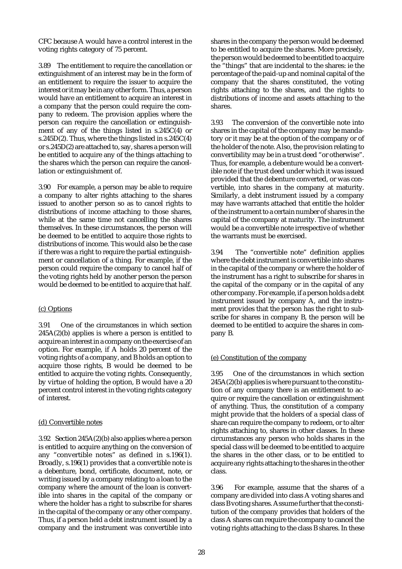CFC because A would have a control interest in the voting rights category of 75 percent.

3.89 The entitlement to require the cancellation or extinguishment of an interest may be in the form of an entitlement to require the issuer to acquire the interest or it may be in any other form. Thus, a person would have an entitlement to acquire an interest in a company that the person could require the company to redeem. The provision applies where the person can require the cancellation or extinguishment of any of the things listed in s.245C(4) or s.245D(2). Thus, where the things listed in s.245C(4) or s.245D(2) are attached to, say, shares a person will be entitled to acquire any of the things attaching to the shares which the person can require the cancellation or extinguishment of.

3.90 For example, a person may be able to require a company to alter rights attaching to the shares issued to another person so as to cancel rights to distributions of income attaching to those shares, while at the same time not cancelling the shares themselves. In these circumstances, the person will be deemed to be entitled to acquire those rights to distributions of income. This would also be the case if there was a right to require the partial extinguishment or cancellation of a thing. For example, if the person could require the company to cancel half of the voting rights held by another person the person would be deemed to be entitled to acquire that half.

# (c) Options

3.91 One of the circumstances in which section  $245A(2)(b)$  applies is where a person is entitled to acquire an interest in a company on the exercise of an option. For example, if A holds 20 percent of the voting rights of a company, and B holds an option to acquire those rights, B would be deemed to be entitled to acquire the voting rights. Consequently, by virtue of holding the option, B would have a 20 percent control interest in the voting rights category of interest.

#### (d) Convertible notes

3.92 Section 245A(2)(b) also applies where a person is entitled to acquire anything on the conversion of any "convertible notes" as defined in s.196(1). Broadly, s.196(1) provides that a convertible note is a debenture, bond, certificate, document, note, or writing issued by a company relating to a loan to the company where the amount of the loan is convertible into shares in the capital of the company or where the holder has a right to subscribe for shares in the capital of the company or any other company. Thus, if a person held a debt instrument issued by a company and the instrument was convertible into

shares in the company the person would be deemed to be entitled to acquire the shares. More precisely, the person would be deemed to be entitled to acquire the "things" that are incidental to the shares: ie the percentage of the paid-up and nominal capital of the company that the shares constituted, the voting rights attaching to the shares, and the rights to distributions of income and assets attaching to the shares.

3.93 The conversion of the convertible note into shares in the capital of the company may be mandatory or it may be at the option of the company or of the holder of the note. Also, the provision relating to convertibility may be in a trust deed "or otherwise". Thus, for example, a debenture would be a convertible note if the trust deed under which it was issued provided that the debenture converted, or was convertible, into shares in the company at maturity. Similarly, a debt instrument issued by a company may have warrants attached that entitle the holder of the instrument to a certain number of shares in the capital of the company at maturity. The instrument would be a convertible note irrespective of whether the warrants must be exercised.

3.94 The "convertible note" definition applies where the debt instrument is convertible into shares in the capital of the company or where the holder of the instrument has a right to subscribe for shares in the capital of the company or in the capital of any other company. For example, if a person holds a debt instrument issued by company A, and the instrument provides that the person has the right to subscribe for shares in company B, the person will be deemed to be entitled to acquire the shares in company B.

# (e) Constitution of the company

3.95 One of the circumstances in which section  $245A(2)(b)$  applies is where pursuant to the constitution of any company there is an entitlement to acquire or require the cancellation or extinguishment of anything. Thus, the constitution of a company might provide that the holders of a special class of share can require the company to redeem, or to alter rights attaching to, shares in other classes. In these circumstances any person who holds shares in the special class will be deemed to be entitled to acquire the shares in the other class, or to be entitled to acquire any rights attaching to the shares in the other class.

3.96 For example, assume that the shares of a company are divided into class A voting shares and class B voting shares. Assume further that the constitution of the company provides that holders of the class A shares can require the company to cancel the voting rights attaching to the class B shares. In these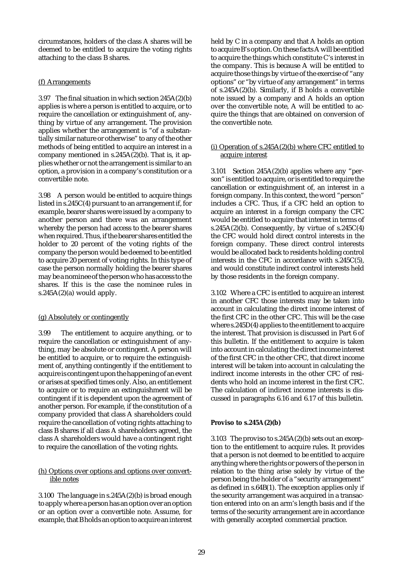circumstances, holders of the class A shares will be deemed to be entitled to acquire the voting rights attaching to the class B shares.

# (f) Arrangements

3.97 The final situation in which section 245A(2)(b) applies is where a person is entitled to acquire, or to require the cancellation or extinguishment of, anything by virtue of any arrangement. The provision applies whether the arrangement is "of a substantially similar nature or otherwise" to any of the other methods of being entitled to acquire an interest in a company mentioned in  $s.245A(2)(b)$ . That is, it applies whether or not the arrangement is similar to an option, a provision in a company's constitution or a convertible note.

3.98 A person would be entitled to acquire things listed in s.245C(4) pursuant to an arrangement if, for example, bearer shares were issued by a company to another person and there was an arrangement whereby the person had access to the bearer shares when required. Thus, if the bearer shares entitled the holder to 20 percent of the voting rights of the company the person would be deemed to be entitled to acquire 20 percent of voting rights. In this type of case the person normally holding the bearer shares may be a nominee of the person who has access to the shares. If this is the case the nominee rules in  $s.245A(2)(a)$  would apply.

# (g) Absolutely or contingently

3.99 The entitlement to acquire anything, or to require the cancellation or extinguishment of anything, may be absolute or contingent. A person will be entitled to acquire, or to require the extinguishment of, anything contingently if the entitlement to acquire is contingent upon the happening of an event or arises at specified times only. Also, an entitlement to acquire or to require an extinguishment will be contingent if it is dependent upon the agreement of another person. For example, if the constitution of a company provided that class A shareholders could require the cancellation of voting rights attaching to class B shares if all class A shareholders agreed, the class A shareholders would have a contingent right to require the cancellation of the voting rights.

# (h) Options over options and options over convertible notes

3.100 The language in s.245A(2)(b) is broad enough to apply where a person has an option over an option or an option over a convertible note. Assume, for example, that B holds an option to acquire an interest held by C in a company and that A holds an option to acquire B's option. On these facts A will be entitled to acquire the things which constitute C's interest in the company. This is because A will be entitled to acquire those things by virtue of the exercise of "any options" or "by virtue of any arrangement" in terms of s.245A(2)(b). Similarly, if B holds a convertible note issued by a company and A holds an option over the convertible note, A will be entitled to acquire the things that are obtained on conversion of the convertible note.

# (i) Operation of s.245A(2)(b) where CFC entitled to acquire interest

3.101 Section 245A(2)(b) applies where any "person" is entitled to acquire, or is entitled to require the cancellation or extinguishment of, an interest in a foreign company. In this context, the word "person" includes a CFC. Thus, if a CFC held an option to acquire an interest in a foreign company the CFC would be entitled to acquire that interest in terms of s.245A $(2)(b)$ . Consequently, by virtue of s.245C $(4)$ the CFC would hold direct control interests in the foreign company. These direct control interests would be allocated back to residents holding control interests in the CFC in accordance with s.245C(5), and would constitute indirect control interests held by those residents in the foreign company.

3.102 Where a CFC is entitled to acquire an interest in another CFC those interests may be taken into account in calculating the direct income interest of the first CFC in the other CFC. This will be the case where s.245D(4) applies to the entitlement to acquire the interest. That provision is discussed in Part 6 of this bulletin. If the entitlement to acquire is taken into account in calculating the direct income interest of the first CFC in the other CFC, that direct income interest will be taken into account in calculating the indirect income interests in the other CFC of residents who hold an income interest in the first CFC. The calculation of indirect income interests is discussed in paragraphs 6.16 and 6.17 of this bulletin.

# **Proviso to s.245A(2)(b)**

3.103 The proviso to s.245A(2)(b) sets out an exception to the entitlement to acquire rules. It provides that a person is not deemed to be entitled to acquire anything where the rights or powers of the person in relation to the thing arise solely by virtue of the person being the holder of a "security arrangement" as defined in s.64B(1). The exception applies only if the security arrangement was acquired in a transaction entered into on an arm's length basis and if the terms of the security arrangement are in accordance with generally accepted commercial practice.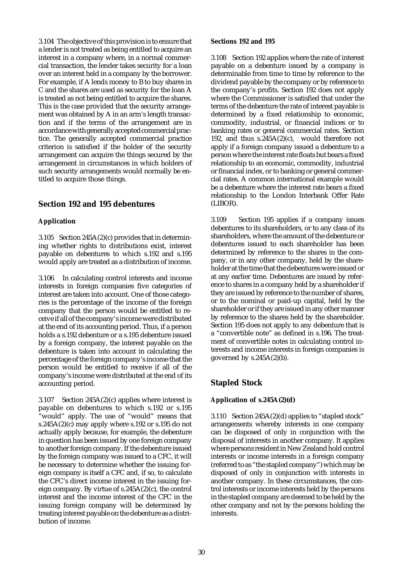3.104 The objective of this provision is to ensure that a lender is not treated as being entitled to acquire an interest in a company where, in a normal commercial transaction, the lender takes security for a loan over an interest held in a company by the borrower. For example, if A lends money to B to buy shares in C and the shares are used as security for the loan A is treated as not being entitled to acquire the shares. This is the case provided that the security arrangement was obtained by A in an arm's length transaction and if the terms of the arrangement are in accordance with generally accepted commercial practice. The generally accepted commercial practice criterion is satisfied if the holder of the security arrangement can acquire the things secured by the arrangement in circumstances in which holders of such security arrangements would normally be entitled to acquire those things.

# **Section 192 and 195 debentures**

#### **Application**

3.105 Section 245A(2)(c) provides that in determining whether rights to distributions exist, interest payable on debentures to which s.192 and s.195 would apply are treated as a distribution of income.

3.106 In calculating control interests and income interests in foreign companies five categories of interest are taken into account. One of those categories is the percentage of the income of the foreign company that the person would be entitled to receive if all of the company's income were distributed at the end of its accounting period. Thus, if a person holds a s.192 debenture or a s.195 debenture issued by a foreign company, the interest payable on the debenture is taken into account in calculating the percentage of the foreign company's income that the person would be entitled to receive if all of the company's income were distributed at the end of its accounting period.

3.107 Section 245A(2)(c) applies where interest is payable on debentures to which s.192 or s.195 "would" apply. The use of "would" means that s.245A(2)(c) may apply where s.192 or s.195 do not actually apply because, for example, the debenture in question has been issued by one foreign company to another foreign company. If the debenture issued by the foreign company was issued to a CFC, it will be necessary to determine whether the issuing foreign company is itself a CFC and, if so, to calculate the CFC's direct income interest in the issuing foreign company. By virtue of s.245A(2)(c), the control interest and the income interest of the CFC in the issuing foreign company will be determined by treating interest payable on the debenture as a distribution of income.

#### **Sections 192 and 195**

3.108 Section 192 applies where the rate of interest payable on a debenture issued by a company is determinable from time to time by reference to the dividend payable by the company or by reference to the company's profits. Section 192 does not apply where the Commissioner is satisfied that under the terms of the debenture the rate of interest payable is determined by a fixed relationship to economic, commodity, industrial, or financial indices or to banking rates or general commercial rates. Section 192, and thus s.245A(2)(c), would therefore not apply if a foreign company issued a debenture to a person where the interest rate floats but bears a fixed relationship to an economic, commodity, industrial or financial index, or to banking or general commercial rates. A common international example would be a debenture where the interest rate bears a fixed relationship to the London Interbank Offer Rate (LIBOR).

3.109 Section 195 applies if a company issues debentures to its shareholders, or to any class of its shareholders, where the amount of the debenture or debentures issued to each shareholder has been determined by reference to the shares in the company, or in any other company, held by the shareholder at the time that the debentures were issued or at any earlier time. Debentures are issued by reference to shares in a company held by a shareholder if they are issued by reference to the number of shares, or to the nominal or paid-up capital, held by the shareholder or if they are issued in any other manner by reference to the shares held by the shareholder. Section 195 does not apply to any debenture that is a "convertible note" as defined in s.196. The treatment of convertible notes in calculating control interests and income interests in foreign companies is governed by  $s.245A(2)(b)$ .

# **Stapled Stock**

# **Application of s.245A(2)(d)**

3.110 Section 245A(2)(d) applies to "stapled stock" arrangements whereby interests in one company can be disposed of only in conjunction with the disposal of interests in another company. It applies where persons resident in New Zealand hold control interests or income interests in a foreign company (referred to as "the stapled company") which may be disposed of only in conjunction with interests in another company. In these circumstances, the control interests or income interests held by the persons in the stapled company are deemed to be held by the other company and not by the persons holding the interests.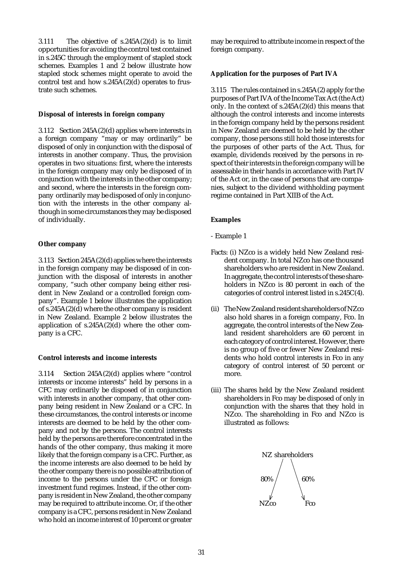3.111 The objective of  $s.245A(2)(d)$  is to limit opportunities for avoiding the control test contained in s.245C through the employment of stapled stock schemes. Examples 1 and 2 below illustrate how stapled stock schemes might operate to avoid the control test and how  $s.245A(2)(d)$  operates to frustrate such schemes.

#### **Disposal of interests in foreign company**

3.112 Section 245A(2)(d) applies where interests in a foreign company "may or may ordinarily" be disposed of only in conjunction with the disposal of interests in another company. Thus, the provision operates in two situations: first, where the interests in the foreign company may only be disposed of in conjunction with the interests in the other company; and second, where the interests in the foreign company ordinarily may be disposed of only in conjunction with the interests in the other company although in some circumstances they may be disposed of individually.

# **Other company**

3.113 Section 245A(2)(d) applies where the interests in the foreign company may be disposed of in conjunction with the disposal of interests in another company, "such other company being either resident in New Zealand or a controlled foreign company". Example 1 below illustrates the application of s.245A(2)(d) where the other company is resident in New Zealand. Example 2 below illustrates the application of s.245A(2)(d) where the other company is a CFC.

# **Control interests and income interests**

3.114 Section 245A(2)(d) applies where "control interests or income interests" held by persons in a CFC may ordinarily be disposed of in conjunction with interests in another company, that other company being resident in New Zealand or a CFC. In these circumstances, the control interests or income interests are deemed to be held by the other company and not by the persons. The control interests held by the persons are therefore concentrated in the hands of the other company, thus making it more likely that the foreign company is a CFC. Further, as the income interests are also deemed to be held by the other company there is no possible attribution of income to the persons under the CFC or foreign investment fund regimes. Instead, if the other company is resident in New Zealand, the other company may be required to attribute income. Or, if the other company is a CFC, persons resident in New Zealand who hold an income interest of 10 percent or greater

may be required to attribute income in respect of the foreign company.

# **Application for the purposes of Part IVA**

3.115 The rules contained in s.245A(2) apply for the purposes of Part IVA of the Income Tax Act (the Act) only. In the context of s.245A(2)(d) this means that although the control interests and income interests in the foreign company held by the persons resident in New Zealand are deemed to be held by the other company, those persons still hold those interests for the purposes of other parts of the Act. Thus, for example, dividends received by the persons in respect of their interests in the foreign company will be assessable in their hands in accordance with Part IV of the Act or, in the case of persons that are companies, subject to the dividend withholding payment regime contained in Part XIIB of the Act.

# **Examples**

- Example 1
- Facts: (i) NZco is a widely held New Zealand resident company. In total NZco has one thousand shareholders who are resident in New Zealand. In aggregate, the control interests of these shareholders in NZco is 80 percent in each of the categories of control interest listed in s.245C(4).
- (ii) The New Zealand resident shareholders of NZco also hold shares in a foreign company, Fco. In aggregate, the control interests of the New Zealand resident shareholders are 60 percent in each category of control interest. However, there is no group of five or fewer New Zealand residents who hold control interests in Fco in any category of control interest of 50 percent or more.
- (iii) The shares held by the New Zealand resident shareholders in Fco may be disposed of only in conjunction with the shares that they hold in NZco. The shareholding in Fco and NZco is illustrated as follows:

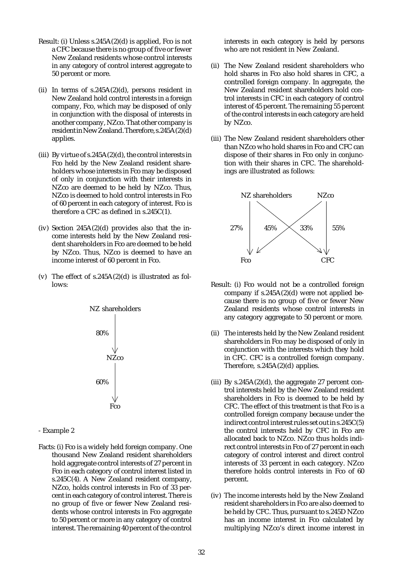- Result: (i) Unless s.245A(2)(d) is applied, Fco is not a CFC because there is no group of five or fewer New Zealand residents whose control interests in any category of control interest aggregate to 50 percent or more.
- (ii) In terms of  $s.245A(2)(d)$ , persons resident in New Zealand hold control interests in a foreign company, Fco, which may be disposed of only in conjunction with the disposal of interests in another company, NZco. That other company is resident in New Zealand. Therefore, s.245A(2)(d) applies.
- (iii) By virtue of  $s.245A(2)(d)$ , the control interests in Fco held by the New Zealand resident shareholders whose interests in Fco may be disposed of only in conjunction with their interests in NZco are deemed to be held by NZco. Thus, NZco is deemed to hold control interests in Fco of 60 percent in each category of interest. Fco is therefore a CFC as defined in s.245C(1).
- (iv) Section  $245A(2)(d)$  provides also that the income interests held by the New Zealand resident shareholders in Fco are deemed to be held by NZco. Thus, NZco is deemed to have an income interest of 60 percent in Fco.
- (v) The effect of s.245A(2)(d) is illustrated as follows:



- Example 2
- Facts: (i) Fco is a widely held foreign company. One thousand New Zealand resident shareholders hold aggregate control interests of 27 percent in Fco in each category of control interest listed in s.245C(4). A New Zealand resident company, NZco, holds control interests in Fco of 33 percent in each category of control interest. There is no group of five or fewer New Zealand residents whose control interests in Fco aggregate to 50 percent or more in any category of control interest. The remaining 40 percent of the control

interests in each category is held by persons who are not resident in New Zealand.

- (ii) The New Zealand resident shareholders who hold shares in Fco also hold shares in CFC, a controlled foreign company. In aggregate, the New Zealand resident shareholders hold control interests in CFC in each category of control interest of 45 percent. The remaining 55 percent of the control interests in each category are held by NZco.
- (iii) The New Zealand resident shareholders other than NZco who hold shares in Fco and CFC can dispose of their shares in Fco only in conjunction with their shares in CFC. The shareholdings are illustrated as follows:



- Result: (i) Fco would not be a controlled foreign company if s.245A(2)(d) were not applied because there is no group of five or fewer New Zealand residents whose control interests in any category aggregate to 50 percent or more.
- (ii) The interests held by the New Zealand resident shareholders in Fco may be disposed of only in conjunction with the interests which they hold in CFC. CFC is a controlled foreign company. Therefore, s.245A(2)(d) applies.
- (iii) By  $s.245A(2)(d)$ , the aggregate 27 percent control interests held by the New Zealand resident shareholders in Fco is deemed to be held by CFC. The effect of this treatment is that Fco is a controlled foreign company because under the indirect control interest rules set out in s.245C(5) the control interests held by CFC in Fco are allocated back to NZco. NZco thus holds indirect control interests in Fco of 27 percent in each category of control interest and direct control interests of 33 percent in each category. NZco therefore holds control interests in Fco of 60 percent.
- (iv) The income interests held by the New Zealand resident shareholders in Fco are also deemed to be held by CFC. Thus, pursuant to s.245D NZco has an income interest in Fco calculated by multiplying NZco's direct income interest in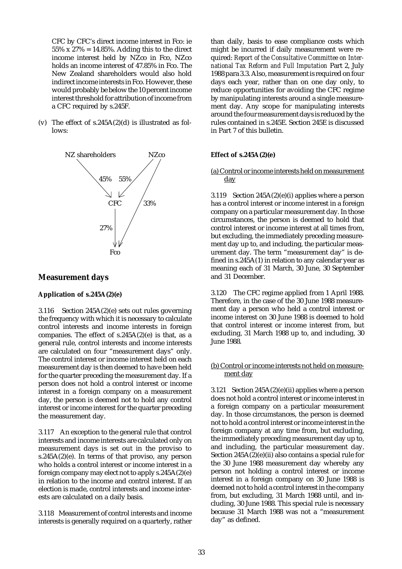CFC by CFC's direct income interest in Fco: ie  $55\% \times 27\% = 14.85\%$ . Adding this to the direct income interest held by NZco in Fco, NZco holds an income interest of 47.85% in Fco. The New Zealand shareholders would also hold indirect income interests in Fco. However, these would probably be below the 10 percent income interest threshold for attribution of income from a CFC required by s.245F.

(v) The effect of s.245A(2)(d) is illustrated as follows:



# **Measurement days**

#### **Application of s.245A(2)(e)**

3.116 Section 245A(2)(e) sets out rules governing the frequency with which it is necessary to calculate control interests and income interests in foreign companies. The effect of  $s.245A(2)(e)$  is that, as a general rule, control interests and income interests are calculated on four "measurement days" only. The control interest or income interest held on each measurement day is then deemed to have been held for the quarter preceding the measurement day. If a person does not hold a control interest or income interest in a foreign company on a measurement day, the person is deemed not to hold any control interest or income interest for the quarter preceding the measurement day.

3.117 An exception to the general rule that control interests and income interests are calculated only on measurement days is set out in the proviso to s.245A $(2)(e)$ . In terms of that proviso, any person who holds a control interest or income interest in a foreign company may elect not to apply s.245A(2)(e) in relation to the income and control interest. If an election is made, control interests and income interests are calculated on a daily basis.

3.118 Measurement of control interests and income interests is generally required on a quarterly, rather than daily, basis to ease compliance costs which might be incurred if daily measurement were required: *Report of the Consultative Committee on International Tax Reform and Full Imputation* Part 2, July 1988 para 3.3. Also, measurement is required on four days each year, rather than on one day only, to reduce opportunities for avoiding the CFC regime by manipulating interests around a single measurement day. Any scope for manipulating interests around the four measurement days is reduced by the rules contained in s.245E. Section 245E is discussed in Part 7 of this bulletin.

#### **Effect of s.245A(2)(e)**

### (a) Control or income interests held on measurement day

3.119 Section  $245A(2)(e)(i)$  applies where a person has a control interest or income interest in a foreign company on a particular measurement day. In those circumstances, the person is deemed to hold that control interest or income interest at all times from, but excluding, the immediately preceding measurement day up to, and including, the particular measurement day. The term "measurement day" is defined in s.245A(1) in relation to any calendar year as meaning each of 31 March, 30 June, 30 September and 31 December.

3.120 The CFC regime applied from 1 April 1988. Therefore, in the case of the 30 June 1988 measurement day a person who held a control interest or income interest on 30 June 1988 is deemed to hold that control interest or income interest from, but excluding, 31 March 1988 up to, and including, 30 June 1988.

#### (b) Control or income interests not held on measurement day

3.121 Section  $245A(2)(e)(ii)$  applies where a person does not hold a control interest or income interest in a foreign company on a particular measurement day. In those circumstances, the person is deemed not to hold a control interest or income interest in the foreign company at any time from, but excluding, the immediately preceding measurement day up to, and including, the particular measurement day. Section 245A(2)(e)(ii) also contains a special rule for the 30 June 1988 measurement day whereby any person not holding a control interest or income interest in a foreign company on 30 June 1988 is deemed not to hold a control interest in the company from, but excluding, 31 March 1988 until, and including, 30 June 1988. This special rule is necessary because 31 March 1988 was not a "measurement day" as defined.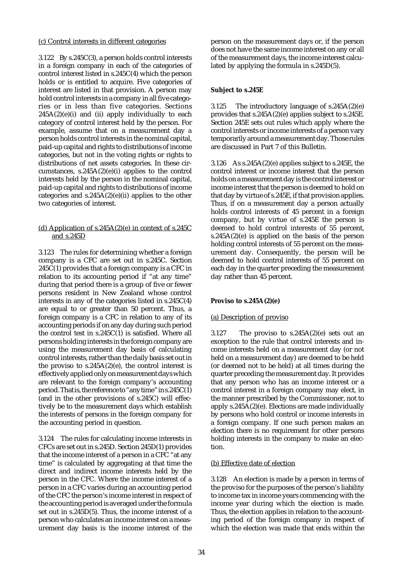#### (c) Control interests in different categories

3.122 By s.245C(3), a person holds control interests in a foreign company in each of the categories of control interest listed in s.245C(4) which the person holds or is entitled to acquire. Five categories of interest are listed in that provision. A person may hold control interests in a company in all five categories or in less than five categories. Sections  $245A(2)(e)(i)$  and (ii) apply individually to each category of control interest held by the person. For example, assume that on a measurement day a person holds control interests in the nominal capital, paid-up capital and rights to distributions of income categories, but not in the voting rights or rights to distributions of net assets categories. In these circumstances,  $s.245A(2)(e)(i)$  applies to the control interests held by the person in the nominal capital, paid-up capital and rights to distributions of income categories and  $s.245A(2)(e)(ii)$  applies to the other two categories of interest.

### (d) Application of s.245A(2)(e) in context of s.245C and s.245D

3.123 The rules for determining whether a foreign company is a CFC are set out in s.245C. Section  $245C(1)$  provides that a foreign company is a CFC in relation to its accounting period if "at any time" during that period there is a group of five or fewer persons resident in New Zealand whose control interests in any of the categories listed in s.245C(4) are equal to or greater than 50 percent. Thus, a foreign company is a CFC in relation to any of its accounting periods if on any day during such period the control test in s.245C(1) is satisfied. Where all persons holding interests in the foreign company are using the measurement day basis of calculating control interests, rather than the daily basis set out in the proviso to  $s.245A(2)(e)$ , the control interest is effectively applied only on measurement days which are relevant to the foreign company's accounting period. That is, the reference to "any time" in s.245C(1) (and in the other provisions of s.245C) will effectively be to the measurement days which establish the interests of persons in the foreign company for the accounting period in question.

3.124 The rules for calculating income interests in CFCs are set out in s.245D. Section 245D(1) provides that the income interest of a person in a CFC "at any time" is calculated by aggregating at that time the direct and indirect income interests held by the person in the CFC. Where the income interest of a person in a CFC varies during an accounting period of the CFC the person's income interest in respect of the accounting period is averaged under the formula set out in s.245D(5). Thus, the income interest of a person who calculates an income interest on a measurement day basis is the income interest of the person on the measurement days or, if the person does not have the same income interest on any or all of the measurement days, the income interest calculated by applying the formula in s.245D(5).

### **Subject to s.245E**

3.125 The introductory language of s.245A(2)(e) provides that s.245A(2)(e) applies subject to s.245E. Section 245E sets out rules which apply where the control interests or income interests of a person vary temporarily around a measurement day. Those rules are discussed in Part 7 of this Bulletin.

3.126 As s.245A(2)(e) applies subject to s.245E, the control interest or income interest that the person holds on a measurement day is the control interest or income interest that the person is deemed to hold on that day by virtue of s.245E, if that provision applies. Thus, if on a measurement day a person actually holds control interests of 45 percent in a foreign company, but by virtue of s.245E the person is deemed to hold control interests of 55 percent, s.245A(2)(e) is applied on the basis of the person holding control interests of 55 percent on the measurement day. Consequently, the person will be deemed to hold control interests of 55 percent on each day in the quarter preceding the measurement day rather than 45 percent.

# **Proviso to s.245A(2)(e)**

#### (a) Description of proviso

3.127 The proviso to  $s.245A(2)(e)$  sets out an exception to the rule that control interests and income interests held on a measurement day (or not held on a measurement day) are deemed to be held (or deemed not to be held) at all times during the quarter preceding the measurement day. It provides that any person who has an income interest or a control interest in a foreign company may elect, in the manner prescribed by the Commissioner, not to apply s.245A(2)(e). Elections are made individually by persons who hold control or income interests in a foreign company. If one such person makes an election there is no requirement for other persons holding interests in the company to make an election.

#### (b) Effective date of election

3.128 An election is made by a person in terms of the proviso for the purposes of the person's liability to income tax in income years commencing with the income year during which the election is made. Thus, the election applies in relation to the accounting period of the foreign company in respect of which the election was made that ends within the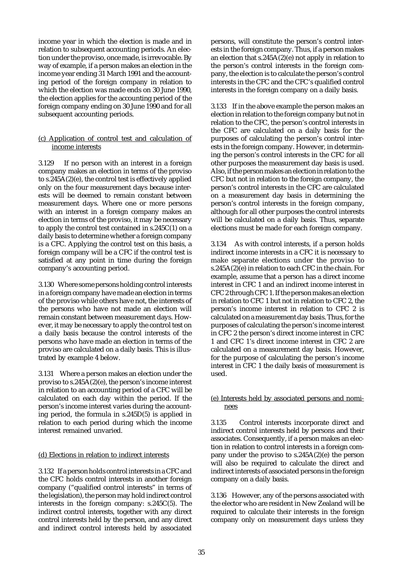income year in which the election is made and in relation to subsequent accounting periods. An election under the proviso, once made, is irrevocable. By way of example, if a person makes an election in the income year ending 31 March 1991 and the accounting period of the foreign company in relation to which the election was made ends on 30 June 1990, the election applies for the accounting period of the foreign company ending on 30 June 1990 and for all subsequent accounting periods.

### (c) Application of control test and calculation of income interests

3.129 If no person with an interest in a foreign company makes an election in terms of the proviso to s.245A(2)(e), the control test is effectively applied only on the four measurement days because interests will be deemed to remain constant between measurement days. Where one or more persons with an interest in a foreign company makes an election in terms of the proviso, it may be necessary to apply the control test contained in s.245C(1) on a daily basis to determine whether a foreign company is a CFC. Applying the control test on this basis, a foreign company will be a CFC if the control test is satisfied at any point in time during the foreign company's accounting period.

3.130 Where some persons holding control interests in a foreign company have made an election in terms of the proviso while others have not, the interests of the persons who have not made an election will remain constant between measurement days. However, it may be necessary to apply the control test on a daily basis because the control interests of the persons who have made an election in terms of the proviso are calculated on a daily basis. This is illustrated by example 4 below.

3.131 Where a person makes an election under the proviso to s.245A(2)(e), the person's income interest in relation to an accounting period of a CFC will be calculated on each day within the period. If the person's income interest varies during the accounting period, the formula in s.245D(5) is applied in relation to each period during which the income interest remained unvaried.

#### (d) Elections in relation to indirect interests

3.132 If a person holds control interests in a CFC and the CFC holds control interests in another foreign company ("qualified control interests" in terms of the legislation), the person may hold indirect control interests in the foreign company: s.245C(5). The indirect control interests, together with any direct control interests held by the person, and any direct and indirect control interests held by associated persons, will constitute the person's control interests in the foreign company. Thus, if a person makes an election that  $s.245A(2)(e)$  not apply in relation to the person's control interests in the foreign company, the election is to calculate the person's control interests in the CFC and the CFC's qualified control interests in the foreign company on a daily basis.

3.133 If in the above example the person makes an election in relation to the foreign company but not in relation to the CFC, the person's control interests in the CFC are calculated on a daily basis for the purposes of calculating the person's control interests in the foreign company. However, in determining the person's control interests in the CFC for all other purposes the measurement day basis is used. Also, if the person makes an election in relation to the CFC but not in relation to the foreign company, the person's control interests in the CFC are calculated on a measurement day basis in determining the person's control interests in the foreign company, although for all other purposes the control interests will be calculated on a daily basis. Thus, separate elections must be made for each foreign company.

3.134 As with control interests, if a person holds indirect income interests in a CFC it is necessary to make separate elections under the proviso to s.245A(2)(e) in relation to each CFC in the chain. For example, assume that a person has a direct income interest in CFC 1 and an indirect income interest in CFC 2 through CFC 1. If the person makes an election in relation to CFC 1 but not in relation to CFC 2, the person's income interest in relation to CFC 2 is calculated on a measurement day basis. Thus, for the purposes of calculating the person's income interest in CFC 2 the person's direct income interest in CFC 1 and CFC 1's direct income interest in CFC 2 are calculated on a measurement day basis. However, for the purpose of calculating the person's income interest in CFC 1 the daily basis of measurement is used.

#### (e) Interests held by associated persons and nominees

3.135 Control interests incorporate direct and indirect control interests held by persons and their associates. Consequently, if a person makes an election in relation to control interests in a foreign company under the proviso to s.245A(2)(e) the person will also be required to calculate the direct and indirect interests of associated persons in the foreign company on a daily basis.

3.136 However, any of the persons associated with the elector who are resident in New Zealand will be required to calculate their interests in the foreign company only on measurement days unless they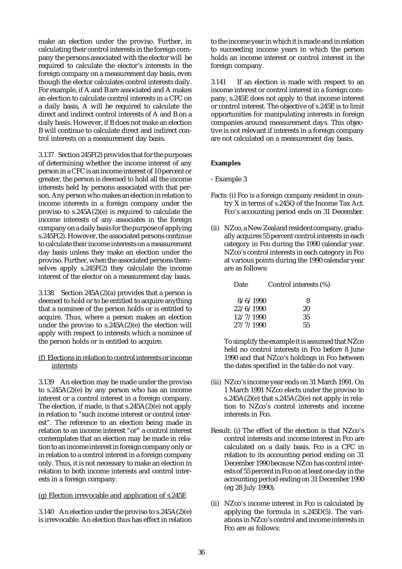make an election under the proviso. Further, in calculating their control interests in the foreign company the persons associated with the elector will be required to calculate the elector's interests in the foreign company on a measurement day basis, even though the elector calculates control interests daily. For example, if A and B are associated and A makes an election to calculate control interests in a CFC on a daily basis, A will be required to calculate the direct and indirect control interests of A and B on a daily basis. However, if B does not make an election B will continue to calculate direct and indirect control interests on a measurement day basis.

3.137 Section 245F(2) provides that for the purposes of determining whether the income interest of any person in a CFC is an income interest of 10 percent or greater, the person is deemed to hold all the income interests held by persons associated with that person. Any person who makes an election in relation to income interests in a foreign company under the proviso to  $s.245A(2)(e)$  is required to calculate the income interests of any associates in the foreign company on a daily basis for the purpose of applying s.245F(2). However, the associated persons continue to calculate their income interests on a measurement day basis unless they make an election under the proviso. Further, when the associated persons themselves apply s.245F(2) they calculate the income interest of the elector on a measurement day basis.

3.138 Section 245A(2)(a) provides that a person is deemed to hold or to be entitled to acquire anything that a nominee of the person holds or is entitled to acquire. Thus, where a person makes an election under the proviso to s.245A(2)(e) the election will apply with respect to interests which a nominee of the person holds or is entitled to acquire.

### (f) Elections in relation to control interests or income interests

3.139 An election may be made under the proviso to s.245A(2)(e) by any person who has an income interest or a control interest in a foreign company. The election, if made, is that s.245A(2)(e) not apply in relation to "such income interest or control interest". The reference to an election being made in relation to an income interest "or" a control interest contemplates that an election may be made in relation to an income interest in foreign company only or in relation to a control interest in a foreign company only. Thus, it is not necessary to make an election in relation to both income interests and control interests in a foreign company.

# (g) Election irrevocable and application of s.245E

3.140 An election under the proviso to s.245A(2)(e) is irrevocable. An election thus has effect in relation to the income year in which it is made and in relation to succeeding income years in which the person holds an income interest or control interest in the foreign company.

3.141 If an election is made with respect to an income interest or control interest in a foreign company, s.245E does not apply to that income interest or control interest. The objective of s.245E is to limit opportunities for manipulating interests in foreign companies around measurement days. This objective is not relevant if interests in a foreign company are not calculated on a measurement day basis.

# **Examples**

#### - Example 3

- Facts: (i) Fco is a foreign company resident in country X in terms of s.245Q of the Income Tax Act. Fco's accounting period ends on 31 December.
- (ii) NZco, a New Zealand resident company, gradually acquires 55 percent control interests in each category in Fco during the 1990 calendar year. NZco's control interests in each category in Fco at various points during the 1990 calendar year are as follows:

| Date      | Control interests (%) |  |
|-----------|-----------------------|--|
| 8/6/1990  | 8                     |  |
| 22/6/1990 | 20                    |  |
| 12/7/1990 | 35                    |  |
| 27/7/1990 | 55                    |  |

To simplify the example it is assumed that NZco held no control interests in Fco before 8 June 1990 and that NZco's holdings in Fco between the dates specified in the table do not vary.

- (iii) NZco's income year ends on 31 March 1991. On 1 March 1991 NZco elects under the proviso to s.245A(2)(e) that s.245A(2)(e) not apply in relation to NZco's control interests and income interests in Fco.
- Result: (i) The effect of the election is that NZco's control interests and income interest in Fco are calculated on a daily basis. Fco is a CFC in relation to its accounting period ending on 31 December 1990 because NZco has control interests of 55 percent in Fco on at least one day in the accounting period ending on 31 December 1990 (eg 28 July 1990).
- (ii) NZco's income interest in Fco is calculated by applying the formula in s.245D(5). The variations in NZco's control and income interests in Fco are as follows: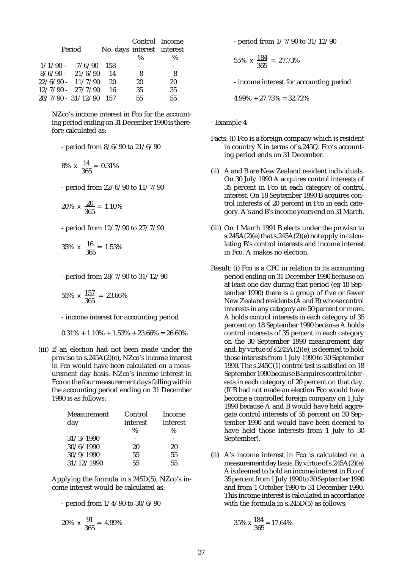|                          | Period             | No. days interest interest | Control Income<br>$\%$ | %  |
|--------------------------|--------------------|----------------------------|------------------------|----|
|                          | $1/1/90 - 7/6/90$  | - 158                      |                        |    |
|                          | $8/6/90 - 21/6/90$ | 14                         | 8                      | 8  |
| $22/6/90 - 11/7/90$      |                    | 20                         | 20                     | 20 |
| $12/7/90 - 27/7/90$      |                    | 16                         | 35                     | 35 |
| $28/7/90 - 31/12/90$ 157 |                    |                            | 55                     | 55 |

NZco's income interest in Fco for the accounting period ending on 31 December 1990 is therefore calculated as:

- period from 8/6/90 to 21/6/90

$$
8\% \times \frac{14}{365} = 0.31\%
$$

- period from 22/6/90 to 11/7/90

$$
20\% \times \frac{20}{365} = 1.10\%
$$

- period from 12/7/90 to 27/7/90

$$
35\% \times \frac{16}{365} = 1.53\%
$$

- period from 28/7/90 to 31/12/90

$$
55\% \times \frac{157}{365} = 23.66\%
$$

- income interest for accounting period

 $0.31\% + 1.10\% + 1.53\% + 23.66\% = 26.60\%$ 

(iii) If an election had not been made under the proviso to s.245A(2)(e), NZco's income interest in Fco would have been calculated on a measurement day basis. NZco's income interest in Fco on the four measurement days falling within the accounting period ending on 31 December 1990 is as follows:

| Measurement | Control  | <b>Income</b> |
|-------------|----------|---------------|
| day         | interest | interest      |
|             | $\%$     | ℅             |
| 31/3/1990   |          |               |
| 30/6/1990   | 20       | 20            |
| 30/9/1990   | 55       | 55            |
| 31/12/1990  | 55       | 55            |

Applying the formula in s.245D(5), NZco's income interest would be calculated as:

- period from 1/4/90 to 30/6/90

$$
20\% \times \frac{91}{365} = 4.99\%
$$

- period from 1/7/90 to 31/12/90

$$
55\% \times \frac{184}{365} = 27.73\%
$$

- income interest for accounting period

$$
4.99\% + 27.73\% = 32.72\%
$$

- Example 4

- Facts: (i) Fco is a foreign company which is resident in country X in terms of s.245Q. Fco's accounting period ends on 31 December.
- (ii) A and B are New Zealand resident individuals. On 30 July 1990 A acquires control interests of 35 percent in Fco in each category of control interest. On 18 September 1990 B acquires control interests of 20 percent in Fco in each category. A's and B's income years end on 31 March.
- (iii) On 1 March 1991 B elects under the proviso to s.245A(2)(e) that s.245A(2)(e) not apply in calculating B's control interests and income interest in Fco. A makes no election.
- Result: (i) Fco is a CFC in relation to its accounting period ending on 31 December 1990 because on at least one day during that period (eg 18 September 1990) there is a group of five or fewer New Zealand residents (A and B) whose control interests in any category are 50 percent or more. A holds control interests in each category of 35 percent on 18 September 1990 because A holds control interests of 35 percent in each category on the 30 September 1990 measurement day and, by virtue of s.245A(2)(e), is deemed to hold those interests from 1 July 1990 to 30 September 1990. The s.245C(1) control test is satisfied on 18 September 1990 because B acquires control interests in each category of 20 percent on that day. (If B had not made an election Fco would have become a controlled foreign company on 1 July 1990 because A and B would have held aggregate control interests of 55 percent on 30 September 1990 and would have been deemed to have held those interests from 1 July to 30 September).
- (ii) A's income interest in Fco is calculated on a measurement day basis. By virtue of s.245A(2)(e) A is deemed to hold an income interest in Fco of 35 percent from 1 July 1990 to 30 September 1990 and from 1 October 1990 to 31 December 1990. This income interest is calculated in accordance with the formula in s.245D(5) as follows:

$$
35\% \times \frac{184}{365} = 17.64\%
$$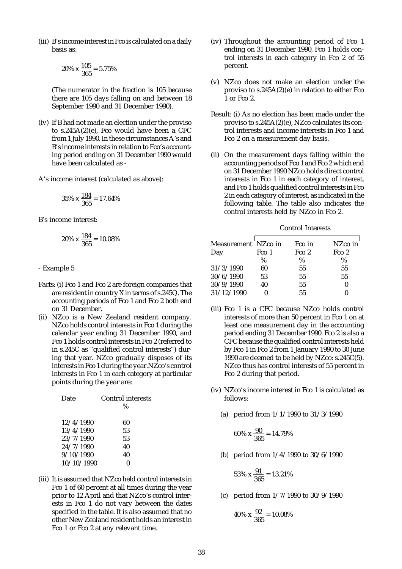(iii) B's income interest in Fco is calculated on a daily basis as:

$$
20\% \times \frac{105}{365} = 5.75\%
$$

(The numerator in the fraction is 105 because there are 105 days falling on and between 18 September 1990 and 31 December 1990).

(iv) If B had not made an election under the proviso to s.245A(2)(e), Fco would have been a CFC from 1 July 1990. In these circumstances A's and B's income interests in relation to Fco's accounting period ending on 31 December 1990 would have been calculated as -

A's income interest (calculated as above):

$$
35\% \times \frac{184}{365} = 17.64\%
$$

B's income interest:

$$
20\% \times \frac{184}{365} = 10.08\%
$$

- Example 5

- Facts: (i) Fco 1 and Fco 2 are foreign companies that are resident in country X in terms of s.245Q. The accounting periods of Fco 1 and Fco 2 both end on 31 December.
- (ii) NZco is a New Zealand resident company. NZco holds control interests in Fco 1 during the calendar year ending 31 December 1990, and Fco 1 holds control interests in Fco 2 (referred to in s.245C as "qualified control interests") during that year. NZco gradually disposes of its interests in Fco 1 during the year.NZco's control interests in Fco 1 in each category at particular points during the year are:

| Date       | Control interests |  |  |
|------------|-------------------|--|--|
|            | %                 |  |  |
| 12/4/1990  | 60                |  |  |
| 13/4/1990  | 53                |  |  |
| 23/7/1990  | 53                |  |  |
| 24/7/1990  | 40                |  |  |
| 9/10/1990  | 40                |  |  |
| 10/10/1990 |                   |  |  |
|            |                   |  |  |

(iii) It is assumed that NZco held control interests in Fco 1 of 60 percent at all times during the year prior to 12 April and that NZco's control interests in Fco 1 do not vary between the dates specified in the table. It is also assumed that no other New Zealand resident holds an interest in Fco 1 or Fco 2 at any relevant time.

- (iv) Throughout the accounting period of Fco 1 ending on 31 December 1990, Fco 1 holds control interests in each category in Fco 2 of 55 percent.
- (v) NZco does not make an election under the proviso to s.245A(2)(e) in relation to either Fco 1 or Fco 2.
- Result: (i) As no election has been made under the proviso to s.245A(2)(e), NZco calculates its control interests and income interests in Fco 1 and Fco 2 on a measurement day basis.
- (ii) On the measurement days falling within the accounting periods of Fco 1 and Fco 2 which end on 31 December 1990 NZco holds direct control interests in Fco 1 in each category of interest, and Fco 1 holds qualified control interests in Fco 2 in each category of interest, as indicated in the following table. The table also indicates the control interests held by NZco in Fco 2.

| <b>Control Interests</b> |
|--------------------------|
|                          |

| Measurement NZco in |       | Fco in     | NZco in    |
|---------------------|-------|------------|------------|
| Day                 | Fco 1 | $F_{CO}$ 2 | $F_{CO}$ 2 |
|                     | %     | %          | $\%$       |
| 31/3/1990           | 60    | 55         | 55         |
| 30/6/1990           | 53    | 55         | 55         |
| 30/9/1990           | 40    | 55         |            |
| 31/12/1990          |       | 55         |            |

- (iii) Fco 1 is a CFC because NZco holds control interests of more than 50 percent in Fco 1 on at least one measurement day in the accounting period ending 31 December 1990. Fco 2 is also a CFC because the qualified control interests held by Fco 1 in Fco 2 from 1 January 1990 to 30 June 1990 are deemed to be held by NZco: s.245C(5). NZco thus has control interests of 55 percent in Fco 2 during that period.
- (iv) NZco's income interest in Fco 1 is calculated as follows:
	- (a) period from 1/1/1990 to 31/3/1990

$$
60\% \times \frac{90}{365} = 14.79\%
$$

(b) period from 1/4/1990 to 30/6/1990

$$
53\% \times \frac{91}{365} = 13.21\%
$$

(c) period from 1/7/1990 to 30/9/1990

$$
40\% \times \frac{92}{365} = 10.08\%
$$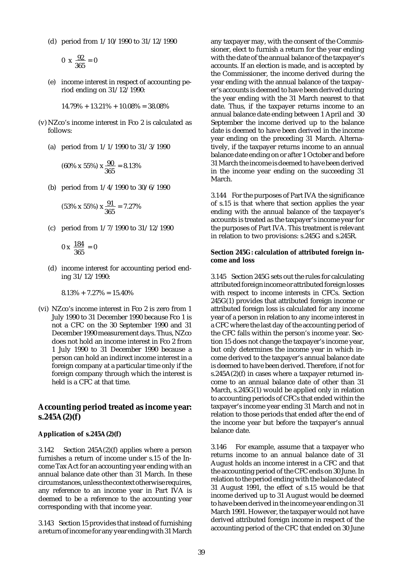(d) period from 1/10/1990 to 31/12/1990

$$
0 \times \frac{92}{365} = 0
$$

(e) income interest in respect of accounting period ending on 31/12/1990:

$$
14.79\% + 13.21\% + 10.08\% = 38.08\%
$$

- (v) NZco's income interest in Fco 2 is calculated as follows:
	- (a) period from 1/1/1990 to 31/3/1990

$$
(60\% \times 55\%) \times \frac{90}{365} = 8.13\%
$$

(b) period from 1/4/1990 to 30/6/1990

$$
(53\% \times 55\%) \times \frac{91}{365} = 7.27\%
$$

(c) period from 1/7/1990 to 31/12/1990

$$
0 \times \frac{184}{365} = 0
$$

(d) income interest for accounting period ending 31/12/1990:

$$
8.13\% + 7.27\% = 15.40\%
$$

(vi) NZco's income interest in Fco 2 is zero from 1 July 1990 to 31 December 1990 because Fco 1 is not a CFC on the 30 September 1990 and 31 December 1990 measurement days. Thus, NZco does not hold an income interest in Fco 2 from 1 July 1990 to 31 December 1990 because a person can hold an indirect income interest in a foreign company at a particular time only if the foreign company through which the interest is held is a CFC at that time.

### **Accounting period treated as income year: s.245A(2)(f)**

#### **Application of s.245A(2)(f)**

3.142 Section 245A(2)(f) applies where a person furnishes a return of income under s.15 of the Income Tax Act for an accounting year ending with an annual balance date other than 31 March. In these circumstances, unless the context otherwise requires, any reference to an income year in Part IVA is deemed to be a reference to the accounting year corresponding with that income year.

3.143 Section 15 provides that instead of furnishing a return of income for any year ending with 31 March any taxpayer may, with the consent of the Commissioner, elect to furnish a return for the year ending with the date of the annual balance of the taxpayer's accounts. If an election is made, and is accepted by the Commissioner, the income derived during the year ending with the annual balance of the taxpayer's accounts is deemed to have been derived during the year ending with the 31 March nearest to that date. Thus, if the taxpayer returns income to an annual balance date ending between 1 April and 30 September the income derived up to the balance date is deemed to have been derived in the income year ending on the preceding 31 March. Alternatively, if the taxpayer returns income to an annual balance date ending on or after 1 October and before 31 March the income is deemed to have been derived in the income year ending on the succeeding 31 March.

3.144 For the purposes of Part IVA the significance of s.15 is that where that section applies the year ending with the annual balance of the taxpayer's accounts is treated as the taxpayer's income year for the purposes of Part IVA. This treatment is relevant in relation to two provisions: s.245G and s.245R.

#### **Section 245G: calculation of attributed foreign income and loss**

3.145 Section 245G sets out the rules for calculating attributed foreign income or attributed foreign losses with respect to income interests in CFCs. Section 245G(1) provides that attributed foreign income or attributed foreign loss is calculated for any income year of a person in relation to any income interest in a CFC where the last day of the accounting period of the CFC falls within the person's income year. Section 15 does not change the taxpayer's income year, but only determines the income year in which income derived to the taxpayer's annual balance date is deemed to have been derived. Therefore, if not for s.245A(2)(f) in cases where a taxpayer returned income to an annual balance date of other than 31 March, s.245G(1) would be applied only in relation to accounting periods of CFCs that ended within the taxpayer's income year ending 31 March and not in relation to those periods that ended after the end of the income year but before the taxpayer's annual balance date.

3.146 For example, assume that a taxpayer who returns income to an annual balance date of 31 August holds an income interest in a CFC and that the accounting period of the CFC ends on 30 June. In relation to the period ending with the balance date of 31 August 1991, the effect of s.15 would be that income derived up to 31 August would be deemed to have been derived in the income year ending on 31 March 1991. However, the taxpayer would not have derived attributed foreign income in respect of the accounting period of the CFC that ended on 30 June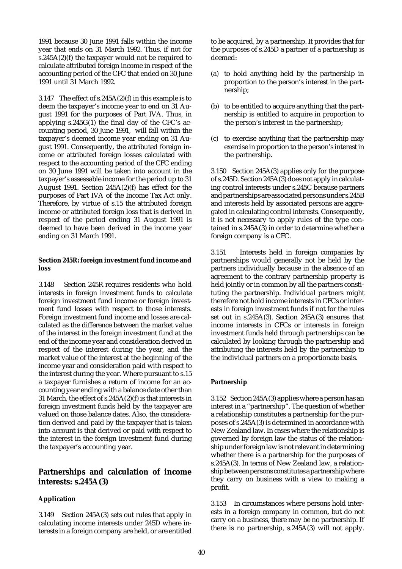1991 because 30 June 1991 falls within the income year that ends on 31 March 1992. Thus, if not for s.245A(2)(f) the taxpayer would not be required to calculate attributed foreign income in respect of the accounting period of the CFC that ended on 30 June 1991 until 31 March 1992.

3.147 The effect of s.245A(2)(f) in this example is to deem the taxpayer's income year to end on 31 August 1991 for the purposes of Part IVA. Thus, in applying  $s.245G(1)$  the final day of the CFC's accounting period, 30 June 1991, will fall within the taxpayer's deemed income year ending on 31 August 1991. Consequently, the attributed foreign income or attributed foreign losses calculated with respect to the accounting period of the CFC ending on 30 June 1991 will be taken into account in the taxpayer's assessable income for the period up to 31 August 1991. Section 245A(2)(f) has effect for the purposes of Part IVA of the Income Tax Act only. Therefore, by virtue of s.15 the attributed foreign income or attributed foreign loss that is derived in respect of the period ending 31 August 1991 is deemed to have been derived in the income year ending on 31 March 1991.

#### **Section 245R: foreign investment fund income and loss**

3.148 Section 245R requires residents who hold interests in foreign investment funds to calculate foreign investment fund income or foreign investment fund losses with respect to those interests. Foreign investment fund income and losses are calculated as the difference between the market value of the interest in the foreign investment fund at the end of the income year and consideration derived in respect of the interest during the year, and the market value of the interest at the beginning of the income year and consideration paid with respect to the interest during the year. Where pursuant to s.15 a taxpayer furnishes a return of income for an accounting year ending with a balance date other than 31 March, the effect of s.245A(2)(f) is that interests in foreign investment funds held by the taxpayer are valued on those balance dates. Also, the consideration derived and paid by the taxpayer that is taken into account is that derived or paid with respect to the interest in the foreign investment fund during the taxpayer's accounting year.

## **Partnerships and calculation of income interests: s.245A(3)**

### **Application**

3.149 Section 245A(3) sets out rules that apply in calculating income interests under 245D where interests in a foreign company are held, or are entitled to be acquired, by a partnership. It provides that for the purposes of s.245D a partner of a partnership is deemed:

- (a) to hold anything held by the partnership in proportion to the person's interest in the partnership;
- (b) to be entitled to acquire anything that the partnership is entitled to acquire in proportion to the person's interest in the partnership;
- (c) to exercise anything that the partnership may exercise in proportion to the person's interest in the partnership.

3.150 Section 245A(3) applies only for the purpose of s.245D. Section 245A(3) does not apply in calculating control interests under s.245C because partners and partnerships are associated persons under s.245B and interests held by associated persons are aggregated in calculating control interests. Consequently, it is not necessary to apply rules of the type contained in s.245A(3) in order to determine whether a foreign company is a CFC.

3.151 Interests held in foreign companies by partnerships would generally not be held by the partners individually because in the absence of an agreement to the contrary partnership property is held jointly or in common by all the partners constituting the partnership. Individual partners might therefore not hold income interests in CFCs or interests in foreign investment funds if not for the rules set out in s.245A(3). Section 245A(3) ensures that income interests in CFCs or interests in foreign investment funds held through partnerships can be calculated by looking through the partnership and attributing the interests held by the partnership to the individual partners on a proportionate basis.

### **Partnership**

3.152 Section 245A(3) applies where a person has an interest in a "partnership". The question of whether a relationship constitutes a partnership for the purposes of s.245A(3) is determined in accordance with New Zealand law. In cases where the relationship is governed by foreign law the status of the relationship under foreign law is not relevant in determining whether there is a partnership for the purposes of s.245A(3). In terms of New Zealand law, a relationship between persons constitutes a partnership where they carry on business with a view to making a profit.

3.153 In circumstances where persons hold interests in a foreign company in common, but do not carry on a business, there may be no partnership. If there is no partnership, s.245A(3) will not apply.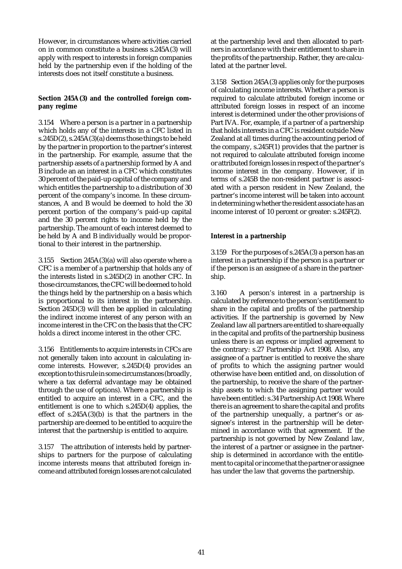However, in circumstances where activities carried on in common constitute a business s.245A(3) will apply with respect to interests in foreign companies held by the partnership even if the holding of the interests does not itself constitute a business.

### **Section 245A(3) and the controlled foreign company regime**

3.154 Where a person is a partner in a partnership which holds any of the interests in a CFC listed in s.245D(2), s.245A(3)(a) deems those things to be held by the partner in proportion to the partner's interest in the partnership. For example, assume that the partnership assets of a partnership formed by A and B include an an interest in a CFC which constitutes 30 percent of the paid-up capital of the company and which entitles the partnership to a distribution of 30 percent of the company's income. In these circumstances, A and B would be deemed to hold the 30 percent portion of the company's paid-up capital and the 30 percent rights to income held by the partnership. The amount of each interest deemed to be held by A and B individually would be proportional to their interest in the partnership.

3.155 Section 245A(3)(a) will also operate where a CFC is a member of a partnership that holds any of the interests listed in s.245D(2) in another CFC. In those circumstances, the CFC will be deemed to hold the things held by the partnership on a basis which is proportional to its interest in the partnership. Section 245D(3) will then be applied in calculating the indirect income interest of any person with an income interest in the CFC on the basis that the CFC holds a direct income interest in the other CFC.

3.156 Entitlements to acquire interests in CFCs are not generally taken into account in calculating income interests. However, s.245D(4) provides an exception to this rule in some circumstances (broadly, where a tax deferral advantage may be obtained through the use of options). Where a partnership is entitled to acquire an interest in a CFC, and the entitlement is one to which s.245D(4) applies, the effect of  $s.245A(3)(b)$  is that the partners in the partnership are deemed to be entitled to acquire the interest that the partnership is entitled to acquire.

3.157 The attribution of interests held by partnerships to partners for the purpose of calculating income interests means that attributed foreign income and attributed foreign losses are not calculated at the partnership level and then allocated to partners in accordance with their entitlement to share in the profits of the partnership. Rather, they are calculated at the partner level.

3.158 Section 245A(3) applies only for the purposes of calculating income interests. Whether a person is required to calculate attributed foreign income or attributed foreign losses in respect of an income interest is determined under the other provisions of Part IVA. For, example, if a partner of a partnership that holds interests in a CFC is resident outside New Zealand at all times during the accounting period of the company, s.245F(1) provides that the partner is not required to calculate attributed foreign income or attributed foreign losses in respect of the partner's income interest in the company. However, if in terms of s.245B the non-resident partner is associated with a person resident in New Zealand, the partner's income interest will be taken into account in determining whether the resident associate has an income interest of 10 percent or greater: s.245F(2).

### **Interest in a partnership**

3.159 For the purposes of s.245A(3) a person has an interest in a partnership if the person is a partner or if the person is an assignee of a share in the partnership.

3.160 A person's interest in a partnership is calculated by reference to the person's entitlement to share in the capital and profits of the partnership activities. If the partnership is governed by New Zealand law all partners are entitled to share equally in the capital and profits of the partnership business unless there is an express or implied agreement to the contrary: s.27 Partnership Act 1908. Also, any assignee of a partner is entitled to receive the share of profits to which the assigning partner would otherwise have been entitled and, on dissolution of the partnership, to receive the share of the partnership assets to which the assigning partner would have been entitled: s.34 Partnership Act 1908. Where there is an agreement to share the capital and profits of the partnership unequally, a partner's or assignee's interest in the partnership will be determined in accordance with that agreement. If the partnership is not governed by New Zealand law, the interest of a partner or assignee in the partnership is determined in accordance with the entitlement to capital or income that the partner or assignee has under the law that governs the partnership.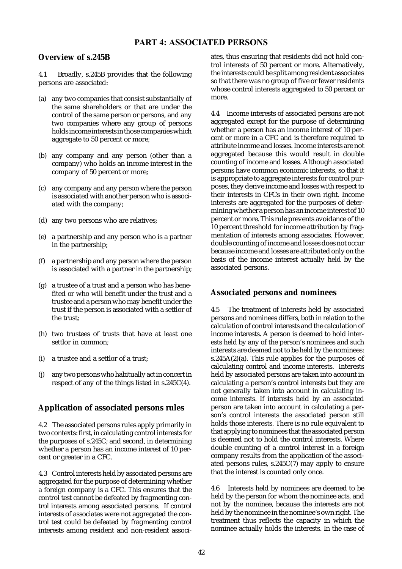## **Overview of s.245B**

4.1 Broadly, s.245B provides that the following persons are associated:

- (a) any two companies that consist substantially of the same shareholders or that are under the control of the same person or persons, and any two companies where any group of persons holds income interests in those companies which aggregate to 50 percent or more;
- (b) any company and any person (other than a company) who holds an income interest in the company of 50 percent or more;
- (c) any company and any person where the person is associated with another person who is associated with the company;
- (d) any two persons who are relatives;
- (e) a partnership and any person who is a partner in the partnership;
- (f) a partnership and any person where the person is associated with a partner in the partnership;
- (g) a trustee of a trust and a person who has benefited or who will benefit under the trust and a trustee and a person who may benefit under the trust if the person is associated with a settlor of the trust;
- (h) two trustees of trusts that have at least one settlor in common;
- (i) a trustee and a settlor of a trust;
- (j) any two persons who habitually act in concert in respect of any of the things listed in s.245C(4).

# **Application of associated persons rules**

4.2 The associated persons rules apply primarily in two contexts: first, in calculating control interests for the purposes of s.245C; and second, in determining whether a person has an income interest of 10 percent or greater in a CFC.

4.3 Control interests held by associated persons are aggregated for the purpose of determining whether a foreign company is a CFC. This ensures that the control test cannot be defeated by fragmenting control interests among associated persons. If control interests of associates were not aggregated the control test could be defeated by fragmenting control interests among resident and non-resident associates, thus ensuring that residents did not hold control interests of 50 percent or more. Alternatively, the interests could be split among resident associates so that there was no group of five or fewer residents whose control interests aggregated to 50 percent or more.

4.4 Income interests of associated persons are not aggregated except for the purpose of determining whether a person has an income interest of 10 percent or more in a CFC and is therefore required to attribute income and losses. Income interests are not aggregated because this would result in double counting of income and losses. Although associated persons have common economic interests, so that it is appropriate to aggregate interests for control purposes, they derive income and losses with respect to their interests in CFCs in their own right. Income interests are aggregated for the purposes of determining whether a person has an income interest of 10 percent or more. This rule prevents avoidance of the 10 percent threshold for income attribution by fragmentation of interests among associates. However, double counting of income and losses does not occur because income and losses are attributed only on the basis of the income interest actually held by the associated persons.

# **Associated persons and nominees**

4.5 The treatment of interests held by associated persons and nominees differs, both in relation to the calculation of control interests and the calculation of income interests. A person is deemed to hold interests held by any of the person's nominees and such interests are deemed not to be held by the nominees: s.245A(2)(a). This rule applies for the purposes of calculating control and income interests. Interests held by associated persons are taken into account in calculating a person's control interests but they are not generally taken into account in calculating income interests. If interests held by an associated person are taken into account in calculating a person's control interests the associated person still holds those interests. There is no rule equivalent to that applying to nominees that the associated person is deemed not to hold the control interests. Where double counting of a control interest in a foreign company results from the application of the associated persons rules, s.245C(7) may apply to ensure that the interest is counted only once.

4.6 Interests held by nominees are deemed to be held by the person for whom the nominee acts, and not by the nominee, because the interests are not held by the nominee in the nominee's own right. The treatment thus reflects the capacity in which the nominee actually holds the interests. In the case of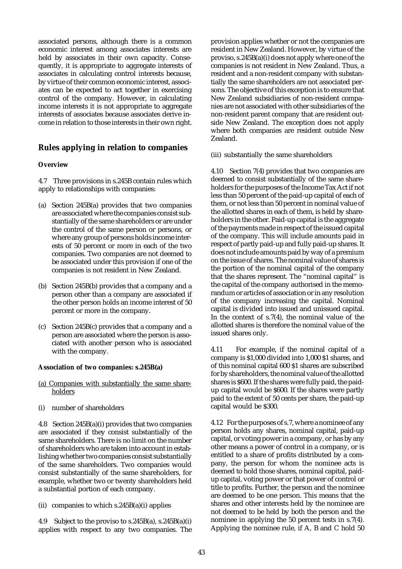associated persons, although there is a common economic interest among associates interests are held by associates in their own capacity. Consequently, it is appropriate to aggregate interests of associates in calculating control interests because, by virtue of their common economic interest, associates can be expected to act together in exercising control of the company. However, in calculating income interests it is not appropriate to aggregate interests of associates because associates derive income in relation to those interests in their own right.

## **Rules applying in relation to companies**

### **Overview**

4.7 Three provisions in s.245B contain rules which apply to relationships with companies:

- (a) Section 245B(a) provides that two companies are associated where the companies consist substantially of the same shareholders or are under the control of the same person or persons, or where any group of persons holds income interests of 50 percent or more in each of the two companies. Two companies are not deemed to be associated under this provision if one of the companies is not resident in New Zealand.
- (b) Section 245B(b) provides that a company and a person other than a company are associated if the other person holds an income interest of 50 percent or more in the company.
- (c) Section 245B(c) provides that a company and a person are associated where the person is associated with another person who is associated with the company.

#### **Association of two companies: s.245B(a)**

- (a) Companies with substantially the same shareholders
- (i) number of shareholders

4.8 Section 245B(a)(i) provides that two companies are associated if they consist substantially of the same shareholders. There is no limit on the number of shareholders who are taken into account in establishing whether two companies consist substantially of the same shareholders. Two companies would consist substantially of the same shareholders, for example, whether two or twenty shareholders held a substantial portion of each company.

(ii) companies to which s.245B(a)(i) applies

4.9 Subject to the proviso to s.245B(a), s.245B(a)(i) applies with respect to any two companies. The provision applies whether or not the companies are resident in New Zealand. However, by virtue of the proviso, s.245B(a)(i) does not apply where one of the companies is not resident in New Zealand. Thus, a resident and a non-resident company with substantially the same shareholders are not associated persons. The objective of this exception is to ensure that New Zealand subsidiaries of non-resident companies are not associated with other subsidiaries of the non-resident parent company that are resident outside New Zealand. The exception does not apply where both companies are resident outside New Zealand.

(iii) substantially the same shareholders

4.10 Section 7(4) provides that two companies are deemed to consist substantially of the same shareholders for the purposes of the Income Tax Act if not less than 50 percent of the paid-up capital of each of them, or not less than 50 percent in nominal value of the allotted shares in each of them, is held by shareholders in the other. Paid-up capital is the aggregate of the payments made in respect of the issued capital of the company. This will include amounts paid in respect of partly paid-up and fully paid-up shares. It does not include amounts paid by way of a premium on the issue of shares. The nominal value of shares is the portion of the nominal capital of the company that the shares represent. The "nominal capital" is the capital of the company authorised in the memorandum or articles of association or in any resolution of the company increasing the capital. Nominal capital is divided into issued and unissued capital. In the context of s.7(4), the nominal value of the allotted shares is therefore the nominal value of the issued shares only.

4.11 For example, if the nominal capital of a company is \$1,000 divided into 1,000 \$1 shares, and of this nominal capital 600 \$1 shares are subscribed for by shareholders, the nominal value of the allotted shares is \$600. If the shares were fully paid, the paidup capital would be \$600. If the shares were partly paid to the extent of 50 cents per share, the paid-up capital would be \$300.

4.12 For the purposes of s.7, where a nominee of any person holds any shares, nominal capital, paid-up capital, or voting power in a company, or has by any other means a power of control in a company, or is entitled to a share of profits distributed by a company, the person for whom the nominee acts is deemed to hold those shares, nominal capital, paidup capital, voting power or that power of control or title to profits. Further, the person and the nominee are deemed to be one person. This means that the shares and other interests held by the nominee are not deemed to be held by both the person and the nominee in applying the 50 percent tests in s.7(4). Applying the nominee rule, if A, B and C hold 50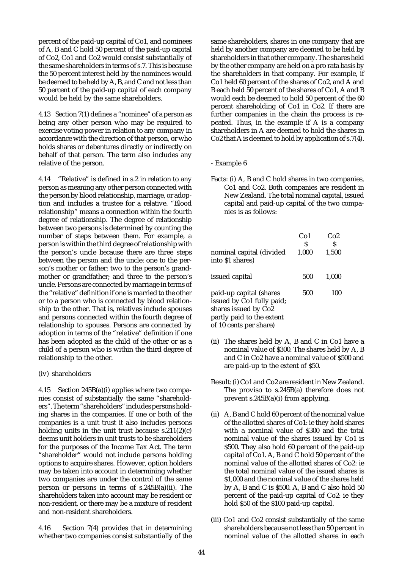percent of the paid-up capital of Co1, and nominees of A, B and C hold 50 percent of the paid-up capital of Co2, Co1 and Co2 would consist substantially of the same shareholders in terms of s.7. This is because the 50 percent interest held by the nominees would be deemed to be held by A, B, and C and not less than 50 percent of the paid-up capital of each company would be held by the same shareholders.

4.13 Section 7(1) defines a "nominee" of a person as being any other person who may be required to exercise voting power in relation to any company in accordance with the direction of that person, or who holds shares or debentures directly or indirectly on behalf of that person. The term also includes any relative of the person.

4.14 "Relative" is defined in s.2 in relation to any person as meaning any other person connected with the person by blood relationship, marriage, or adoption and includes a trustee for a relative. "Blood relationship" means a connection within the fourth degree of relationship. The degree of relationship between two persons is determined by counting the number of steps between them. For example, a person is within the third degree of relationship with the person's uncle because there are three steps between the person and the uncle: one to the person's mother or father; two to the person's grandmother or grandfather; and three to the person's uncle. Persons are connected by marriage in terms of the "relative" definition if one is married to the other or to a person who is connected by blood relationship to the other. That is, relatives include spouses and persons connected within the fourth degree of relationship to spouses. Persons are connected by adoption in terms of the "relative" definition if one has been adopted as the child of the other or as a child of a person who is within the third degree of relationship to the other.

#### (iv) shareholders

4.15 Section 245B(a)(i) applies where two companies consist of substantially the same "shareholders". The term "shareholders" includes persons holding shares in the companies. If one or both of the companies is a unit trust it also includes persons holding units in the unit trust because  $s.211(2)(c)$ deems unit holders in unit trusts to be shareholders for the purposes of the Income Tax Act. The term "shareholder" would not include persons holding options to acquire shares. However, option holders may be taken into account in determining whether two companies are under the control of the same person or persons in terms of s.245B(a)(ii). The shareholders taken into account may be resident or non-resident, or there may be a mixture of resident and non-resident shareholders.

4.16 Section 7(4) provides that in determining whether two companies consist substantially of the same shareholders, shares in one company that are held by another company are deemed to be held by shareholders in that other company. The shares held by the other company are held on a pro rata basis by the shareholders in that company. For example, if Co1 held 60 percent of the shares of Co2, and A and B each held 50 percent of the shares of Co1, A and B would each be deemed to hold 50 percent of the 60 percent shareholding of Co1 in Co2. If there are further companies in the chain the process is repeated. Thus, in the example if A is a company shareholders in A are deemed to hold the shares in Co2 that A is deemed to hold by application of s.7(4).

#### - Example 6

Facts: (i) A, B and C hold shares in two companies, Co1 and Co2. Both companies are resident in New Zealand. The total nominal capital, issued capital and paid-up capital of the two companies is as follows:

| nominal capital (divided<br>into \$1 shares)                                                                                        | Co <sub>1</sub><br>S<br>1.000 | Co2<br>S<br>1,500 |
|-------------------------------------------------------------------------------------------------------------------------------------|-------------------------------|-------------------|
| issued capital                                                                                                                      | 500                           | 1.000             |
| paid-up capital (shares<br>issued by Co1 fully paid;<br>shares issued by Co2<br>partly paid to the extent<br>of 10 cents per share) | 500                           | 100               |

- (ii) The shares held by A, B and C in Co1 have a nominal value of \$300. The shares held by A, B and C in Co2 have a nominal value of \$500 and are paid-up to the extent of \$50.
- Result: (i) Co1 and Co2 are resident in New Zealand. The proviso to s.245B(a) therefore does not prevent s.245B(a)(i) from applying.
- (ii) A, B and C hold 60 percent of the nominal value of the allotted shares of Co1: ie they hold shares with a nominal value of \$300 and the total nominal value of the shares issued by Co1 is \$500. They also hold 60 percent of the paid-up capital of Co1. A, B and C hold 50 percent of the nominal value of the allotted shares of Co2: ie the total nominal value of the issued shares is \$1,000 and the nominal value of the shares held by A, B and C is \$500. A, B and C also hold 50 percent of the paid-up capital of Co2: ie they hold \$50 of the \$100 paid-up capital.
- (iii) Co1 and Co2 consist substantially of the same shareholders because not less than 50 percent in nominal value of the allotted shares in each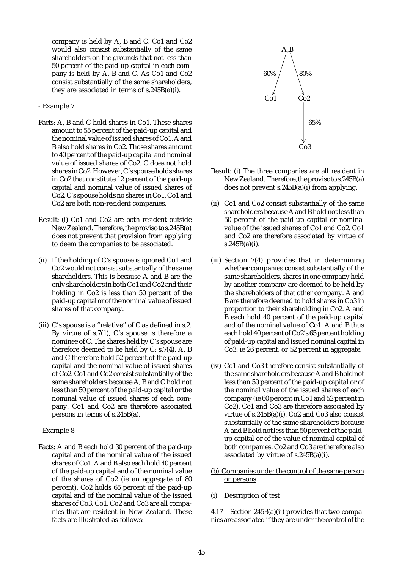company is held by A, B and C. Co1 and Co2 would also consist substantially of the same shareholders on the grounds that not less than 50 percent of the paid-up capital in each company is held by A, B and C. As Co1 and Co2 consist substantially of the same shareholders, they are associated in terms of s.245B(a)(i).

#### - Example 7

- Facts: A, B and C hold shares in Co1. These shares amount to 55 percent of the paid-up capital and the nominal value of issued shares of Co1. A and B also hold shares in Co2. Those shares amount to 40 percent of the paid-up capital and nominal value of issued shares of Co2. C does not hold shares in Co2. However, C's spouse holds shares in Co2 that constitute 12 percent of the paid-up capital and nominal value of issued shares of Co2. C's spouse holds no shares in Co1. Co1 and Co2 are both non-resident companies.
- Result: (i) Co1 and Co2 are both resident outside New Zealand. Therefore, the proviso to s.245B(a) does not prevent that provision from applying to deem the companies to be associated.
- (ii) If the holding of C's spouse is ignored Co1 and Co2 would not consist substantially of the same shareholders. This is because A and B are the only shareholders in both Co1 and Co2 and their holding in Co2 is less than 50 percent of the paid-up capital or of the nominal value of issued shares of that company.
- (iii) C's spouse is a "relative" of C as defined in s.2. By virtue of s.7(1), C's spouse is therefore a nominee of C. The shares held by C's spouse are therefore deemed to be held by C: s.7(4). A, B and C therefore hold 52 percent of the paid-up capital and the nominal value of issued shares of Co2. Co1 and Co2 consist substantially of the same shareholders because A, B and C hold not less than 50 percent of the paid-up capital or the nominal value of issued shares of each company. Co1 and Co2 are therefore associated persons in terms of s.245B(a).
- Example 8
- Facts: A and B each hold 30 percent of the paid-up capital and of the nominal value of the issued shares of Co1. A and B also each hold 40 percent of the paid-up capital and of the nominal value of the shares of Co2 (ie an aggregate of 80 percent). Co2 holds 65 percent of the paid-up capital and of the nominal value of the issued shares of Co3. Co1, Co2 and Co3 are all companies that are resident in New Zealand. These facts are illustrated as follows:



- Result: (i) The three companies are all resident in New Zealand. Therefore, the proviso to s.245B(a) does not prevent s.245B(a)(i) from applying.
- (ii) Co1 and Co2 consist substantially of the same shareholders because A and B hold not less than 50 percent of the paid-up capital or nominal value of the issued shares of Co1 and Co2. Co1 and Co2 are therefore associated by virtue of s.245B(a)(i).
- (iii) Section 7(4) provides that in determining whether companies consist substantially of the same shareholders, shares in one company held by another company are deemed to be held by the shareholders of that other company. A and B are therefore deemed to hold shares in Co3 in proportion to their shareholding in Co2. A and B each hold 40 percent of the paid-up capital and of the nominal value of Co1. A and B thus each hold 40 percent of Co2's 65 percent holding of paid-up capital and issued nominal capital in Co3: ie 26 percent, or 52 percent in aggregate.
- (iv) Co1 and Co3 therefore consist substantially of the same shareholders because A and B hold not less than 50 percent of the paid-up capital or of the nominal value of the issued shares of each company (ie 60 percent in Co1 and 52 percent in Co2). Co1 and Co3 are therefore associated by virtue of s.245B(a)(i). Co2 and Co3 also consist substantially of the same shareholders because A and B hold not less than 50 percent of the paidup capital or of the value of nominal capital of both companies. Co2 and Co3 are therefore also associated by virtue of s.245B(a)(i).
- (b) Companies under the control of the same person or persons
- (i) Description of test

4.17 Section 245B(a)(ii) provides that two companies are associated if they are under the control of the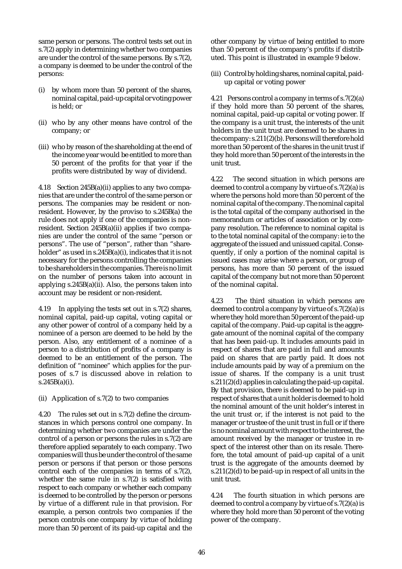same person or persons. The control tests set out in s.7(2) apply in determining whether two companies are under the control of the same persons. By s.7(2), a company is deemed to be under the control of the persons:

- (i) by whom more than 50 percent of the shares, nominal capital, paid-up capital or voting power is held; or
- (ii) who by any other means have control of the company; or
- (iii) who by reason of the shareholding at the end of the income year would be entitled to more than 50 percent of the profits for that year if the profits were distributed by way of dividend.

4.18 Section 245B(a)(ii) applies to any two companies that are under the control of the same person or persons. The companies may be resident or nonresident. However, by the proviso to s.245B(a) the rule does not apply if one of the companies is nonresident. Section 245B(a)(ii) applies if two companies are under the control of the same "person or persons". The use of "person", rather than "shareholder" as used in s.245B(a)(i), indicates that it is not necessary for the persons controlling the companies to be shareholders in the companies. There is no limit on the number of persons taken into account in applying s.245B(a)(ii). Also, the persons taken into account may be resident or non-resident.

4.19 In applying the tests set out in s.7(2) shares, nominal capital, paid-up capital, voting capital or any other power of control of a company held by a nominee of a person are deemed to be held by the person. Also, any entitlement of a nominee of a person to a distribution of profits of a company is deemed to be an entitlement of the person. The definition of "nominee" which applies for the purposes of s.7 is discussed above in relation to s.245B(a)(i).

(ii) Application of s.7(2) to two companies

4.20 The rules set out in s.7(2) define the circumstances in which persons control one company. In determining whether two companies are under the control of a person or persons the rules in s.7(2) are therefore applied separately to each company. Two companies will thus be under the control of the same person or persons if that person or those persons control each of the companies in terms of s.7(2), whether the same rule in s.7(2) is satisfied with respect to each company or whether each company is deemed to be controlled by the person or persons by virtue of a different rule in that provision. For example, a person controls two companies if the person controls one company by virtue of holding more than 50 percent of its paid-up capital and the

other company by virtue of being entitled to more than 50 percent of the company's profits if distributed. This point is illustrated in example 9 below.

(iii) Control by holding shares, nominal capital, paidup capital or voting power

4.21 Persons control a company in terms of s.7(2)(a) if they hold more than 50 percent of the shares, nominal capital, paid-up capital or voting power. If the company is a unit trust, the interests of the unit holders in the unit trust are deemed to be shares in the company: s.211(2)(b). Persons will therefore hold more than 50 percent of the shares in the unit trust if they hold more than 50 percent of the interests in the unit trust.

4.22 The second situation in which persons are deemed to control a company by virtue of s.7(2)(a) is where the persons hold more than 50 percent of the nominal capital of the company. The nominal capital is the total capital of the company authorised in the memorandum or articles of association or by company resolution. The reference to nominal capital is to the total nominal capital of the company: ie to the aggregate of the issued and unissued capital. Consequently, if only a portion of the nominal capital is issued cases may arise where a person, or group of persons, has more than 50 percent of the issued capital of the company but not more than 50 percent of the nominal capital.

4.23 The third situation in which persons are deemed to control a company by virtue of s.7(2)(a) is where they hold more than 50 percent of the paid-up capital of the company. Paid-up capital is the aggregate amount of the nominal capital of the company that has been paid-up. It includes amounts paid in respect of shares that are paid in full and amounts paid on shares that are partly paid. It does not include amounts paid by way of a premium on the issue of shares. If the company is a unit trust s.211(2)(d) applies in calculating the paid-up capital. By that provision, there is deemed to be paid-up in respect of shares that a unit holder is deemed to hold the nominal amount of the unit holder's interest in the unit trust or, if the interest is not paid to the manager or trustee of the unit trust in full or if there is no nominal amount with respect to the interest, the amount received by the manager or trustee in respect of the interest other than on its resale. Therefore, the total amount of paid-up capital of a unit trust is the aggregate of the amounts deemed by s.211(2)(d) to be paid-up in respect of all units in the unit trust.

4.24 The fourth situation in which persons are deemed to control a company by virtue of s.7(2)(a) is where they hold more than 50 percent of the voting power of the company.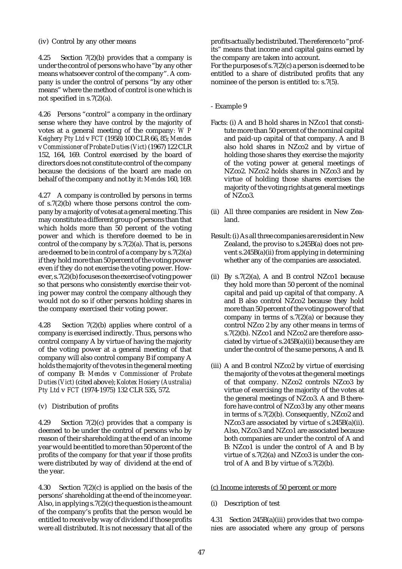### (iv) Control by any other means

4.25 Section 7(2)(b) provides that a company is under the control of persons who have "by any other means whatsoever control of the company". A company is under the control of persons "by any other means" where the method of control is one which is not specified in s.7(2)(a).

4.26 Persons "control" a company in the ordinary sense where they have control by the majority of votes at a general meeting of the company: *W P Keighery Pty Ltd* v *FCT* (1958) 100 CLR 66, 85; *Mendes* v *Commissioner of Probate Duties (Vict)* (1967) 122 CLR 152, 164, 169. Control exercised by the board of directors does not constitute control of the company because the decisions of the board are made on behalf of the company and not by it: *Mendes* 160, 169.

4.27 A company is controlled by persons in terms of s.7(2)(b) where those persons control the company by a majority of votes at a general meeting. This may constitute a different group of persons than that which holds more than 50 percent of the voting power and which is therefore deemed to be in control of the company by s.7(2)(a). That is, persons are deemed to be in control of a company by s.7(2)(a) if they hold more than 50 percent of the voting power even if they do not exercise the voting power. However, s.7(2)(b) focuses on the exercise of voting power so that persons who consistently exercise their voting power may control the company although they would not do so if other persons holding shares in the company exercised their voting power.

4.28 Section 7(2)(b) applies where control of a company is exercised indirectly. Thus, persons who control company A by virtue of having the majority of the voting power at a general meeting of that company will also control company B if company A holds the majority of the votes in the general meeting of company B: *Mendes* v *Commissioner of Probate Duties (Vict)* (cited above); *Kolotex Hosiery (Australia) Pty Ltd* v *FCT* (1974-1975) 132 CLR 535, 572.

(v) Distribution of profits

4.29 Section 7(2)(c) provides that a company is deemed to be under the control of persons who by reason of their shareholding at the end of an income year would be entitled to more than 50 percent of the profits of the company for that year if those profits were distributed by way of dividend at the end of the year.

4.30 Section 7(2)(c) is applied on the basis of the persons' shareholding at the end of the income year. Also, in applying s.7(2)(c) the question is the amount of the company's profits that the person would be entitled to receive by way of dividend if those profits were all distributed. It is not necessary that all of the

profits actually be distributed. The reference to "profits" means that income and capital gains earned by the company are taken into account.

For the purposes of s.7(2)(c) a person is deemed to be entitled to a share of distributed profits that any nominee of the person is entitled to: s.7(5).

### - Example 9

- Facts: (i) A and B hold shares in NZco1 that constitute more than 50 percent of the nominal capital and paid-up capital of that company. A and B also hold shares in NZco2 and by virtue of holding those shares they exercise the majority of the voting power at general meetings of NZco2. NZco2 holds shares in NZco3 and by virtue of holding those shares exercises the majority of the voting rights at general meetings of NZco3.
- (ii) All three companies are resident in New Zealand.
- Result: (i) As all three companies are resident in New Zealand, the proviso to s.245B(a) does not prevent s.245B(a)(ii) from applying in determining whether any of the companies are associated.
- (ii) By  $s.7(2)(a)$ , A and B control NZco1 because they hold more than 50 percent of the nominal capital and paid up capital of that company. A and B also control NZco2 because they hold more than 50 percent of the voting power of that company in terms of  $s.7(2)(a)$  or because they control NZco 2 by any other means in terms of s.7(2)(b). NZco1 and NZco2 are therefore associated by virtue of s.245B(a)(ii) because they are under the control of the same persons, A and B.
- (iii) A and B control NZco2 by virtue of exercising the majority of the votes at the general meetings of that company. NZco2 controls NZco3 by virtue of exercising the majority of the votes at the general meetings of NZco3. A and B therefore have control of NZco3 by any other means in terms of s.7(2)(b). Consequently, NZco2 and NZco3 are associated by virtue of s.245B(a)(ii). Also, NZco3 and NZco1 are associated because both companies are under the control of A and B: NZco1 is under the control of A and B by virtue of s.7(2)(a) and NZco3 is under the control of A and B by virtue of  $s.7(2)(b)$ .

### (c) Income interests of 50 percent or more

(i) Description of test

4.31 Section 245B(a)(iii) provides that two companies are associated where any group of persons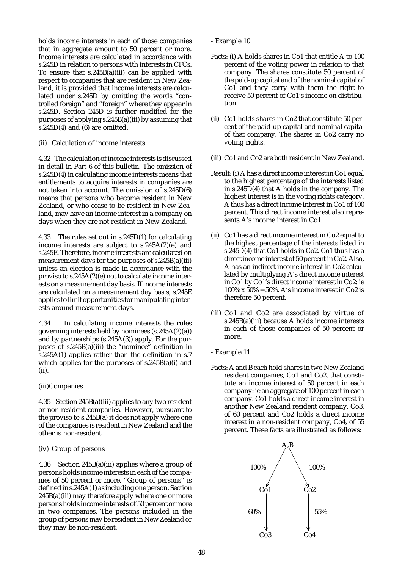holds income interests in each of those companies that in aggregate amount to 50 percent or more. Income interests are calculated in accordance with s.245D in relation to persons with interests in CFCs. To ensure that  $s.245B(a)(iii)$  can be applied with respect to companies that are resident in New Zealand, it is provided that income interests are calculated under s.245D by omitting the words "controlled foreign" and "foreign" where they appear in s.245D. Section 245D is further modified for the purposes of applying s.245B(a)(iii) by assuming that s.245 $D(4)$  and (6) are omitted.

### (ii) Calculation of income interests

4.32 The calculation of income interests is discussed in detail in Part 6 of this bulletin. The omission of s.245D(4) in calculating income interests means that entitlements to acquire interests in companies are not taken into account. The omission of s.245D(6) means that persons who become resident in New Zealand, or who cease to be resident in New Zealand, may have an income interest in a company on days when they are not resident in New Zealand.

4.33 The rules set out in s.245D(1) for calculating income interests are subject to s.245A(2)(e) and s.245E. Therefore, income interests are calculated on measurement days for the purposes of s.245B(a)(iii) unless an election is made in accordance with the proviso to s.245A(2)(e) not to calculate income interests on a measurement day basis. If income interests are calculated on a measurement day basis, s.245E applies to limit opportunities for manipulating interests around measurement days.

4.34 In calculating income interests the rules governing interests held by nominees (s.245A(2)(a)) and by partnerships (s.245A(3)) apply. For the purposes of s.245B(a)(iii) the "nominee" definition in s.245A(1) applies rather than the definition in s.7 which applies for the purposes of s.245B(a)(i) and (ii).

### (iii)Companies

4.35 Section 245B(a)(iii) applies to any two resident or non-resident companies. However, pursuant to the proviso to s.245B(a) it does not apply where one of the companies is resident in New Zealand and the other is non-resident.

#### (iv) Group of persons

4.36 Section 245B(a)(iii) applies where a group of persons holds income interests in each of the companies of 50 percent or more. "Group of persons" is defined in s.245A(1) as including one person. Section  $245B(a)(iii)$  may therefore apply where one or more persons holds income interests of 50 percent or more in two companies. The persons included in the group of persons may be resident in New Zealand or they may be non-resident.

- Example 10
- Facts: (i) A holds shares in Co1 that entitle A to 100 percent of the voting power in relation to that company. The shares constitute 50 percent of the paid-up capital and of the nominal capital of Co1 and they carry with them the right to receive 50 percent of Co1's income on distribution.
- (ii) Co1 holds shares in Co2 that constitute 50 percent of the paid-up capital and nominal capital of that company. The shares in Co2 carry no voting rights.
- (iii) Co1 and Co2 are both resident in New Zealand.
- Result: (i) A has a direct income interest in Co1 equal to the highest percentage of the interests listed in s.245D(4) that A holds in the company. The highest interest is in the voting rights category. A thus has a direct income interest in Co1 of 100 percent. This direct income interest also represents A's income interest in Co1.
- (ii) Co1 has a direct income interest in Co2 equal to the highest percentage of the interests listed in s.245D(4) that Co1 holds in Co2. Co1 thus has a direct income interest of 50 percent in Co2. Also, A has an indirect income interest in Co2 calculated by multiplying A's direct income interest in Co1 by Co1's direct income interest in Co2: ie  $100\%$  x  $50\%$  = 50%. A's income interest in Co2 is therefore 50 percent.
- (iii) Co1 and Co2 are associated by virtue of s.245B(a)(iii) because A holds income interests in each of those companies of 50 percent or more.
- Example 11
- Facts: A and B each hold shares in two New Zealand resident companies, Co1 and Co2, that constitute an income interest of 50 percent in each company: ie an aggregate of 100 percent in each company. Co1 holds a direct income interest in another New Zealand resident company, Co3, of 60 percent and Co2 holds a direct income interest in a non-resident company, Co4, of 55 percent. These facts are illustrated as follows:

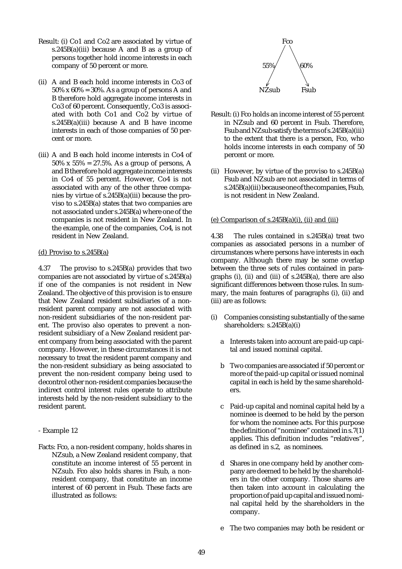- Result: (i) Co1 and Co2 are associated by virtue of s.245B(a)(iii) because A and B as a group of persons together hold income interests in each company of 50 percent or more.
- (ii) A and B each hold income interests in Co3 of  $50\%$  x  $60\%$  = 30%. As a group of persons A and B therefore hold aggregate income interests in Co3 of 60 percent. Consequently, Co3 is associated with both Co1 and Co2 by virtue of s.245B(a)(iii) because A and B have income interests in each of those companies of 50 percent or more.
- (iii) A and B each hold income interests in Co4 of 50% x 55% = 27.5%. As a group of persons, A and B therefore hold aggregate income interests in Co4 of 55 percent. However, Co4 is not associated with any of the other three companies by virtue of s.245B(a)(iii) because the proviso to s.245B(a) states that two companies are not associated under s.245B(a) where one of the companies is not resident in New Zealand. In the example, one of the companies, Co4, is not resident in New Zealand.

#### (d) Proviso to s.245B(a)

4.37 The proviso to s.245B(a) provides that two companies are not associated by virtue of s.245B(a) if one of the companies is not resident in New Zealand. The objective of this provision is to ensure that New Zealand resident subsidiaries of a nonresident parent company are not associated with non-resident subsidiaries of the non-resident parent. The proviso also operates to prevent a nonresident subsidiary of a New Zealand resident parent company from being associated with the parent company. However, in these circumstances it is not necessary to treat the resident parent company and the non-resident subsidiary as being associated to prevent the non-resident company being used to decontrol other non-resident companies because the indirect control interest rules operate to attribute interests held by the non-resident subsidiary to the resident parent.

- Example 12
- Facts: Fco, a non-resident company, holds shares in NZsub, a New Zealand resident company, that constitute an income interest of 55 percent in NZsub. Fco also holds shares in Fsub, a nonresident company, that constitute an income interest of 60 percent in Fsub. These facts are illustrated as follows:



- Result: (i) Fco holds an income interest of 55 percent in NZsub and 60 percent in Fsub. Therefore, Fsub and NZsub satisfy the terms of s.245B(a)(iii) to the extent that there is a person, Fco, who holds income interests in each company of 50 percent or more.
- (ii) However, by virtue of the proviso to s.245B(a) Fsub and NZsub are not associated in terms of s.245B(a)(iii) because one of the companies, Fsub, is not resident in New Zealand.

#### (e) Comparison of  $s.245B(a)(i)$ , (ii) and (iii)

4.38 The rules contained in s.245B(a) treat two companies as associated persons in a number of circumstances where persons have interests in each company. Although there may be some overlap between the three sets of rules contained in paragraphs (i), (ii) and (iii) of s.245B(a), there are also significant differences between those rules. In summary, the main features of paragraphs (i), (ii) and (iii) are as follows:

- (i) Companies consisting substantially of the same shareholders: s.245B(a)(i)
	- a Interests taken into account are paid-up capital and issued nominal capital.
	- b Two companies are associated if 50 percent or more of the paid-up capital or issued nominal capital in each is held by the same shareholders.
	- c Paid-up capital and nominal capital held by a nominee is deemed to be held by the person for whom the nominee acts. For this purpose the definition of "nominee" contained in s.7(1) applies. This definition includes "relatives", as defined in s.2, as nominees.
	- d Shares in one company held by another company are deemed to be held by the shareholders in the other company. Those shares are then taken into account in calculating the proportion of paid up capital and issued nominal capital held by the shareholders in the company.
	- e The two companies may both be resident or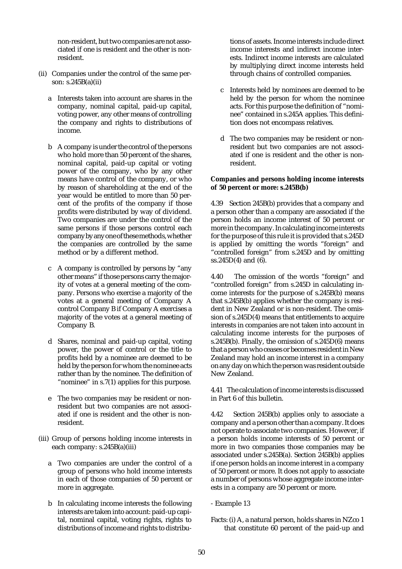non-resident, but two companies are not associated if one is resident and the other is nonresident.

- (ii) Companies under the control of the same person: s.245B(a)(ii)
	- a Interests taken into account are shares in the company, nominal capital, paid-up capital, voting power, any other means of controlling the company and rights to distributions of income.
	- b A company is under the control of the persons who hold more than 50 percent of the shares, nominal capital, paid-up capital or voting power of the company, who by any other means have control of the company, or who by reason of shareholding at the end of the year would be entitled to more than 50 percent of the profits of the company if those profits were distributed by way of dividend. Two companies are under the control of the same persons if those persons control each company by any one of these methods, whether the companies are controlled by the same method or by a different method.
	- c A company is controlled by persons by "any other means" if those persons carry the majority of votes at a general meeting of the company. Persons who exercise a majority of the votes at a general meeting of Company A control Company B if Company A exercises a majority of the votes at a general meeting of Company B.
	- d Shares, nominal and paid-up capital, voting power, the power of control or the title to profits held by a nominee are deemed to be held by the person for whom the nominee acts rather than by the nominee. The definition of "nominee" in s.7(1) applies for this purpose.
	- e The two companies may be resident or nonresident but two companies are not associated if one is resident and the other is nonresident.
- (iii) Group of persons holding income interests in each company: s.245B(a)(iii)
	- a Two companies are under the control of a group of persons who hold income interests in each of those companies of 50 percent or more in aggregate.
	- b In calculating income interests the following interests are taken into account: paid-up capital, nominal capital, voting rights, rights to distributions of income and rights to distribu-

tions of assets. Income interests include direct income interests and indirect income interests. Indirect income interests are calculated by multiplying direct income interests held through chains of controlled companies.

- c Interests held by nominees are deemed to be held by the person for whom the nominee acts. For this purpose the definition of "nominee" contained in s.245A applies. This definition does not encompass relatives.
- d The two companies may be resident or nonresident but two companies are not associated if one is resident and the other is nonresident.

### **Companies and persons holding income interests of 50 percent or more: s.245B(b)**

4.39 Section 245B(b) provides that a company and a person other than a company are associated if the person holds an income interest of 50 percent or more in the company. In calculating income interests for the purpose of this rule it is provided that s.245D is applied by omitting the words "foreign" and "controlled foreign" from s.245D and by omitting ss.245D(4) and (6).

4.40 The omission of the words "foreign" and "controlled foreign" from s.245D in calculating income interests for the purpose of s.245B(b) means that s.245B(b) applies whether the company is resident in New Zealand or is non-resident. The omission of s.245D(4) means that entitlements to acquire interests in companies are not taken into account in calculating income interests for the purposes of s.245B(b). Finally, the omission of s.245D(6) means that a person who ceases or becomes resident in New Zealand may hold an income interest in a company on any day on which the person was resident outside New Zealand.

4.41 The calculation of income interests is discussed in Part 6 of this bulletin.

4.42 Section 245B(b) applies only to associate a company and a person other than a company. It does not operate to associate two companies. However, if a person holds income interests of 50 percent or more in two companies those companies may be associated under s.245B(a). Section 245B(b) applies if one person holds an income interest in a company of 50 percent or more. It does not apply to associate a number of persons whose aggregate income interests in a company are 50 percent or more.

- Example 13
- Facts: (i) A, a natural person, holds shares in NZco 1 that constitute 60 percent of the paid-up and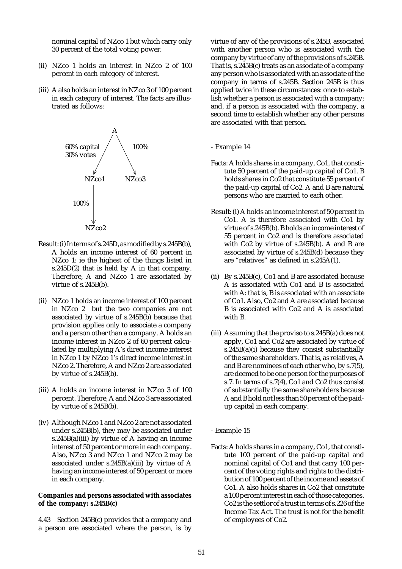nominal capital of NZco 1 but which carry only 30 percent of the total voting power.

- (ii) NZco 1 holds an interest in NZco 2 of 100 percent in each category of interest.
- (iii) A also holds an interest in NZco 3 of 100 percent in each category of interest. The facts are illustrated as follows:



- Result: (i) In terms of s.245D, as modified by s.245B(b), A holds an income interest of 60 percent in NZco 1: ie the highest of the things listed in s.245D(2) that is held by A in that company. Therefore, A and NZco 1 are associated by virtue of s.245B(b).
- (ii) NZco 1 holds an income interest of 100 percent in NZco 2 but the two companies are not associated by virtue of s.245B(b) because that provision applies only to associate a company and a person other than a company. A holds an income interest in NZco 2 of 60 percent calculated by multiplying A's direct income interest in NZco 1 by NZco 1's direct income interest in NZco 2. Therefore, A and NZco 2 are associated by virtue of s.245B(b).
- (iii) A holds an income interest in NZco 3 of 100 percent. Therefore, A and NZco 3 are associated by virtue of s.245B(b).
- (iv) Although NZco 1 and NZco 2 are not associated under s.245B(b), they may be associated under s.245B(a)(iii) by virtue of A having an income interest of 50 percent or more in each company. Also, NZco 3 and NZco 1 and NZco 2 may be associated under s.245B(a)(iii) by virtue of A having an income interest of 50 percent or more in each company.

#### **Companies and persons associated with associates of the company: s.245B(c)**

4.43 Section 245B(c) provides that a company and a person are associated where the person, is by virtue of any of the provisions of s.245B, associated with another person who is associated with the company by virtue of any of the provisions of s.245B. That is, s.245B(c) treats as an associate of a company any person who is associated with an associate of the company in terms of s.245B. Section 245B is thus applied twice in these circumstances: once to establish whether a person is associated with a company; and, if a person is associated with the company, a second time to establish whether any other persons are associated with that person.

#### - Example 14

- Facts: A holds shares in a company, Co1, that constitute 50 percent of the paid-up capital of Co1. B holds shares in Co2 that constitute 55 percent of the paid-up capital of Co2. A and B are natural persons who are married to each other.
- Result: (i) A holds an income interest of 50 percent in Co1. A is therefore associated with Co1 by virtue of s.245B(b). B holds an income interest of 55 percent in Co2 and is therefore associated with Co2 by virtue of s.245B(b). A and B are associated by virtue of s.245B(d) because they are "relatives" as defined in s.245A(1).
- (ii) By s.245B(c), Co1 and B are associated because A is associated with Co1 and B is associated with A: that is, B is associated with an associate of Co1. Also, Co2 and A are associated because B is associated with Co2 and A is associated with B.
- (iii) Assuming that the proviso to s.245B(a) does not apply, Co1 and Co2 are associated by virtue of s.245B(a)(i) because they consist substantially of the same shareholders. That is, as relatives, A and B are nominees of each other who, by s.7(5), are deemed to be one person for the purposes of s.7. In terms of s.7(4), Co1 and Co2 thus consist of substantially the same shareholders because A and B hold not less than 50 percent of the paidup capital in each company.

#### - Example 15

Facts: A holds shares in a company, Co1, that constitute 100 percent of the paid-up capital and nominal capital of Co1 and that carry 100 percent of the voting rights and rights to the distribution of 100 percent of the income and assets of Co1. A also holds shares in Co2 that constitute a 100 percent interest in each of those categories. Co2 is the settlor of a trust in terms of s.226 of the Income Tax Act. The trust is not for the benefit of employees of Co2.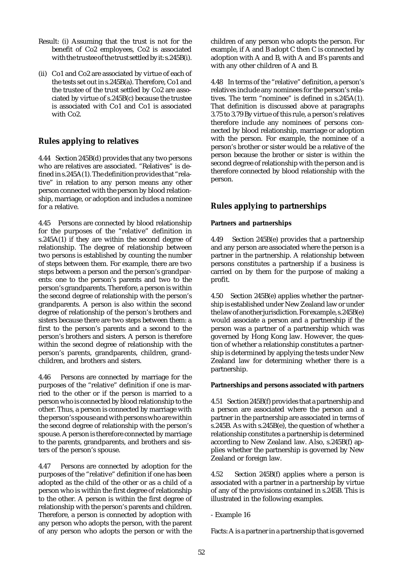- Result: (i) Assuming that the trust is not for the benefit of Co2 employees, Co2 is associated with the trustee of the trust settled by it: s.245B(i).
- (ii) Co1 and Co2 are associated by virtue of each of the tests set out in s.245B(a). Therefore, Co1 and the trustee of the trust settled by Co2 are associated by virtue of s.245B(c) because the trustee is associated with Co1 and Co1 is associated with Co2.

# **Rules applying to relatives**

4.44 Section 245B(d) provides that any two persons who are relatives are associated. "Relatives" is defined in s.245A(1). The definition provides that "relative" in relation to any person means any other person connected with the person by blood relationship, marriage, or adoption and includes a nominee for a relative.

4.45 Persons are connected by blood relationship for the purposes of the "relative" definition in s.245A(1) if they are within the second degree of relationship. The degree of relationship between two persons is established by counting the number of steps between them. For example, there are two steps between a person and the person's grandparents: one to the person's parents and two to the person's grandparents. Therefore, a person is within the second degree of relationship with the person's grandparents. A person is also within the second degree of relationship of the person's brothers and sisters because there are two steps between them: a first to the person's parents and a second to the person's brothers and sisters. A person is therefore within the second degree of relationship with the person's parents, grandparents, children, grandchildren, and brothers and sisters.

4.46 Persons are connected by marriage for the purposes of the "relative" definition if one is married to the other or if the person is married to a person who is connected by blood relationship to the other. Thus, a person is connected by marriage with the person's spouse and with persons who are within the second degree of relationship with the person's spouse. A person is therefore connected by marriage to the parents, grandparents, and brothers and sisters of the person's spouse.

4.47 Persons are connected by adoption for the purposes of the "relative" definition if one has been adopted as the child of the other or as a child of a person who is within the first degree of relationship to the other. A person is within the first degree of relationship with the person's parents and children. Therefore, a person is connected by adoption with any person who adopts the person, with the parent of any person who adopts the person or with the children of any person who adopts the person. For example, if A and B adopt C then C is connected by adoption with A and B, with A and B's parents and with any other children of A and B.

4.48 In terms of the "relative" definition, a person's relatives include any nominees for the person's relatives. The term "nominee" is defined in s.245A(1). That definition is discussed above at paragraphs 3.75 to 3.79 By virtue of this rule, a person's relatives therefore include any nominees of persons connected by blood relationship, marriage or adoption with the person. For example, the nominee of a person's brother or sister would be a relative of the person because the brother or sister is within the second degree of relationship with the person and is therefore connected by blood relationship with the person.

# **Rules applying to partnerships**

### **Partners and partnerships**

4.49 Section 245B(e) provides that a partnership and any person are associated where the person is a partner in the partnership. A relationship between persons constitutes a partnership if a business is carried on by them for the purpose of making a profit.

4.50 Section 245B(e) applies whether the partnership is established under New Zealand law or under the law of another jurisdiction. For example, s.245B(e) would associate a person and a partnership if the person was a partner of a partnership which was governed by Hong Kong law. However, the question of whether a relationship constitutes a partnership is determined by applying the tests under New Zealand law for determining whether there is a partnership.

### **Partnerships and persons associated with partners**

4.51 Section 245B(f) provides that a partnership and a person are associated where the person and a partner in the partnership are associated in terms of s.245B. As with s.245B(e), the question of whether a relationship constitutes a partnership is determined according to New Zealand law. Also, s.245B(f) applies whether the partnership is governed by New Zealand or foreign law.

4.52 Section 245B(f) applies where a person is associated with a partner in a partnership by virtue of any of the provisions contained in s.245B. This is illustrated in the following examples.

- Example 16

Facts: A is a partner in a partnership that is governed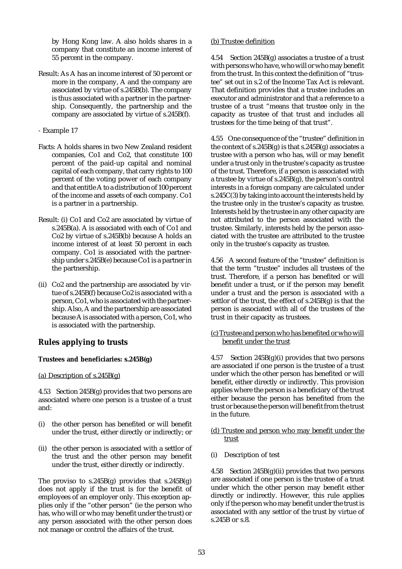by Hong Kong law. A also holds shares in a company that constitute an income interest of 55 percent in the company.

Result: As A has an income interest of 50 percent or more in the company, A and the company are associated by virtue of s.245B(b). The company is thus associated with a partner in the partnership. Consequently, the partnership and the company are associated by virtue of s.245B(f).

- Example 17

- Facts: A holds shares in two New Zealand resident companies, Co1 and Co2, that constitute 100 percent of the paid-up capital and nominal capital of each company, that carry rights to 100 percent of the voting power of each company and that entitle A to a distribution of 100 percent of the income and assets of each company. Co1 is a partner in a partnership.
- Result: (i) Co1 and Co2 are associated by virtue of s.245B(a). A is associated with each of Co1 and Co2 by virtue of s.245B(b) because A holds an income interest of at least 50 percent in each company. Co1 is associated with the partnership under s.245B(e) because Co1 is a partner in the partnership.
- (ii) Co2 and the partnership are associated by virtue of s.245B(f) because Co2 is associated with a person, Co1, who is associated with the partnership. Also, A and the partnership are associated because A is associated with a person, Co1, who is associated with the partnership.

# **Rules applying to trusts**

## **Trustees and beneficiaries: s.245B(g)**

## (a) Description of s.245B(g)

4.53 Section 245B(g) provides that two persons are associated where one person is a trustee of a trust and:

- (i) the other person has benefited or will benefit under the trust, either directly or indirectly; or
- (ii) the other person is associated with a settlor of the trust and the other person may benefit under the trust, either directly or indirectly.

The proviso to  $s.245B(g)$  provides that  $s.245B(g)$ does not apply if the trust is for the benefit of employees of an employer only. This exception applies only if the "other person" (ie the person who has, who will or who may benefit under the trust) or any person associated with the other person does not manage or control the affairs of the trust.

## (b) Trustee definition

4.54 Section 245B(g) associates a trustee of a trust with persons who have, who will or who may benefit from the trust. In this context the definition of "trustee" set out in s.2 of the Income Tax Act is relevant. That definition provides that a trustee includes an executor and administrator and that a reference to a trustee of a trust "means that trustee only in the capacity as trustee of that trust and includes all trustees for the time being of that trust".

4.55 One consequence of the "trustee" definition in the context of s.245B(g) is that s.245B(g) associates a trustee with a person who has, will or may benefit under a trust only in the trustee's capacity as trustee of the trust. Therefore, if a person is associated with a trustee by virtue of s.245B(g), the person's control interests in a foreign company are calculated under s.245C(3) by taking into account the interests held by the trustee only in the trustee's capacity as trustee. Interests held by the trustee in any other capacity are not attributed to the person associated with the trustee. Similarly, interests held by the person associated with the trustee are attributed to the trustee only in the trustee's capacity as trustee.

4.56 A second feature of the "trustee" definition is that the term "trustee" includes all trustees of the trust. Therefore, if a person has benefited or will benefit under a trust, or if the person may benefit under a trust and the person is associated with a settlor of the trust, the effect of s.245B(g) is that the person is associated with all of the trustees of the trust in their capacity as trustees.

### (c) Trustee and person who has benefited or who will benefit under the trust

4.57 Section 245B(g)(i) provides that two persons are associated if one person is the trustee of a trust under which the other person has benefited or will benefit, either directly or indirectly. This provision applies where the person is a beneficiary of the trust either because the person has benefited from the trust or because the person will benefit from the trust in the future.

- (d) Trustee and person who may benefit under the trust
- (i) Description of test

4.58 Section 245B(g)(ii) provides that two persons are associated if one person is the trustee of a trust under which the other person may benefit either directly or indirectly. However, this rule applies only if the person who may benefit under the trust is associated with any settlor of the trust by virtue of s.245B or s.8.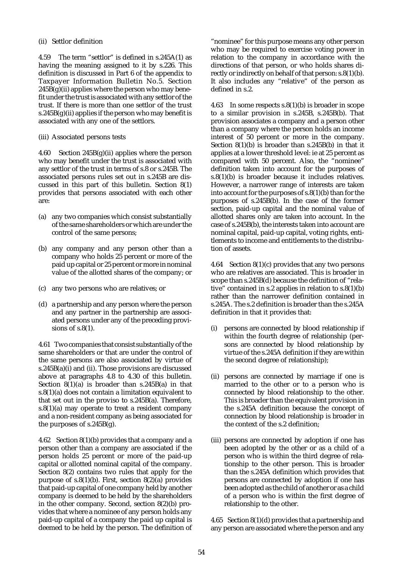### (ii) Settlor definition

4.59 The term "settlor" is defined in s.245A(1) as having the meaning assigned to it by s.226. This definition is discussed in Part 6 of the appendix to Taxpayer Information Bulletin No.5. Section  $245B(g)(ii)$  applies where the person who may benefit under the trust is associated with any settlor of the trust. If there is more than one settlor of the trust s.245 $B(g)(ii)$  applies if the person who may benefit is associated with any one of the settlors.

### (iii) Associated persons tests

4.60 Section 245B(g)(ii) applies where the person who may benefit under the trust is associated with any settlor of the trust in terms of s.8 or s.245B. The associated persons rules set out in s.245B are discussed in this part of this bulletin. Section 8(1) provides that persons associated with each other are:

- (a) any two companies which consist substantially of the same shareholders or which are under the control of the same persons;
- (b) any company and any person other than a company who holds 25 percent or more of the paid up capital or 25 percent or more in nominal value of the allotted shares of the company; or
- (c) any two persons who are relatives; or
- (d) a partnership and any person where the person and any partner in the partnership are associated persons under any of the preceding provisions of s.8(1).

4.61 Two companies that consist substantially of the same shareholders or that are under the control of the same persons are also associated by virtue of s.245B(a)(i) and (ii). Those provisions are discussed above at paragraphs 4.8 to 4.30 of this bulletin. Section  $8(1)(a)$  is broader than  $s.245B(a)$  in that s.8(1)(a) does not contain a limitation equivalent to that set out in the proviso to s.245B(a). Therefore, s.8(1)(a) may operate to treat a resident company and a non-resident company as being associated for the purposes of s.245B(g).

4.62 Section 8(1)(b) provides that a company and a person other than a company are associated if the person holds 25 percent or more of the paid-up capital or allotted nominal capital of the company. Section 8(2) contains two rules that apply for the purpose of s.8(1)(b). First, section 8(2)(a) provides that paid-up capital of one company held by another company is deemed to be held by the shareholders in the other company. Second, section 8(2)(b) provides that where a nominee of any person holds any paid-up capital of a company the paid up capital is deemed to be held by the person. The definition of "nominee" for this purpose means any other person who may be required to exercise voting power in relation to the company in accordance with the directions of that person, or who holds shares directly or indirectly on behalf of that person: s.8(1)(b). It also includes any "relative" of the person as defined in s.2.

4.63 In some respects s.8(1)(b) is broader in scope to a similar provision in s.245B, s.245B(b). That provision associates a company and a person other than a company where the person holds an income interest of 50 percent or more in the company. Section 8(1)(b) is broader than s.245B(b) in that it applies at a lower threshold level: ie at 25 percent as compared with 50 percent. Also, the "nominee" definition taken into account for the purposes of s.8(1)(b) is broader because it includes relatives. However, a narrower range of interests are taken into account for the purposes of s.8(1)(b) than for the purposes of s.245B(b). In the case of the former section, paid-up capital and the nominal value of allotted shares only are taken into account. In the case of s.245B(b), the interests taken into account are nominal capital, paid-up capital, voting rights, entitlements to income and entitlements to the distribution of assets.

4.64 Section 8(1)(c) provides that any two persons who are relatives are associated. This is broader in scope than s.245B(d) because the definition of "relative" contained in s.2 applies in relation to s.8(1)(b) rather than the narrower definition contained in s.245A. The s.2 definition is broader than the s.245A definition in that it provides that:

- (i) persons are connected by blood relationship if within the fourth degree of relationship (persons are connected by blood relationship by virtue of the s.245A definition if they are within the second degree of relationship);
- (ii) persons are connected by marriage if one is married to the other or to a person who is connected by blood relationship to the other. This is broader than the equivalent provision in the s.245A definition because the concept of connection by blood relationship is broader in the context of the s.2 definition;
- (iii) persons are connected by adoption if one has been adopted by the other or as a child of a person who is within the third degree of relationship to the other person. This is broader than the s.245A definition which provides that persons are connected by adoption if one has been adopted as the child of another or as a child of a person who is within the first degree of relationship to the other.

4.65 Section 8(1)(d) provides that a partnership and any person are associated where the person and any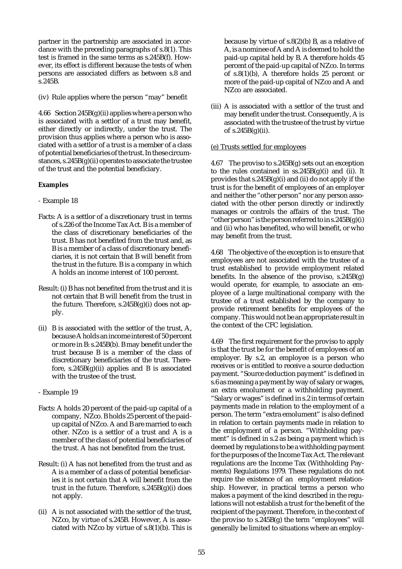partner in the partnership are associated in accordance with the preceding paragraphs of s.8(1). This test is framed in the same terms as s.245B(f). However, its effect is different because the tests of when persons are associated differs as between s.8 and s.245B.

(iv) Rule applies where the person "may" benefit

4.66 Section  $245B(g)(ii)$  applies where a person who is associated with a settlor of a trust may benefit, either directly or indirectly, under the trust. The provision thus applies where a person who is associated with a settlor of a trust is a member of a class of potential beneficiaries of the trust. In these circumstances, s.245B(g)(ii) operates to associate the trustee of the trust and the potential beneficiary.

#### **Examples**

- Example 18
- Facts: A is a settlor of a discretionary trust in terms of s.226 of the Income Tax Act. B is a member of the class of discretionary beneficiaries of the trust. B has not benefited from the trust and, as B is a member of a class of discretionary beneficiaries, it is not certain that B will benefit from the trust in the future. B is a company in which A holds an income interest of 100 percent.
- Result: (i) B has not benefited from the trust and it is not certain that B will benefit from the trust in the future. Therefore,  $s.245B(g)(i)$  does not apply.
- (ii) B is associated with the settlor of the trust, A, because A holds an income interest of 50 percent or more in B: s.245B(b). B may benefit under the trust because B is a member of the class of discretionary beneficiaries of the trust. Therefore,  $s.245B(g)(ii)$  applies and B is associated with the trustee of the trust.
- Example 19
- Facts: A holds 20 percent of the paid-up capital of a company, NZco. B holds 25 percent of the paidup capital of NZco. A and B are married to each other. NZco is a settlor of a trust and A is a member of the class of potential beneficiaries of the trust. A has not benefited from the trust.
- Result: (i) A has not benefited from the trust and as A is a member of a class of potential beneficiaries it is not certain that A will benefit from the trust in the future. Therefore, s.245B(g)(i) does not apply.
- (ii) A is not associated with the settlor of the trust, NZco, by virtue of s.245B. However, A is associated with NZco by virtue of s.8(1)(b). This is

because by virtue of s.8(2)(b) B, as a relative of A, is a nominee of A and A is deemed to hold the paid-up capital held by B. A therefore holds 45 percent of the paid-up capital of NZco. In terms of s.8(1)(b), A therefore holds 25 percent or more of the paid-up capital of NZco and A and NZco are associated.

(iii) A is associated with a settlor of the trust and may benefit under the trust. Consequently, A is associated with the trustee of the trust by virtue of  $s.245B(g)(ii)$ .

#### (e) Trusts settled for employees

4.67 The proviso to s.245B(g) sets out an exception to the rules contained in  $ss.245B(g)(i)$  and (ii). It provides that s.245B(g)(i) and (ii) do not apply if the trust is for the benefit of employees of an employer and neither the "other person" nor any person associated with the other person directly or indirectly manages or controls the affairs of the trust. The " other person" is the person referred to in s.  $245B(g)(i)$ and (ii) who has benefited, who will benefit, or who may benefit from the trust.

4.68 The objective of the exception is to ensure that employees are not associated with the trustee of a trust established to provide employment related benefits. In the absence of the proviso, s.245B(g) would operate, for example, to associate an employee of a large multinational company with the trustee of a trust established by the company to provide retirement benefits for employees of the company. This would not be an appropriate result in the context of the CFC legislation.

4.69 The first requirement for the proviso to apply is that the trust be for the benefit of employees of an employer. By s.2, an employee is a person who receives or is entitled to receive a source deduction payment. "Source deduction payment" is defined in s.6 as meaning a payment by way of salary or wages, an extra emolument or a withholding payment. "Salary or wages" is defined in s.2 in terms of certain payments made in relation to the employment of a person. The term "extra emolument" is also defined in relation to certain payments made in relation to the employment of a person. "Withholding payment" is defined in s.2 as being a payment which is deemed by regulations to be a withholding payment for the purposes of the Income Tax Act. The relevant regulations are the Income Tax (Withholding Payments) Regulations 1979. These regulations do not require the existence of an employment relationship. However, in practical terms a person who makes a payment of the kind described in the regulations will not establish a trust for the benefit of the recipient of the payment. Therefore, in the context of the proviso to s.245B(g) the term "employees" will generally be limited to situations where an employ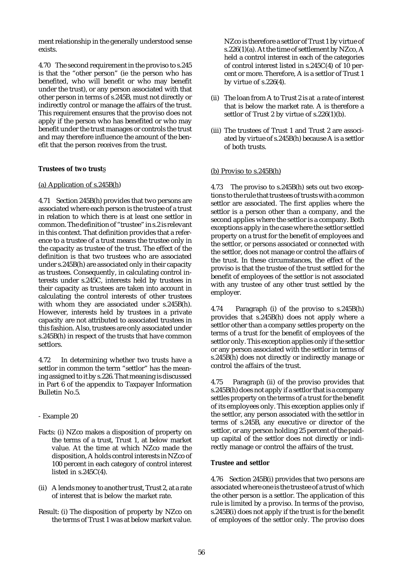ment relationship in the generally understood sense exists.

4.70 The second requirement in the proviso to s.245 is that the "other person" (ie the person who has benefited, who will benefit or who may benefit under the trust), or any person associated with that other person in terms of s.245B, must not directly or indirectly control or manage the affairs of the trust. This requirement ensures that the proviso does not apply if the person who has benefited or who may benefit under the trust manages or controls the trust and may therefore influence the amount of the benefit that the person receives from the trust.

#### **Trustees of two trust**s

#### (a) Application of s.245B(h)

4.71 Section 245B(h) provides that two persons are associated where each person is the trustee of a trust in relation to which there is at least one settlor in common. The definition of "trustee" in s.2 is relevant in this context. That definition provides that a reference to a trustee of a trust means the trustee only in the capacity as trustee of the trust. The effect of the definition is that two trustees who are associated under s.245B(h) are associated only in their capacity as trustees. Consequently, in calculating control interests under s.245C, interests held by trustees in their capacity as trustees are taken into account in calculating the control interests of other trustees with whom they are associated under s.245B(h). However, interests held by trustees in a private capacity are not attributed to associated trustees in this fashion. Also, trustees are only associated under s.245B(h) in respect of the trusts that have common settlors.

4.72 In determining whether two trusts have a settlor in common the term "settlor" has the meaning assigned to it by s.226. That meaning is discussed in Part 6 of the appendix to Taxpayer Information Bulletin No.5.

- Example 20
- Facts: (i) NZco makes a disposition of property on the terms of a trust, Trust 1, at below market value. At the time at which NZco made the disposition, A holds control interests in NZco of 100 percent in each category of control interest listed in  $s.245C(4)$ .
- (ii) A lends money to another trust, Trust 2, at a rate of interest that is below the market rate.
- Result: (i) The disposition of property by NZco on the terms of Trust 1 was at below market value.

NZco is therefore a settlor of Trust 1 by virtue of s.226(1)(a). At the time of settlement by NZco, A held a control interest in each of the categories of control interest listed in s.245C(4) of 10 percent or more. Therefore, A is a settlor of Trust 1 by virtue of s.226(4).

- (ii) The loan from A to Trust 2 is at a rate of interest that is below the market rate. A is therefore a settlor of Trust 2 by virtue of s.226(1)(b).
- (iii) The trustees of Trust 1 and Trust 2 are associated by virtue of s.245B(h) because A is a settlor of both trusts.

### (b) Proviso to s.245B(h)

4.73 The proviso to s.245B(h) sets out two exceptions to the rule that trustees of trusts with a common settlor are associated. The first applies where the settlor is a person other than a company, and the second applies where the settlor is a company. Both exceptions apply in the case where the settlor settled property on a trust for the benefit of employees and the settlor, or persons associated or connected with the settlor, does not manage or control the affairs of the trust. In these circumstances, the effect of the proviso is that the trustee of the trust settled for the benefit of employees of the settlor is not associated with any trustee of any other trust settled by the employer.

4.74 Paragraph (i) of the proviso to s.245B(h) provides that s.245B(h) does not apply where a settlor other than a company settles property on the terms of a trust for the benefit of employees of the settlor only. This exception applies only if the settlor or any person associated with the settlor in terms of s.245B(h) does not directly or indirectly manage or control the affairs of the trust.

4.75 Paragraph (ii) of the proviso provides that s.245B(h) does not apply if a settlor that is a company settles property on the terms of a trust for the benefit of its employees only. This exception applies only if the settlor, any person associated with the settlor in terms of s.245B, any executive or director of the settlor, or any person holding 25 percent of the paidup capital of the settlor does not directly or indirectly manage or control the affairs of the trust.

### **Trustee and settlor**

4.76 Section 245B(i) provides that two persons are associated where one is the trustee of a trust of which the other person is a settlor. The application of this rule is limited by a proviso. In terms of the proviso, s.245B(i) does not apply if the trust is for the benefit of employees of the settlor only. The proviso does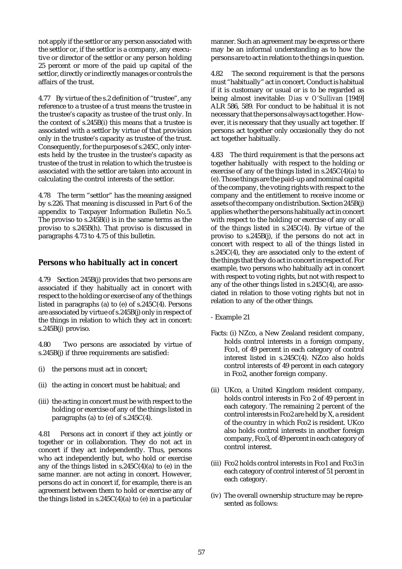not apply if the settlor or any person associated with the settlor or, if the settlor is a company, any executive or director of the settlor or any person holding 25 percent or more of the paid up capital of the settlor, directly or indirectly manages or controls the affairs of the trust.

4.77 By virtue of the s.2 definition of "trustee", any reference to a trustee of a trust means the trustee in the trustee's capacity as trustee of the trust only. In the context of  $s.245B(i)$  this means that a trustee is associated with a settlor by virtue of that provision only in the trustee's capacity as trustee of the trust. Consequently, for the purposes of s.245C, only interests held by the trustee in the trustee's capacity as trustee of the trust in relation to which the trustee is associated with the settlor are taken into account in calculating the control interests of the settlor.

4.78 The term "settlor" has the meaning assigned by s.226. That meaning is discussed in Part 6 of the appendix to Taxpayer Information Bulletin No.5. The proviso to s.245B(i) is in the same terms as the proviso to s.245B(h). That proviso is discussed in paragraphs 4.73 to 4.75 of this bulletin.

### **Persons who habitually act in concert**

4.79 Section 245B(j) provides that two persons are associated if they habitually act in concert with respect to the holding or exercise of any of the things listed in paragraphs (a) to (e) of s.245C(4). Persons are associated by virtue of s.245B(j) only in respect of the things in relation to which they act in concert: s.245B(j) proviso.

4.80 Two persons are associated by virtue of s.245B(j) if three requirements are satisfied:

- (i) the persons must act in concert;
- (ii) the acting in concert must be habitual; and
- (iii) the acting in concert must be with respect to the holding or exercise of any of the things listed in paragraphs (a) to (e) of  $s.245C(4)$ .

4.81 Persons act in concert if they act jointly or together or in collaboration. They do not act in concert if they act independently. Thus, persons who act independently but, who hold or exercise any of the things listed in s.245C(4)(a) to (e) in the same manner. are not acting in concert. However, persons do act in concert if, for example, there is an agreement between them to hold or exercise any of the things listed in  $s.245C(4)(a)$  to (e) in a particular

manner. Such an agreement may be express or there may be an informal understanding as to how the persons are to act in relation to the things in question.

4.82 The second requirement is that the persons must "habitually" act in concert. Conduct is habitual if it is customary or usual or is to be regarded as being almost inevitable: *Dia*s v *O'Sulliva*n [1949] ALR 586, 589. For conduct to be habitual it is not necessary that the persons always act together. However, it is necessary that they usually act together. If persons act together only occasionally they do not act together habitually.

4.83 The third requirement is that the persons act together habitually with respect to the holding or exercise of any of the things listed in s.245C(4)(a) to (e). Those things are the paid-up and nominal capital of the company, the voting rights with respect to the company and the entitlement to receive income or assets of the company on distribution. Section 245B(j) applies whether the persons habitually act in concert with respect to the holding or exercise of any or all of the things listed in s.245C(4). By virtue of the proviso to s.245B(j), if the persons do not act in concert with respect to all of the things listed in s.245C(4), they are associated only to the extent of the things that they do act in concert in respect of. For example, two persons who habitually act in concert with respect to voting rights, but not with respect to any of the other things listed in s.245C(4), are associated in relation to those voting rights but not in relation to any of the other things.

- Example 21

- Facts: (i) NZco, a New Zealand resident company, holds control interests in a foreign company, Fco1, of 49 percent in each category of control interest listed in s.245C(4). NZco also holds control interests of 49 percent in each category in Fco2, another foreign company.
- (ii) UKco, a United Kingdom resident company, holds control interests in Fco 2 of 49 percent in each category. The remaining 2 percent of the control interests in Fco2 are held by X, a resident of the country in which Fco2 is resident. UKco also holds control interests in another foreign company, Fco3, of 49 percent in each category of control interest.
- (iii) Fco2 holds control interests in Fco1 and Fco3 in each category of control interest of 51 percent in each category.
- (iv) The overall ownership structure may be represented as follows: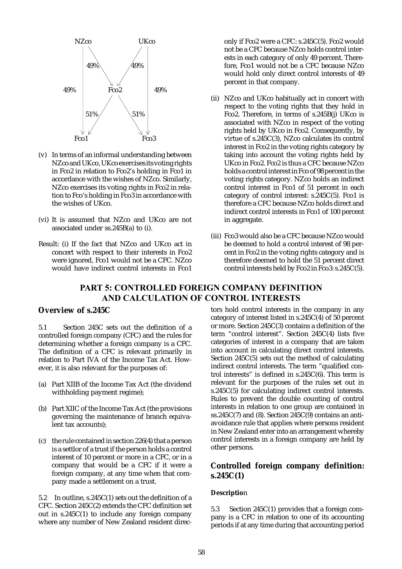

- (v) In terms of an informal understanding between NZco and UKco, UKco exercises its voting rights in Fco2 in relation to Fco2's holding in Fco1 in accordance with the wishes of NZco. Similarly, NZco exercises its voting rights in Fco2 in relation to Fco's holding in Fco3 in accordance with the wishes of UKco.
- (vi) It is assumed that NZco and UKco are not associated under ss.245B(a) to (i).
- Result: (i) If the fact that NZco and UKco act in concert with respect to their interests in Fco2 were ignored, Fco1 would not be a CFC. NZco would have indirect control interests in Fco1

only if Fco2 were a CFC: s.245C(5). Fco2 would not be a CFC because NZco holds control interests in each category of only 49 percent. Therefore, Fco1 would not be a CFC because NZco would hold only direct control interests of 49 percent in that company.

- (ii) NZco and UKco habitually act in concert with respect to the voting rights that they hold in Fco2. Therefore, in terms of s.245B(j) UKco is associated with NZco in respect of the voting rights held by UKco in Fco2. Consequently, by virtue of s.245C(3), NZco calculates its control interest in Fco2 in the voting rights category by taking into account the voting rights held by UKco in Fco2. Fco2 is thus a CFC because NZco holds a control interest in Fco of 98 percent in the voting rights category. NZco holds an indirect control interest in Fco1 of 51 percent in each category of control interest:  $s.\overline{2}45C(5)$ . Fco1 is therefore a CFC because NZco holds direct and indirect control interests in Fco1 of 100 percent in aggregate.
- (iii) Fco3 would also be a CFC because NZco would be deemed to hold a control interest of 98 percent in Fco2 in the voting rights category and is therefore deemed to hold the 51 percent direct control interests held by Fco2 in Fco3:  $s.245C(5)$ .

# PART 5: CONTROLLED FOREIGN COMPANY DEFINITION AND CALCULATION OF CONTROL INTERESTS

### **Overview of s.245C**

5.1 Section 245C sets out the definition of a controlled foreign company (CFC) and the rules for determining whether a foreign company is a CFC. The definition of a CFC is relevant primarily in relation to Part IVA of the Income Tax Act. However, it is also relevant for the purposes of:

- (a) Part XIIB of the Income Tax Act (the dividend withholding payment regime);
- (b) Part XIIC of the Income Tax Act (the provisions governing the maintenance of branch equivalent tax accounts);
- (c) the rule contained in section 226(4) that a person is a settlor of a trust if the person holds a control interest of 10 percent or more in a CFC, or in a company that would be a CFC if it were a foreign company, at any time when that company made a settlement on a trust.

5.2 In outline, s.245C(1) sets out the definition of a CFC. Section 245C(2) extends the CFC definition set out in s.245C(1) to include any foreign company where any number of New Zealand resident directors hold control interests in the company in any category of interest listed in s.245C(4) of 50 percent or more. Section 245C(3) contains a definition of the term "control interest". Section 245C(4) lists five categories of interest in a company that are taken into account in calculating direct control interests. Section 245C(5) sets out the method of calculating indirect control interests. The term "qualified control interests" is defined in  $s.245C(6)$ . This term is relevant for the purposes of the rules set out in s.245C(5) for calculating indirect control interests. Rules to prevent the double counting of control interests in relation to one group are contained in  $ss.245C(7)$  and (8). Section 245C(9) contains an antiavoidance rule that applies where persons resident in New Zealand enter into an arrangement whereby control interests in a foreign company are held by other persons.

## **Controlled foreign company definition: s.245C(1)**

### **Descriptio**n

5.3 Section 245C(1) provides that a foreign company is a CFC in relation to one of its accounting periods if at any time during that accounting period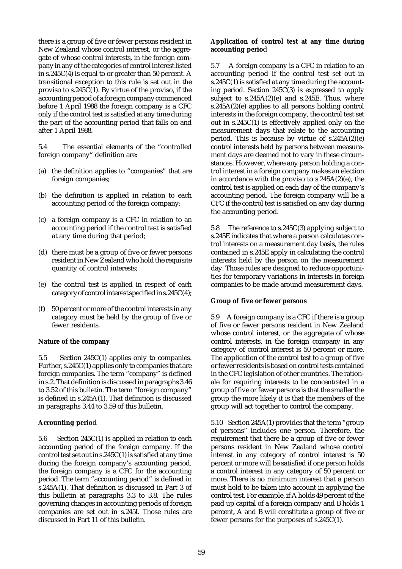there is a group of five or fewer persons resident in New Zealand whose control interest, or the aggregate of whose control interests, in the foreign company in any of the categories of control interest listed in s.245C(4) is equal to or greater than 50 percent. A transitional exception to this rule is set out in the proviso to  $s.245C(1)$ . By virtue of the proviso, if the accounting period of a foreign company commenced before 1 April 1988 the foreign company is a CFC only if the control test is satisfied at any time during the part of the accounting period that falls on and after 1 April 1988.

5.4 The essential elements of the "controlled foreign company" definition are:

- (a) the definition applies to "companies" that are foreign companies;
- (b) the definition is applied in relation to each accounting period of the foreign company;
- (c) a foreign company is a CFC in relation to an accounting period if the control test is satisfied at any time during that period;
- (d) there must be a group of five or fewer persons resident in New Zealand who hold the requisite quantity of control interests;
- (e) the control test is applied in respect of each category of control interest specified in s.245C(4);
- (f) 50 percent or more of the control interests in any category must be held by the group of five or fewer residents.

#### **Nature of the company**

5.5 Section 245C(1) applies only to companies. Further, s.245C(1) applies only to companies that are foreign companies. The term "company" is defined in s.2. That definition is discussed in paragraphs 3.46 to 3.52 of this bulletin. The term "foreign company" is defined in s.245A(1). That definition is discussed in paragraphs 3.44 to 3.59 of this bulletin.

#### **Accounting perio**d

5.6 Section 245C(1) is applied in relation to each accounting period of the foreign company. If the control test set out in s.245C(1) is satisfied at any time during the foreign company's accounting period, the foreign company is a CFC for the accounting period. The term "accounting period" is defined in s.245A(1). That definition is discussed in Part 3 of this bulletin at paragraphs 3.3 to 3.8. The rules governing changes in accounting periods of foreign companies are set out in s.245I. Those rules are discussed in Part 11 of this bulletin.

### **Application of control test at any time during accounting perio**d

5.7 A foreign company is a CFC in relation to an accounting period if the control test set out in s.245C(1) is satisfied at any time during the accounting period. Section 245C(3) is expressed to apply subject to  $s.245A(2)(e)$  and  $s.245E$ . Thus, where s.245A(2)(e) applies to all persons holding control interests in the foreign company, the control test set out in s.245C(1) is effectively applied only on the measurement days that relate to the accounting period. This is because by virtue of s.245A(2)(e) control interests held by persons between measurement days are deemed not to vary in these circumstances. However, where any person holding a control interest in a foreign company makes an election in accordance with the proviso to s.245A(2)(e), the control test is applied on each day of the company's accounting period. The foreign company will be a CFC if the control test is satisfied on any day during the accounting period.

5.8 The reference to s.245C(3) applying subject to s.245E indicates that where a person calculates control interests on a measurement day basis, the rules contained in s.245E apply in calculating the control interests held by the person on the measurement day. Those rules are designed to reduce opportunities for temporary variations in interests in foreign companies to be made around measurement days.

#### **Group of five or fewer persons**

5.9 A foreign company is a CFC if there is a group of five or fewer persons resident in New Zealand whose control interest, or the aggregate of whose control interests, in the foreign company in any category of control interest is 50 percent or more. The application of the control test to a group of five or fewer residents is based on control tests contained in the CFC legislation of other countries. The rationale for requiring interests to be concentrated in a group of five or fewer persons is that the smaller the group the more likely it is that the members of the group will act together to control the company.

5.10 Section 245A(1) provides that the term "group of persons" includes one person. Therefore, the requirement that there be a group of five or fewer persons resident in New Zealand whose control interest in any category of control interest is 50 percent or more will be satisfied if one person holds a control interest in any category of 50 percent or more. There is no minimum interest that a person must hold to be taken into account in applying the control test. For example, if A holds 49 percent of the paid up capital of a foreign company and B holds 1 percent, A and B will constitute a group of five or fewer persons for the purposes of s.245C(1).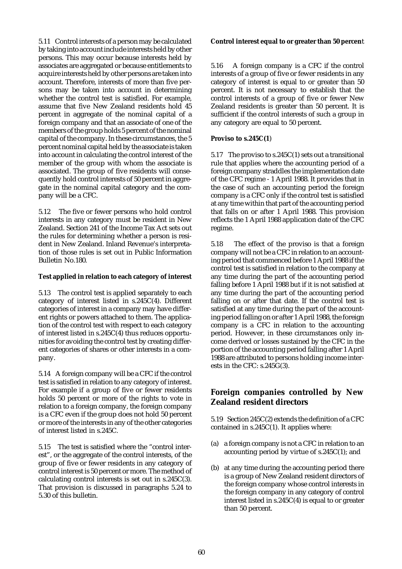5.11 Control interests of a person may be calculated by taking into account include interests held by other persons. This may occur because interests held by associates are aggregated or because entitlements to acquire interests held by other persons are taken into account. Therefore, interests of more than five persons may be taken into account in determining whether the control test is satisfied. For example, assume that five New Zealand residents hold 45 percent in aggregate of the nominal capital of a foreign company and that an associate of one of the members of the group holds 5 percent of the nominal capital of the company. In these circumstances, the 5 percent nominal capital held by the associate is taken into account in calculating the control interest of the member of the group with whom the associate is associated. The group of five residents will consequently hold control interests of 50 percent in aggregate in the nominal capital category and the company will be a CFC.

5.12 The five or fewer persons who hold control interests in any category must be resident in New Zealand. Section 241 of the Income Tax Act sets out the rules for determining whether a person is resident in New Zealand. Inland Revenue's interpretation of those rules is set out in Public Information Bulletin No.180.

### **Test applied in relation to each category of interest**

5.13 The control test is applied separately to each category of interest listed in s.245C(4). Different categories of interest in a company may have different rights or powers attached to them. The application of the control test with respect to each category of interest listed in s.245C(4) thus reduces opportunities for avoiding the control test by creating different categories of shares or other interests in a company.

5.14 A foreign company will be a CFC if the control test is satisfied in relation to any category of interest. For example if a group of five or fewer residents holds 50 percent or more of the rights to vote in relation to a foreign company, the foreign company is a CFC even if the group does not hold 50 percent or more of the interests in any of the other categories of interest listed in s.245C.

5.15 The test is satisfied where the "control interest", or the aggregate of the control interests, of the group of five or fewer residents in any category of control interest is 50 percent or more. The method of calculating control interests is set out in s.245C(3). That provision is discussed in paragraphs 5.24 to 5.30 of this bulletin.

#### **Control interest equal to or greater than 50 percen**t

5.16 A foreign company is a CFC if the control interests of a group of five or fewer residents in any category of interest is equal to or greater than 50 percent. It is not necessary to establish that the control interests of a group of five or fewer New Zealand residents is greater than 50 percent. It is sufficient if the control interests of such a group in any category are equal to 50 percent.

#### **Proviso to s.245C(1**)

5.17 The proviso to s.245C(1) sets out a transitional rule that applies where the accounting period of a foreign company straddles the implementation date of the CFC regime - 1 April 1988. It provides that in the case of such an accounting period the foreign company is a CFC only if the control test is satisfied at any time within that part of the accounting period that falls on or after  $1$  April 1988. This provision reflects the 1 April 1988 application date of the CFC regime.

5.18 The effect of the proviso is that a foreign company will not be a CFC in relation to an accounting period that commenced before 1 April 1988 if the control test is satisfied in relation to the company at any time during the part of the accounting period falling before 1 April 1988 but if it is not satisfied at any time during the part of the accounting period falling on or after that date. If the control test is satisfied at any time during the part of the accounting period falling on or after 1 April 1988, the foreign company is a CFC in relation to the accounting period. However, in these circumstances only income derived or losses sustained by the CFC in the portion of the accounting period falling after 1 April 1988 are attributed to persons holding income interests in the CFC: s.245G(3).

## **Foreign companies controlled by New Zealand resident directors**

5.19 Section 245C(2) extends the definition of a CFC contained in s.245C(1). It applies where:

- (a) a foreign company is not a CFC in relation to an accounting period by virtue of s.245C(1); and
- (b) at any time during the accounting period there is a group of New Zealand resident directors of the foreign company whose control interests in the foreign company in any category of control interest listed in  $s.245C(4)$  is equal to or greater than 50 percent.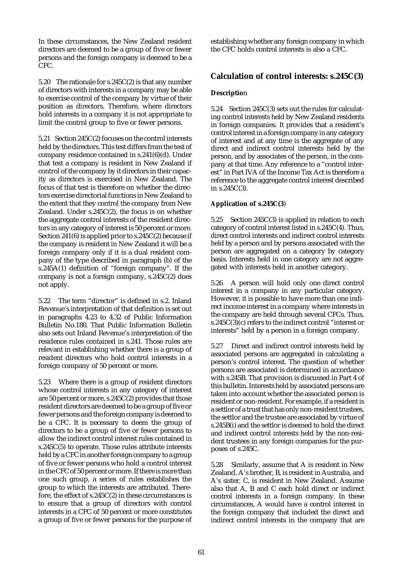In these circumstances, the New Zealand resident directors are deemed to be a group of five or fewer persons and the foreign company is deemed to be a CFC.

5.20 The rationale for s.245C(2) is that any number of directors with interests in a company may be able to exercise control of the company by virtue of their position as directors. Therefore, where directors hold interests in a company it is not appropriate to limit the control group to five or fewer persons.

5.21 Section 245C(2) focuses on the control interests held by the directors. This test differs from the test of company residence contained in s.241(6)(d). Under that test a company is resident in New Zealand if control of the company by it directors in their capacity as directors is exercised in New Zealand. The focus of that test is therefore on whether the directors exercise directorial functions in New Zealand to the extent that they control the company from New Zealand. Under s.245C(2), the focus is on whether the aggregate control interests of the resident directors in any category of interest is 50 percent or more. Section 241(6) is applied prior to s.245C(2) because if the company is resident in New Zealand it will be a foreign company only if it is a dual resident company of the type described in paragraph (b) of the s.245A(1) definition of "foreign company". If the company is not a foreign company, s.245C(2) does not apply.

5.22 The term "director" is defined in s.2. Inland Revenue's interpretation of that definition is set out in paragraphs 4.23 to 4.32 of Public Information Bulletin No.180. That Public Information Bulletin also sets out Inland Revenue's interpretation of the residence rules contained in s.241. Those rules are relevant in establishing whether there is a group of resident directors who hold control interests in a foreign company of 50 percent or more.

5.23 Where there is a group of resident directors whose control interests in any category of interest are 50 percent or more, s.245C(2) provides that those resident directors are deemed to be a group of five or fewer persons and the foreign company is deemed to be a CFC. It is necessary to deem the group of directors to be a group of five or fewer persons to allow the indirect control interest rules contained in s.245C(5) to operate. Those rules attribute interests held by a CFC in another foreign company to a group of five or fewer persons who hold a control interest in the CFC of 50 percent or more. If there is more than one such group, a series of rules establishes the group to which the interests are attributed. Therefore, the effect of s.245C(2) in these circumstances is to ensure that a group of directors with control interests in a CFC of 50 percent or more constitutes a group of five or fewer persons for the purpose of establishing whether any foreign company in which the CFC holds control interests is also a CFC.

## **Calculation of control interests: s.245C(3)**

### **Descriptio**n

5.24 Section 245C(3) sets out the rules for calculating control interests held by New Zealand residents in foreign companies. It provides that a resident's control interest in a foreign company in any category of interest and at any time is the aggregate of any direct and indirect control interests held by the person, and by associates of the person, in the company at that time. Any reference to a "control interest" in Part IVA of the Income Tax Act is therefore a reference to the aggregate control interest described in s.245C(3).

### **Application of s.245C(3**)

5.25 Section 245C(3) is applied in relation to each category of control interest listed in s.245C(4). Thus, direct control interests and indirect control interests held by a person and by persons associated with the person are aggregated on a category by category basis. Interests held in one category are not aggregated with interests held in another category.

5.26 A person will hold only one direct control interest in a company in any particular category. However, it is possible to have more than one indirect income interest in a company where interests in the company are held through several CFCs. Thus, s.245C(3)(c) refers to the indirect control "interest or interests" held by a person in a foreign company.

5.27 Direct and indirect control interests held by associated persons are aggregated in calculating a person's control interest. The question of whether persons are associated is determined in accordance with s.245B. That provision is discussed in Part 4 of this bulletin. Interests held by associated persons are taken into account whether the associated person is resident or non-resident. For example, if a resident is a settlor of a trust that has only non-resident trustees, the settlor and the trustee are associated by virtue of s.245B(i) and the settlor is deemed to hold the direct and indirect control interests held by the non-resident trustees in any foreign companies for the purposes of s.245C.

5.28 Similarly, assume that A is resident in New Zealand, A's brother, B, is resident in Australia, and A's sister, C, is resident in New Zealand. Assume also that A, B and C each hold direct or indirect control interests in a foreign company. In these circumstances, A would have a control interest in the foreign company that included the direct and indirect control interests in the company that are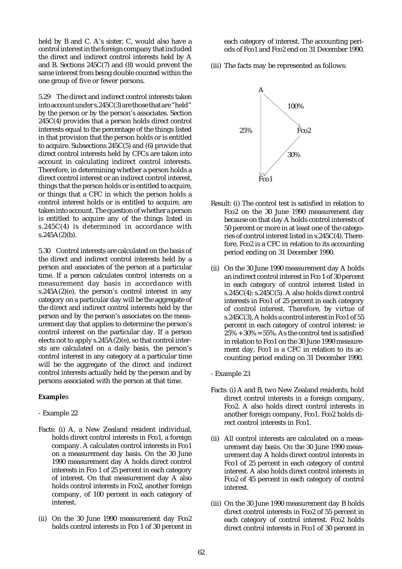held by B and C. A's sister, C, would also have a control interest in the foreign company that included the direct and indirect control interests held by A and B. Sections 245C(7) and (8) would prevent the same interest from being double counted within the one group of five or fewer persons.

5.29 The direct and indirect control interests taken into account under s.245C(3) are those that are "held" by the person or by the person's associates. Section 245C(4) provides that a person holds direct control interests equal to the percentage of the things listed in that provision that the person holds or is entitled to acquire. Subsections 245C(5) and (6) provide that direct control interests held by CFCs are taken into account in calculating indirect control interests. Therefore, in determining whether a person holds a direct control interest or an indirect control interest, things that the person holds or is entitled to acquire, or things that a CFC in which the person holds a control interest holds or is entitled to acquire, are taken into account. The question of whether a person is entitled to acquire any of the things listed in s.245C(4) is determined in accordance with  $s.245A(2)(b)$ .

5.30 Control interests are calculated on the basis of the direct and indirect control interests held by a person and associates of the person at a particular time. If a person calculates control interests on a measurement day basis in accordance with  $s.245A(2)(e)$ , the person's control interest in any category on a particular day will be the aggregate of the direct and indirect control interests held by the person and by the person's associates on the measurement day that applies to determine the person's control interest on the particular day. If a person elects not to apply s.245A(2)(e), so that control intersts are calculated on a daily basis, the person's control interest in any category at a particular time will be the aggregate of the direct and indirect control interests actually held by the person and by persons associated with the person at that time.

### **Example**s

- Example 22
- Facts: (i) A, a New Zealand resident individual, holds direct control interests in Fco1, a foreign company. A calculates control interests in Fco1 on a measurement day basis. On the 30 June 1990 measurement day A holds direct control interests in Fco 1 of 25 percent in each category of interest. On that measurement day A also holds control interests in Fco2, another foreign company, of 100 percent in each category of interest.
- (ii) On the 30 June 1990 measurement day Fco2 holds control interests in Fco 1 of 30 percent in

each category of interest. The accounting periods of Fco1 and Fco2 end on 31 December 1990.

(iii) The facts may be represented as follows:



- Result: (i) The control test is satisfied in relation to Fco2 on the 30 June 1990 measurement day because on that day A holds control interests of 50 percent or more in at least one of the categories of control interest listed in s.245C(4). Therefore, Fco2 is a CFC in relation to its accounting period ending on 31 December 1990.
- (ii) On the 30 June 1990 measurement day A holds an indirect control interest in Fco 1 of 30 percent in each category of control interest listed in s.245C(4): s.245C(5). A also holds direct control interests in Fco1 of 25 percent in each category of control interest. Therefore, by virtue of s.245C(3), A holds a control interest in Fco1 of 55 percent in each category of control interest: ie  $25\% + 30\% = 55\%$ . As the control test is satisfied in relation to Fco1 on the 30 June 1990 measurement day, Fco1 is a CFC in relation to its accounting period ending on 31 December 1990.
- Example 23
- Facts: (i) A and B, two New Zealand residents, hold direct control interests in a foreign company, Fco2. A also holds direct control interests in another foreign company, Fco1. Fco2 holds direct control interests in Fco1.
- (ii) All control interests are calculated on a measurement day basis. On the 30 June 1990 measurement day A holds direct control interests in Fco1 of 25 percent in each category of control interest. A also holds direct control interests in Fco2 of 45 percent in each category of control interest.
- (iii) On the 30 June 1990 measurement day B holds direct control interests in Fco2 of 55 percent in each category of control interest. Fco2 holds direct control interests in Fco1 of 30 percent in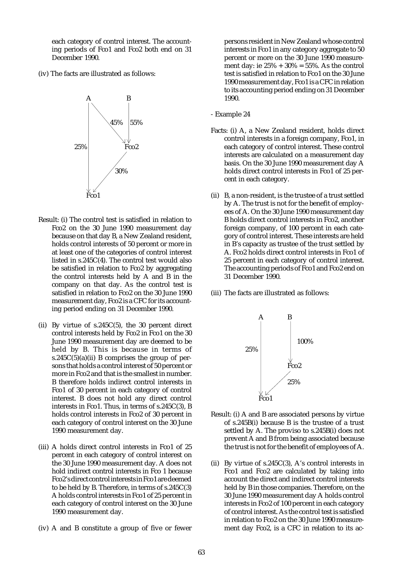each category of control interest. The accounting periods of Fco1 and Fco2 both end on 31 December 1990.

(iv) The facts are illustrated as follows:



- Result: (i) The control test is satisfied in relation to Fco2 on the 30 June 1990 measurement day because on that day B, a New Zealand resident, holds control interests of 50 percent or more in at least one of the categories of control interest listed in s.245C(4). The control test would also be satisfied in relation to Fco2 by aggregating the control interests held by A and B in the company on that day. As the control test is satisfied in relation to Fco2 on the 30 June 1990 measurement day, Fco2 is a CFC for its accounting period ending on 31 December 1990.
- (ii) By virtue of s.245C(5), the 30 percent direct control interests held by Fco2 in Fco1 on the 30 June 1990 measurement day are deemed to be held by B. This is because in terms of s.245 $C(5)(a)(ii)$  B comprises the group of persons that holds a control interest of 50 percent or more in Fco2 and that is the smallest in number. B therefore holds indirect control interests in Fco1 of 30 percent in each category of control interest. B does not hold any direct control interests in Fco1. Thus, in terms of s.245C(3), B holds control interests in Fco2 of 30 percent in each category of control interest on the 30 June 1990 measurement day.
- (iii) A holds direct control interests in Fco1 of 25 percent in each category of control interest on the 30 June 1990 measurement day. A does not hold indirect control interests in Fco 1 because Fco2's direct control interests in Fco1 are deemed to be held by B. Therefore, in terms of s.245C(3) A holds control interests in Fco1 of 25 percent in each category of control interest on the 30 June 1990 measurement day.
- (iv) A and B constitute a group of five or fewer

persons resident in New Zealand whose control interests in Fco1 in any category aggregate to 50 percent or more on the 30 June 1990 measurement day: ie  $25\% + 30\% = 55\%$ . As the control test is satisfied in relation to Fco1 on the 30 June 1990 measurement day, Fco1 is a CFC in relation to its accounting period ending on 31 December 1990.

- Example 24
- Facts: (i) A, a New Zealand resident, holds direct control interests in a foreign company, Fco1, in each category of control interest. These control interests are calculated on a measurement day basis. On the 30 June 1990 measurement day A holds direct control interests in Fco1 of 25 percent in each category.
- (ii) B, a non-resident, is the trustee of a trust settled by A. The trust is not for the benefit of employees of A. On the 30 June 1990 measurement day B holds direct control interests in Fco2, another foreign company, of 100 percent in each category of control interest. These interests are held in B's capacity as trustee of the trust settled by A. Fco2 holds direct control interests in Fco1 of 25 percent in each category of control interest. The accounting periods of Fco1 and Fco2 end on 31 December 1990.
- (iii) The facts are illustrated as follows:



- Result: (i) A and B are associated persons by virtue of s.245B(i) because B is the trustee of a trust settled by A. The proviso to s.245B(i) does not prevent A and B from being associated because the trust is not for the benefit of employees of A.
- (ii) By virtue of s.245C(3), A's control interests in Fco1 and Fco2 are calculated by taking into account the direct and indirect control interests held by B in those companies. Therefore, on the 30 June 1990 measurement day A holds control interests in Fco2 of 100 percent in each category of control interest. As the control test is satisfied in relation to Fco2 on the 30 June 1990 measurement day Fco2, is a CFC in relation to its ac-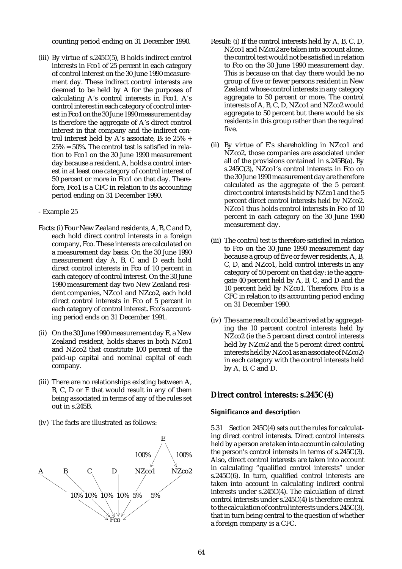counting period ending on 31 December 1990.

(iii) By virtue of s.245C(5), B holds indirect control interests in Fco1 of 25 percent in each category of control interest on the 30 June 1990 measurement day. These indirect control interests are deemed to be held by A for the purposes of calculating A's control interests in Fco1. A's control interest in each category of control interest in Fco1 on the 30 June 1990 measurement day is therefore the aggregate of A's direct control interest in that company and the indirect control interest held by A's associate, B: ie 25% +  $25\% = 50\%$ . The control test is satisfied in relation to Fco1 on the 30 June 1990 measurement day because a resident, A, holds a control interest in at least one category of control interest of 50 percent or more in Fco1 on that day. Therefore, Fco1 is a CFC in relation to its accounting period ending on 31 December 1990.

### - Example 25

- Facts: (i) Four New Zealand residents, A, B, C and D, each hold direct control interests in a foreign company, Fco. These interests are calculated on a measurement day basis. On the 30 June 1990 measurement day A, B, C and D each hold direct control interests in Fco of 10 percent in each category of control interest. On the 30 June 1990 measurement day two New Zealand resident companies, NZco1 and NZco2, each hold direct control interests in Fco of 5 percent in each category of control interest. Fco's accounting period ends on 31 December 1991.
- (ii) On the 30 June 1990 measurement day E, a New Zealand resident, holds shares in both NZco1 and NZco2 that constitute 100 percent of the paid-up capital and nominal capital of each company.
- (iii) There are no relationships existing between A, B, C, D or E that would result in any of them being associated in terms of any of the rules set out in s.245B.
- (iv) The facts are illustrated as follows:



- Result: (i) If the control interests held by A, B, C, D, NZco1 and NZco2 are taken into account alone, the control test would not be satisfied in relation to Fco on the 30 June 1990 measurement day. This is because on that day there would be no group of five or fewer persons resident in New Zealand whose control interests in any category aggregate to 50 percent or more. The control interests of A, B, C, D, NZco1 and NZco2 would aggregate to 50 percent but there would be six residents in this group rather than the required five.
- (ii) By virtue of E's shareholding in NZco1 and NZco2, those companies are associated under all of the provisions contained in s.245B(a). By s.245C(3), NZco1's control interests in Fco on the 30 June 1990 measurement day are therefore calculated as the aggregate of the 5 percent direct control interests held by NZco1 and the 5 percent direct control interests held by NZco2. NZco1 thus holds control interests in Fco of 10 percent in each category on the 30 June 1990 measurement day.
- (iii) The control test is therefore satisfied in relation to Fco on the 30 June 1990 measurement day because a group of five or fewer residents, A, B, C, D, and NZco1, hold control interests in any category of 50 percent on that day: ie the aggregate 40 percent held by A, B, C, and D and the 10 percent held by NZco1. Therefore, Fco is a CFC in relation to its accounting period ending on 31 December 1990.
- (iv) The same result could be arrived at by aggregating the 10 percent control interests held by NZco2 (ie the 5 percent direct control interests held by NZco2 and the 5 percent direct control interests held by NZco1 as an associate of NZco2) in each category with the control interests held by A, B, C and D.

# **Direct control interests: s.245C(4)**

### **Significance and descriptio**n

5.31 Section 245C(4) sets out the rules for calculating direct control interests. Direct control interests held by a person are taken into account in calculating the person's control interests in terms of s.245C(3). Also, direct control interests are taken into account in calculating "qualified control interests" under s.245C(6). In turn, qualified control interests are taken into account in calculating indirect control interests under s.245C(4). The calculation of direct control interests under s.245C(4) is therefore central to the calculation of control interests under s.245C(3), that in turn being central to the question of whether a foreign company is a CFC.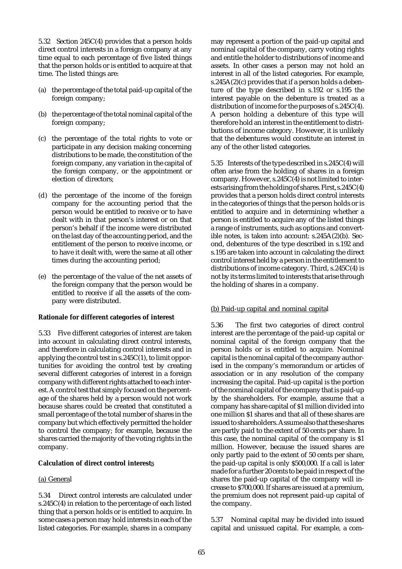5.32 Section 245C(4) provides that a person holds direct control interests in a foreign company at any time equal to each percentage of five listed things that the person holds or is entitled to acquire at that time. The listed things are:

- (a) the percentage of the total paid-up capital of the foreign company;
- (b) the percentage of the total nominal capital of the foreign company;
- (c) the percentage of the total rights to vote or participate in any decision making concerning distributions to be made, the constitution of the foreign company, any variation in the capital of the foreign company, or the appointment or election of directors;
- (d) the percentage of the income of the foreign company for the accounting period that the person would be entitled to receive or to have dealt with in that person's interest or on that person's behalf if the income were distributed on the last day of the accounting period, and the entitlement of the person to receive income, or to have it dealt with, were the same at all other times during the accounting period;
- (e) the percentage of the value of the net assets of the foreign company that the person would be entitled to receive if all the assets of the company were distributed.

#### **Rationale for different categories of interest**

5.33 Five different categories of interest are taken into account in calculating direct control interests, and therefore in calculating control interests and in applying the control test in s.245C(1), to limit opportunities for avoiding the control test by creating several different categories of interest in a foreign company with different rights attached to each interest. A control test that simply focused on the percentage of the shares held by a person would not work because shares could be created that constituted a small percentage of the total number of shares in the company but which effectively permitted the holder to control the company; for example, because the shares carried the majority of the voting rights in the company.

#### **Calculation of direct control interest**s

#### (a) General

5.34 Direct control interests are calculated under s.245C(4) in relation to the percentage of each listed thing that a person holds or is entitled to acquire. In some cases a person may hold interests in each of the listed categories. For example, shares in a company

may represent a portion of the paid-up capital and nominal capital of the company, carry voting rights and entitle the holder to distributions of income and assets. In other cases a person may not hold an interest in all of the listed categories. For example, s.245A(2)(c) provides that if a person holds a debenture of the type described in s.192 or s.195 the interest payable on the debenture is treated as a distribution of income for the purposes of s.245C(4). A person holding a debenture of this type will therefore hold an interest in the entitlement to distributions of income category. However, it is unlikely that the debentures would constitute an interest in any of the other listed categories.

5.35 Interests of the type described in s.245C(4) will often arise from the holding of shares in a foreign company. However, s.245C(4) is not limited to interests arising from the holding of shares. First, s.245C(4) provides that a person holds direct control interests in the categories of things that the person holds or is entitled to acquire and in determining whether a person is entitled to acquire any of the listed things a range of instruments, such as options and convertible notes, is taken into account: s.245A(2)(b). Second, debentures of the type described in s.192 and s.195 are taken into account in calculating the direct control interest held by a person in the entitlement to distributions of income category. Third, s.245C(4) is not by its terms limited to interests that arise through the holding of shares in a company.

#### (b) Paid-up capital and nominal capital

5.36 The first two categories of direct control interest are the percentage of the paid-up capital or nominal capital of the foreign company that the person holds or is entitled to acquire. Nominal capital is the nominal capital of the company authorised in the company's memorandum or articles of association or in any resolution of the company increasing the capital. Paid-up capital is the portion of the nominal capital of the company that is paid-up by the shareholders. For example, assume that a company has share capital of \$1 million divided into one million \$1 shares and that all of these shares are issued to shareholders. Assume also that these shares are partly paid to the extent of 50 cents per share. In this case, the nominal capital of the company is \$1 million. However, because the issued shares are only partly paid to the extent of 50 cents per share, the paid-up capital is only \$500,000. If a call is later made for a further 20 cents to be paid in respect of the shares the paid-up capital of the company will increase to \$700,000. If shares are issued at a premium, the premium does not represent paid-up capital of the company.

5.37 Nominal capital may be divided into issued capital and unissued capital. For example, a com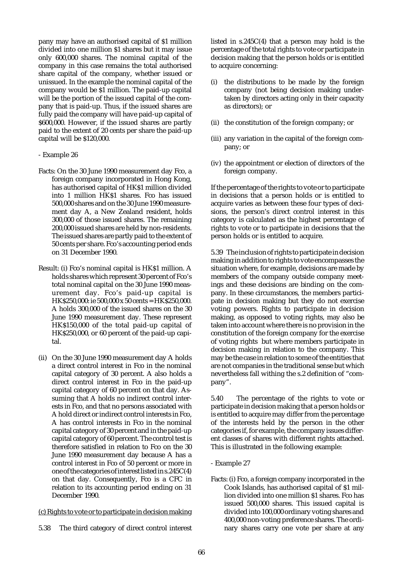pany may have an authorised capital of \$1 million divided into one million \$1 shares but it may issue only 600,000 shares. The nominal capital of the company in this case remains the total authorised share capital of the company, whether issued or unissued. In the example the nominal capital of the company would be \$1 million. The paid-up capital will be the portion of the issued capital of the company that is paid-up. Thus, if the issued shares are fully paid the company will have paid-up capital of \$600,000. However, if the issued shares are partly paid to the extent of 20 cents per share the paid-up capital will be \$120,000.

- Example 26
- Facts: On the 30 June 1990 measurement day Fco, a foreign company incorporated in Hong Kong, has authorised capital of HK\$1 million divided into 1 million HK\$1 shares. Fco has issued 500,000 shares and on the 30 June 1990 measurement day A, a New Zealand resident, holds 300,000 of those issued shares. The remaining 200,000 issued shares are held by non-residents. The issued shares are partly paid to the extent of 50 cents per share. Fco's accounting period ends on 31 December 1990.
- Result: (i) Fco's nominal capital is HK\$1 million. A holds shares which represent 30 percent of Fco's total nominal capital on the 30 June 1990 measurement day. Fco's paid-up capital is HK\$250,000: ie 500,000 x 50 cents = HK\$250,000. A holds 300,000 of the issued shares on the 30 June 1990 measurement day. These represent HK\$150,000 of the total paid-up capital of HK\$250,000, or 60 percent of the paid-up capital.
- (ii) On the 30 June 1990 measurement day A holds a direct control interest in Fco in the nominal capital category of 30 percent. A also holds a direct control interest in Fco in the paid-up capital category of 60 percent on that day. Assuming that A holds no indirect control interests in Fco, and that no persons associated with A hold direct or indirect control interests in Fco, A has control interests in Fco in the nominal capital category of 30 percent and in the paid-up capital category of 60 percent. The control test is therefore satisfied in relation to Fco on the 30 June 1990 measurement day because A has a control interest in Fco of 50 percent or more in one of the categories of interest listed in s.245C(4) on that day. Consequently, Fco is a CFC in relation to its accounting period ending on 31 December 1990.

### (c) Rights to vote or to participate in decision making

5.38 The third category of direct control interest

listed in s.245C(4) that a person may hold is the percentage of the total rights to vote or participate in decision making that the person holds or is entitled to acquire concerning:

- (i) the distributions to be made by the foreign company (not being decision making undertaken by directors acting only in their capacity as directors); or
- (ii) the constitution of the foreign company; or
- (iii) any variation in the capital of the foreign company; or
- (iv) the appointment or election of directors of the foreign company.

If the percentage of the rights to vote or to participate in decisions that a person holds or is entitled to acquire varies as between these four types of decisions, the person's direct control interest in this category is calculated as the highest percentage of rights to vote or to participate in decisions that the person holds or is entitled to acquire.

5.39 The inclusion of rights to participate in decision making in addition to rights to vote encompasses the situation where, for example, decisions are made by members of the company outside company meetings and these decisions are binding on the company. In these circumstances, the members participate in decision making but they do not exercise voting powers. Rights to participate in decision making, as opposed to voting rights, may also be taken into account where there is no provision in the constitution of the foreign company for the exercise of voting rights but where members participate in decision making in relation to the company. This may be the case in relation to some of the entities that are not companies in the traditional sense but which nevertheless fall withing the s.2 definition of "company".

5.40 The percentage of the rights to vote or participate in decision making that a person holds or is entitled to acquire may differ from the percentage of the interests held by the person in the other categories if, for example, the company issues different classes of shares with different rights attached. This is illustrated in the following example:

#### - Example 27

Facts: (i) Fco, a foreign company incorporated in the Cook Islands, has authorised capital of \$1 million divided into one million \$1 shares. Fco has issued 500,000 shares. This issued capital is divided into 100,000 ordinary voting shares and 400,000 non-voting preference shares. The ordinary shares carry one vote per share at any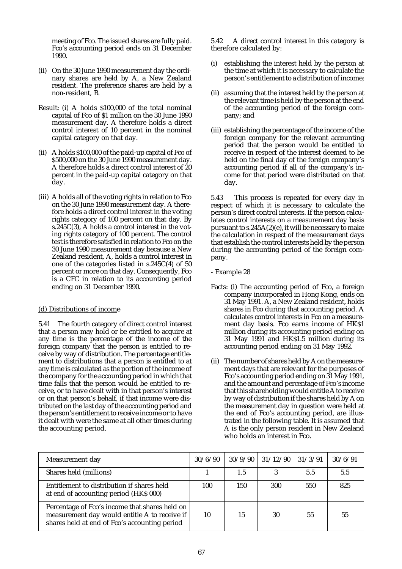meeting of Fco. The issued shares are fully paid. Fco's accounting period ends on 31 December 1990.

- (ii) On the 30 June 1990 measurement day the ordinary shares are held by A, a New Zealand resident. The preference shares are held by a non-resident, B.
- Result: (i) A holds \$100,000 of the total nominal capital of Fco of \$1 million on the 30 June 1990 measurement day. A therefore holds a direct control interest of 10 percent in the nominal capital category on that day.
- (ii) A holds \$100,000 of the paid-up capital of Fco of \$500,000 on the 30 June 1990 measurement day. A therefore holds a direct control interest of 20 percent in the paid-up capital category on that day.
- (iii) A holds all of the voting rights in relation to Fco on the 30 June 1990 measurement day. A therefore holds a direct control interest in the voting rights category of 100 percent on that day. By s.245C(3), A holds a control interest in the voting rights category of 100 percent. The control test is therefore satisfied in relation to Fco on the 30 June 1990 measurement day because a New Zealand resident, A, holds a control interest in one of the categories listed in s.245C(4) of 50 percent or more on that day. Consequently, Fco is a CFC in relation to its accounting period ending on 31 December 1990.

### (d) Distributions of income

5.41 The fourth category of direct control interest that a person may hold or be entitled to acquire at any time is the percentage of the income of the foreign company that the person is entitled to receive by way of distribution. The percentage entitlement to distributions that a person is entitled to at any time is calculated as the portion of the income of the company for the accounting period in which that time falls that the person would be entitled to receive, or to have dealt with in that person's interest or on that person's behalf, if that income were distributed on the last day of the accounting period and the person's entitlement to receive income or to have it dealt with were the same at all other times during the accounting period.

5.42 A direct control interest in this category is therefore calculated by:

- (i) establishing the interest held by the person at the time at which it is necessary to calculate the person's entitlement to a distribution of income;
- (ii) assuming that the interest held by the person at the relevant time is held by the person at the end of the accounting period of the foreign company; and
- (iii) establishing the percentage of the income of the foreign company for the relevant accounting period that the person would be entitled to receive in respect of the interest deemed to be held on the final day of the foreign company's accounting period if all of the company's income for that period were distributed on that day.

5.43 This process is repeated for every day in respect of which it is necessary to calculate the person's direct control interests. If the person calculates control interests on a measurement day basis pursuant to s.245A(2)(e), it will be necessary to make the calculation in respect of the measurement days that establish the control interests held by the person during the accounting period of the foreign company.

- Example 28
- Facts: (i) The accounting period of Fco, a foreign company incorporated in Hong Kong, ends on 31 May 1991. A, a New Zealand resident, holds shares in Fco during that accounting period. A calculates control interests in Fco on a measurement day basis. Fco earns income of HK\$1 million during its accounting period ending on 31 May 1991 and HK\$1.5 million during its accounting period ending on 31 May 1992.
- (ii) The number of shares held by A on the measurement days that are relevant for the purposes of Fco's accounting period ending on 31 May 1991, and the amount and percentage of Fco's income that this shareholding would entitle A to receive by way of distribution if the shares held by A on the measurement day in question were held at the end of Fco's accounting period, are illustrated in the following table. It is assumed that A is the only person resident in New Zealand who holds an interest in Fco.

| Measurement day                                                                                                                                  | 30/6/90 | 30/9/90 | 31/12/90 | 31/3/91 | 30/6/91 |
|--------------------------------------------------------------------------------------------------------------------------------------------------|---------|---------|----------|---------|---------|
| Shares held (millions)                                                                                                                           |         | 1.5     |          | 5.5     | 5.5     |
| Entitlement to distribution if shares held<br>at end of accounting period (HK\$ 000)                                                             | 100     | 150     | 300      | 550     | 825     |
| Percentage of Fco's income that shares held on<br>measurement day would entitle A to receive if<br>shares held at end of Fco's accounting period | 10      | 15      | 30       | 55      | 55      |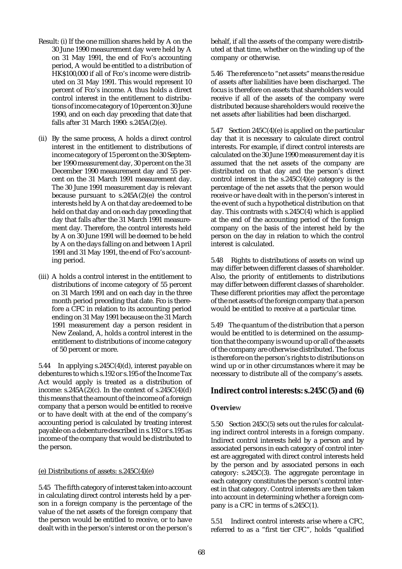- Result: (i) If the one million shares held by A on the 30 June 1990 measurement day were held by A on 31 May 1991, the end of Fco's accounting period, A would be entitled to a distribution of HK\$100,000 if all of Fco's income were distributed on 31 May 1991. This would represent 10 percent of Fco's income. A thus holds a direct control interest in the entitlement to distributions of income category of 10 percent on 30 June 1990, and on each day preceding that date that falls after 31 March 1990: s.245 $\overline{A}(2)(e)$ .
- (ii) By the same process, A holds a direct control interest in the entitlement to distributions of income category of 15 percent on the 30 September 1990 measurement day, 30 percent on the 31 December 1990 measurement day and 55 percent on the 31 March 1991 measurement day. The 30 June 1991 measurement day is relevant because pursuant to s.245A(2)(e) the control interests held by A on that day are deemed to be held on that day and on each day preceding that day that falls after the 31 March 1991 measurement day. Therefore, the control interests held by A on 30 June 1991 will be deemed to be held by A on the days falling on and between 1 April 1991 and 31 May 1991, the end of Fco's accounting period.
- (iii) A holds a control interest in the entitlement to distributions of income category of 55 percent on 31 March 1991 and on each day in the three month period preceding that date. Fco is therefore a CFC in relation to its accounting period ending on 31 May 1991 because on the 31 March 1991 measurement day a person resident in New Zealand, A, holds a control interest in the entitlement to distributions of income category of 50 percent or more.

5.44 In applying s.245C(4)(d), interest payable on debentures to which s.192 or s.195 of the Income Tax Act would apply is treated as a distribution of income:  $s.245A(2)(c)$ . In the context of  $s.245C(4)(d)$ this means that the amount of the income of a foreign company that a person would be entitled to receive or to have dealt with at the end of the company's accounting period is calculated by treating interest payable on a debenture described in s.192 or s.195 as income of the company that would be distributed to the person.

#### (e) Distributions of assets: s.245C(4)(e)

5.45 The fifth category of interest taken into account in calculating direct control interests held by a person in a foreign company is the percentage of the value of the net assets of the foreign company that the person would be entitled to receive, or to have dealt with in the person's interest or on the person's

behalf, if all the assets of the company were distributed at that time, whether on the winding up of the company or otherwise.

5.46 The reference to "net assets" means the residue of assets after liabilities have been discharged. The focus is therefore on assets that shareholders would receive if all of the assets of the company were distributed because shareholders would receive the net assets after liabilities had been discharged.

5.47 Section 245C(4)(e) is applied on the particular day that it is necessary to calculate direct control interests. For example, if direct control interests are calculated on the 30 June 1990 measurement day it is assumed that the net assets of the company are distributed on that day and the person's direct control interest in the s.245C(4)(e) category is the percentage of the net assets that the person would receive or have dealt with in the person's interest in the event of such a hypothetical distribution on that day. This contrasts with s.245C(4) which is applied at the end of the accounting period of the foreign company on the basis of the interest held by the person on the day in relation to which the control interest is calculated.

5.48 Rights to distributions of assets on wind up may differ between different classes of shareholder. Also, the priority of entitlements to distributions may differ between different classes of shareholder. These different priorities may affect the percentage of the net assets of the foreign company that a person would be entitled to receive at a particular time.

5.49 The quantum of the distribution that a person would be entitled to is determined on the assumption that the company is wound up or all of the assets of the company are otherwise distributed. The focus is therefore on the person's rights to distributions on wind up or in other circumstances where it may be necessary to distribute all of the company's assets.

### **Indirect control interests: s.245C(5) and (6)**

#### **Overvie**w

5.50 Section 245C(5) sets out the rules for calculating indirect control interests in a foreign company. Indirect control interests held by a person and by associated persons in each category of control interest are aggregated with direct control interests held by the person and by associated persons in each category: s.245C(3). The aggregate percentage in each category constitutes the person's control interest in that category. Control interests are then taken into account in determining whether a foreign company is a CFC in terms of s.245C(1).

5.51 Indirect control interests arise where a CFC, referred to as a "first tier CFC", holds "qualified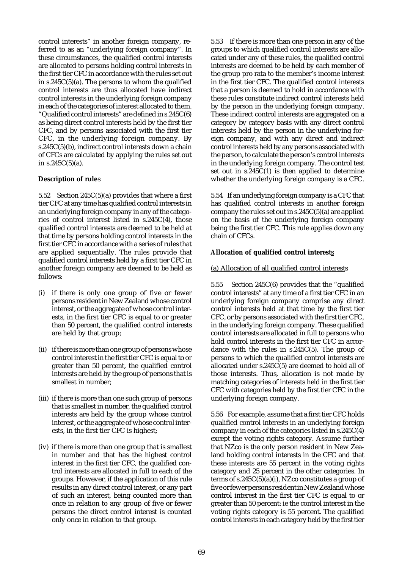control interests" in another foreign company, referred to as an "underlying foreign company". In these circumstances, the qualified control interests are allocated to persons holding control interests in the first tier CFC in accordance with the rules set out in  $s.245C(5)(a)$ . The persons to whom the qualified control interests are thus allocated have indirect control interests in the underlying foreign company in each of the categories of interest allocated to them. "Qualified control interests" are defined in s.245C(6) as being direct control interests held by the first tier CFC, and by persons associated with the first tier CFC, in the underlying foreign company. By s.245C(5)(b), indirect control interests down a chain of CFCs are calculated by applying the rules set out in  $s.245C(5)(a)$ .

### **Description of rule**s

5.52 Section 245C(5)(a) provides that where a first tier CFC at any time has qualified control interests in an underlying foreign company in any of the categories of control interest listed in s.245C(4), those qualified control interests are deemed to be held at that time by persons holding control interests in the first tier CFC in accordance with a series of rules that are applied sequentially. The rules provide that qualified control interests held by a first tier CFC in another foreign company are deemed to be held as follows:

- (i) if there is only one group of five or fewer persons resident in New Zealand whose control interest, or the aggregate of whose control interests, in the first tier CFC is equal to or greater than 50 percent, the qualified control interests are held by that group;
- (ii) if there is more than one group of persons whose control interest in the first tier CFC is equal to or greater than 50 percent, the qualified control interests are held by the group of persons that is smallest in number;
- (iii) if there is more than one such group of persons that is smallest in number, the qualified control interests are held by the group whose control interest, or the aggregate of whose control interests, in the first tier CFC is highest;
- (iv) if there is more than one group that is smallest in number and that has the highest control interest in the first tier CFC, the qualified control interests are allocated in full to each of the groups. However, if the application of this rule results in any direct control interest, or any part of such an interest, being counted more than once in relation to any group of five or fewer persons the direct control interest is counted only once in relation to that group.

5.53 If there is more than one person in any of the groups to which qualified control interests are allocated under any of these rules, the qualified control interests are deemed to be held by each member of the group pro rata to the member's income interest in the first tier CFC. The qualified control interests that a person is deemed to hold in accordance with these rules constitute indirect control interests held by the person in the underlying foreign company. These indirect control interests are aggregated on a category by category basis with any direct control interests held by the person in the underlying foreign company, and with any direct and indirect control interests held by any persons associated with the person, to calculate the person's control interests in the underlying foreign company. The control test set out in s.245C(1) is then applied to determine whether the underlying foreign company is a CFC.

5.54 If an underlying foreign company is a CFC that has qualified control interests in another foreign company the rules set out in  $s.245C(5)(a)$  are applied on the basis of the underlying foreign company being the first tier CFC. This rule applies down any chain of CFCs.

### **Allocation of qualified control interest**s

### (a) Allocation of all qualified control interests

5.55 Section 245C(6) provides that the "qualified control interests" at any time of a first tier CFC in an underlying foreign company comprise any direct control interests held at that time by the first tier CFC, or by persons associated with the first tier CFC, in the underlying foreign company. These qualified control interests are allocated in full to persons who hold control interests in the first tier CFC in accordance with the rules in s.245C(5). The group of persons to which the qualified control interests are allocated under s.245C(5) are deemed to hold all of those interests. Thus, allocation is not made by matching categories of interests held in the first tier CFC with categories held by the first tier CFC in the underlying foreign company.

5.56 For example, assume that a first tier CFC holds qualified control interests in an underlying foreign company in each of the categories listed in s.245C(4) except the voting rights category. Assume further that NZco is the only person resident in New Zealand holding control interests in the CFC and that these interests are 55 percent in the voting rights category and 25 percent in the other categories. In terms of s.245 $C(5)(a)(i)$ , NZco constitutes a group of five or fewer persons resident in New Zealand whose control interest in the first tier CFC is equal to or greater than 50 percent: ie the control interest in the voting rights category is 55 percent. The qualified control interests in each category held by the first tier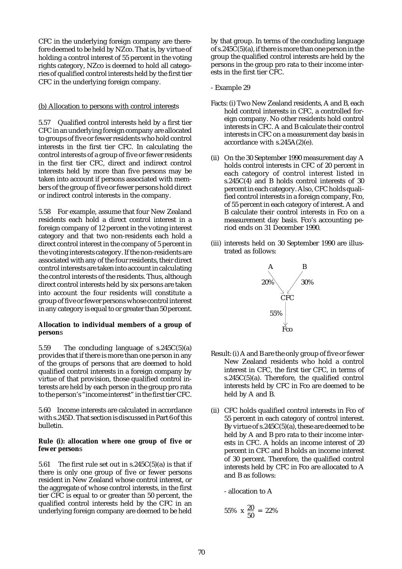CFC in the underlying foreign company are therefore deemed to be held by NZco. That is, by virtue of holding a control interest of 55 percent in the voting rights category, NZco is deemed to hold all categories of qualified control interests held by the first tier CFC in the underlying foreign company.

### (b) Allocation to persons with control interests

5.57 Qualified control interests held by a first tier CFC in an underlying foreign company are allocated to groups of five or fewer residents who hold control interests in the first tier CFC. In calculating the control interests of a group of five or fewer residents in the first tier CFC, direct and indirect control interests held by more than five persons may be taken into account if persons associated with members of the group of five or fewer persons hold direct or indirect control interests in the company.

5.58 For example, assume that four New Zealand residents each hold a direct control interest in a foreign company of 12 percent in the voting interest category and that two non-residents each hold a direct control interest in the company of 5 percent in the voting interests category. If the non-residents are associated with any of the four residents, their direct control interests are taken into account in calculating the control interests of the residents. Thus, although direct control interests held by six persons are taken into account the four residents will constitute a group of five or fewer persons whose control interest in any category is equal to or greater than 50 percent.

### **Allocation to individual members of a group of person**s

5.59 The concluding language of s.245C(5)(a) provides that if there is more than one person in any of the groups of persons that are deemed to hold qualified control interests in a foreign company by virtue of that provision, those qualified control interests are held by each person in the group pro rata to the person's "income interest" in the first tier CFC.

5.60 Income interests are calculated in accordance with s.245D. That section is discussed in Part 6 of this bulletin.

#### **Rule (i): allocation where one group of five or fewer person**s

5.61 The first rule set out in  $s.245C(5)(a)$  is that if there is only one group of five or fewer persons resident in New Zealand whose control interest, or the aggregate of whose control interests, in the first tier CFC is equal to or greater than 50 percent, the qualified control interests held by the CFC in an underlying foreign company are deemed to be held by that group. In terms of the concluding language of s.245C(5)(a), if there is more than one person in the group the qualified control interests are held by the persons in the group pro rata to their income interests in the first tier CFC.

- Example 29
- Facts: (i) Two New Zealand residents, A and B, each hold control interests in CFC, a controlled foreign company. No other residents hold control interests in CFC. A and B calculate their control interests in CFC on a measurement day basis in accordance with s.245A(2)(e).
- (ii) On the 30 September 1990 measurement day A holds control interests in CFC of 20 percent in each category of control interest listed in s.245C(4) and B holds control interests of 30 percent in each category. Also, CFC holds qualified control interests in a foreign company, Fco, of 55 percent in each category of interest. A and B calculate their control interests in Fco on a measurement day basis. Fco's accounting period ends on 31 December 1990.
- (iii) interests held on 30 September 1990 are illustrated as follows:



- Result: (i) A and B are the only group of five or fewer New Zealand residents who hold a control interest in CFC, the first tier CFC, in terms of  $s.245C(5)(a)$ . Therefore, the qualified control interests held by CFC in Fco are deemed to be held by A and B.
- (ii) CFC holds qualified control interests in Fco of 55 percent in each category of control interest. By virtue of  $s.245C(5)(a)$ , these are deemed to be held by A and B pro rata to their income interests in CFC. A holds an income interest of 20 percent in CFC and B holds an income interest of 30 percent. Therefore, the qualified control interests held by CFC in Fco are allocated to A and B as follows:

- allocation to A

$$
55\% \times \frac{20}{50} = 22\%
$$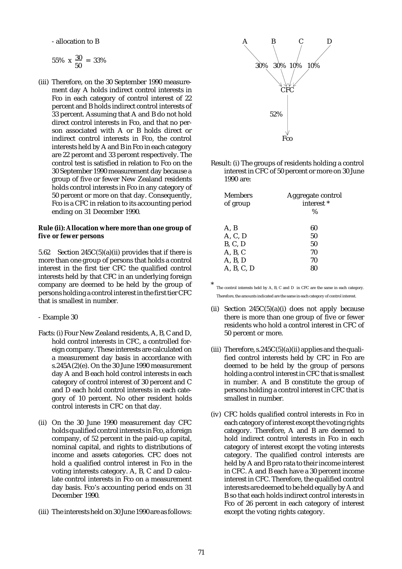- allocation to B

$$
55\% \times \frac{30}{50} = 33\%
$$

(iii) Therefore, on the 30 September 1990 measurement day A holds indirect control interests in Fco in each category of control interest of 22 percent and B holds indirect control interests of 33 percent. Assuming that A and B do not hold direct control interests in Fco, and that no person associated with A or B holds direct or indirect control interests in Fco, the control interests held by A and B in Fco in each category are 22 percent and 33 percent respectively. The control test is satisfied in relation to Fco on the 30 September 1990 measurement day because a group of five or fewer New Zealand residents holds control interests in Fco in any category of 50 percent or more on that day. Consequently, Fco is a CFC in relation to its accounting period ending on 31 December 1990.

### **Rule (ii): Allocation where more than one group of five or fewer persons**

5.62 Section 245C(5)(a)(ii) provides that if there is more than one group of persons that holds a control interest in the first tier CFC the qualified control interests held by that CFC in an underlying foreign company are deemed to be held by the group of persons holding a control interest in the first tier CFC that is smallest in number.

- Example 30
- Facts: (i) Four New Zealand residents, A, B, C and D, hold control interests in CFC, a controlled foreign company. These interests are calculated on a measurement day basis in accordance with s.245A(2)(e). On the 30 June 1990 measurement day A and B each hold control interests in each category of control interest of 30 percent and C and D each hold control interests in each category of 10 percent. No other resident holds control interests in CFC on that day.
- (ii) On the 30 June 1990 measurement day CFC holds qualified control interests in Fco, a foreign company, of 52 percent in the paid-up capital, nominal capital, and rights to distributions of income and assets categories. CFC does not hold a qualified control interest in Fco in the voting interests category. A, B, C and D calculate control interests in Fco on a measurement day basis. Fco's accounting period ends on 31 December 1990.
- (iii) The interests held on 30 June 1990 are as follows:



Result: (i) The groups of residents holding a control interest in CFC of 50 percent or more on 30 June 1990 are:

| Aggregate control<br>interest <sup>*</sup><br>$\%$ |
|----------------------------------------------------|
| 60                                                 |
| 50                                                 |
| 50                                                 |
| 70                                                 |
| 70                                                 |
|                                                    |
|                                                    |

The control interests held by A, B, C and D in CFC are the same in each category. Therefore, the amounts indicated are the same in each category of control interest.

- (ii) Section  $245C(5)(a)(i)$  does not apply because there is more than one group of five or fewer residents who hold a control interest in CFC of 50 percent or more.
- (iii) Therefore,  $s.245C(5)(a)$  (ii) applies and the qualified control interests held by CFC in Fco are deemed to be held by the group of persons holding a control interest in CFC that is smallest in number. A and B constitute the group of persons holding a control interest in CFC that is smallest in number.
- (iv) CFC holds qualified control interests in Fco in each category of interest except the voting rights category. Therefore, A and B are deemed to hold indirect control interests in Fco in each category of interest except the voting interests category. The qualified control interests are held by A and B pro rata to their income interest in CFC. A and B each have a 30 percent income interest in CFC. Therefore, the qualified control interests are deemed to be held equally by A and B so that each holds indirect control interests in Fco of 26 percent in each category of interest except the voting rights category.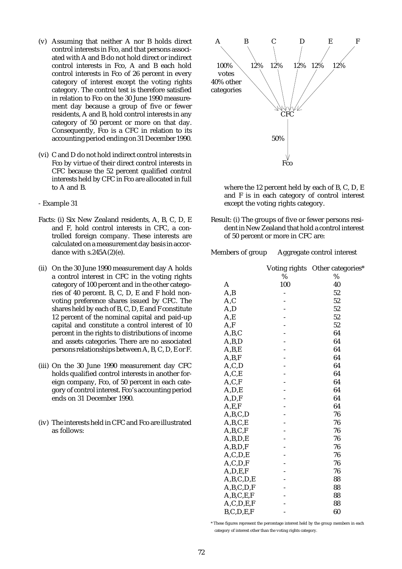- (v) Assuming that neither A nor B holds direct control interests in Fco, and that persons associated with A and B do not hold direct or indirect control interests in Fco, A and B each hold control interests in Fco of 26 percent in every category of interest except the voting rights category. The control test is therefore satisfied in relation to Fco on the 30 June 1990 measurement day because a group of five or fewer residents, A and B, hold control interests in any category of 50 percent or more on that day. Consequently, Fco is a CFC in relation to its accounting period ending on 31 December 1990.
- (vi) C and D do not hold indirect control interests in Fco by virtue of their direct control interests in CFC because the 52 percent qualified control interests held by CFC in Fco are allocated in full to A and B.
- Example 31
- Facts: (i) Six New Zealand residents, A, B, C, D, E and F, hold control interests in CFC, a controlled foreign company. These interests are calculated on a measurement day basis in accordance with  $s.245A(2)(e)$ .
- (ii) On the 30 June 1990 measurement day A holds a control interest in CFC in the voting rights category of 100 percent and in the other categories of 40 percent. B, C, D, E and F hold nonvoting preference shares issued by CFC. The shares held by each of B, C, D, E and F constitute 12 percent of the nominal capital and paid-up capital and constitute a control interest of 10 percent in the rights to distributions of income and assets categories. There are no associated persons relationships between A, B, C, D, E or F.
- (iii) On the 30 June 1990 measurement day CFC holds qualified control interests in another foreign company, Fco, of 50 percent in each category of control interest. Fco's accounting period ends on 31 December 1990.
- (iv) The interests held in CFC and Fco are illustrated as follows:



where the 12 percent held by each of B, C, D, E and F is in each category of control interest except the voting rights category.

Result: (i) The groups of five or fewer persons resident in New Zealand that hold a control interest of 50 percent or more in CFC are:

### Members of group Aggregate control interest

|               |      | Voting rights Other categories* |
|---------------|------|---------------------------------|
|               | $\%$ | $\%$                            |
| A             | 100  | 40                              |
| A, B          |      | 52                              |
| A, C          |      | 52                              |
| A, D          |      | 52                              |
| A,E           |      | 52                              |
| A, F          |      | 52                              |
| A,B,C         |      | 64                              |
| A,B,D         |      | 64                              |
| A,B,E         |      | 64                              |
| A,B,F         |      | 64                              |
| A, C, D       |      | 64                              |
| A, C, E       |      | 64                              |
| A, C, F       |      | 64                              |
| A, D, E       |      | 64                              |
| A, D, F       |      | 64                              |
| A, E, F       |      | 64                              |
| A,B,C,D       |      | 76                              |
| A,B,C,E       |      | 76                              |
| A,B,C,F       |      | 76                              |
| A,B,D,E       |      | 76                              |
| A,B,D,F       |      | 76                              |
| A, C, D, E    |      | 76                              |
| A, C, D, F    |      | 76                              |
| A, D, E, F    |      | 76                              |
| A,B,C,D,E     |      | 88                              |
| A,B,C,D,F     |      | 88                              |
| A,B,C,E,F     |      | 88                              |
| A, C, D, E, F |      | 88                              |
| B, C, D, E, F |      | 60                              |

\* These figures represent the percentage interest held by the group members in each category of interest other than the voting rights category.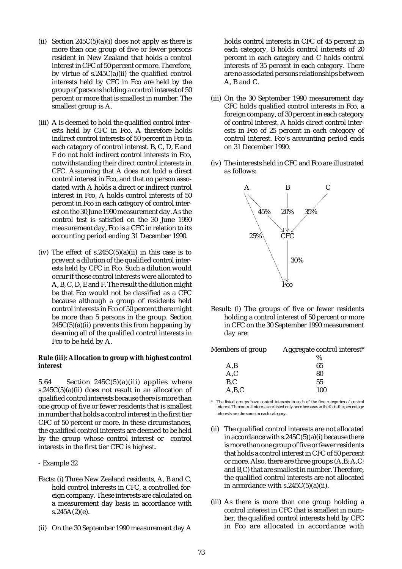- (ii) Section  $245C(5)(a)(i)$  does not apply as there is more than one group of five or fewer persons resident in New Zealand that holds a control interest in CFC of 50 percent or more. Therefore, by virtue of s.245C(a)(ii) the qualified control interests held by CFC in Fco are held by the group of persons holding a control interest of 50 percent or more that is smallest in number. The smallest group is A.
- (iii) A is deemed to hold the qualified control interests held by CFC in Fco. A therefore holds indirect control interests of 50 percent in Fco in each category of control interest. B, C, D, E and F do not hold indirect control interests in Fco, notwithstanding their direct control interests in CFC. Assuming that A does not hold a direct control interest in Fco, and that no person associated with A holds a direct or indirect control interest in Fco, A holds control interests of 50 percent in Fco in each category of control interest on the 30 June 1990 measurement day. As the control test is satisfied on the 30 June 1990 measurement day, Fco is a CFC in relation to its accounting period ending 31 December 1990.
- (iv) The effect of  $s.245C(5)(a)(ii)$  in this case is to prevent a dilution of the qualified control interests held by CFC in Fco. Such a dilution would occur if those control interests were allocated to A, B, C, D, E and F. The result the dilution might be that Fco would not be classified as a CFC because although a group of residents held control interests in Fco of 50 percent there might be more than 5 persons in the group. Section  $245C(5)(a)(ii)$  prevents this from happening by deeming all of the qualified control interests in Fco to be held by A.

#### **Rule (iii): Allocation to group with highest control interes**t

5.64 Section  $245C(5)(a)(iii)$  applies where s.245 $C(5)(a)(ii)$  does not result in an allocation of qualified control interests because there is more than one group of five or fewer residents that is smallest in number that holds a control interest in the first tier CFC of 50 percent or more. In these circumstances, the qualified control interests are deemed to be held by the group whose control interest or control interests in the first tier CFC is highest.

- Example 32
- Facts: (i) Three New Zealand residents, A, B and C, hold control interests in CFC, a controlled foreign company. These interests are calculated on a measurement day basis in accordance with  $s.245A(2)(e)$ .
- (ii) On the 30 September 1990 measurement day A

holds control interests in CFC of 45 percent in each category, B holds control interests of 20 percent in each category and C holds control interests of 35 percent in each category. There are no associated persons relationships between A, B and C.

- (iii) On the 30 September 1990 measurement day CFC holds qualified control interests in Fco, a foreign company, of 30 percent in each category of control interest. A holds direct control interests in Fco of 25 percent in each category of control interest. Fco's accounting period ends on 31 December 1990.
- (iv) The interests held in CFC and Fco are illustrated as follows:



Result: (i) The groups of five or fewer residents holding a control interest of 50 percent or more in CFC on the 30 September 1990 measurement day are:

| <b>Members of group</b> | Aggregate control interest* |
|-------------------------|-----------------------------|
|                         | $\%$                        |
| A,B                     | 65                          |
| A, C                    | 80                          |
| B.C                     | 55                          |
| A,B,C                   | 100                         |

The listed groups have control interests in each of the five categories of control interest. The control interests are listed only once because on the facts the percentage interests are the same in each category.

- (ii) The qualified control interests are not allocated in accordance with  $s.245C(5)(a)(i)$  because there is more than one group of five or fewer residents that holds a control interest in CFC of 50 percent or more. Also, there are three groups (A,B; A,C; and B,C) that are smallest in number. Therefore, the qualified control interests are not allocated in accordance with s.245C(5)(a)(ii).
- (iii) As there is more than one group holding a control interest in CFC that is smallest in number, the qualified control interests held by CFC in Fco are allocated in accordance with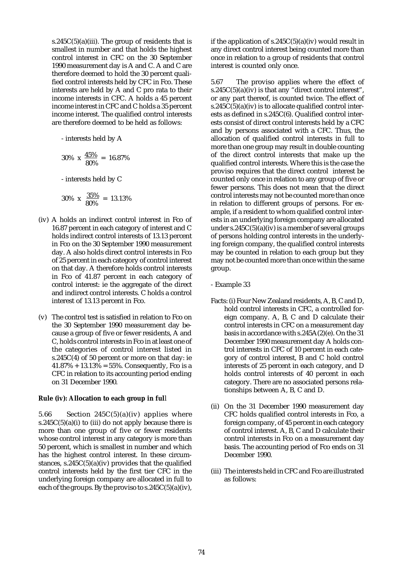s.245 $C(5)(a)(iii)$ . The group of residents that is smallest in number and that holds the highest control interest in CFC on the 30 September 1990 measurement day is A and C. A and C are therefore deemed to hold the 30 percent qualified control interests held by CFC in Fco. These interests are held by A and C pro rata to their income interests in CFC. A holds a 45 percent income interest in CFC and C holds a 35 percent income interest. The qualified control interests are therefore deemed to be held as follows:

- interests held by A

$$
30\% \text{ x } \frac{45\%}{80\%} = 16.87\%
$$

- interests held by C

$$
30\% \times \frac{35\%}{80\%} = 13.13\%
$$

- (iv) A holds an indirect control interest in Fco of 16.87 percent in each category of interest and C holds indirect control interests of 13.13 percent in Fco on the 30 September 1990 measurement day. A also holds direct control interests in Fco of 25 percent in each category of control interest on that day. A therefore holds control interests in Fco of 41.87 percent in each category of control interest: ie the aggregate of the direct and indirect control interests. C holds a control interest of 13.13 percent in Fco.
- (v) The control test is satisfied in relation to Fco on the 30 September 1990 measurement day because a group of five or fewer residents, A and C, holds control interests in Fco in at least one of the categories of control interest listed in s.245C(4) of 50 percent or more on that day: ie  $41.87\% + 13.13\% = 55\%.$  Consequently, Fco is a CFC in relation to its accounting period ending on 31 December 1990.

#### **Rule (iv): Allocation to each group in ful**l

5.66 Section  $245C(5)(a)(iv)$  applies where s.245 $C(5)(a)(i)$  to (iii) do not apply because there is more than one group of five or fewer residents whose control interest in any category is more than 50 percent, which is smallest in number and which has the highest control interest. In these circumstances,  $s.245C(5)(a)(iv)$  provides that the qualified control interests held by the first tier CFC in the underlying foreign company are allocated in full to each of the groups. By the proviso to  $s.245C(5)(a)(iv)$ ,

if the application of  $s.245C(5)(a)(iv)$  would result in any direct control interest being counted more than once in relation to a group of residents that control interest is counted only once.

5.67 The proviso applies where the effect of s.245 $C(5)(a)(iv)$  is that any "direct control interest", or any part thereof, is counted twice. The effect of s.245 $C(5)(a)(iv)$  is to allocate qualified control interests as defined in s.245C(6). Qualified control interests consist of direct control interests held by a CFC and by persons associated with a CFC. Thus, the allocation of qualified control interests in full to more than one group may result in double counting of the direct control interests that make up the qualified control interests. Where this is the case the proviso requires that the direct control interest be counted only once in relation to any group of five or fewer persons. This does not mean that the direct control interests may not be counted more than once in relation to different groups of persons. For example, if a resident to whom qualified control interests in an underlying foreign company are allocated under s.245 $C(5)(a)(iv)$  is a member of several groups of persons holding control interests in the underlying foreign company, the qualified control interests may be counted in relation to each group but they may not be counted more than once within the same group.

- Example 33
- Facts: (i) Four New Zealand residents, A, B, C and D, hold control interests in CFC, a controlled foreign company. A, B, C and D calculate their control interests in CFC on a measurement day basis in accordance with s.245A(2)(e). On the 31 December 1990 measurement day A holds control interests in CFC of 10 percent in each category of control interest, B and C hold control interests of 25 percent in each category, and D holds control interests of 40 percent in each category. There are no associated persons relationships between A, B, C and D.
- (ii) On the 31 December 1990 measurement day CFC holds qualified control interests in Fco, a foreign company, of 45 percent in each category of control interest. A, B, C and D calculate their control interests in Fco on a measurement day basis. The accounting period of Fco ends on 31 December 1990.
- (iii) The interests held in CFC and Fco are illustrated as follows: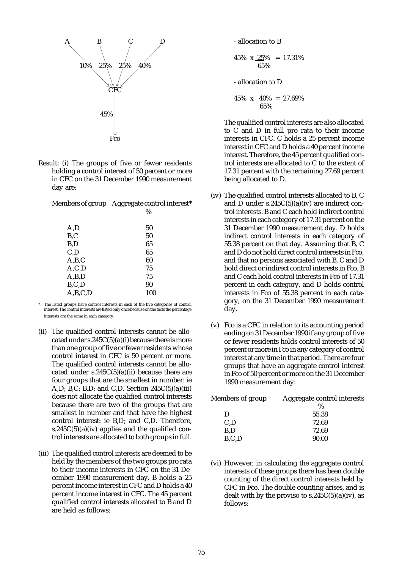

Result: (i) The groups of five or fewer residents holding a control interest of 50 percent or more in CFC on the 31 December 1990 measurement day are:

Members of group Aggregate control interest\*

|         | %   |
|---------|-----|
| A,D     | 50  |
| B, C    | 50  |
| B,D     | 65  |
| C, D    | 65  |
| A,B,C   | 60  |
| A, C, D | 75  |
| A,B,D   | 75  |
| B, C, D | 90  |
| A,B,C,D | 100 |

- The listed groups have control interests in each of the five categories of control interest. The control interests are listed only once because on the facts the percentage interests are the same in each category.
- (ii) The qualified control interests cannot be allocated under s.245 $C(5)(a)(i)$  because there is more than one group of five or fewer residents whose control interest in CFC is 50 percent or more. The qualified control interests cannot be allocated under  $s.245C(5)(a)(ii)$  because there are four groups that are the smallest in number: ie A,D; B,C; B,D; and C,D. Section  $245C(5)(a)(iii)$ does not allocate the qualified control interests because there are two of the groups that are smallest in number and that have the highest control interest: ie B,D; and C,D. Therefore, s.245 $C(5)(a)(iv)$  applies and the qualified control interests are allocated to both groups in full.
- (iii) The qualified control interests are deemed to be held by the members of the two groups pro rata to their income interests in CFC on the 31 December 1990 measurement day. B holds a 25 percent income interest in CFC and D holds a 40 percent income interest in CFC. The 45 percent qualified control interests allocated to B and D are held as follows:

- allocation to B

$$
45\% \times \frac{25}{65\%} = 17.31\%
$$

- allocation to D

$$
45\% \times \frac{40\%}{65\%} = 27.69\%
$$

The qualified control interests are also allocated to C and D in full pro rata to their income interests in CFC. C holds a 25 percent income interest in CFC and D holds a 40 percent income interest. Therefore, the 45 percent qualified control interests are allocated to C to the extent of 17.31 percent with the remaining 27.69 percent being allocated to D.

- (iv) The qualified control interests allocated to B, C and  $\hat{D}$  under s.245C(5)(a)(iv) are indirect control interests. B and C each hold indirect control interests in each category of 17.31 percent on the 31 December 1990 measurement day. D holds indirect control interests in each category of 55.38 percent on that day. Assuming that B, C and D do not hold direct control interests in Fco, and that no persons associated with B, C and D hold direct or indirect control interests in Fco, B and C each hold control interests in Fco of 17.31 percent in each category, and D holds control interests in Fco of 55.38 percent in each category, on the 31 December 1990 measurement day.
- (v) Fco is a CFC in relation to its accounting period ending on 31 December 1990 if any group of five or fewer residents holds control interests of 50 percent or more in Fco in any category of control interest at any time in that period. There are four groups that have an aggregate control interest in Fco of 50 percent or more on the 31 December 1990 measurement day:

| Members of group | Aggregate control interests |
|------------------|-----------------------------|
|                  | $\%$                        |
| D                | 55.38                       |
| C.D              | 72.69                       |
| B.D              | 72.69                       |
| B, C, D          | 90.00                       |
|                  |                             |

(vi) However, in calculating the aggregate control interests of these groups there has been double counting of the direct control interests held by CFC in Fco. The double counting arises, and is dealt with by the proviso to  $s.245C(5)(a)(iv)$ , as follows: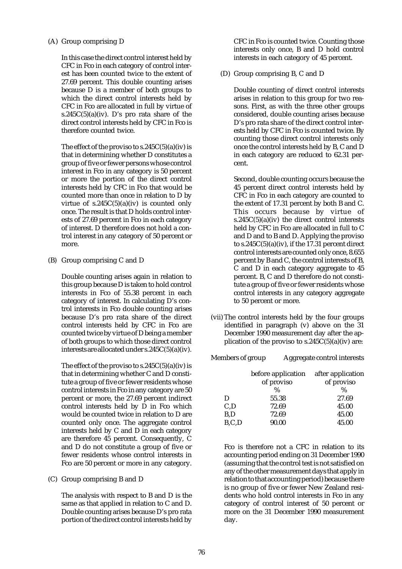### (A) Group comprising D

In this case the direct control interest held by CFC in Fco in each category of control interest has been counted twice to the extent of 27.69 percent. This double counting arises because D is a member of both groups to which the direct control interests held by CFC in Fco are allocated in full by virtue of s.245 $C(5)(a)(iv)$ . D's pro rata share of the direct control interests held by CFC in Fco is therefore counted twice.

The effect of the proviso to  $s.245C(5)(a)(iv)$  is that in determining whether D constitutes a group of five or fewer persons whose control interest in Fco in any category is 50 percent or more the portion of the direct control interests held by CFC in Fco that would be counted more than once in relation to D by virtue of  $s.245C(5)(a)(iv)$  is counted only once. The result is that D holds control interests of 27.69 percent in Fco in each category of interest. D therefore does not hold a control interest in any category of 50 percent or more.

(B) Group comprising C and D

Double counting arises again in relation to this group because D is taken to hold control interests in Fco of 55.38 percent in each category of interest. In calculating D's control interests in Fco double counting arises because D's pro rata share of the direct control interests held by CFC in Fco are counted twice by virtue of D being a member of both groups to which those direct control interests are allocated under s.245C(5)(a)(iv).

The effect of the proviso to  $s.245C(5)(a)(iv)$  is that in determining whether C and D constitute a group of five or fewer residents whose control interests in Fco in any category are 50 percent or more, the 27.69 percent indirect control interests held by D in Fco which would be counted twice in relation to D are counted only once. The aggregate control interests held by C and D in each category are therefore 45 percent. Consequently, C and D do not constitute a group of five or fewer residents whose control interests in Fco are 50 percent or more in any category.

(C) Group comprising B and D

The analysis with respect to B and D is the same as that applied in relation to C and D. Double counting arises because D's pro rata portion of the direct control interests held by

CFC in Fco is counted twice. Counting those interests only once, B and D hold control interests in each category of 45 percent.

(D) Group comprising B, C and D

Double counting of direct control interests arises in relation to this group for two reasons. First, as with the three other groups considered, double counting arises because D's pro rata share of the direct control interests held by CFC in Fco is counted twice. By counting those direct control interests only once the control interests held by B, C and D in each category are reduced to 62.31 percent.

Second, double counting occurs because the 45 percent direct control interests held by CFC in Fco in each category are counted to the extent of 17.31 percent by both B and C. This occurs because by virtue of s.245C(5)(a)(iv) the direct control interests held by CFC in Fco are allocated in full to C and D and to B and D. Applying the proviso to  $s.245C(5)(a)(iv)$ , if the 17.31 percent direct control interests are counted only once, 8.655 percent by B and C, the control interests of B, C and D in each category aggregate to 45 percent. B, C and D therefore do not constitute a group of five or fewer residents whose control interests in any category aggregate to 50 percent or more.

(vii) The control interests held by the four groups identified in paragraph (v) above on the 31 December 1990 measurement day after the application of the proviso to  $s.245C(5)(a)(iv)$  are:

# Members of group Aggregate control interests

|       | before application<br>of proviso<br>$\%$ | after application<br>of proviso<br>$\%$ |
|-------|------------------------------------------|-----------------------------------------|
| D     | 55.38                                    | 27.69                                   |
| C, D  | 72.69                                    | 45.00                                   |
| B,D   | 72.69                                    | 45.00                                   |
| B.C.D | 90.00                                    | 45.00                                   |

Fco is therefore not a CFC in relation to its accounting period ending on 31 December 1990 (assuming that the control test is not satisfied on any of the other measurement days that apply in relation to that accounting period) because there is no group of five or fewer New Zealand residents who hold control interests in Fco in any category of control interest of 50 percent or more on the 31 December 1990 measurement day.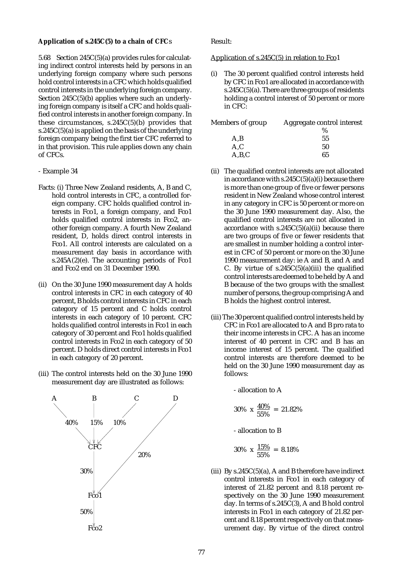#### **Application of s.245C(5) to a chain of CFC**s

5.68 Section 245C(5)(a) provides rules for calculating indirect control interests held by persons in an underlying foreign company where such persons hold control interests in a CFC which holds qualified control interests in the underlying foreign company. Section 245C(5)(b) applies where such an underlying foreign company is itself a CFC and holds qualified control interests in another foreign company. In these circumstances,  $s.245C(5)(b)$  provides that s.245 $C(5)$ (a) is applied on the basis of the underlying foreign company being the first tier CFC referred to in that provision. This rule applies down any chain of CFCs.

- Example 34
- Facts: (i) Three New Zealand residents, A, B and C, hold control interests in CFC, a controlled foreign company. CFC holds qualified control interests in Fco1, a foreign company, and Fco1 holds qualified control interests in Fco2, another foreign company. A fourth New Zealand resident, D, holds direct control interests in Fco1. All control interests are calculated on a measurement day basis in accordance with s.245A $(2)(e)$ . The accounting periods of Fco1 and Fco2 end on 31 December 1990.
- (ii) On the 30 June 1990 measurement day A holds control interests in CFC in each category of 40 percent, B holds control interests in CFC in each category of 15 percent and C holds control interests in each category of 10 percent. CFC holds qualified control interests in Fco1 in each category of 30 percent and Fco1 holds qualified control interests in Fco2 in each category of 50 percent. D holds direct control interests in Fco1 in each category of 20 percent.
- (iii) The control interests held on the 30 June 1990 measurement day are illustrated as follows:



Result:

Application of s.245C(5) in relation to Fco1

The 30 percent qualified control interests held by CFC in Fco1 are allocated in accordance with  $s.245C(5)(a)$ . There are three groups of residents holding a control interest of 50 percent or more in CFC:

| Members of group | Aggregate control interest |
|------------------|----------------------------|
|                  | $\%$                       |
| A,B              | 55                         |
| A, C             | 50                         |
| A,B,C            | 65                         |

- (ii) The qualified control interests are not allocated in accordance with  $s.245C(5)(a)(i)$  because there is more than one group of five or fewer persons resident in New Zealand whose control interest in any category in CFC is 50 percent or more on the 30 June 1990 measurement day. Also, the qualified control interests are not allocated in accordance with  $s.245C(5)(a)(ii)$  because there are two groups of five or fewer residents that are smallest in number holding a control interest in CFC of 50 percent or more on the 30 June 1990 measurement day: ie A and B, and A and C. By virtue of  $s.245C(5)(a)(iii)$  the qualified control interests are deemed to be held by A and B because of the two groups with the smallest number of persons, the group comprising A and B holds the highest control interest.
- (iii) The 30 percent qualified control interests held by CFC in Fco1 are allocated to A and B pro rata to their income interests in CFC. A has an income interest of 40 percent in CFC and B has an income interest of 15 percent. The qualified control interests are therefore deemed to be held on the 30 June 1990 measurement day as follows:

- allocation to A

$$
30\% \times \frac{40\%}{55\%} = 21.82\%
$$

- allocation to B

$$
30\% \text{ x } \frac{15\%}{55\%} = 8.18\%
$$

(iii) By  $s.245C(5)(a)$ , A and B therefore have indirect control interests in Fco1 in each category of interest of 21.82 percent and 8.18 percent respectively on the 30 June 1990 measurement day. In terms of s.245C(3), A and B hold control interests in Fco1 in each category of 21.82 percent and 8.18 percent respectively on that measurement day. By virtue of the direct control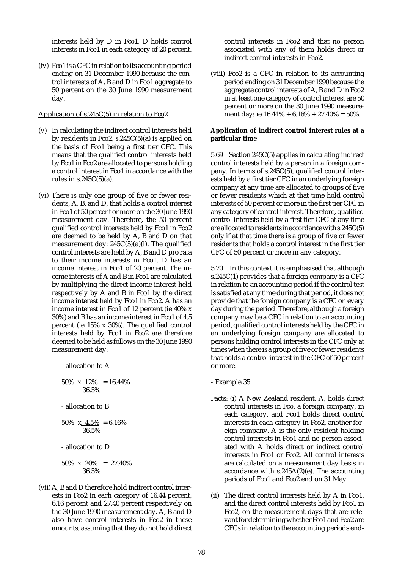interests held by D in Fco1, D holds control interests in Fco1 in each category of 20 percent.

(iv) Fco1 is a CFC in relation to its accounting period ending on 31 December 1990 because the control interests of A, B and D in Fco1 aggregate to 50 percent on the 30 June 1990 measurement day.

#### Application of s.245C(5) in relation to Fco<sub>2</sub>

- (v) In calculating the indirect control interests held by residents in Fco2, s.245C(5)(a) is applied on the basis of Fco1 being a first tier CFC. This means that the qualified control interests held by Fco1 in Fco2 are allocated to persons holding a control interest in Fco1 in accordance with the rules in  $s.245C(5)(a)$ .
- (vi) There is only one group of five or fewer residents, A, B, and D, that holds a control interest in Fco1 of 50 percent or more on the 30 June 1990 measurement day. Therefore, the 50 percent qualified control interests held by Fco1 in Fco2 are deemed to be held by A, B and D on that measurement day: 245C(5)(a)(i). The qualified control interests are held by A, B and D pro rata to their income interests in Fco1. D has an income interest in Fco1 of 20 percent. The income interests of A and B in Fco1 are calculated by multiplying the direct income interest held respectively by A and B in Fco1 by the direct income interest held by Fco1 in Fco2. A has an income interest in Fco1 of 12 percent (ie 40% x 30%) and B has an income interest in Fco1 of 4.5 percent (ie 15% x 30%). The qualified control interests held by Fco1 in Fco2 are therefore deemed to be held as follows on the 30 June 1990 measurement day:

- allocation to A 50% x 12% = 16.44% 36.5% - allocation to B 50%  $x_4.5\% = 6.16\%$ 36.5% - allocation to D 50% x  $20\%$  = 27.40% 36.5%

(vii) A, B and D therefore hold indirect control interests in Fco2 in each category of 16.44 percent, 6.16 percent and 27.40 percent respectively on the 30 June 1990 measurement day. A, B and D also have control interests in Fco2 in these amounts, assuming that they do not hold direct control interests in Fco2 and that no person associated with any of them holds direct or indirect control interests in Fco2.

(viii) Fco2 is a CFC in relation to its accounting period ending on 31 December 1990 because the aggregate control interests of A, B and D in Fco2 in at least one category of control interest are 50 percent or more on the 30 June 1990 measurement day: ie  $16.44\% + 6.16\% + 27.40\% = 50\%.$ 

#### **Application of indirect control interest rules at a particular tim**e

5.69 Section 245C(5) applies in calculating indirect control interests held by a person in a foreign company. In terms of s.245C(5), qualified control interests held by a first tier CFC in an underlying foreign company at any time are allocated to groups of five or fewer residents which at that time hold control interests of 50 percent or more in the first tier CFC in any category of control interest. Therefore, qualified control interests held by a first tier CFC at any time are allocated to residents in accordance with s.245C(5) only if at that time there is a group of five or fewer residents that holds a control interest in the first tier CFC of 50 percent or more in any category.

5.70 In this context it is emphasised that although s.245C(1) provides that a foreign company is a CFC in relation to an accounting period if the control test is satisfied at any time during that period, it does not provide that the foreign company is a CFC on every day during the period. Therefore, although a foreign company may be a CFC in relation to an accounting period, qualified control interests held by the CFC in an underlying foreign company are allocated to persons holding control interests in the CFC only at times when there is a group of five or fewer residents that holds a control interest in the CFC of 50 percent or more.

- Example 35
- Facts: (i) A New Zealand resident, A, holds direct control interests in Fco, a foreign company, in each category, and Fco1 holds direct control interests in each category in Fco2, another foreign company. A is the only resident holding control interests in Fco1 and no person associated with A holds direct or indirect control interests in Fco1 or Fco2. All control interests are calculated on a measurement day basis in accordance with s.245A(2)(e). The accounting periods of Fco1 and Fco2 end on 31 May.
- (ii) The direct control interests held by A in Fco1, and the direct control interests held by Fco1 in Fco2, on the measurement days that are relevant for determining whether Fco1 and Fco2 are CFCs in relation to the accounting periods end-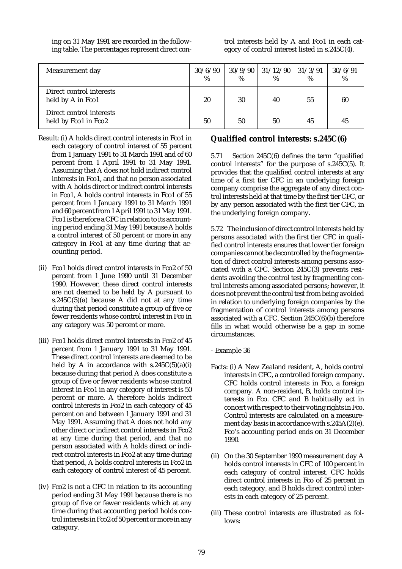ing on 31 May 1991 are recorded in the following table. The percentages represent direct control interests held by A and Fco1 in each category of control interest listed in s.245C(4).

| Measurement day                                  | 30/6/90<br>% | 30/9/90<br>% | 31/12/90<br>$\%$ | 31/3/91<br>$\%$ | 30/6/91<br>% |
|--------------------------------------------------|--------------|--------------|------------------|-----------------|--------------|
| Direct control interests<br>held by A in Fco1    | 20           | 30           | 40               | 55              | 60           |
| Direct control interests<br>held by Fco1 in Fco2 | 50           | 50           | 50               | 45              | 45           |

- Result: (i) A holds direct control interests in Fco1 in each category of control interest of 55 percent from 1 January 1991 to 31 March 1991 and of 60 percent from 1 April 1991 to 31 May 1991. Assuming that A does not hold indirect control interests in Fco1, and that no person associated with A holds direct or indirect control interests in Fco1, A holds control interests in Fco1 of 55 percent from 1 January 1991 to 31 March 1991 and 60 percent from 1 April 1991 to 31 May 1991. Fco1 is therefore a CFC in relation to its accounting period ending 31 May 1991 because A holds a control interest of 50 percent or more in any category in Fco1 at any time during that accounting period.
- (ii) Fco1 holds direct control interests in Fco2 of 50 percent from 1 June 1990 until 31 December 1990. However, these direct control interests are not deemed to be held by A pursuant to s.245C(5)(a) because A did not at any time during that period constitute a group of five or fewer residents whose control interest in Fco in any category was 50 percent or more.
- (iii) Fco1 holds direct control interests in Fco2 of 45 percent from 1 January 1991 to 31 May 1991. These direct control interests are deemed to be held by A in accordance with  $s.245C(5)(a)(i)$ because during that period A does constitute a group of five or fewer residents whose control interest in Fco1 in any category of interest is 50 percent or more. A therefore holds indirect control interests in Fco2 in each category of 45 percent on and between 1 January 1991 and 31 May 1991. Assuming that A does not hold any other direct or indirect control interests in Fco2 at any time during that period, and that no person associated with A holds direct or indirect control interests in Fco2 at any time during that period, A holds control interests in Fco2 in each category of control interest of 45 percent.
- (iv) Fco2 is not a CFC in relation to its accounting period ending 31 May 1991 because there is no group of five or fewer residents which at any time during that accounting period holds control interests in Fco2 of 50 percent or more in any category.

# **Qualified control interests: s.245C(6)**

5.71 Section 245C(6) defines the term "qualified control interests" for the purpose of s.245C(5). It provides that the qualified control interests at any time of a first tier CFC in an underlying foreign company comprise the aggregate of any direct control interests held at that time by the first tier CFC, or by any person associated with the first tier CFC, in the underlying foreign company.

5.72 The inclusion of direct control interests held by persons associated with the first tier CFC in qualified control interests ensures that lower tier foreign companies cannot be decontrolled by the fragmentation of direct control interests among persons associated with a CFC. Section 245C(3) prevents residents avoiding the control test by fragmenting control interests among associated persons; however, it does not prevent the control test from being avoided in relation to underlying foreign companies by the fragmentation of control interests among persons associated with a CFC. Section 245C(6)(b) therefore fills in what would otherwise be a gap in some circumstances.

- Example 36
- Facts: (i) A New Zealand resident, A, holds control interests in CFC, a controlled foreign company. CFC holds control interests in Fco, a foreign company. A non-resident, B, holds control interests in Fco. CFC and B habitually act in concert with respect to their voting rights in Fco. Control interests are calculated on a measurement day basis in accordance with s.245A(2)(e). Fco's accounting period ends on 31 December 1990.
- (ii) On the 30 September 1990 measurement day A holds control interests in CFC of 100 percent in each category of control interest. CFC holds direct control interests in Fco of 25 percent in each category, and B holds direct control interests in each category of 25 percent.
- (iii) These control interests are illustrated as follows: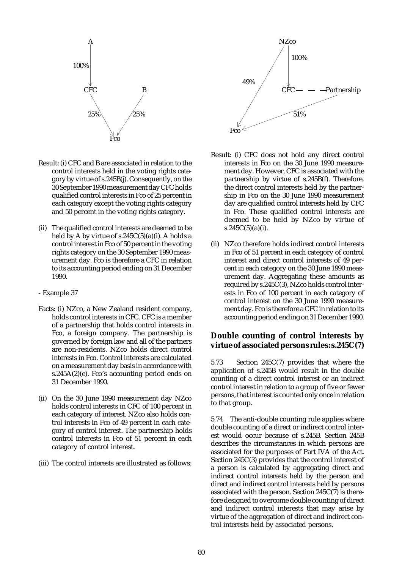

- Result: (i) CFC and B are associated in relation to the control interests held in the voting rights category by virtue of s.245B(j). Consequently, on the 30 September 1990 measurement day CFC holds qualified control interests in Fco of 25 percent in each category except the voting rights category and 50 percent in the voting rights category.
- (ii) The qualified control interests are deemed to be held by A by virtue of  $s.245C(5)(a)(i)$ . A holds a control interest in Fco of 50 percent in the voting rights category on the 30 September 1990 measurement day. Fco is therefore a CFC in relation to its accounting period ending on 31 December 1990.
- Example 37
- Facts: (i) NZco, a New Zealand resident company, holds control interests in CFC. CFC is a member of a partnership that holds control interests in Fco, a foreign company. The partnership is governed by foreign law and all of the partners are non-residents. NZco holds direct control interests in Fco. Control interests are calculated on a measurement day basis in accordance with s.245A(2)(e). Fco's accounting period ends on 31 December 1990.
- (ii) On the 30 June 1990 measurement day NZco holds control interests in CFC of 100 percent in each category of interest. NZco also holds control interests in Fco of 49 percent in each category of control interest. The partnership holds control interests in Fco of 51 percent in each category of control interest.
- (iii) The control interests are illustrated as follows:



- Result: (i) CFC does not hold any direct control interests in Fco on the 30 June 1990 measurement day. However, CFC is associated with the partnership by virtue of s.245B(f). Therefore, the direct control interests held by the partnership in Fco on the 30 June 1990 measurement day are qualified control interests held by CFC in Fco. These qualified control interests are deemed to be held by NZco by virtue of  $s.245C(5)(a)(i)$ .
- (ii) NZco therefore holds indirect control interests in Fco of 51 percent in each category of control interest and direct control interests of 49 percent in each category on the 30 June 1990 measurement day. Aggregating these amounts as required by s.245C(3), NZco holds control interests in Fco of 100 percent in each category of control interest on the 30 June 1990 measurement day. Fco is therefore a CFC in relation to its accounting period ending on 31 December 1990.

# **Double counting of control interests by virtue of associated persons rules: s.245C(7)**

5.73 Section 245C(7) provides that where the application of s.245B would result in the double counting of a direct control interest or an indirect control interest in relation to a group of five or fewer persons, that interest is counted only once in relation to that group.

5.74 The anti-double counting rule applies where double counting of a direct or indirect control interest would occur because of s.245B. Section 245B describes the circumstances in which persons are associated for the purposes of Part IVA of the Act. Section 245C(3) provides that the control interest of a person is calculated by aggregating direct and indirect control interests held by the person and direct and indirect control interests held by persons associated with the person. Section 245C(7) is therefore designed to overcome double counting of direct and indirect control interests that may arise by virtue of the aggregation of direct and indirect control interests held by associated persons.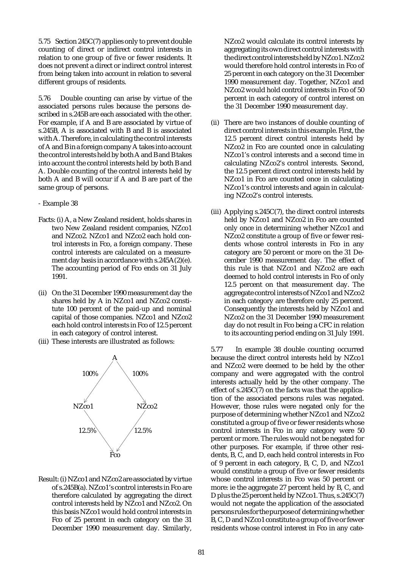5.75 Section 245C(7) applies only to prevent double counting of direct or indirect control interests in relation to one group of five or fewer residents. It does not prevent a direct or indirect control interest from being taken into account in relation to several different groups of residents.

5.76 Double counting can arise by virtue of the associated persons rules because the persons described in s.245B are each associated with the other. For example, if A and B are associated by virtue of s.245B, A is associated with B and B is associated with A. Therefore, in calculating the control interests of A and B in a foreign company A takes into account the control interests held by both A and B and B takes into account the control interests held by both B and A. Double counting of the control interests held by both A and B will occur if A and B are part of the same group of persons.

#### - Example 38

- Facts: (i) A, a New Zealand resident, holds shares in two New Zealand resident companies, NZco1 and NZco2. NZco1 and NZco2 each hold control interests in Fco, a foreign company. These control interests are calculated on a measurement day basis in accordance with s.245A(2)(e). The accounting period of Fco ends on 31 July 1991.
- (ii) On the 31 December 1990 measurement day the shares held by A in NZco1 and NZco2 constitute 100 percent of the paid-up and nominal capital of those companies. NZco1 and NZco2 each hold control interests in Fco of 12.5 percent in each category of control interest.
- (iii) These interests are illustrated as follows:



Result: (i) NZco1 and NZco2 are associated by virtue of s.245B(a). NZco1's control interests in Fco are therefore calculated by aggregating the direct control interests held by NZco1 and NZco2. On this basis NZco1 would hold control interests in Fco of 25 percent in each category on the 31 December 1990 measurement day. Similarly,

NZco2 would calculate its control interests by aggregating its own direct control interests with the direct control interests held by NZco1. NZco2 would therefore hold control interests in Fco of 25 percent in each category on the 31 December 1990 measurement day. Together, NZco1 and NZco2 would hold control interests in Fco of 50 percent in each category of control interest on the 31 December 1990 measurement day.

- (ii) There are two instances of double counting of direct control interests in this example. First, the 12.5 percent direct control interests held by NZco2 in Fco are counted once in calculating NZco1's control interests and a second time in calculating NZco2's control interests. Second, the 12.5 percent direct control interests held by NZco1 in Fco are counted once in calculating NZco1's control interests and again in calculating NZco2's control interests.
- (iii) Applying s.245C(7), the direct control interests held by NZco1 and NZco2 in Fco are counted only once in determining whether NZco1 and NZco2 constitute a group of five or fewer residents whose control interests in Fco in any category are 50 percent or more on the 31 December 1990 measurement day. The effect of this rule is that NZco1 and NZco2 are each deemed to hold control interests in Fco of only 12.5 percent on that measurement day. The aggregate control interests of NZco1 and NZco2 in each category are therefore only 25 percent. Consequently the interests held by NZco1 and NZco2 on the 31 December 1990 measurement day do not result in Fco being a CFC in relation to its accounting period ending on 31 July 1991.

5.77 In example 38 double counting occurred because the direct control interests held by NZco1 and NZco2 were deemed to be held by the other company and were aggregated with the control interests actually held by the other company. The effect of  $s.245C(7)$  on the facts was that the application of the associated persons rules was negated. However, those rules were negated only for the purpose of determining whether NZco1 and NZco2 constituted a group of five or fewer residents whose control interests in Fco in any category were 50 percent or more. The rules would not be negated for other purposes. For example, if three other residents, B, C, and D, each held control interests in Fco of 9 percent in each category, B, C, D, and NZco1 would constitute a group of five or fewer residents whose control interests in Fco was 50 percent or more: ie the aggregate 27 percent held by B, C, and D plus the 25 percent held by NZco1. Thus, s.245C(7) would not negate the application of the associated persons rules for the purpose of determining whether B, C, D and NZco1 constitute a group of five or fewer residents whose control interest in Fco in any cate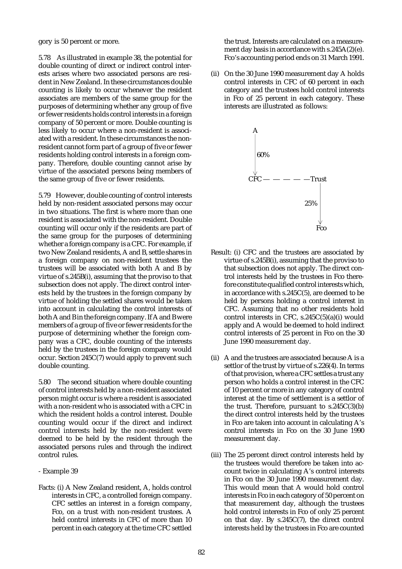gory is 50 percent or more.

5.78 As illustrated in example 38, the potential for double counting of direct or indirect control interests arises where two associated persons are resident in New Zealand. In these circumstances double counting is likely to occur whenever the resident associates are members of the same group for the purposes of determining whether any group of five or fewer residents holds control interests in a foreign company of 50 percent or more. Double counting is less likely to occur where a non-resident is associated with a resident. In these circumstances the nonresident cannot form part of a group of five or fewer residents holding control interests in a foreign company. Therefore, double counting cannot arise by virtue of the associated persons being members of the same group of five or fewer residents.

5.79 However, double counting of control interests held by non-resident associated persons may occur in two situations. The first is where more than one resident is associated with the non-resident. Double counting will occur only if the residents are part of the same group for the purposes of determining whether a foreign company is a CFC. For example, if two New Zealand residents, A and B, settle shares in a foreign company on non-resident trustees the trustees will be associated with both A and B by virtue of s.245B(i), assuming that the proviso to that subsection does not apply. The direct control interests held by the trustees in the foreign company by virtue of holding the settled shares would be taken into account in calculating the control interests of both A and B in the foreign company. If A and B were members of a group of five or fewer residents for the purpose of determining whether the foreign company was a CFC, double counting of the interests held by the trustees in the foreign company would occur. Section 245C(7) would apply to prevent such double counting.

5.80 The second situation where double counting of control interests held by a non-resident associated person might occur is where a resident is associated with a non-resident who is associated with a CFC in which the resident holds a control interest. Double counting would occur if the direct and indirect control interests held by the non-resident were deemed to be held by the resident through the associated persons rules and through the indirect control rules.

- Example 39
- Facts: (i) A New Zealand resident, A, holds control interests in CFC, a controlled foreign company. CFC settles an interest in a foreign company, Fco, on a trust with non-resident trustees. A held control interests in CFC of more than 10 percent in each category at the time CFC settled

the trust. Interests are calculated on a measurement day basis in accordance with s.245A(2)(e). Fco's accounting period ends on 31 March 1991.

(ii) On the 30 June 1990 measurement day A holds control interests in CFC of 60 percent in each category and the trustees hold control interests in Fco of 25 percent in each category. These interests are illustrated as follows:



- Result: (i) CFC and the trustees are associated by virtue of s.245B(i), assuming that the proviso to that subsection does not apply. The direct control interests held by the trustees in Fco therefore constitute qualified control interests which, in accordance with s.245C(5), are deemed to be held by persons holding a control interest in CFC. Assuming that no other residents hold control interests in CFC, s.245C(5)(a)(i) would apply and A would be deemed to hold indirect control interests of 25 percent in Fco on the 30 June 1990 measurement day.
- (ii) A and the trustees are associated because A is a settlor of the trust by virtue of s.226(4). In terms of that provision, where a CFC settles a trust any person who holds a control interest in the CFC of 10 percent or more in any category of control interest at the time of settlement is a settlor of the trust. Therefore, pursuant to s.245C(3)(b) the direct control interests held by the trustees in Fco are taken into account in calculating A's control interests in Fco on the 30 June 1990 measurement day.
- (iii) The 25 percent direct control interests held by the trustees would therefore be taken into account twice in calculating A's control interests in Fco on the 30 June 1990 measurement day. This would mean that A would hold control interests in Fco in each category of 50 percent on that measurement day, although the trustees hold control interests in Fco of only 25 percent on that day. By s.245C(7), the direct control interests held by the trustees in Fco are counted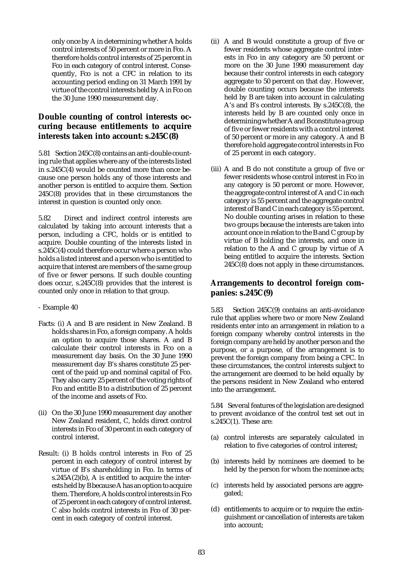only once by A in determining whether A holds control interests of 50 percent or more in Fco. A therefore holds control interests of 25 percent in Fco in each category of control interest. Consequently, Fco is not a CFC in relation to its accounting period ending on 31 March 1991 by virtue of the control interests held by A in Fco on the 30 June 1990 measurement day.

# **Double counting of control interests occuring because entitlements to acquire interests taken into account: s.245C(8)**

5.81 Section 245C(8) contains an anti-double counting rule that applies where any of the interests listed in s.245C(4) would be counted more than once because one person holds any of those interests and another person is entitled to acquire them. Section 245C(8) provides that in these circumstances the interest in question is counted only once.

5.82 Direct and indirect control interests are calculated by taking into account interests that a person, including a CFC, holds or is entitled to acquire. Double counting of the interests listed in s.245C(4) could therefore occur where a person who holds a listed interest and a person who is entitled to acquire that interest are members of the same group of five or fewer persons. If such double counting does occur, s.245C(8) provides that the interest is counted only once in relation to that group.

### - Example 40

- Facts: (i) A and B are resident in New Zealand. B holds shares in Fco, a foreign company. A holds an option to acquire those shares. A and B calculate their control interests in Fco on a measurement day basis. On the 30 June 1990 measurement day B's shares constitute 25 percent of the paid up and nominal capital of Fco. They also carry 25 percent of the voting rights of Fco and entitle B to a distribution of 25 percent of the income and assets of Fco.
- (ii) On the 30 June 1990 measurement day another New Zealand resident, C, holds direct control interests in Fco of 30 percent in each category of control interest.
- Result: (i) B holds control interests in Fco of 25 percent in each category of control interest by virtue of B's shareholding in Fco. In terms of s.245 $A(2)(b)$ . A is entitled to acquire the interests held by B because A has an option to acquire them. Therefore, A holds control interests in Fco of 25 percent in each category of control interest. C also holds control interests in Fco of 30 percent in each category of control interest.
- (ii) A and B would constitute a group of five or fewer residents whose aggregate control interests in Fco in any category are 50 percent or more on the 30 June 1990 measurement day because their control interests in each category aggregate to 50 percent on that day. However, double counting occurs because the interests held by B are taken into account in calculating A's and B's control interests. By s.245C(8), the interests held by B are counted only once in determining whether A and B constitute a group of five or fewer residents with a control interest of 50 percent or more in any category. A and B therefore hold aggregate control interests in Fco of 25 percent in each category.
- (iii) A and B do not constitute a group of five or fewer residents whose control interest in Fco in any category is 50 percent or more. However, the aggregate control interest of A and C in each category is 55 percent and the aggregate control interest of B and C in each category is 55 percent. No double counting arises in relation to these two groups because the interests are taken into account once in relation to the B and C group by virtue of B holding the interests, and once in relation to the A and C group by virtue of A being entitled to acquire the interests. Section 245C(8) does not apply in these circumstances.

# **Arrangements to decontrol foreign companies: s.245C(9)**

5.83 Section 245C(9) contains an anti-avoidance rule that applies where two or more New Zealand residents enter into an arrangement in relation to a foreign company whereby control interests in the foreign company are held by another person and the purpose, or a purpose, of the arrangement is to prevent the foreign company from being a CFC. In these circumstances, the control interests subject to the arrangement are deemed to be held equally by the persons resident in New Zealand who entered into the arrangement.

5.84 Several features of the legislation are designed to prevent avoidance of the control test set out in s.245C(1). These are:

- (a) control interests are separately calculated in relation to five categories of control interest;
- (b) interests held by nominees are deemed to be held by the person for whom the nominee acts;
- (c) interests held by associated persons are aggregated;
- (d) entitlements to acquire or to require the extinguishment or cancellation of interests are taken into account;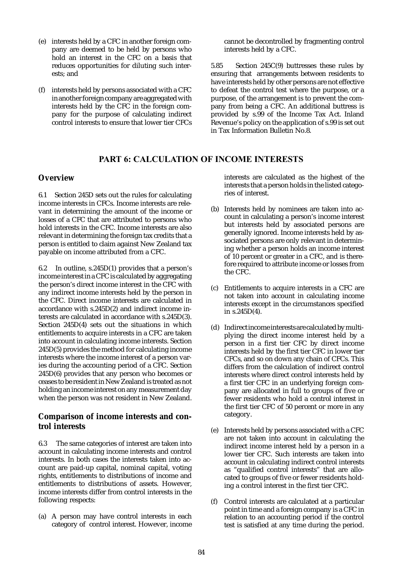- (e) interests held by a CFC in another foreign company are deemed to be held by persons who hold an interest in the CFC on a basis that reduces opportunities for diluting such interests; and
- (f) interests held by persons associated with a CFC in another foreign company are aggregated with interests held by the CFC in the foreign company for the purpose of calculating indirect control interests to ensure that lower tier CFCs

cannot be decontrolled by fragmenting control interests held by a CFC.

5.85 Section 245C(9) buttresses these rules by ensuring that arrangements between residents to have interests held by other persons are not effective to defeat the control test where the purpose, or a purpose, of the arrangement is to prevent the company from being a CFC. An additional buttress is provided by s.99 of the Income Tax Act. Inland Revenue's policy on the application of s.99 is set out in Tax Information Bulletin No.8.

# PART 6: CALCULATION OF INCOME INTERESTS

# **Overview**

6.1 Section 245D sets out the rules for calculating income interests in CFCs. Income interests are relevant in determining the amount of the income or losses of a CFC that are attributed to persons who hold interests in the CFC. Income interests are also relevant in determining the foreign tax credits that a person is entitled to claim against New Zealand tax payable on income attributed from a CFC.

6.2 In outline, s.245D(1) provides that a person's income interest in a CFC is calculated by aggregating the person's direct income interest in the CFC with any indirect income interests held by the person in the CFC. Direct income interests are calculated in accordance with s.245D(2) and indirect income interests are calculated in accordance with s.245D(3). Section 245D(4) sets out the situations in which entitlements to acquire interests in a CFC are taken into account in calculating income interests. Section 245D(5) provides the method for calculating income interests where the income interest of a person varies during the accounting period of a CFC. Section 245D(6) provides that any person who becomes or ceases to be resident in New Zealand is treated as not holding an income interest on any measurement day when the person was not resident in New Zealand.

# **Comparison of income interests and control interests**

6.3 The same categories of interest are taken into account in calculating income interests and control interests. In both cases the interests taken into account are paid-up capital, nominal capital, voting rights, entitlements to distributions of income and entitlements to distributions of assets. However, income interests differ from control interests in the following respects:

(a) A person may have control interests in each category of control interest. However, income interests are calculated as the highest of the interests that a person holds in the listed categories of interest.

- (b) Interests held by nominees are taken into account in calculating a person's income interest but interests held by associated persons are generally ignored. Income interests held by associated persons are only relevant in determining whether a person holds an income interest of 10 percent or greater in a CFC, and is therefore required to attribute income or losses from the CFC.
- (c) Entitlements to acquire interests in a CFC are not taken into account in calculating income interests except in the circumstances specified in s.245D(4).
- (d) Indirect income interests are calculated by multiplying the direct income interest held by a person in a first tier CFC by direct income interests held by the first tier CFC in lower tier CFCs, and so on down any chain of CFCs. This differs from the calculation of indirect control interests where direct control interests held by a first tier CFC in an underlying foreign company are allocated in full to groups of five or fewer residents who hold a control interest in the first tier CFC of 50 percent or more in any category.
- (e) Interests held by persons associated with a CFC are not taken into account in calculating the indirect income interest held by a person in a lower tier CFC. Such interests are taken into account in calculating indirect control interests as "qualified control interests" that are allocated to groups of five or fewer residents holding a control interest in the first tier CFC.
- (f) Control interests are calculated at a particular point in time and a foreign company is a CFC in relation to an accounting period if the control test is satisfied at any time during the period.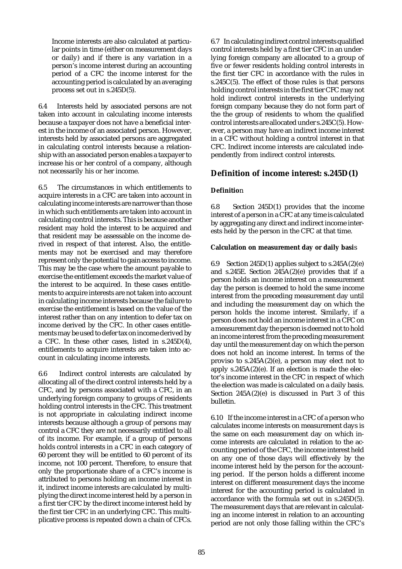Income interests are also calculated at particular points in time (either on measurement days or daily) and if there is any variation in a person's income interest during an accounting period of a CFC the income interest for the accounting period is calculated by an averaging process set out in s.245D(5).

6.4 Interests held by associated persons are not taken into account in calculating income interests because a taxpayer does not have a beneficial interest in the income of an associated person. However, interests held by associated persons are aggregated in calculating control interests because a relationship with an associated person enables a taxpayer to increase his or her control of a company, although not necessarily his or her income.

6.5 The circumstances in which entitlements to acquire interests in a CFC are taken into account in calculating income interests are narrower than those in which such entitlements are taken into account in calculating control interests. This is because another resident may hold the interest to be acquired and that resident may be assessable on the income derived in respect of that interest. Also, the entitlements may not be exercised and may therefore represent only the potential to gain access to income. This may be the case where the amount payable to exercise the entitlement exceeds the market value of the interest to be acquired. In these cases entitlements to acquire interests are not taken into account in calculating income interests because the failure to exercise the entitlement is based on the value of the interest rather than on any intention to defer tax on income derived by the CFC. In other cases entitlements may be used to defer tax on income derived by a CFC. In these other cases, listed in s.245D(4), entitlements to acquire interests are taken into account in calculating income interests.

6.6 Indirect control interests are calculated by allocating all of the direct control interests held by a CFC, and by persons associated with a CFC, in an underlying foreign company to groups of residents holding control interests in the CFC. This treatment is not appropriate in calculating indirect income interests because although a group of persons may control a CFC they are not necessarily entitled to all of its income. For example, if a group of persons holds control interests in a CFC in each category of 60 percent they will be entitled to 60 percent of its income, not 100 percent. Therefore, to ensure that only the proportionate share of a CFC's income is attributed to persons holding an income interest in it, indirect income interests are calculated by multiplying the direct income interest held by a person in a first tier CFC by the direct income interest held by the first tier CFC in an underlying CFC. This multiplicative process is repeated down a chain of CFCs.

6.7 In calculating indirect control interests qualified control interests held by a first tier CFC in an underlying foreign company are allocated to a group of five or fewer residents holding control interests in the first tier CFC in accordance with the rules in s.245C(5). The effect of those rules is that persons holding control interests in the first tier CFC may not hold indirect control interests in the underlying foreign company because they do not form part of the the group of residents to whom the qualified control interests are allocated under s.245C(5). However, a person may have an indirect income interest in a CFC without holding a control interest in that CFC. Indirect income interests are calculated independently from indirect control interests.

# **Definition of income interest: s.245D(1)**

# **Definitio**n

6.8 Section 245D(1) provides that the income interest of a person in a CFC at any time is calculated by aggregating any direct and indirect income interests held by the person in the CFC at that time.

### **Calculation on measurement day or daily basi**s

6.9 Section 245D(1) applies subject to  $s.245A(2)(e)$ and s.245E. Section 245A(2)(e) provides that if a person holds an income interest on a measurement day the person is deemed to hold the same income interest from the preceding measurement day until and including the measurement day on which the person holds the income interest. Similarly, if a person does not hold an income interest in a CFC on a measurement day the person is deemed not to hold an income interest from the preceding measurement day until the measurement day on which the person does not hold an income interest. In terms of the proviso to s.245A(2)(e), a person may elect not to apply  $s.245A(2)(e)$ . If an election is made the elector's income interest in the CFC in respect of which the election was made is calculated on a daily basis. Section 245A(2)(e) is discussed in Part 3 of this bulletin.

6.10 If the income interest in a CFC of a person who calculates income interests on measurement days is the same on each measurement day on which income interests are calculated in relation to the accounting period of the CFC, the income interest held on any one of those days will effectively by the income interest held by the person for the accounting period. If the person holds a different income interest on different measurement days the income interest for the accounting period is calculated in accordance with the formula set out in s.245D(5). The measurement days that are relevant in calculating an income interest in relation to an accounting period are not only those falling within the CFC's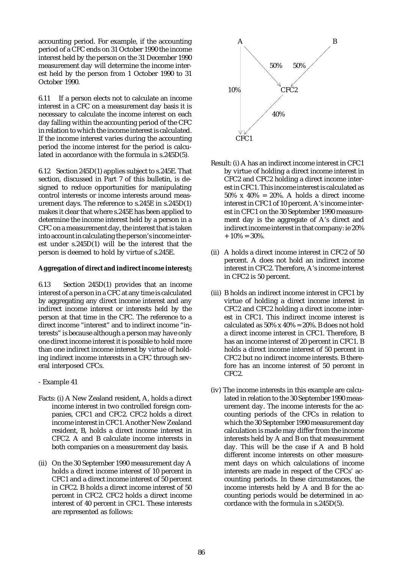accounting period. For example, if the accounting period of a CFC ends on 31 October 1990 the income interest held by the person on the 31 December 1990 measurement day will determine the income interest held by the person from 1 October 1990 to 31 October 1990.

6.11 If a person elects not to calculate an income interest in a CFC on a measurement day basis it is necessary to calculate the income interest on each day falling within the accounting period of the CFC in relation to which the income interest is calculated. If the income interest varies during the accounting period the income interest for the period is calculated in accordance with the formula in s.245D(5).

6.12 Section 245D(1) applies subject to s.245E. That section, discussed in Part 7 of this bulletin, is designed to reduce opportunities for manipulating control interests or income interests around measurement days. The reference to s.245E in s.245D(1) makes it clear that where s.245E has been applied to determine the income interest held by a person in a CFC on a measurement day, the interest that is taken into account in calculating the person's income interest under s.245D(1) will be the interest that the person is deemed to hold by virtue of s.245E.

#### **Aggregation of direct and indirect income interest**s

6.13 Section 245D(1) provides that an income interest of a person in a CFC at any time is calculated by aggregating any direct income interest and any indirect income interest or interests held by the person at that time in the CFC. The reference to a direct income "interest" and to indirect income "interests" is because although a person may have only one direct income interest it is possible to hold more than one indirect income interest by virtue of holding indirect income interests in a CFC through several interposed CFCs.

- Example 41
- Facts: (i) A New Zealand resident, A, holds a direct income interest in two controlled foreign companies, CFC1 and CFC2. CFC2 holds a direct income interest in CFC1. Another New Zealand resident, B, holds a direct income interest in CFC2. A and B calculate income interests in both companies on a measurement day basis.
- (ii) On the 30 September 1990 measurement day A holds a direct income interest of 10 percent in CFC1 and a direct income interest of 50 percent in CFC2. B holds a direct income interest of 50 percent in CFC2. CFC2 holds a direct income interest of 40 percent in CFC1. These interests are represented as follows:



- Result: (i) A has an indirect income interest in CFC1 by virtue of holding a direct income interest in CFC2 and CFC2 holding a direct income interest in CFC1. This income interest is calculated as 50% x 40% = 20%. A holds a direct income interest in CFC1 of 10 percent. A's income interest in CFC1 on the 30 September 1990 measurement day is the aggregate of A's direct and indirect income interest in that company: ie 20%  $+ 10\% = 30\%$
- (ii) A holds a direct income interest in CFC2 of 50 percent. A does not hold an indirect income interest in CFC2. Therefore, A's income interest in CFC2 is 50 percent.
- (iii) B holds an indirect income interest in CFC1 by virtue of holding a direct income interest in CFC2 and CFC2 holding a direct income interest in CFC1. This indirect income interest is calculated as  $50\%$  x  $40\%$  =  $20\%$ . B does not hold a direct income interest in CFC1. Therefore, B has an income interest of 20 percent in CFC1. B holds a direct income interest of 50 percent in CFC2 but no indirect income interests. B therefore has an income interest of 50 percent in CFC2.
- (iv) The income interests in this example are calculated in relation to the 30 September 1990 measurement day. The income interests for the accounting periods of the CFCs in relation to which the 30 September 1990 measurement day calculation is made may differ from the income interests held by A and B on that measurement day. This will be the case if A and B hold different income interests on other measurement days on which calculations of income interests are made in respect of the CFCs' accounting periods. In these circumstances, the income interests held by A and B for the accounting periods would be determined in accordance with the formula in s.245D(5).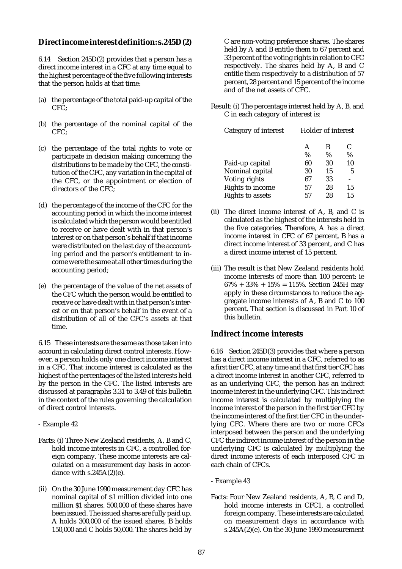# **Direct income interest definition: s.245D(2)**

6.14 Section 245D(2) provides that a person has a direct income interest in a CFC at any time equal to the highest percentage of the five following interests that the person holds at that time:

- (a) the percentage of the total paid-up capital of the CFC;
- (b) the percentage of the nominal capital of the CFC;
- (c) the percentage of the total rights to vote or participate in decision making concerning the distributions to be made by the CFC, the constitution of the CFC, any variation in the capital of the CFC, or the appointment or election of directors of the CFC;
- (d) the percentage of the income of the CFC for the accounting period in which the income interest is calculated which the person would be entitled to receive or have dealt with in that person's interest or on that person's behalf if that income were distributed on the last day of the accounting period and the person's entitlement to income were the same at all other times during the accounting period;
- (e) the percentage of the value of the net assets of the CFC which the person would be entitled to receive or have dealt with in that person's interest or on that person's behalf in the event of a distribution of all of the CFC's assets at that time.

6.15 These interests are the same as those taken into account in calculating direct control interests. However, a person holds only one direct income interest in a CFC. That income interest is calculated as the highest of the percentages of the listed interests held by the person in the CFC. The listed interests are discussed at paragraphs 3.31 to 3.49 of this bulletin in the context of the rules governing the calculation of direct control interests.

- Example 42
- Facts: (i) Three New Zealand residents, A, B and C, hold income interests in CFC, a controlled foreign company. These income interests are calculated on a measurement day basis in accordance with  $s.245A(2)(e)$ .
- (ii) On the 30 June 1990 measurement day CFC has nominal capital of \$1 million divided into one million \$1 shares. 500,000 of these shares have been issued. The issued shares are fully paid up. A holds 300,000 of the issued shares, B holds 150,000 and C holds 50,000. The shares held by

C are non-voting preference shares. The shares held by A and B entitle them to 67 percent and 33 percent of the voting rights in relation to CFC respectively. The shares held by A, B and C entitle them respectively to a distribution of 57 percent, 28 percent and 15 percent of the income and of the net assets of CFC.

Result: (i) The percentage interest held by A, B, and C in each category of interest is:

| Category of interest    | Holder of interest |      |      |
|-------------------------|--------------------|------|------|
|                         | A                  | В    | C    |
|                         | %                  | $\%$ | $\%$ |
| Paid-up capital         | 60                 | 30   | 10   |
| Nominal capital         | 30                 | 15   | 5    |
| Voting rights           | 67                 | 33   |      |
| Rights to income        | 57                 | 28   | 15   |
| <b>Rights to assets</b> | 57                 | 28   | 15   |

- (ii) The direct income interest of A, B, and C is calculated as the highest of the interests held in the five categories. Therefore, A has a direct income interest in CFC of 67 percent, B has a direct income interest of 33 percent, and C has a direct income interest of 15 percent.
- (iii) The result is that New Zealand residents hold income interests of more than 100 percent: ie  $67\% + 33\% + 15\% = 115\%.$  Section 245H may apply in these circumstances to reduce the aggregate income interests of A, B and C to 100 percent. That section is discussed in Part 10 of this bulletin.

# **Indirect income interests**

6.16 Section 245D(3) provides that where a person has a direct income interest in a CFC, referred to as a first tier CFC, at any time and that first tier CFC has a direct income interest in another CFC, referred to as an underlying CFC, the person has an indirect income interest in the underlying CFC. This indirect income interest is calculated by multiplying the income interest of the person in the first tier CFC by the income interest of the first tier CFC in the underlying CFC. Where there are two or more CFCs interposed between the person and the underlying CFC the indirect income interest of the person in the underlying CFC is calculated by multiplying the direct income interests of each interposed CFC in each chain of CFCs.

- Example 43
- Facts: Four New Zealand residents, A, B, C and D, hold income interests in CFC1, a controlled foreign company. These interests are calculated on measurement days in accordance with s.245A(2)(e). On the 30 June 1990 measurement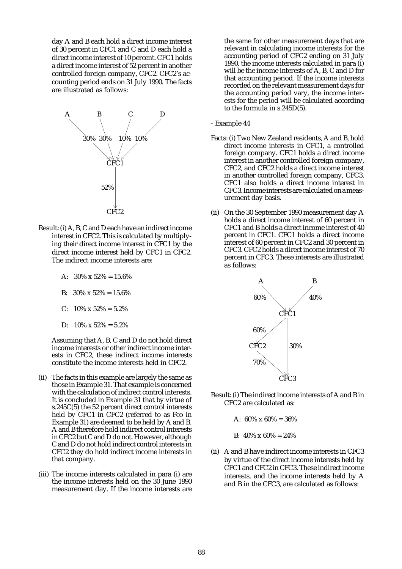day A and B each hold a direct income interest of 30 percent in CFC1 and C and D each hold a direct income interest of 10 percent. CFC1 holds a direct income interest of 52 percent in another controlled foreign company, CFC2. CFC2's accounting period ends on 31 July 1990. The facts are illustrated as follows:



- Result: (i) A, B, C and D each have an indirect income interest in CFC2. This is calculated by multiplying their direct income interest in CFC1 by the direct income interest held by CFC1 in CFC2. The indirect income interests are:
	- A:  $30\% \times 52\% = 15.6\%$
	- B:  $30\% \times 52\% = 15.6\%$
	- C:  $10\% \times 52\% = 5.2\%$
	- D:  $10\% \times 52\% = 5.2\%$

Assuming that A, B, C and D do not hold direct income interests or other indirect income interests in CFC2, these indirect income interests constitute the income interests held in CFC2.

- (ii) The facts in this example are largely the same as those in Example 31. That example is concerned with the calculation of indirect control interests. It is concluded in Example 31 that by virtue of s.245C(5) the 52 percent direct control interests held by CFC1 in CFC2 (referred to as Fco in Example 31) are deemed to be held by A and B. A and B therefore hold indirect control interests in CFC2 but C and D do not. However, although C and D do not hold indirect control interests in CFC2 they do hold indirect income interests in that company.
- (iii) The income interests calculated in para (i) are the income interests held on the 30 June 1990 measurement day. If the income interests are

the same for other measurement days that are relevant in calculating income interests for the accounting period of CFC2 ending on 31 July 1990, the income interests calculated in para (i) will be the income interests of A, B, C and D for that accounting period. If the income interests recorded on the relevant measurement days for the accounting period vary, the income interests for the period will be calculated according to the formula in s.245D(5).

- Example 44
- Facts: (i) Two New Zealand residents, A and B, hold direct income interests in CFC1, a controlled foreign company. CFC1 holds a direct income interest in another controlled foreign company, CFC2, and CFC2 holds a direct income interest in another controlled foreign company, CFC3. CFC1 also holds a direct income interest in CFC3. Income interests are calculated on a measurement day basis.
- (ii) On the 30 September 1990 measurement day A holds a direct income interest of 60 percent in CFC1 and B holds a direct income interest of 40 percent in CFC1. CFC1 holds a direct income interest of 60 percent in CFC2 and 30 percent in CFC3. CFC2 holds a direct income interest of 70 percent in CFC3. These interests are illustrated as follows:



- Result: (i) The indirect income interests of A and B in CFC2 are calculated as:
	- A:  $60\% \times 60\% = 36\%$
	- B:  $40\% \times 60\% = 24\%$
- (ii) A and B have indirect income interests in CFC3 by virtue of the direct income interests held by CFC1 and CFC2 in CFC3. These indirect income interests, and the income interests held by A and B in the CFC3, are calculated as follows: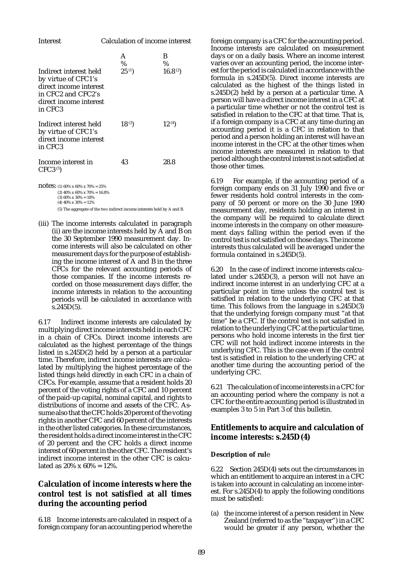| Interest                                                                                                                           | Calculation of income interest |                     |  |
|------------------------------------------------------------------------------------------------------------------------------------|--------------------------------|---------------------|--|
|                                                                                                                                    | A<br>$\%$                      | B<br>$\%$           |  |
| Indirect interest held<br>by virtue of CFC1's<br>direct income interest<br>in CFC2 and CFC2's<br>direct income interest<br>in CFC3 | $25^{(1)}$                     | 16.8 <sup>(2)</sup> |  |
| Indirect interest held<br>by virtue of CFC1's<br>direct income interest<br>in CFC3                                                 | $18^{(3)}$                     | 12 <sup>(4)</sup>   |  |
| Income interest in<br>CFC3 <sup>(5)</sup>                                                                                          | 43                             | 28.8                |  |
| <b>NOTES:</b> (1) 60% x 60% x 70% = 25%                                                                                            |                                |                     |  |

(2)  $40\% \times 60\% \times 70\% = 16.8\%$ (3)  $60\% \times 30\% = 18\%$  $(4)$  40% x 30% = 12%

(5) The aggregate of the two indirect income interests held by A and B.

(iii) The income interests calculated in paragraph (ii) are the income interests held by A and B on the 30 September 1990 measurement day. Income interests will also be calculated on other measurement days for the purpose of establishing the income interest of A and B in the three CFCs for the relevant accounting periods of those companies. If the income interests recorded on those measurement days differ, the income interests in relation to the accounting periods will be calculated in accordance with  $s.245D(5)$ .

6.17 Indirect income interests are calculated by multiplying direct income interests held in each CFC in a chain of CFCs. Direct income interests are calculated as the highest percentage of the things listed in s.245D(2) held by a person at a particular time. Therefore, indirect income interests are calculated by multiplying the highest percentage of the listed things held directly in each CFC in a chain of CFCs. For example, assume that a resident holds 20 percent of the voting rights of a CFC and 10 percent of the paid-up capital, nominal capital, and rights to distributions of income and assets of the CFC. Assume also that the CFC holds 20 percent of the voting rights in another CFC and 60 percent of the interests in the other listed categories. In these circumstances, the resident holds a direct income interest in the CFC of 20 percent and the CFC holds a direct income interest of 60 percent in the other CFC. The resident's indirect income interest in the other CFC is calculated as  $20\% \times 60\% = 12\%$ .

# **Calculation of income interests where the control test is not satisfied at all times during the accounting period**

6.18 Income interests are calculated in respect of a foreign company for an accounting period where the

foreign company is a CFC for the accounting period. Income interests are calculated on measurement days or on a daily basis. Where an income interest varies over an accounting period, the income interest for the period is calculated in accordance with the formula in s.245D(5). Direct income interests are calculated as the highest of the things listed in s.245D(2) held by a person at a particular time. A person will have a direct income interest in a CFC at a particular time whether or not the control test is satisfied in relation to the CFC at that time. That is, if a foreign company is a CFC at any time during an accounting period it is a CFC in relation to that period and a person holding an interest will have an income interest in the CFC at the other times when income interests are measured in relation to that period although the control interest is not satisfied at those other times.

6.19 For example, if the accounting period of a foreign company ends on 31 July 1990 and five or fewer residents hold control interests in the company of 50 percent or more on the 30 June 1990 measurement day, residents holding an interest in the company will be required to calculate direct income interests in the company on other measurement days falling within the period even if the control test is not satisfied on those days. The income interests thus calculated will be averaged under the formula contained in s.245D(5).

6.20 In the case of indirect income interests calculated under s.245D(3), a person will not have an indirect income interest in an underlying CFC at a particular point in time unless the control test is satisfied in relation to the underlying CFC at that time. This follows from the language in s.245D(3) that the underlying foreign company must "at that time" be a CFC. If the control test is not satisfied in relation to the underlying CFC at the particular time, persons who hold income interests in the first tier CFC will not hold indirect income interests in the underlying CFC. This is the case even if the control test is satisfied in relation to the underlying CFC at another time during the accounting period of the underlying CFC.

6.21 The calculation of income interests in a CFC for an accounting period where the company is not a CFC for the entire accounting period is illustrated in examples 3 to 5 in Part 3 of this bulletin.

# **Entitlements to acquire and calculation of income interests: s.245D(4)**

### **Description of rul**e

6.22 Section 245D(4) sets out the circumstances in which an entitlement to acquire an interest in a CFC is taken into account in calculating an income interest. For s.245D(4) to apply the following conditions must be satisfied:

(a) the income interest of a person resident in New Zealand (referred to as the "taxpayer") in a CFC would be greater if any person, whether the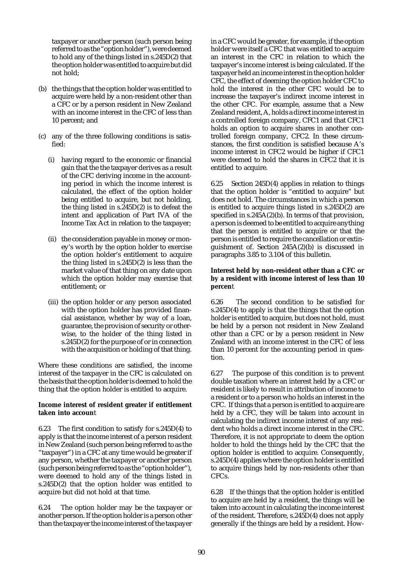taxpayer or another person (such person being referred to as the "option holder"), were deemed to hold any of the things listed in s.245D(2) that the option holder was entitled to acquire but did not hold;

- (b) the things that the option holder was entitled to acquire were held by a non-resident other than a CFC or by a person resident in New Zealand with an income interest in the CFC of less than 10 percent; and
- (c) any of the three following conditions is satisfied:
	- (i) having regard to the economic or financial gain that the the taxpayer derives as a result of the CFC deriving income in the accounting period in which the income interest is calculated, the effect of the option holder being entitled to acquire, but not holding, the thing listed in s.245D(2) is to defeat the intent and application of Part IVA of the Income Tax Act in relation to the taxpayer;
	- (ii) the consideration payable in money or money's worth by the option holder to exercise the option holder's entitlement to acquire the thing listed in s.245D(2) is less than the market value of that thing on any date upon which the option holder may exercise that entitlement; or
	- (iii) the option holder or any person associated with the option holder has provided financial assistance, whether by way of a loan, guarantee, the provision of security or otherwise, to the holder of the thing listed in s.245D(2) for the purpose of or in connection with the acquisition or holding of that thing.

Where these conditions are satisfied, the income interest of the taxpayer in the CFC is calculated on the basis that the option holder is deemed to hold the thing that the option holder is entitled to acquire.

#### **Income interest of resident greater if entitlement taken into accoun**t

6.23 The first condition to satisfy for s.245D(4) to apply is that the income interest of a person resident in New Zealand (such person being referred to as the "taxpayer") in a CFC at any time would be greater if any person, whether the taxpayer or another person (such person being referred to as the "option holder"), were deemed to hold any of the things listed in s.245D(2) that the option holder was entitled to acquire but did not hold at that time.

6.24 The option holder may be the taxpayer or another person. If the option holder is a person other than the taxpayer the income interest of the taxpayer in a CFC would be greater, for example, if the option holder were itself a CFC that was entitled to acquire an interest in the CFC in relation to which the taxpayer's income interest is being calculated. If the taxpayer held an income interest in the option holder CFC, the effect of deeming the option holder CFC to hold the interest in the other CFC would be to increase the taxpayer's indirect income interest in the other CFC. For example, assume that a New Zealand resident, A, holds a direct income interest in a controlled foreign company, CFC1 and that CFC1 holds an option to acquire shares in another controlled foreign company, CFC2. In these circumstances, the first condition is satisfied because A's income interest in CFC2 would be higher if CFC1 were deemed to hold the shares in CFC2 that it is entitled to acquire.

6.25 Section 245D(4) applies in relation to things that the option holder is "entitled to acquire" but does not hold. The circumstances in which a person is entitled to acquire things listed in s.245D(2) are specified in  $s.245A(2)(b)$ . In terms of that provision, a person is deemed to be entitled to acquire anything that the person is entitled to acquire or that the person is entitled to require the cancellation or extinguishment of. Section 245A(2)(b) is discussed in paragraphs 3.85 to 3.104 of this bulletin.

#### **Interest held by non-resident other than a CFC or by a resident with income interest of less than 10 percen**t

6.26 The second condition to be satisfied for s.245D(4) to apply is that the things that the option holder is entitled to acquire, but does not hold, must be held by a person not resident in New Zealand other than a CFC or by a person resident in New Zealand with an income interest in the CFC of less than 10 percent for the accounting period in question.

6.27 The purpose of this condition is to prevent double taxation where an interest held by a CFC or resident is likely to result in attribution of income to a resident or to a person who holds an interest in the CFC. If things that a person is entitled to acquire are held by a CFC, they will be taken into account in calculating the indirect income interest of any resident who holds a direct income interest in the CFC. Therefore, it is not appropriate to deem the option holder to hold the things held by the CFC that the option holder is entitled to acquire. Consequently, s.245D(4) applies where the option holder is entitled to acquire things held by non-residents other than CFCs.

6.28 If the things that the option holder is entitled to acquire are held by a resident, the things will be taken into account in calculating the income interest of the resident. Therefore, s.245D(4) does not apply generally if the things are held by a resident. How-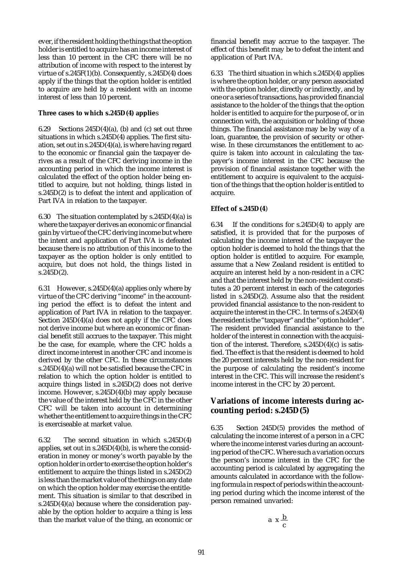ever, if the resident holding the things that the option holder is entitled to acquire has an income interest of less than 10 percent in the CFC there will be no attribution of income with respect to the interest by virtue of s.245F(1)(b). Consequently, s.245D(4) does apply if the things that the option holder is entitled to acquire are held by a resident with an income interest of less than 10 percent.

### **Three cases to which s.245D(4) applie**s

6.29 Sections  $245D(4)(a)$ , (b) and (c) set out three situations in which s.245D(4) applies. The first situation, set out in s.245D(4)(a), is where having regard to the economic or financial gain the taxpayer derives as a result of the CFC deriving income in the accounting period in which the income interest is calculated the effect of the option holder being entitled to acquire, but not holding, things listed in s.245D(2) is to defeat the intent and application of Part IVA in relation to the taxpayer.

6.30 The situation contemplated by  $s.245D(4)(a)$  is where the taxpayer derives an economic or financial gain by virtue of the CFC deriving income but where the intent and application of Part IVA is defeated because there is no attribution of this income to the taxpayer as the option holder is only entitled to acquire, but does not hold, the things listed in  $s.245D(2)$ .

6.31 However, s.245D(4)(a) applies only where by virtue of the CFC deriving "income" in the accounting period the effect is to defeat the intent and application of Part IVA in relation to the taxpayer. Section 245D(4)(a) does not apply if the CFC does not derive income but where an economic or financial benefit still accrues to the taxpayer. This might be the case, for example, where the CFC holds a direct income interest in another CFC and income is derived by the other CFC. In these circumstances s.245D(4)(a) will not be satisfied because the CFC in relation to which the option holder is entitled to acquire things listed in s.245D(2) does not derive income. However, s.245D(4)(b) may apply because the value of the interest held by the CFC in the other CFC will be taken into account in determining whether the entitlement to acquire things in the CFC is exerciseable at market value.

6.32 The second situation in which s.245D(4) applies, set out in s.245D(4)(b), is where the consideration in money or money's worth payable by the option holder in order to exercise the option holder's entitlement to acquire the things listed in s.245D(2) is less than the market value of the things on any date on which the option holder may exercise the entitlement. This situation is similar to that described in s.245D(4)(a) because where the consideration payable by the option holder to acquire a thing is less than the market value of the thing, an economic or financial benefit may accrue to the taxpayer. The effect of this benefit may be to defeat the intent and application of Part IVA.

6.33 The third situation in which s.245D(4) applies is where the option holder, or any person associated with the option holder, directly or indirectly, and by one or a series of transactions, has provided financial assistance to the holder of the things that the option holder is entitled to acquire for the purpose of, or in connection with, the acquisition or holding of those things. The financial assistance may be by way of a loan, guarantee, the provision of security or otherwise. In these circumstances the entitlement to acquire is taken into account in calculating the taxpayer's income interest in the CFC because the provision of financial assistance together with the entitlement to acquire is equivalent to the acquisition of the things that the option holder is entitled to acquire.

### **Effect of s.245D(4**)

6.34 If the conditions for  $s.245D(4)$  to apply are satisfied, it is provided that for the purposes of calculating the income interest of the taxpayer the option holder is deemed to hold the things that the option holder is entitled to acquire. For example, assume that a New Zealand resident is entitled to acquire an interest held by a non-resident in a CFC and that the interest held by the non-resident constitutes a 20 percent interest in each of the categories listed in s.245D(2). Assume also that the resident provided financial assistance to the non-resident to acquire the interest in the CFC. In terms of s.245D(4) the resident is the "taxpayer" and the "option holder". The resident provided financial assistance to the holder of the interest in connection with the acquisition of the interest. Therefore, s.245D(4)(c) is satisfied. The effect is that the resident is deemed to hold the 20 percent interests held by the non-resident for the purpose of calculating the resident's income interest in the CFC. This will increase the resident's income interest in the CFC by 20 percent.

# **Variations of income interests during accounting period: s.245D(5)**

6.35 Section 245D(5) provides the method of calculating the income interest of a person in a CFC where the income interest varies during an accounting period of the CFC. Where such a variation occurs the person's income interest in the CFC for the accounting period is calculated by aggregating the amounts calculated in accordance with the following formula in respect of periods within the accounting period during which the income interest of the person remained unvaried:

$$
a x \frac{b}{c}
$$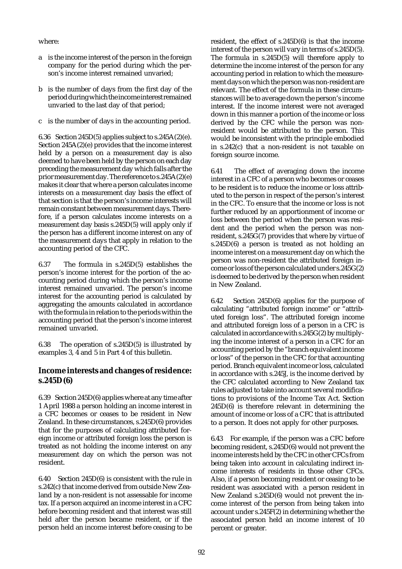where:

- a is the income interest of the person in the foreign company for the period during which the person's income interest remained unvaried;
- b is the number of days from the first day of the period during which the income interest remained unvaried to the last day of that period;
- c is the number of days in the accounting period.

6.36 Section 245D(5) applies subject to s.245A(2)(e). Section 245A(2)(e) provides that the income interest held by a person on a measurement day is also deemed to have been held by the person on each day preceding the measurement day which falls after the prior measurement day. The reference to s.245A(2)(e) makes it clear that where a person calculates income interests on a measurement day basis the effect of that section is that the person's income interests will remain constant between measurement days. Therefore, if a person calculates income interests on a measurement day basis s.245D(5) will apply only if the person has a different income interest on any of the measurement days that apply in relation to the accounting period of the CFC.

6.37 The formula in s.245D(5) establishes the person's income interest for the portion of the accounting period during which the person's income interest remained unvaried. The person's income interest for the accounting period is calculated by aggregating the amounts calculated in accordance with the formula in relation to the periods within the accounting period that the person's income interest remained unvaried.

6.38 The operation of s.245D(5) is illustrated by examples 3, 4 and 5 in Part 4 of this bulletin.

# **Income interests and changes of residence: s.245D(6)**

6.39 Section 245D(6) applies where at any time after 1 April 1988 a person holding an income interest in a CFC becomes or ceases to be resident in New Zealand. In these circumstances, s.245D(6) provides that for the purposes of calculating attributed foreign income or attributed foreign loss the person is treated as not holding the income interest on any measurement day on which the person was not resident.

6.40 Section 245D(6) is consistent with the rule in s.242(c) that income derived from outside New Zealand by a non-resident is not assessable for income tax. If a person acquired an income interest in a CFC before becoming resident and that interest was still held after the person became resident, or if the person held an income interest before ceasing to be

resident, the effect of s.245D(6) is that the income interest of the person will vary in terms of s.245D(5). The formula in s.245D(5) will therefore apply to determine the income interest of the person for any accounting period in relation to which the measurement days on which the person was non-resident are relevant. The effect of the formula in these circumstances will be to average down the person's income interest. If the income interest were not averaged down in this manner a portion of the income or loss derived by the CFC while the person was nonresident would be attributed to the person. This would be inconsistent with the principle embodied in s.242(c) that a non-resident is not taxable on foreign source income.

6.41 The effect of averaging down the income interest in a CFC of a person who becomes or ceases to be resident is to reduce the income or loss attributed to the person in respect of the person's interest in the CFC. To ensure that the income or loss is not further reduced by an apportionment of income or loss between the period when the person was resident and the period when the person was nonresident, s.245G(7) provides that where by virtue of s.245D(6) a person is treated as not holding an income interest on a measurement day on which the person was non-resident the attributed foreign income or loss of the person calculated under s.245G(2) is deemed to be derived by the person when resident in New Zealand.

6.42 Section 245D(6) applies for the purpose of calculating "attributed foreign income" or "attributed foreign loss". The attributed foreign income and attributed foreign loss of a person in a CFC is calculated in accordance with s.245G(2) by multiplying the income interest of a person in a CFC for an accounting period by the "branch equivalent income or loss" of the person in the CFC for that accounting period. Branch equivalent income or loss, calculated in accordance with s.245J, is the income derived by the CFC calculated according to New Zealand tax rules adjusted to take into account several modifications to provisions of the Income Tax Act. Section 245D(6) is therefore relevant in determining the amount of income or loss of a CFC that is attributed to a person. It does not apply for other purposes.

6.43 For example, if the person was a CFC before becoming resident, s.245D(6) would not prevent the income interests held by the CFC in other CFCs from being taken into account in calculating indirect income interests of residents in those other CFCs. Also, if a person becoming resident or ceasing to be resident was associated with a person resident in New Zealand s.245D(6) would not prevent the income interest of the person from being taken into account under s.245F(2) in determining whether the associated person held an income interest of 10 percent or greater.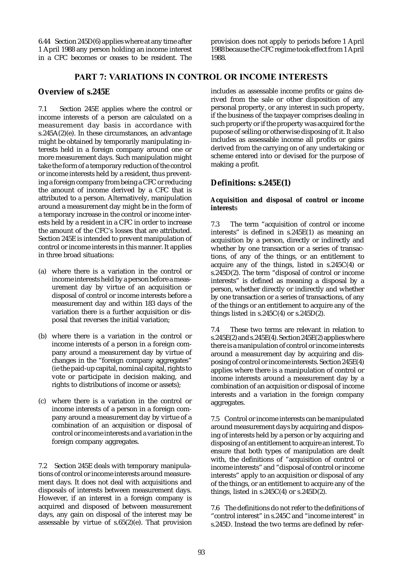6.44 Section 245D(6) applies where at any time after 1 April 1988 any person holding an income interest in a CFC becomes or ceases to be resident. The provision does not apply to periods before 1 April 1988 because the CFC regime took effect from 1 April 1988.

### PART 7: VARIATIONS IN CONTROL OR INCOME INTERESTS

### **Overview of s.245E**

7.1 Section 245E applies where the control or income interests of a person are calculated on a measurement day basis in accordance with s.245A(2)(e). In these circumstances, an advantage might be obtained by temporarily manipulating interests held in a foreign company around one or more measurement days. Such manipulation might take the form of a temporary reduction of the control or income interests held by a resident, thus preventing a foreign company from being a CFC or reducing the amount of income derived by a CFC that is attributed to a person. Alternatively, manipulation around a measurement day might be in the form of a temporary increase in the control or income interests held by a resident in a CFC in order to increase the amount of the CFC's losses that are attributed. Section 245E is intended to prevent manipulation of control or income interests in this manner. It applies in three broad situations:

- (a) where there is a variation in the control or income interests held by a person before a measurement day by virtue of an acquisition or disposal of control or income interests before a measurement day and within 183 days of the variation there is a further acquisition or disposal that reverses the initial variation;
- (b) where there is a variation in the control or income interests of a person in a foreign company around a measurement day by virtue of changes in the "foreign company aggregates" (ie the paid-up capital, nominal capital, rights to vote or participate in decision making, and rights to distributions of income or assets);
- (c) where there is a variation in the control or income interests of a person in a foreign company around a measurement day by virtue of a combination of an acquisition or disposal of control or income interests and a variation in the foreign company aggregates.

7.2 Section 245E deals with temporary manipulations of control or income interests around measurement days. It does not deal with acquisitions and disposals of interests between measurement days. However, if an interest in a foreign company is acquired and disposed of between measurement days, any gain on disposal of the interest may be assessable by virtue of s.65(2)(e). That provision includes as assessable income profits or gains derived from the sale or other disposition of any personal property, or any interest in such property, if the business of the taxpayer comprises dealing in such property or if the property was acquired for the pupose of selling or otherwise disposing of it. It also includes as assessable income all profits or gains derived from the carrying on of any undertaking or scheme entered into or devised for the purpose of making a profit.

# **Definitions: s.245E(1)**

### **Acquisition and disposal of control or income interest**s

7.3 The term "acquisition of control or income interests" is defined in s.245E(1) as meaning an acquisition by a person, directly or indirectly and whether by one transaction or a series of transactions, of any of the things, or an entitlement to acquire any of the things, listed in s.245C(4) or s.245D(2). The term "disposal of control or income interests" is defined as meaning a disposal by a person, whether directly or indirectly and whether by one transaction or a series of transactions, of any of the things or an entitlement to acquire any of the things listed in  $s.245C(4)$  or  $s.245D(2)$ .

7.4 These two terms are relevant in relation to s.245E(2) and s.245E(4). Section 245E(2) applies where there is a manipulation of control or income interests around a measurement day by acquiring and disposing of control or income interests. Section 245E(4) applies where there is a manipulation of control or income interests around a measurement day by a combination of an acquisition or disposal of income interests and a variation in the foreign company aggregates.

7.5 Control or income interests can be manipulated around measurement days by acquiring and disposing of interests held by a person or by acquiring and disposing of an entitlement to acquire an interest. To ensure that both types of manipulation are dealt with, the definitions of "acquisition of control or income interests" and "disposal of control or income interests" apply to an acquisition or disposal of any of the things, or an entitlement to acquire any of the things, listed in s.245C(4) or s.245D(2).

7.6 The definitions do not refer to the definitions of "control interest" in s.245C and "income interest" in s.245D. Instead the two terms are defined by refer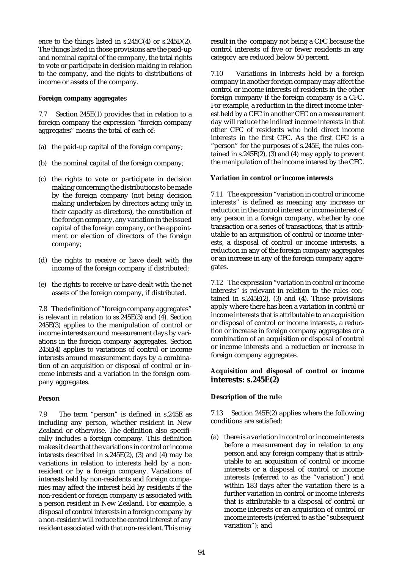ence to the things listed in s.245C(4) or s.245D(2). The things listed in those provisions are the paid-up and nominal capital of the company, the total rights to vote or participate in decision making in relation to the company, and the rights to distributions of income or assets of the company.

#### **Foreign company aggregate**s

7.7 Section 245E(1) provides that in relation to a foreign company the expression "foreign company aggregates" means the total of each of:

- (a) the paid-up capital of the foreign company;
- (b) the nominal capital of the foreign company;
- (c) the rights to vote or participate in decision making concerning the distributions to be made by the foreign company (not being decision making undertaken by directors acting only in their capacity as directors), the constitution of the foreign company, any variation in the issued capital of the foreign company, or the appointment or election of directors of the foreign company;
- (d) the rights to receive or have dealt with the income of the foreign company if distributed;
- (e) the rights to receive or have dealt with the net assets of the foreign company, if distributed.

7.8 The definition of "foreign company aggregates" is relevant in relation to ss.245E(3) and (4). Section 245E(3) applies to the manipulation of control or income interests around measurement days by variations in the foreign company aggregates. Section 245E(4) applies to variations of control or income interests around measurement days by a combination of an acquisition or disposal of control or income interests and a variation in the foreign company aggregates.

### **Perso**n

7.9 The term "person" is defined in s.245E as including any person, whether resident in New Zealand or otherwise. The definition also specifically includes a foreign company. This definition makes it clear that the variations in control or income interests described in s.245E(2), (3) and (4) may be variations in relation to interests held by a nonresident or by a foreign company. Variations of interests held by non-residents and foreign companies may affect the interest held by residents if the non-resident or foreign company is associated with a person resident in New Zealand. For example, a disposal of control interests in a foreign company by a non-resident will reduce the control interest of any resident associated with that non-resident. This may result in the company not being a CFC because the control interests of five or fewer residents in any category are reduced below 50 percent.

7.10 Variations in interests held by a foreign company in another foreign company may affect the control or income interests of residents in the other foreign company if the foreign company is a CFC. For example, a reduction in the direct income interest held by a CFC in another CFC on a measurement day will reduce the indirect income interests in that other CFC of residents who hold direct income interests in the first CFC. As the first CFC is a "person" for the purposes of s.245E, the rules contained in  $s.245E(2)$ , (3) and (4) may apply to prevent the manipulation of the income interest by the CFC.

### **Variation in control or income interest**s

7.11 The expression "variation in control or income interests" is defined as meaning any increase or reduction in the control interest or income interest of any person in a foreign company, whether by one transaction or a series of transactions, that is attributable to an acquisition of control or income interests, a disposal of control or income interests, a reduction in any of the foreign company aggregates or an increase in any of the foreign company aggregates.

7.12 The expression "variation in control or income interests" is relevant in relation to the rules contained in  $s.245E(2)$ , (3) and (4). Those provisions apply where there has been a variation in control or income interests that is attributable to an acquisition or disposal of control or income interests, a reduction or increase in foreign company aggregates or a combination of an acquisition or disposal of control or income interests and a reduction or increase in foreign company aggregates.

### **Acquisition and disposal of control or income interests: s.245E(2)**

### **Description of the rul**e

7.13 Section 245E(2) applies where the following conditions are satisfied:

(a) there is a variation in control or income interests before a measurement day in relation to any person and any foreign company that is attributable to an acquisition of control or income interests or a disposal of control or income interests (referred to as the "variation") and within 183 days after the variation there is a further variation in control or income interests that is attributable to a disposal of control or income interests or an acquisition of control or income interests (referred to as the "subsequent variation"); and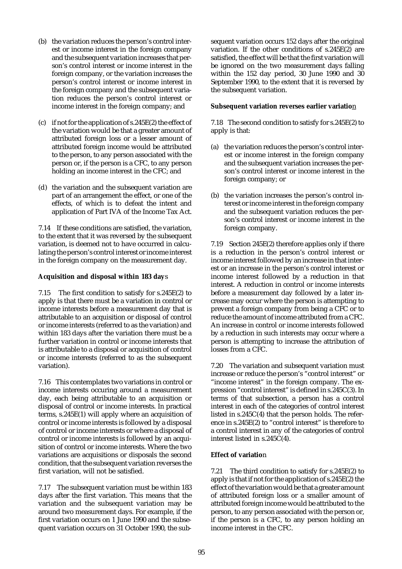- (b) the variation reduces the person's control interest or income interest in the foreign company and the subsequent variation increases that person's control interest or income interest in the foreign company, or the variation increases the person's control interest or income interest in the foreign company and the subsequent variation reduces the person's control interest or income interest in the foreign company; and
- (c) if not for the application of s.245E(2) the effect of the variation would be that a greater amount of attributed foreign loss or a lesser amount of attributed foreign income would be attributed to the person, to any person associated with the person or, if the person is a CFC, to any person holding an income interest in the CFC; and
- (d) the variation and the subsequent variation are part of an arrangement the effect, or one of the effects, of which is to defeat the intent and application of Part IVA of the Income Tax Act.

7.14 If these conditions are satisfied, the variation, to the extent that it was reversed by the subsequent variation, is deemed not to have occurred in calculating the person's control interest or income interest in the foreign company on the measurement day.

### **Acquisition and disposal within 183 day**s

7.15 The first condition to satisfy for s.245E(2) to apply is that there must be a variation in control or income interests before a measurement day that is attributable to an acquisition or disposal of control or income interests (referred to as the variation) and within 183 days after the variation there must be a further variation in control or income interests that is attributable to a disposal or acquisition of control or income interests (referred to as the subsequent variation).

7.16 This contemplates two variations in control or income interests occuring around a measurement day, each being attributable to an acquisition or disposal of control or income interests. In practical terms, s.245E(1) will apply where an acquisition of control or income interests is followed by a disposal of control or income interests or where a disposal of control or income interests is followed by an acquisition of control or income interests. Where the two variations are acquisitions or disposals the second condition, that the subsequent variation reverses the first variation, will not be satisfied.

7.17 The subsequent variation must be within 183 days after the first variation. This means that the variation and the subsequent variation may be around two measurement days. For example, if the first variation occurs on 1 June 1990 and the subsequent variation occurs on 31 October 1990, the subsequent variation occurs 152 days after the original variation. If the other conditions of s.245E(2) are satisfied, the effect will be that the first variation will be ignored on the two measurement days falling within the 152 day period, 30 June 1990 and 30 September 1990, to the extent that it is reversed by the subsequent variation.

#### **Subsequent variation reverses earlier variatio**n

7.18 The second condition to satisfy for s.245E(2) to apply is that:

- (a) the variation reduces the person's control interest or income interest in the foreign company and the subsequent variation increases the person's control interest or income interest in the foreign company; or
- (b) the variation increases the person's control interest or income interest in the foreign company and the subsequent variation reduces the person's control interest or income interest in the foreign company.

7.19 Section 245E(2) therefore applies only if there is a reduction in the person's control interest or income interest followed by an increase in that interest or an increase in the person's control interest or income interest followed by a reduction in that interest. A reduction in control or income interests before a measurement day followed by a later increase may occur where the person is attempting to prevent a foreign company from being a CFC or to reduce the amount of income attributed from a CFC. An increase in control or income interests followed by a reduction in such interests may occur where a person is attempting to increase the attribution of losses from a CFC.

7.20 The variation and subsequent variation must increase or reduce the person's "control interest" or "income interest" in the foreign company. The expression "control interest" is defined in s.245C(3). In terms of that subsection, a person has a control interest in each of the categories of control interest listed in s.245C(4) that the person holds. The reference in s.245E(2) to "control interest" is therefore to a control interest in any of the categories of control interest listed in s.245C(4).

### **Effect of variatio**n

7.21 The third condition to satisfy for s.245E(2) to apply is that if not for the application of s.245E(2) the effect of the variation would be that a greater amount of attributed foreign loss or a smaller amount of attributed foreign income would be attributed to the person, to any person associated with the person or, if the person is a CFC, to any person holding an income interest in the CFC.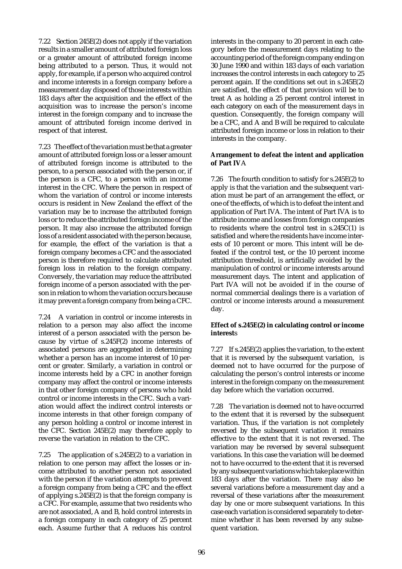7.22 Section 245E(2) does not apply if the variation results in a smaller amount of attributed foreign loss or a greater amount of attributed foreign income being attributed to a person. Thus, it would not apply, for example, if a person who acquired control and income interests in a foreign company before a measurement day disposed of those interests within 183 days after the acquisition and the effect of the acquisition was to increase the person's income interest in the foreign company and to increase the amount of attributed foreign income derived in respect of that interest.

7.23 The effect of the variation must be that a greater amount of attributed foreign loss or a lesser amount of attributed foreign income is attributed to the person, to a person associated with the person or, if the person is a CFC, to a person with an income interest in the CFC. Where the person in respect of whom the variation of control or income interests occurs is resident in New Zealand the effect of the variation may be to increase the attributed foreign loss or to reduce the attributed foreign income of the person. It may also increase the attributed foreign loss of a resident associated with the person because, for example, the effect of the variation is that a foreign company becomes a CFC and the associated person is therefore required to calculate attributed foreign loss in relation to the foreign company. Conversely, the variation may reduce the attributed foreign income of a person associated with the person in relation to whom the variation occurs because it may prevent a foreign company from being a CFC.

7.24 A variation in control or income interests in relation to a person may also affect the income interest of a person associated with the person because by virtue of s.245F(2) income interests of associated persons are aggregated in determining whether a person has an income interest of 10 percent or greater. Similarly, a variation in control or income interests held by a CFC in another foreign company may affect the control or income interests in that other foreign company of persons who hold control or income interests in the CFC. Such a variation would affect the indirect control interests or income interests in that other foreign company of any person holding a control or income interest in the CFC. Section 245E(2) may therefore apply to reverse the variation in relation to the CFC.

7.25 The application of s.245E(2) to a variation in relation to one person may affect the losses or income attributed to another person not associated with the person if the variation attempts to prevent a foreign company from being a CFC and the effect of applying s.245E(2) is that the foreign company is a CFC. For example, assume that two residents who are not associated, A and B, hold control interests in a foreign company in each category of 25 percent each. Assume further that A reduces his control

interests in the company to 20 percent in each category before the measurement days relating to the accounting period of the foreign company ending on 30 June 1990 and within 183 days of each variation increases the control interests in each category to 25 percent again. If the conditions set out in s.245E(2) are satisfied, the effect of that provision will be to treat A as holding a 25 percent control interest in each category on each of the measurement days in question. Consequently, the foreign company will be a CFC, and A and B will be required to calculate attributed foreign income or loss in relation to their interests in the company.

#### **Arrangement to defeat the intent and application of Part IV**A

7.26 The fourth condition to satisfy for s.245E(2) to apply is that the variation and the subsequent variation must be part of an arrangement the effect, or one of the effects, of which is to defeat the intent and application of Part IVA. The intent of Part IVA is to attribute income and losses from foreign companies to residents where the control test in s.245C(1) is satisfied and where the residents have income interests of 10 percent or more. This intent will be defeated if the control test, or the 10 percent income attribution threshold, is artificially avoided by the manipulation of control or income interests around measurement days. The intent and application of Part IVA will not be avoided if in the course of normal commercial dealings there is a variation of control or income interests around a measurement day.

#### **Effect of s.245E(2) in calculating control or income interest**s

7.27 If s.245E(2) applies the variation, to the extent that it is reversed by the subsequent variation, is deemed not to have occurred for the purpose of calculating the person's control interests or income interest in the foreign company on the measurement day before which the variation occurred.

7.28 The variation is deemed not to have occurred to the extent that it is reversed by the subsequent variation. Thus, if the variation is not completely reversed by the subsequent variation it remains effective to the extent that it is not reversed. The variation may be reversed by several subsequent variations. In this case the variation will be deemed not to have occurred to the extent that it is reversed by any subsequent variations which take place within 183 days after the variation. There may also be several variations before a measurement day and a reversal of these variations after the measurement day by one or more subsequent variations. In this case each variation is considered separately to determine whether it has been reversed by any subsequent variation.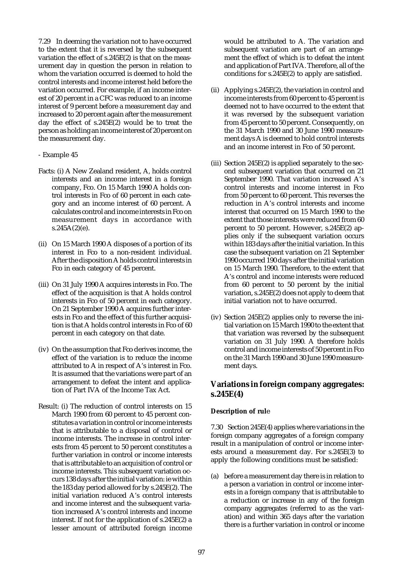7.29 In deeming the variation not to have occurred to the extent that it is reversed by the subsequent variation the effect of s.245E(2) is that on the measurement day in question the person in relation to whom the variation occurred is deemed to hold the control interests and income interest held before the variation occurred. For example, if an income interest of 20 percent in a CFC was reduced to an income interest of 9 percent before a measurement day and increased to 20 percent again after the measurement day the effect of  $s.245E(2)$  would be to treat the person as holding an income interest of 20 percent on the measurement day.

#### - Example 45

- Facts: (i) A New Zealand resident, A, holds control interests and an income interest in a foreign company, Fco. On 15 March 1990 A holds control interests in Fco of 60 percent in each category and an income interest of 60 percent. A calculates control and income interests in Fco on measurement days in accordance with  $s.245A(2)(e)$ .
- (ii) On 15 March 1990 A disposes of a portion of its interest in Fco to a non-resident individual. After the disposition A holds control interests in Fco in each category of 45 percent.
- (iii) On 31 July 1990 A acquires interests in Fco. The effect of the acquisition is that A holds control interests in Fco of 50 percent in each category. On 21 September 1990 A acquires further interests in Fco and the effect of this further acquisition is that A holds control interests in Fco of 60 percent in each category on that date.
- (iv) On the assumption that Fco derives income, the effect of the variation is to reduce the income attributed to A in respect of A's interest in Fco. It is assumed that the variations were part of an arrangement to defeat the intent and application of Part IVA of the Income Tax Act.
- Result: (i) The reduction of control interests on 15 March 1990 from 60 percent to 45 percent constitutes a variation in control or income interests that is attributable to a disposal of control or income interests. The increase in control interests from 45 percent to 50 percent constitutes a further variation in control or income interests that is attributable to an acquisition of control or income interests. This subsequent variation occurs 138 days after the initial variation: ie within the 183 day period allowed for by s.245E(2). The initial variation reduced A's control interests and income interest and the subsequent variation increased A's control interests and income interest. If not for the application of s.245E(2) a lesser amount of attributed foreign income

would be attributed to A. The variation and subsequent variation are part of an arrangement the effect of which is to defeat the intent and application of Part IVA. Therefore, all of the conditions for s.245E(2) to apply are satisfied.

- (ii) Applying s.245E(2), the variation in control and income interests from 60 percent to 45 percent is deemed not to have occurred to the extent that it was reversed by the subsequent variation from 45 percent to 50 percent. Consequently, on the 31 March 1990 and 30 June 1990 measurement days A is deemed to hold control interests and an income interest in Fco of 50 percent.
- (iii) Section 245E(2) is applied separately to the second subsequent variation that occurred on 21 September 1990. That variation increased A's control interests and income interest in Fco from 50 percent to 60 percent. This reverses the reduction in A's control interests and income interest that occurred on 15 March 1990 to the extent that those interests were reduced from 60 percent to 50 percent. However, s.245E(2) applies only if the subsequent variation occurs within 183 days after the initial variation. In this case the subsequent variation on 21 September 1990 occurred 190 days after the initial variation on 15 March 1990. Therefore, to the extent that A's control and income interests were reduced from 60 percent to 50 percent by the initial variation, s.245E(2) does not apply to deem that initial variation not to have occurred.
- (iv) Section 245E(2) applies only to reverse the initial variation on 15 March 1990 to the extent that that variation was reversed by the subsequent variation on 31 July 1990. A therefore holds control and income interests of 50 percent in Fco on the 31 March 1990 and 30 June 1990 measurement days.

# **Variations in foreign company aggregates: s.245E(4)**

#### **Description of rul**e

7.30 Section 245E(4) applies where variations in the foreign company aggregates of a foreign company result in a manipulation of control or income interests around a measurement day. For s.245E(3) to apply the following conditions must be satisfied:

(a) before a measurement day there is in relation to a person a variation in control or income interests in a foreign company that is attributable to a reduction or increase in any of the foreign company aggregates (referred to as the variation) and within 365 days after the variation there is a further variation in control or income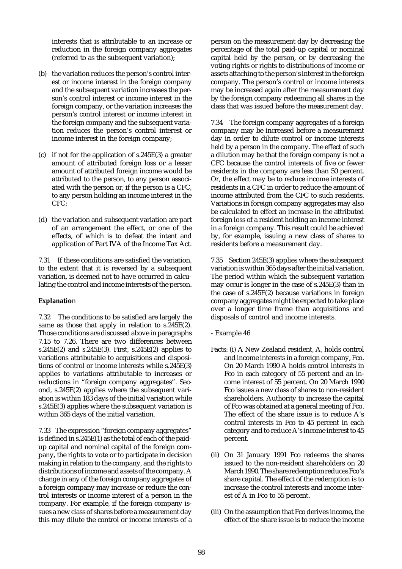interests that is attributable to an increase or reduction in the foreign company aggregates (referred to as the subsequent variation);

- (b) the variation reduces the person's control interest or income interest in the foreign company and the subsequent variation increases the person's control interest or income interest in the foreign company, or the variation increases the person's control interest or income interest in the foreign company and the subsequent variation reduces the person's control interest or income interest in the foreign company;
- (c) if not for the application of s.245E(3) a greater amount of attributed foreign loss or a lesser amount of attributed foreign income would be attributed to the person, to any person associated with the person or, if the person is a CFC, to any person holding an income interest in the CFC;
- (d) the variation and subsequent variation are part of an arrangement the effect, or one of the effects, of which is to defeat the intent and application of Part IVA of the Income Tax Act.

7.31 If these conditions are satisfied the variation, to the extent that it is reversed by a subsequent variation, is deemed not to have occurred in calculating the control and income interests of the person.

### **Explanatio**n

7.32 The conditions to be satisfied are largely the same as those that apply in relation to s.245E(2). Those conditions are discussed above in paragraphs 7.15 to 7.26. There are two differences between s.245E(2) and s.245E(3). First, s.245E(2) applies to variations attributable to acquisitions and dispositions of control or income interests while s.245E(3) applies to variations attributable to increases or reductions in "foreign company aggregates". Second, s.245E(2) applies where the subsequent variation is within 183 days of the initial variation while s.245E(3) applies where the subsequent variation is within 365 days of the initial variation.

7.33 The expression "foreign company aggregates" is defined in s.245E(1) as the total of each of the paidup capital and nominal capital of the foreign company, the rights to vote or to participate in decision making in relation to the company, and the rights to distributions of income and assets of the company. A change in any of the foreign company aggregates of a foreign company may increase or reduce the control interests or income interest of a person in the company. For example, if the foreign company issues a new class of shares before a measurement day this may dilute the control or income interests of a person on the measurement day by decreasing the percentage of the total paid-up capital or nominal capital held by the person, or by decreasing the voting rights or rights to distributions of income or assets attaching to the person's interest in the foreign company. The person's control or income interests may be increased again after the measurement day by the foreign company redeeming all shares in the class that was issued before the measurement day.

7.34 The foreign company aggregates of a foreign company may be increased before a measurement day in order to dilute control or income interests held by a person in the company. The effect of such a dilution may be that the foreign company is not a CFC because the control interests of five or fewer residents in the company are less than 50 percent. Or, the effect may be to reduce income interests of residents in a CFC in order to reduce the amount of income attributed from the CFC to such residents. Variations in foreign company aggregates may also be calculated to effect an increase in the attributed foreign loss of a resident holding an income interest in a foreign company. This result could be achieved by, for example, issuing a new class of shares to residents before a measurement day.

7.35 Section 245E(3) applies where the subsequent variation is within 365 days after the initial variation. The period within which the subsequent variation may occur is longer in the case of s.245E(3) than in the case of s.245E(2) because variations in foreign company aggregates might be expected to take place over a longer time frame than acquisitions and disposals of control and income interests.

- Example 46
- Facts: (i) A New Zealand resident, A, holds control and income interests in a foreign company, Fco. On 20 March 1990 A holds control interests in Fco in each category of 55 percent and an income interest of 55 percent. On 20 March 1990 Fco issues a new class of shares to non-resident shareholders. Authority to increase the capital of Fco was obtained at a general meeting of Fco. The effect of the share issue is to reduce A's control interests in Fco to 45 percent in each category and to reduce A's income interest to 45 percent.
- (ii) On 31 January 1991 Fco redeems the shares issued to the non-resident shareholders on 20 March 1990. The share redemption reduces Fco's share capital. The effect of the redemption is to increase the control interests and income interest of A in Fco to 55 percent.
- (iii) On the assumption that Fco derives income, the effect of the share issue is to reduce the income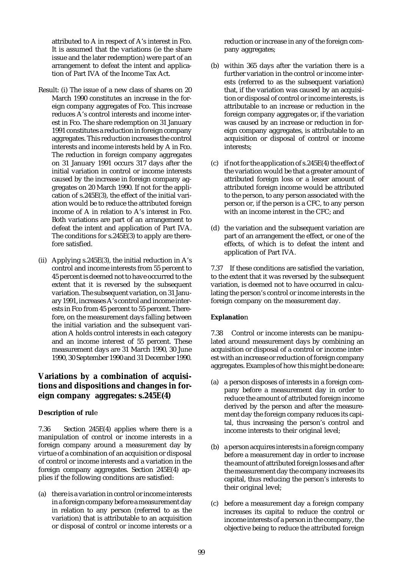attributed to A in respect of A's interest in Fco. It is assumed that the variations (ie the share issue and the later redemption) were part of an arrangement to defeat the intent and application of Part IVA of the Income Tax Act.

- Result: (i) The issue of a new class of shares on 20 March 1990 constitutes an increase in the foreign company aggregates of Fco. This increase reduces A's control interests and income interest in Fco. The share redemption on 31 January 1991 constitutes a reduction in foreign company aggregates. This reduction increases the control interests and income interests held by A in Fco. The reduction in foreign company aggregates on 31 January 1991 occurs 317 days after the initial variation in control or income interests caused by the increase in foreign company aggregates on 20 March 1990. If not for the application of s.245E(3), the effect of the initial variation would be to reduce the attributed foreign income of A in relation to A's interest in  $F\circ$ . Both variations are part of an arrangement to defeat the intent and application of Part IVA. The conditions for  $s.245E(3)$  to apply are therefore satisfied.
- (ii) Applying  $s.245E(3)$ , the initial reduction in A's control and income interests from 55 percent to 45 percent is deemed not to have occurred to the extent that it is reversed by the subsequent variation. The subsequent variation, on 31 January 1991, increases A's control and income interests in Fco from 45 percent to 55 percent. Therefore, on the measurement days falling between the initial variation and the subsequent variation A holds control interests in each category and an income interest of 55 percent. These measurement days are 31 March 1990, 30 June 1990, 30 September 1990 and 31 December 1990.

# **Variations by a combination of acquisitions and dispositions and changes in foreign company aggregates: s.245E(4)**

### **Description of rul**e

7.36 Section 245E(4) applies where there is a manipulation of control or income interests in a foreign company around a measurement day by virtue of a combination of an acquisition or disposal of control or income interests and a variation in the foreign company aggregates. Section 245E(4) applies if the following conditions are satisfied:

(a) there is a variation in control or income interests in a foreign company before a measurement day in relation to any person (referred to as the variation) that is attributable to an acquisition or disposal of control or income interests or a reduction or increase in any of the foreign company aggregates;

- (b) within 365 days after the variation there is a further variation in the control or income interests (referred to as the subsequent variation) that, if the variation was caused by an acquisition or disposal of control or income interests, is attributable to an increase or reduction in the foreign company aggregates or, if the variation was caused by an increase or reduction in foreign company aggregates, is attributable to an acquisition or disposal of control or income interests;
- (c) if not for the application of s.245E(4) the effect of the variation would be that a greater amount of attributed foreign loss or a lesser amount of attributed foreign income would be attributed to the person, to any person associated with the person or, if the person is a CFC, to any person with an income interest in the CFC; and
- (d) the variation and the subsequent variation are part of an arrangement the effect, or one of the effects, of which is to defeat the intent and application of Part IVA.

7.37 If these conditions are satisfied the variation, to the extent that it was reversed by the subsequent variation, is deemed not to have occurred in calculating the person's control or income interests in the foreign company on the measurement day.

### **Explanatio**n

7.38 Control or income interests can be manipulated around measurement days by combining an acquisition or disposal of a control or income interest with an increase or reduction of foreign company aggregates. Examples of how this might be done are:

- (a) a person disposes of interests in a foreign company before a measurement day in order to reduce the amount of attributed foreign income derived by the person and after the measurement day the foreign company reduces its capital, thus increasing the person's control and income interests to their original level;
- (b) a person acquires interests in a foreign company before a measurement day in order to increase the amount of attributed foreign losses and after the measurement day the company increases its capital, thus reducing the person's interests to their original level;
- (c) before a measurement day a foreign company increases its capital to reduce the control or income interests of a person in the company, the objective being to reduce the attributed foreign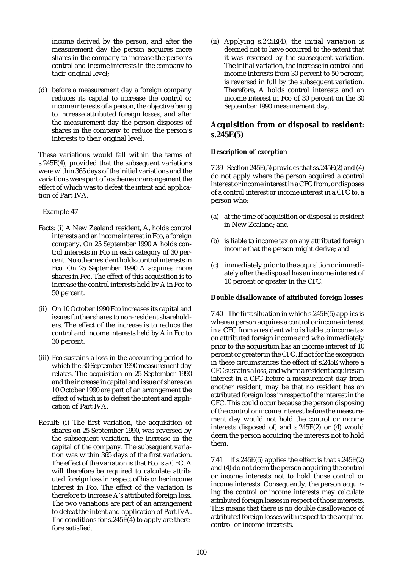income derived by the person, and after the measurement day the person acquires more shares in the company to increase the person's control and income interests in the company to their original level;

(d) before a measurement day a foreign company reduces its capital to increase the control or income interests of a person, the objective being to increase attributed foreign losses, and after the measurement day the person disposes of shares in the company to reduce the person's interests to their original level.

These variations would fall within the terms of s.245E(4), provided that the subsequent variations were within 365 days of the initial variations and the variations were part of a scheme or arrangement the effect of which was to defeat the intent and application of Part IVA.

- Example 47
- Facts: (i) A New Zealand resident, A, holds control interests and an income interest in Fco, a foreign company. On 25 September 1990 A holds control interests in Fco in each category of 30 percent. No other resident holds control interests in Fco. On 25 September 1990 A acquires more shares in Fco. The effect of this acquisition is to increase the control interests held by A in Fco to 50 percent.
- (ii) On 10 October 1990 Fco increases its capital and issues further shares to non-resident shareholders. The effect of the increase is to reduce the control and income interests held by A in Fco to 30 percent.
- (iii) Fco sustains a loss in the accounting period to which the 30 September 1990 measurement day relates. The acquisition on 25 September 1990 and the increase in capital and issue of shares on 10 October 1990 are part of an arrangement the effect of which is to defeat the intent and application of Part IVA.
- Result: (i) The first variation, the acquisition of shares on 25 September 1990, was reversed by the subsequent variation, the increase in the capital of the company. The subsequent variation was within 365 days of the first variation. The effect of the variation is that Fco is a CFC. A will therefore be required to calculate attributed foreign loss in respect of his or her income interest in Fco. The effect of the variation is therefore to increase A's attributed foreign loss. The two variations are part of an arrangement to defeat the intent and application of Part IVA. The conditions for s.245E(4) to apply are therefore satisfied.

(ii) Applying s.245E(4), the initial variation is deemed not to have occurred to the extent that it was reversed by the subsequent variation. The initial variation, the increase in control and income interests from 30 percent to 50 percent, is reversed in full by the subsequent variation. Therefore, A holds control interests and an income interest in Fco of 30 percent on the 30 September 1990 measurement day.

# **Acquisition from or disposal to resident: s.245E(5)**

# **Description of exceptio**n

7.39 Section 245E(5) provides that ss.245E(2) and (4) do not apply where the person acquired a control interest or income interest in a CFC from, or disposes of a control interest or income interest in a CFC to, a person who:

- (a) at the time of acquisition or disposal is resident in New Zealand; and
- (b) is liable to income tax on any attributed foreign income that the person might derive; and
- (c) immediately prior to the acquisition or immediately after the disposal has an income interest of 10 percent or greater in the CFC.

### **Double disallowance of attributed foreign losse**s

7.40 The first situation in which s.245E(5) applies is where a person acquires a control or income interest in a CFC from a resident who is liable to income tax on attributed foreign income and who immediately prior to the acquisition has an income interest of 10 percent or greater in the CFC. If not for the exception in these circumstances the effect of s.245E where a CFC sustains a loss, and where a resident acquires an interest in a CFC before a measurement day from another resident, may be that no resident has an attributed foreign loss in respect of the interest in the CFC. This could occur because the person disposing of the control or income interest before the measurement day would not hold the control or income interests disposed of, and s.245E(2) or (4) would deem the person acquiring the interests not to hold them.

7.41 If s.245 $E(5)$  applies the effect is that s.245 $E(2)$ and (4) do not deem the person acquiring the control or income interests not to hold those control or income interests. Consequently, the person acquiring the control or income interests may calculate attributed foreign losses in respect of those interests. This means that there is no double disallowance of attributed foreign losses with respect to the acquired control or income interests.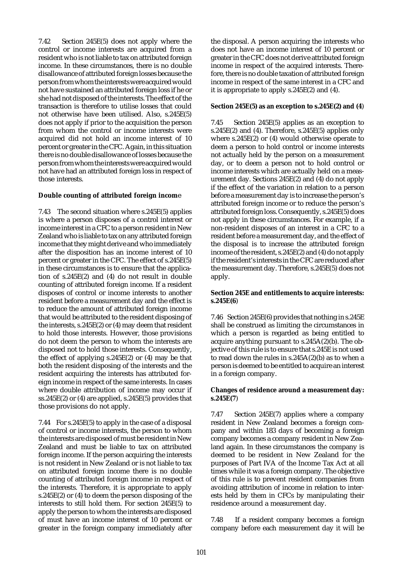7.42 Section 245E(5) does not apply where the control or income interests are acquired from a resident who is not liable to tax on attributed foreign income. In these circumstances, there is no double disallowance of attributed foreign losses because the person from whom the interests were acquired would not have sustained an attributed foreign loss if he or she had not disposed of the interests. The effect of the transaction is therefore to utilise losses that could not otherwise have been utilised. Also, s.245E(5) does not apply if prior to the acquisition the person from whom the control or income interests were acquired did not hold an income interest of 10 percent or greater in the CFC. Again, in this situation there is no double disallowance of losses because the person from whom the interests were acquired would not have had an attributed foreign loss in respect of those interests.

#### **Double counting of attributed foreign incom**e

7.43 The second situation where s.245E(5) applies is where a person disposes of a control interest or income interest in a CFC to a person resident in New Zealand who is liable to tax on any attributed foreign income that they might derive and who immediately after the disposition has an income interest of 10 percent or greater in the CFC. The effect of s.245E(5) in these circumstances is to ensure that the application of s.245E(2) and (4) do not result in double counting of attributed foreign income. If a resident disposes of control or income interests to another resident before a measurement day and the effect is to reduce the amount of attributed foreign income that would be attributed to the resident disposing of the interests, s.245E(2) or (4) may deem that resident to hold those interests. However, those provisions do not deem the person to whom the interests are disposed not to hold those interests. Consequently, the effect of applying s.245E(2) or (4) may be that both the resident disposing of the interests and the resident acquiring the interests has attributed foreign income in respect of the same interests. In cases where double attribution of income may occur if ss.245E(2) or (4) are applied, s.245E(5) provides that those provisions do not apply.

7.44 For s.245E(5) to apply in the case of a disposal of control or income interests, the person to whom the interests are disposed of must be resident in New Zealand and must be liable to tax on attributed foreign income. If the person acquiring the interests is not resident in New Zealand or is not liable to tax on attributed foreign income there is no double counting of attributed foreign income in respect of the interests. Therefore, it is appropriate to apply s.245E(2) or (4) to deem the person disposing of the interests to still hold them. For section 245E(5) to apply the person to whom the interests are disposed of must have an income interest of 10 percent or greater in the foreign company immediately after

the disposal. A person acquiring the interests who does not have an income interest of 10 percent or greater in the CFC does not derive attributed foreign income in respect of the acquired interests. Therefore, there is no double taxation of attributed foreign income in respect of the same interest in a CFC and it is appropriate to apply s.245E(2) and (4).

#### **Section 245E(5) as an exception to s.245E(2) and (4**)

7.45 Section 245E(5) applies as an exception to s.245E(2) and (4). Therefore, s.245E(5) applies only where s.245E(2) or (4) would otherwise operate to deem a person to hold control or income interests not actually held by the person on a measurement day, or to deem a person not to hold control or income interests which are actually held on a measurement day. Sections 245E(2) and (4) do not apply if the effect of the variation in relation to a person before a measurement day is to increase the person's attributed foreign income or to reduce the person's attributed foreign loss. Consequently, s.245E(5) does not apply in these circumstances. For example, if a non-resident disposes of an interest in a CFC to a resident before a measurement day, and the effect of the disposal is to increase the attributed foreign income of the resident, s.245E(2) and (4) do not apply if the resident's interests in the CFC are reduced after the measurement day. Therefore, s.245E(5) does not apply.

#### **Section 245E and entitlements to acquire interests: s.245E(6**)

7.46 Section 245E(6) provides that nothing in s.245E shall be construed as limiting the circumstances in which a person is regarded as being entitled to acquire anything pursuant to s.245A(2)(b). The objective of this rule is to ensure that s.245E is not used to read down the rules in s.245A(2)(b) as to when a person is deemed to be entitled to acquire an interest in a foreign company.

#### **Changes of residence around a measurement day: s.245E(7**)

7.47 Section 245E(7) applies where a company resident in New Zealand becomes a foreign company and within 183 days of becoming a foreign company becomes a company resident in New Zealand again. In these circumstances the company is deemed to be resident in New Zealand for the purposes of Part IVA of the Income Tax Act at all times while it was a foreign company. The objective of this rule is to prevent resident companies from avoiding attribution of income in relation to interests held by them in CFCs by manipulating their residence around a measurement day.

7.48 If a resident company becomes a foreign company before each measurement day it will be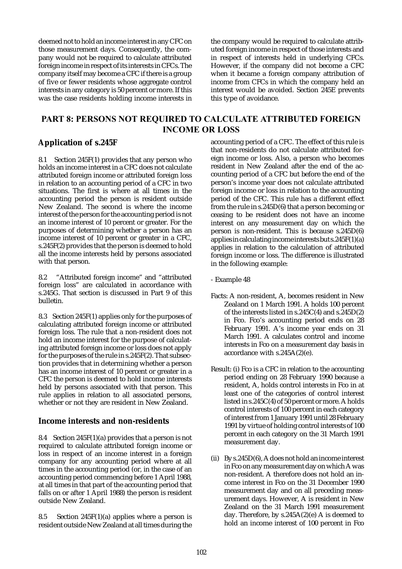deemed not to hold an income interest in any CFC on those measurement days. Consequently, the company would not be required to calculate attributed foreign income in respect of its interests in CFCs. The company itself may become a CFC if there is a group of five or fewer residents whose aggregate control interests in any category is 50 percent or more. If this was the case residents holding income interests in the company would be required to calculate attributed foreign income in respect of those interests and in respect of interests held in underlying CFCs. However, if the company did not become a CFC when it became a foreign company attribution of income from CFCs in which the company held an interest would be avoided. Section 245E prevents this type of avoidance.

# PART 8: PERSONS NOT REQUIRED TO CALCULATE ATTRIBUTED FOREIGN INCOME OR LOSS

# **Application of s.245F**

8.1 Section 245F(1) provides that any person who holds an income interest in a CFC does not calculate attributed foreign income or attributed foreign loss in relation to an accounting period of a CFC in two situations. The first is where at all times in the accounting period the person is resident outside New Zealand. The second is where the income interest of the person for the accounting period is not an income interest of 10 percent or greater. For the purposes of determining whether a person has an income interest of 10 percent or greater in a CFC, s.245F(2) provides that the person is deemed to hold all the income interests held by persons associated with that person.

8.2 "Attributed foreign income" and "attributed foreign loss" are calculated in accordance with s.245G. That section is discussed in Part 9 of this bulletin.

8.3 Section 245F(1) applies only for the purposes of calculating attributed foreign income or attributed foreign loss. The rule that a non-resident does not hold an income interest for the purpose of calculating attributed foreign income or loss does not apply for the purposes of the rule in s.245F(2). That subsection provides that in determining whether a person has an income interest of 10 percent or greater in a CFC the person is deemed to hold income interests held by persons associated with that person. This rule applies in relation to all associated persons, whether or not they are resident in New Zealand.

# **Income interests and non-residents**

8.4 Section  $245F(1)(a)$  provides that a person is not required to calculate attributed foreign income or loss in respect of an income interest in a foreign company for any accounting period where at all times in the accounting period (or, in the case of an accounting period commencing before 1 April 1988, at all times in that part of the accounting period that falls on or after 1 April 1988) the person is resident outside New Zealand.

8.5 Section 245 $F(1)(a)$  applies where a person is resident outside New Zealand at all times during the

accounting period of a CFC. The effect of this rule is that non-residents do not calculate attributed foreign income or loss. Also, a person who becomes resident in New Zealand after the end of the accounting period of a CFC but before the end of the person's income year does not calculate attributed foreign income or loss in relation to the accounting period of the CFC. This rule has a different effect from the rule in s.245D(6) that a person becoming or ceasing to be resident does not have an income interest on any measurement day on which the person is non-resident. This is because s.245D(6) applies in calculating income interests but s.245F(1)(a) applies in relation to the calculation of attributed foreign income or loss. The difference is illustrated in the following example:

- Example 48
- Facts: A non-resident, A, becomes resident in New Zealand on 1 March 1991. A holds 100 percent of the interests listed in s.245C(4) and s.245D(2) in Fco. Fco's accounting period ends on 28 February 1991. A's income year ends on 31 March 1991. A calculates control and income interests in Fco on a measurement day basis in accordance with s.245A(2)(e).
- Result: (i) Fco is a CFC in relation to the accounting period ending on 28 February 1990 because a resident, A, holds control interests in Fco in at least one of the categories of control interest listed in s.245C(4) of 50 percent or more. A holds control interests of 100 percent in each category of interest from 1 January 1991 until 28 February 1991 by virtue of holding control interests of 100 percent in each category on the 31 March 1991 measurement day.
- (ii) By s.245D(6), A does not hold an income interest in Fco on any measurement day on which A was non-resident. A therefore does not hold an income interest in Fco on the 31 December 1990 measurement day and on all preceding measurement days. However, A is resident in New Zealand on the 31 March 1991 measurement day. Therefore, by s.245A(2)(e) A is deemed to hold an income interest of 100 percent in Fco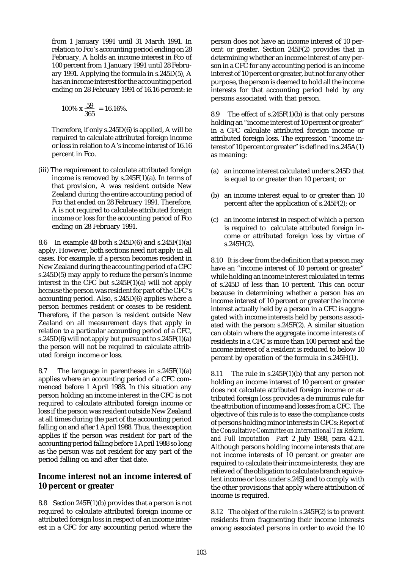from 1 January 1991 until 31 March 1991. In relation to Fco's accounting period ending on 28 February, A holds an income interest in Fco of 100 percent from 1 January 1991 until 28 February 1991. Applying the formula in s.245D(5), A has an income interest for the accounting period ending on 28 February 1991 of 16.16 percent: ie

$$
100\% \times \frac{59}{365} = 16.16\%.
$$

Therefore, if only s.245D(6) is applied, A will be required to calculate attributed foreign income or loss in relation to A's income interest of 16.16 percent in Fco.

(iii) The requirement to calculate attributed foreign income is removed by  $s.245F(1)(a)$ . In terms of that provision, A was resident outside New Zealand during the entire accounting period of Fco that ended on 28 February 1991. Therefore, A is not required to calculate attributed foreign income or loss for the accounting period of Fco ending on 28 February 1991.

8.6 In example 48 both s.245D(6) and s.245F(1)(a) apply. However, both sections need not apply in all cases. For example, if a person becomes resident in New Zealand during the accounting period of a CFC s.245D(5) may apply to reduce the person's income interest in the CFC but s.245F(1)(a) will not apply because the person was resident for part of the CFC's accounting period. Also, s.245D(6) applies where a person becomes resident or ceases to be resident. Therefore, if the person is resident outside New Zealand on all measurement days that apply in relation to a particular accounting period of a CFC, s.245D(6) will not apply but pursuant to  $s.245F(1)(a)$ the person will not be required to calculate attributed foreign income or loss.

8.7 The language in parentheses in s.245F(1)(a) applies where an accounting period of a CFC commenced before 1 April 1988. In this situation any person holding an income interest in the CFC is not required to calculate attributed foreign income or loss if the person was resident outside New Zealand at all times during the part of the accounting period falling on and after 1 April 1988. Thus, the exception applies if the person was resident for part of the accounting period falling before 1 April 1988 so long as the person was not resident for any part of the period falling on and after that date.

# **Income interest not an income interest of 10 percent or greater**

8.8 Section 245F(1)(b) provides that a person is not required to calculate attributed foreign income or attributed foreign loss in respect of an income interest in a CFC for any accounting period where the

person does not have an income interest of 10 percent or greater. Section 245F(2) provides that in determining whether an income interest of any person in a CFC for any accounting period is an income interest of 10 percent or greater, but not for any other purpose, the person is deemed to hold all the income interests for that accounting period held by any persons associated with that person.

8.9 The effect of  $s.245F(1)(b)$  is that only persons holding an "income interest of 10 percent or greater" in a CFC calculate attributed foreign income or attributed foreign loss. The expression "income interest of 10 percent or greater" is defined in s.245A(1) as meaning:

- (a) an income interest calculated under s.245D that is equal to or greater than 10 percent; or
- (b) an income interest equal to or greater than 10 percent after the application of s.245F(2); or
- (c) an income interest in respect of which a person is required to calculate attributed foreign income or attributed foreign loss by virtue of s.245H(2).

8.10 It is clear from the definition that a person may have an "income interest of 10 percent or greater" while holding an income interest calculated in terms of s.245D of less than 10 percent. This can occur because in determining whether a person has an income interest of 10 percent or greater the income interest actually held by a person in a CFC is aggregated with income interests held by persons associated with the person: s.245F(2). A similar situation can obtain where the aggregate income interests of residents in a CFC is more than 100 percent and the income interest of a resident is reduced to below 10 percent by operation of the formula in s.245H(1).

8.11 The rule in s.245F(1)(b) that any person not holding an income interest of 10 percent or greater does not calculate attributed foreign income or attributed foreign loss provides a de minimis rule for the attribution of income and losses from a CFC. The objective of this rule is to ease the compliance costs of persons holding minor interests in CFCs: *Report of the Consultative Committee on International Tax Reform and Full Imputation Part* 2 July 1988, para 4.2.1. Although persons holding income interests that are not income interests of 10 percent or greater are required to calculate their income interests, they are relieved of the obligation to calculate branch equivalent income or loss under s.245J and to comply with the other provisions that apply where attribution of income is required.

8.12 The object of the rule in s.245F(2) is to prevent residents from fragmenting their income interests among associated persons in order to avoid the 10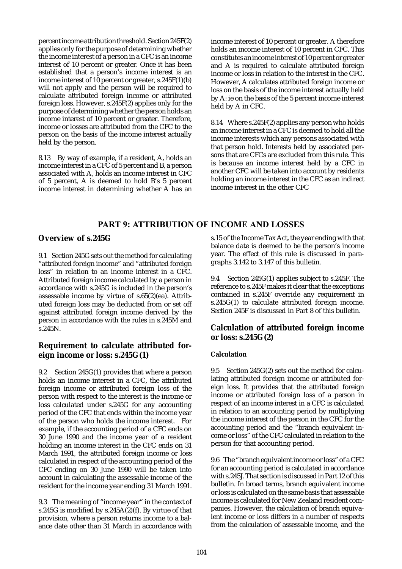percent income attribution threshold. Section 245F(2) applies only for the purpose of determining whether the income interest of a person in a CFC is an income interest of 10 percent or greater. Once it has been established that a person's income interest is an income interest of 10 percent or greater, s.245F(1)(b) will not apply and the person will be required to calculate attributed foreign income or attributed foreign loss. However, s.245F(2) applies only for the purpose of determining whether the person holds an income interest of 10 percent or greater. Therefore, income or losses are attributed from the CFC to the person on the basis of the income interest actually held by the person.

8.13 By way of example, if a resident, A, holds an income interest in a CFC of 5 percent and B, a person associated with A, holds an income interest in CFC of 5 percent, A is deemed to hold B's 5 percent income interest in determining whether A has an income interest of 10 percent or greater. A therefore holds an income interest of 10 percent in CFC. This constitutes an income interest of 10 percent or greater and A is required to calculate attributed foreign income or loss in relation to the interest in the CFC. However, A calculates attributed foreign income or loss on the basis of the income interest actually held by A: ie on the basis of the 5 percent income interest held by A in CFC.

8.14 Where s.245F(2) applies any person who holds an income interest in a CFC is deemed to hold all the income interests which any persons associated with that person hold. Interests held by associated persons that are CFCs are excluded from this rule. This is because an income interest held by a CFC in another CFC will be taken into account by residents holding an income interest in the CFC as an indirect income interest in the other CFC

# PART 9: ATTRIBUTION OF INCOME AND LOSSES

# **Overview of s.245G**

9.1 Section 245G sets out the method for calculating "attributed foreign income" and "attributed foreign loss" in relation to an income interest in a CFC. Attributed foreign income calculated by a person in accordance with s.245G is included in the person's assessable income by virtue of s.65(2)(ea). Attributed foreign loss may be deducted from or set off against attributed foreign income derived by the person in accordance with the rules in s.245M and s.245N.

# **Requirement to calculate attributed foreign income or loss: s.245G(1)**

9.2 Section 245G(1) provides that where a person holds an income interest in a CFC, the attributed foreign income or attributed foreign loss of the person with respect to the interest is the income or loss calculated under s.245G for any accounting period of the CFC that ends within the income year of the person who holds the income interest. For example, if the accounting period of a CFC ends on 30 June 1990 and the income year of a resident holding an income interest in the CFC ends on 31 March 1991, the attributed foreign income or loss calculated in respect of the accounting period of the CFC ending on 30 June 1990 will be taken into account in calculating the assessable income of the resident for the income year ending 31 March 1991.

9.3 The meaning of "income year" in the context of s.245G is modified by s.245A(2)(f). By virtue of that provision, where a person returns income to a balance date other than 31 March in accordance with s.15 of the Income Tax Act, the year ending with that balance date is deemed to be the person's income year. The effect of this rule is discussed in paragraphs 3.142 to 3.147 of this bulletin.

9.4 Section 245G(1) applies subject to s.245F. The reference to s.245F makes it clear that the exceptions contained in s.245F override any requirement in s.245G(1) to calculate attributed foreign income. Section 245F is discussed in Part 8 of this bulletin.

# **Calculation of attributed foreign income or loss: s.245G(2)**

### **Calculation**

9.5 Section 245G(2) sets out the method for calculating attributed foreign income or attributed foreign loss. It provides that the attributed foreign income or attributed foreign loss of a person in respect of an income interest in a CFC is calculated in relation to an accounting period by multiplying the income interest of the person in the CFC for the accounting period and the "branch equivalent income or loss" of the CFC calculated in relation to the person for that accounting period.

9.6 The "branch equivalent income or loss" of a CFC for an accounting period is calculated in accordance with s.245J. That section is discussed in Part 12 of this bulletin. In broad terms, branch equivalent income or loss is calculated on the same basis that assessable income is calculated for New Zealand resident companies. However, the calculation of branch equivalent income or loss differs in a number of respects from the calculation of assessable income, and the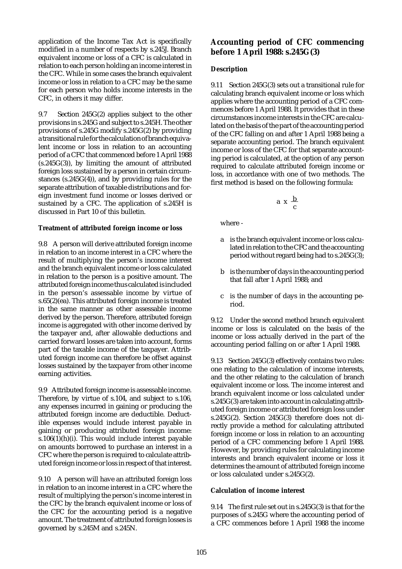application of the Income Tax Act is specifically modified in a number of respects by s.245J. Branch equivalent income or loss of a CFC is calculated in relation to each person holding an income interest in the CFC. While in some cases the branch equivalent income or loss in relation to a CFC may be the same for each person who holds income interests in the CFC, in others it may differ.

9.7 Section 245G(2) applies subject to the other provisions in s.245G and subject to s.245H. The other provisions of s.245G modify s.245G(2) by providing a transitional rule for the calculation of branch equivalent income or loss in relation to an accounting period of a CFC that commenced before 1 April 1988  $(s.245G(3))$ , by limiting the amount of attributed foreign loss sustained by a person in certain circumstances (s.245G(4)), and by providing rules for the separate attribution of taxable distributions and foreign investment fund income or losses derived or sustained by a CFC. The application of s.245H is discussed in Part 10 of this bulletin.

#### **Treatment of attributed foreign income or loss**

9.8 A person will derive attributed foreign income in relation to an income interest in a CFC where the result of multiplying the person's income interest and the branch equivalent income or loss calculated in relation to the person is a positive amount. The attributed foreign income thus calculated is included in the person's assessable income by virtue of s.65(2)(ea). This attributed foreign income is treated in the same manner as other assessable income derived by the person. Therefore, attributed foreign income is aggregated with other income derived by the taxpayer and, after allowable deductions and carried forward losses are taken into account, forms part of the taxable income of the taxpayer. Attributed foreign income can therefore be offset against losses sustained by the taxpayer from other income earning activities.

9.9 Attributed foreign income is assessable income. Therefore, by virtue of s.104, and subject to s.106, any expenses incurred in gaining or producing the attributed foreign income are deductible. Deductible expenses would include interest payable in gaining or producing attributed foreign income: s.106 $(1)(h)(i)$ . This would include interest payable on amounts borrowed to purchase an interest in a CFC where the person is required to calculate attributed foreign income or loss in respect of that interest.

9.10 A person will have an attributed foreign loss in relation to an income interest in a CFC where the result of multiplying the person's income interest in the CFC by the branch equivalent income or loss of the CFC for the accounting period is a negative amount. The treatment of attributed foreign losses is governed by s.245M and s.245N.

# **Accounting period of CFC commencing before 1 April 1988: s.245G(3)**

### **Description**

9.11 Section 245G(3) sets out a transitional rule for calculating branch equivalent income or loss which applies where the accounting period of a CFC commences before 1 April 1988. It provides that in these circumstances income interests in the CFC are calculated on the basis of the part of the accounting period of the CFC falling on and after 1 April 1988 being a separate accounting period. The branch equivalent income or loss of the CFC for that separate accounting period is calculated, at the option of any person required to calculate attributed foreign income or loss, in accordance with one of two methods. The first method is based on the following formula:

$$
a\ x\ \frac{b}{c}
$$

where -

- a is the branch equivalent income or loss calculated in relation to the CFC and the accounting period without regard being had to s.245G(3);
- b is the number of days in the accounting period that fall after 1 April 1988; and
- c is the number of days in the accounting period.

9.12 Under the second method branch equivalent income or loss is calculated on the basis of the income or loss actually derived in the part of the accounting period falling on or after 1 April 1988.

9.13 Section 245G(3) effectively contains two rules: one relating to the calculation of income interests, and the other relating to the calculation of branch equivalent income or loss. The income interest and branch equivalent income or loss calculated under s.245G(3) are taken into account in calculating attributed foreign income or attributed foreign loss under s.245G(2). Section 245G(3) therefore does not directly provide a method for calculating attributed foreign income or loss in relation to an accounting period of a CFC commencing before 1 April 1988. However, by providing rules for calculating income interests and branch equivalent income or loss it determines the amount of attributed foreign income or loss calculated under s.245G(2).

### **Calculation of income interest**

9.14 The first rule set out in s.245G(3) is that for the purposes of s.245G where the accounting period of a CFC commences before 1 April 1988 the income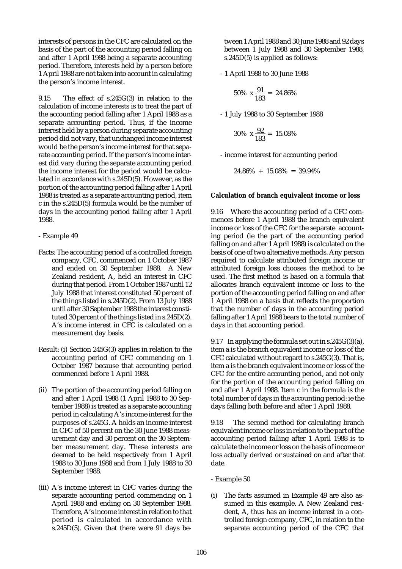interests of persons in the CFC are calculated on the basis of the part of the accounting period falling on and after 1 April 1988 being a separate accounting period. Therefore, interests held by a person before 1 April 1988 are not taken into account in calculating the person's income interest.

9.15 The effect of s.245G(3) in relation to the calculation of income interests is to treat the part of the accounting period falling after 1 April 1988 as a separate accounting period. Thus, if the income interest held by a person during separate accounting period did not vary, that unchanged income interest would be the person's income interest for that separate accounting period. If the person's income interest did vary during the separate accounting period the income interest for the period would be calculated in accordance with s.245D(5). However, as the portion of the accounting period falling after 1 April 1988 is treated as a separate accounting period, item c in the s.245D(5) formula would be the number of days in the accounting period falling after 1 April 1988.

- Example 49

- Facts: The accounting period of a controlled foreign company, CFC, commenced on 1 October 1987 and ended on 30 September 1988. A New Zealand resident, A, held an interest in CFC during that period. From 1 October 1987 until 12 July 1988 that interest constituted 50 percent of the things listed in s.245D(2). From 13 July 1988 until after 30 September 1988 the interest constituted 30 percent of the things listed in s.245D(2). A's income interest in CFC is calculated on a measurement day basis.
- Result: (i) Section 245G(3) applies in relation to the accounting period of CFC commencing on 1 October 1987 because that accounting period commenced before 1 April 1988.
- (ii) The portion of the accounting period falling on and after 1 April 1988 (1 April 1988 to 30 September 1988) is treated as a separate accounting period in calculating A's income interest for the purposes of s.245G. A holds an income interest in CFC of 50 percent on the 30 June 1988 measurement day and 30 percent on the 30 September measurement day. These interests are deemed to be held respectively from 1 April 1988 to 30 June 1988 and from 1 July 1988 to 30 September 1988.
- (iii) A's income interest in CFC varies during the separate accounting period commencing on 1 April 1988 and ending on 30 September 1988. Therefore, A's income interest in relation to that period is calculated in accordance with s.245D(5). Given that there were 91 days be-

tween 1 April 1988 and 30 June 1988 and 92 days between 1 July 1988 and 30 September 1988, s.245D(5) is applied as follows:

- 1 April 1988 to 30 June 1988

$$
50\% \text{ x } \frac{91}{183} = 24.86\%
$$

- 1 July 1988 to 30 September 1988

$$
30\% \times \frac{92}{183} = 15.08\%
$$

- income interest for accounting period

 $24.86\% + 15.08\% = 39.94\%$ 

#### **Calculation of branch equivalent income or loss**

9.16 Where the accounting period of a CFC commences before 1 April 1988 the branch equivalent income or loss of the CFC for the separate accounting period (ie the part of the accounting period falling on and after 1 April 1988) is calculated on the basis of one of two alternative methods. Any person required to calculate attributed foreign income or attributed foreign loss chooses the method to be used. The first method is based on a formula that allocates branch equivalent income or loss to the portion of the accounting period falling on and after 1 April 1988 on a basis that reflects the proportion that the number of days in the accounting period falling after 1 April 1988 bears to the total number of days in that accounting period.

9.17 In applying the formula set out in  $s.245G(3)(a)$ , item a is the branch equivalent income or loss of the CFC calculated without regard to s.245G(3). That is, item a is the branch equivalent income or loss of the CFC for the entire accounting period, and not only for the portion of the accounting period falling on and after 1 April 1988. Item c in the formula is the total number of days in the accounting period: ie the days falling both before and after 1 April 1988.

9.18 The second method for calculating branch equivalent income or loss in relation to the part of the accounting period falling after 1 April 1988 is to calculate the income or loss on the basis of income or loss actually derived or sustained on and after that date.

- Example 50
- (i) The facts assumed in Example 49 are also assumed in this example. A New Zealand resident, A, thus has an income interest in a controlled foreign company, CFC, in relation to the separate accounting period of the CFC that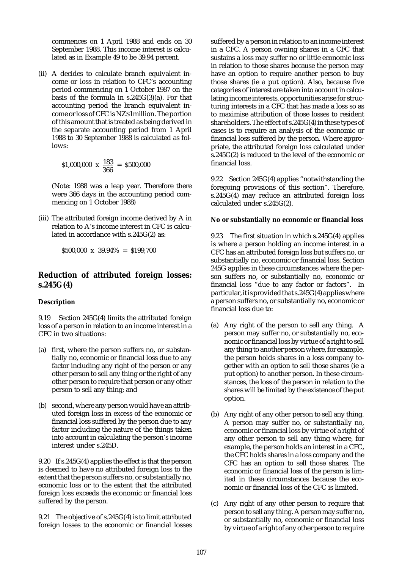commences on 1 April 1988 and ends on 30 September 1988. This income interest is calculated as in Example 49 to be 39.94 percent.

(ii) A decides to calculate branch equivalent income or loss in relation to CFC's accounting period commencing on 1 October 1987 on the basis of the formula in s.245G(3)(a). For that accounting period the branch equivalent income or loss of CFC is NZ\$1million. The portion of this amount that is treated as being derived in the separate accounting period from 1 April 1988 to 30 September 1988 is calculated as follows:

$$
\$1,000,000 \times \frac{183}{366} = \$500,000
$$

(Note: 1988 was a leap year. Therefore there were 366 days in the accounting period commencing on 1 October 1988)

(iii) The attributed foreign income derived by A in relation to A's income interest in CFC is calculated in accordance with s.245G(2) as:

 $$500.000 \times 39.94\% = $199.700$ 

# **Reduction of attributed foreign losses: s.245G(4)**

### **Description**

9.19 Section 245G(4) limits the attributed foreign loss of a person in relation to an income interest in a CFC in two situations:

- (a) first, where the person suffers no, or substantially no, economic or financial loss due to any factor including any right of the person or any other person to sell any thing or the right of any other person to require that person or any other person to sell any thing; and
- (b) second, where any person would have an attributed foreign loss in excess of the economic or financial loss suffered by the person due to any factor including the nature of the things taken into account in calculating the person's income interest under s.245D.

9.20 If s.245G(4) applies the effect is that the person is deemed to have no attributed foreign loss to the extent that the person suffers no, or substantially no, economic loss or to the extent that the attributed foreign loss exceeds the economic or financial loss suffered by the person.

9.21 The objective of s.245G(4) is to limit attributed foreign losses to the economic or financial losses suffered by a person in relation to an income interest in a CFC. A person owning shares in a CFC that sustains a loss may suffer no or little economic loss in relation to those shares because the person may have an option to require another person to buy those shares (ie a put option). Also, because five categories of interest are taken into account in calculating income interests, opportunities arise for structuring interests in a CFC that has made a loss so as to maximise attribution of those losses to resident shareholders. The effect of s.245G(4) in these types of cases is to require an analysis of the economic or financial loss suffered by the person. Where appropriate, the attributed foreign loss calculated under s.245G(2) is reduced to the level of the economic or financial loss.

9.22 Section 245G(4) applies "notwithstanding the foregoing provisions of this section". Therefore, s.245G(4) may reduce an attributed foreign loss calculated under s.245G(2).

#### **No or substantially no economic or financial loss**

9.23 The first situation in which s.245G(4) applies is where a person holding an income interest in a CFC has an attributed foreign loss but suffers no, or substantially no, economic or financial loss. Section 245G applies in these circumstances where the person suffers no, or substantially no, economic or financial loss "due to any factor or factors". In particular, it is provided that s.245G(4) applies where a person suffers no, or substantially no, economic or financial loss due to:

- (a) Any right of the person to sell any thing. A person may suffer no, or substantially no, economic or financial loss by virtue of a right to sell any thing to another person where, for example, the person holds shares in a loss company together with an option to sell those shares (ie a put option) to another person. In these circumstances, the loss of the person in relation to the shares will be limited by the existence of the put option.
- (b) Any right of any other person to sell any thing. A person may suffer no, or substantially no, economic or financial loss by virtue of a right of any other person to sell any thing where, for example, the person holds an interest in a CFC, the CFC holds shares in a loss company and the CFC has an option to sell those shares. The economic or financial loss of the person is limited in these circumstances because the economic or financial loss of the CFC is limited.
- (c) Any right of any other person to require that person to sell any thing. A person may suffer no, or substantially no, economic or financial loss by virtue of a right of any other person to require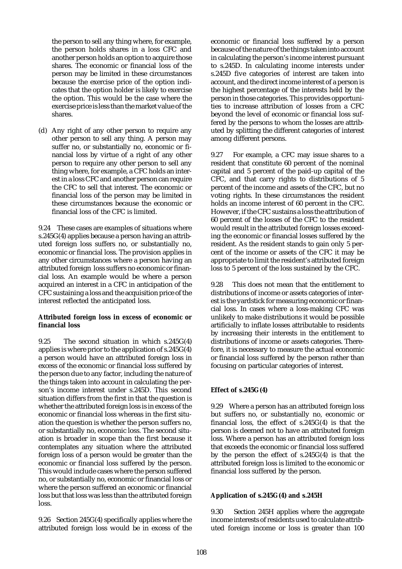the person to sell any thing where, for example, the person holds shares in a loss CFC and another person holds an option to acquire those shares. The economic or financial loss of the person may be limited in these circumstances because the exercise price of the option indicates that the option holder is likely to exercise the option. This would be the case where the exercise price is less than the market value of the shares.

(d) Any right of any other person to require any other person to sell any thing. A person may suffer no, or substantially no, economic or financial loss by virtue of a right of any other person to require any other person to sell any thing where, for example, a CFC holds an interest in a loss CFC and another person can require the CFC to sell that interest. The economic or financial loss of the person may be limited in these circumstances because the economic or financial loss of the CFC is limited.

9.24 These cases are examples of situations where s.245G(4) applies because a person having an attributed foreign loss suffers no, or substantially no, economic or financial loss. The provision applies in any other circumstances where a person having an attributed foreign loss suffers no economic or financial loss. An example would be where a person acquired an interest in a CFC in anticipation of the CFC sustaining a loss and the acquisition price of the interest reflected the anticipated loss.

#### **Attributed foreign loss in excess of economic or financial loss**

9.25 The second situation in which s.245G(4) applies is where prior to the application of s.245G(4) a person would have an attributed foreign loss in excess of the economic or financial loss suffered by the person due to any factor, including the nature of the things taken into account in calculating the person's income interest under s.245D. This second situation differs from the first in that the question is whether the attributed foreign loss is in excess of the economic or financial loss whereas in the first situation the question is whether the person suffers no, or substantially no, economic loss. The second situation is broader in scope than the first because it contemplates any situation where the attributed foreign loss of a person would be greater than the economic or financial loss suffered by the person. This would include cases where the person suffered no, or substantially no, economic or financial loss or where the person suffered an economic or financial loss but that loss was less than the attributed foreign loss.

9.26 Section 245G(4) specifically applies where the attributed foreign loss would be in excess of the economic or financial loss suffered by a person because of the nature of the things taken into account in calculating the person's income interest pursuant to s.245D. In calculating income interests under s.245D five categories of interest are taken into account, and the direct income interest of a person is the highest percentage of the interests held by the person in those categories. This provides opportunities to increase attribution of losses from a CFC beyond the level of economic or financial loss suffered by the persons to whom the losses are attributed by splitting the different categories of interest among different persons.

9.27 For example, a CFC may issue shares to a resident that constitute 60 percent of the nominal capital and 5 percent of the paid-up capital of the CFC, and that carry rights to distributions of 5 percent of the income and assets of the CFC, but no voting rights. In these circumstances the resident holds an income interest of 60 percent in the CFC. However, if the CFC sustains a loss the attribution of 60 percent of the losses of the CFC to the resident would result in the attributed foreign losses exceeding the economic or financial losses suffered by the resident. As the resident stands to gain only 5 percent of the income or assets of the CFC it may be appropriate to limit the resident's attributed foreign loss to 5 percent of the loss sustained by the CFC.

9.28 This does not mean that the entitlement to distributions of income or assets categories of interest is the yardstick for measuring economic or financial loss. In cases where a loss-making CFC was unlikely to make distributions it would be possible artificially to inflate losses attributable to residents by increasing their interests in the entitlement to distributions of income or assets categories. Therefore, it is necessary to measure the actual economic or financial loss suffered by the person rather than focusing on particular categories of interest.

### **Effect of s.245G(4)**

9.29 Where a person has an attributed foreign loss but suffers no, or substantially no, economic or financial loss, the effect of s.245G(4) is that the person is deemed not to have an attributed foreign loss. Where a person has an attributed foreign loss that exceeds the economic or financial loss suffered by the person the effect of s.245G(4) is that the attributed foreign loss is limited to the economic or financial loss suffered by the person.

#### **Application of s.245G(4) and s.245H**

9.30 Section 245H applies where the aggregate income interests of residents used to calculate attributed foreign income or loss is greater than 100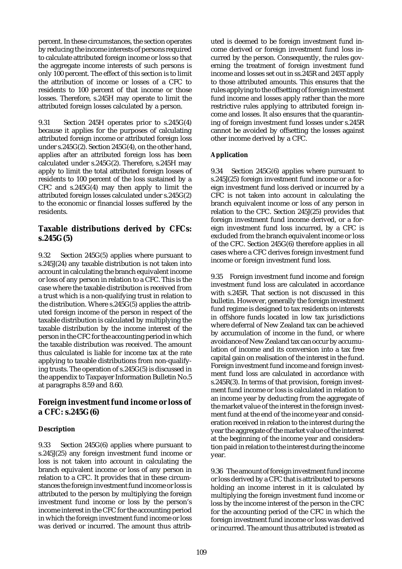percent. In these circumstances, the section operates by reducing the income interests of persons required to calculate attributed foreign income or loss so that the aggregate income interests of such persons is only 100 percent. The effect of this section is to limit the attribution of income or losses of a CFC to residents to 100 percent of that income or those losses. Therefore, s.245H may operate to limit the attributed foreign losses calculated by a person.

9.31 Section 245H operates prior to s.245G(4) because it applies for the purposes of calculating attributed foreign income or attributed foreign loss under s.245G(2). Section 245G(4), on the other hand, applies after an attributed foreign loss has been calculated under s.245G(2). Therefore, s.245H may apply to limit the total attributed foreign losses of residents to 100 percent of the loss sustained by a CFC and s.245G(4) may then apply to limit the attributed foreign losses calculated under s.245G(2) to the economic or financial losses suffered by the residents.

# **Taxable distributions derived by CFCs: s.245G(5)**

9.32 Section 245G(5) applies where pursuant to s.245J(24) any taxable distribution is not taken into account in calculating the branch equivalent income or loss of any person in relation to a CFC. This is the case where the taxable distribution is received from a trust which is a non-qualifying trust in relation to the distribution. Where s.245G(5) applies the attributed foreign income of the person in respect of the taxable distribution is calculated by multiplying the taxable distribution by the income interest of the person in the CFC for the accounting period in which the taxable distribution was received. The amount thus calculated is liable for income tax at the rate applying to taxable distributions from non-qualifying trusts. The operation of s.245G(5) is discussed in the appendix to Taxpayer Information Bulletin No.5 at paragraphs 8.59 and 8.60.

# **Foreign investment fund income or loss of a CFC: s.245G(6)**

## **Description**

9.33 Section 245G(6) applies where pursuant to s.245J(25) any foreign investment fund income or loss is not taken into account in calculating the branch equivalent income or loss of any person in relation to a CFC. It provides that in these circumstances the foreign investment fund income or loss is attributed to the person by multiplying the foreign investment fund income or loss by the person's income interest in the CFC for the accounting period in which the foreign investment fund income or loss was derived or incurred. The amount thus attributed is deemed to be foreign investment fund income derived or foreign investment fund loss incurred by the person. Consequently, the rules governing the treatment of foreign investment fund income and losses set out in ss.245R and 245T apply to those attributed amounts. This ensures that the rules applying to the offsetting of foreign investment fund income and losses apply rather than the more restrictive rules applying to attributed foreign income and losses. It also ensures that the quarantining of foreign investment fund losses under s.245R cannot be avoided by offsetting the losses against other income derived by a CFC.

## **Application**

9.34 Section 245G(6) applies where pursuant to s.245J(25) foreign investment fund income or a foreign investment fund loss derived or incurred by a CFC is not taken into account in calculating the branch equivalent income or loss of any person in relation to the CFC. Section 245J(25) provides that foreign investment fund income derived, or a foreign investment fund loss incurred, by a CFC is excluded from the branch equivalent income or loss of the CFC. Section 245G(6) therefore applies in all cases where a CFC derives foreign investment fund income or foreign investment fund loss.

9.35 Foreign investment fund income and foreign investment fund loss are calculated in accordance with s.245R. That section is not discussed in this bulletin. However, generally the foreign investment fund regime is designed to tax residents on interests in offshore funds located in low tax jurisdictions where deferral of New Zealand tax can be achieved by accumulation of income in the fund, or where avoidance of New Zealand tax can occur by accumulation of income and its conversion into a tax free capital gain on realisation of the interest in the fund. Foreign investment fund income and foreign investment fund loss are calculated in accordance with s.245R(3). In terms of that provision, foreign investment fund income or loss is calculated in relation to an income year by deducting from the aggregate of the market value of the interest in the foreign investment fund at the end of the income year and consideration received in relation to the interest during the year the aggregate of the market value of the interest at the beginning of the income year and consideration paid in relation to the interest during the income year.

9.36 The amount of foreign investment fund income or loss derived by a CFC that is attributed to persons holding an income interest in it is calculated by multiplying the foreign investment fund income or loss by the income interest of the person in the CFC for the accounting period of the CFC in which the foreign investment fund income or loss was derived or incurred. The amount thus attributed is treated as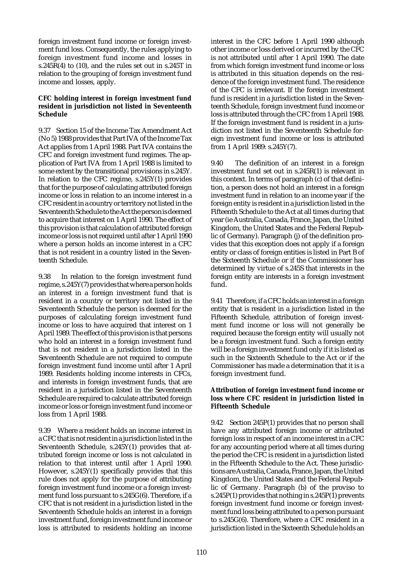foreign investment fund income or foreign investment fund loss. Consequently, the rules applying to foreign investment fund income and losses in s.245R(4) to (10), and the rules set out in s.245T in relation to the grouping of foreign investment fund income and losses, apply.

### **CFC holding interest in foreign investment fund resident in jurisdiction not listed in Seventeenth Schedule**

9.37 Section 15 of the Income Tax Amendment Act (No 5) 1988 provides that Part IVA of the Income Tax Act applies from 1 April 1988. Part IVA contains the CFC and foreign investment fund regimes. The application of Part IVA from 1 April 1988 is limited to some extent by the transitional provisions in s.245Y. In relation to the CFC regime, s.245Y(1) provides that for the purpose of calculating attributed foreign income or loss in relation to an income interest in a CFC resident in a country or territory not listed in the Seventeenth Schedule to the Act the person is deemed to acquire that interest on 1 April 1990. The effect of this provision is that calculation of attributed foreign income or loss is not required until after 1 April 1990 where a person holds an income interest in a CFC that is not resident in a country listed in the Seventeenth Schedule.

9.38 In relation to the foreign investment fund regime, s.245Y(7) provides that where a person holds an interest in a foreign investment fund that is resident in a country or territory not listed in the Seventeenth Schedule the person is deemed for the purposes of calculating foreign investment fund income or loss to have acquired that interest on 1 April 1989. The effect of this provision is that persons who hold an interest in a foreign investment fund that is not resident in a jurisdiction listed in the Seventeenth Schedule are not required to compute foreign investment fund income until after 1 April 1989. Residents holding income interests in CFCs, and interests in foreign investment funds, that are resident in a jurisdiction listed in the Seventeenth Schedule are required to calculate attributed foreign income or loss or foreign investment fund income or loss from 1 April 1988.

9.39 Where a resident holds an income interest in a CFC that is not resident in a jurisdiction listed in the Seventeenth Schedule, s.245Y(1) provides that attributed foreign income or loss is not calculated in relation to that interest until after 1 April 1990. However, s.245Y(1) specifically provides that this rule does not apply for the purpose of attributing foreign investment fund income or a foreign investment fund loss pursuant to s.245G(6). Therefore, if a CFC that is not resident in a jurisdiction listed in the Seventeenth Schedule holds an interest in a foreign investment fund, foreign investment fund income or loss is attributed to residents holding an income interest in the CFC before 1 April 1990 although other income or loss derived or incurred by the CFC is not attributed until after 1 April 1990. The date from which foreign investment fund income or loss is attributed in this situation depends on the residence of the foreign investment fund. The residence of the CFC is irrelevant. If the foreign investment fund is resident in a jurisdiction listed in the Seventeenth Schedule, foreign investment fund income or loss is attributed through the CFC from 1 April 1988. If the foreign investment fund is resident in a jurisdiction not listed in the Seventeenth Schedule foreign investment fund income or loss is attributed from 1 April 1989: s.245Y(7).

9.40 The definition of an interest in a foreign investment fund set out in s.245R(1) is relevant in this context. In terms of paragraph (c) of that definition, a person does not hold an interest in a foreign investment fund in relation to an income year if the foreign entity is resident in a jurisdiction listed in the Fifteenth Schedule to the Act at all times during that year (ie Australia, Canada, France, Japan, the United Kingdom, the United States and the Federal Republic of Germany). Paragraph (j) of the definition provides that this exception does not apply if a foreign entity or class of foreign entities is listed in Part B of the Sixteenth Schedule or if the Commissioner has determined by virtue of s.245S that interests in the foreign entity are interests in a foreign investment fund.

9.41 Therefore, if a CFC holds an interest in a foreign entity that is resident in a jurisdiction listed in the Fifteenth Schedule, attribution of foreign investment fund income or loss will not generally be required because the foreign entity will usually not be a foreign investment fund. Such a foreign entity will be a foreign investment fund only if it is listed as such in the Sixteenth Schedule to the Act or if the Commissioner has made a determination that it is a foreign investment fund.

#### **Attribution of foreign investment fund income or loss where CFC resident in jurisdiction listed in Fifteenth Schedule**

9.42 Section 245P(1) provides that no person shall have any attributed foreign income or attributed foreign loss in respect of an income interest in a CFC for any accounting period where at all times during the period the CFC is resident in a jurisdiction listed in the Fifteenth Schedule to the Act. These jurisdictions are Australia, Canada, France, Japan, the United Kingdom, the United States and the Federal Republic of Germany. Paragraph (b) of the proviso to s.245P(1) provides that nothing in s.245P(1) prevents foreign investment fund income or foreign investment fund loss being attributed to a person pursuant to s.245G(6). Therefore, where a CFC resident in a jurisdiction listed in the Sixteenth Schedule holds an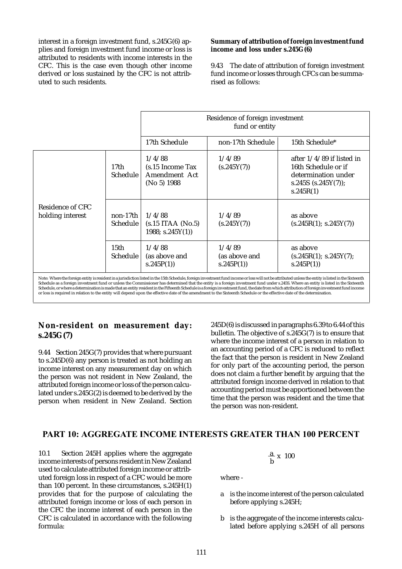interest in a foreign investment fund, s.245G(6) applies and foreign investment fund income or loss is attributed to residents with income interests in the CFC. This is the case even though other income derived or loss sustained by the CFC is not attributed to such residents.

### **Summary of attribution of foreign investment fund income and loss under s.245G(6)**

9.43 The date of attribution of foreign investment fund income or losses through CFCs can be summarised as follows:

|                                      |                             | Residence of foreign investment<br>fund or entity             |                                      |                                                                                                                  |
|--------------------------------------|-----------------------------|---------------------------------------------------------------|--------------------------------------|------------------------------------------------------------------------------------------------------------------|
|                                      |                             | 17th Schedule                                                 | non-17th Schedule                    | 15th Schedule*                                                                                                   |
|                                      | 17th<br><b>Schedule</b>     | 1/4/88<br>$(s.15)$ Income Tax<br>Amendment Act<br>(No 5) 1988 | 1/4/89<br>(s.245Y(7))                | after $1/4/89$ if listed in<br>16th Schedule or if<br>determination under<br>s.245S $(s.245Y(7))$ ;<br>s.245R(1) |
| Residence of CFC<br>holding interest | non-17th<br><b>Schedule</b> | 1/4/88<br>$(s.15$ ITAA (No.5)<br>1988; $s.245Y(1)$            | 1/4/89<br>(s.245Y(7))                | as above<br>(s.245R(1); s.245Y(7))                                                                               |
|                                      | $15$ th<br>Schedule:        | 1/4/88<br>(as above and<br>s.245P(1)                          | 1/4/89<br>(as above and<br>s.245P(1) | as above<br>(s.245R(1); s.245Y(7);<br>s.245P(1)                                                                  |

Note: Where the foreign entity is resident in a jurisdiction listed in the 15th Schedule, foreign investment fund income or loss will not be attributed unless the entity is listed in the Sixteenth Schedule as a foreign investment fund or unless the Commissioner has determined that the entity is a foreign investment fund under s.245S. Where an entity is listed in the Sixteenth<br>Schedule or where a determination is mad Schedule, or where a determination is made that an entity resident in the Fifteenth Schedule is a foreign investment fund, the date from which attribution of foreign investment fund income or loss is required in relation to the entity will depend upon the effective date of the amendment to the Sixteenth Schedule or the effective date of the determination.

# **Non-resident on measurement day: s.245G(7)**

9.44 Section 245G(7) provides that where pursuant to s.245D(6) any person is treated as not holding an income interest on any measurement day on which the person was not resident in New Zealand, the attributed foreign income or loss of the person calculated under s.245G(2) is deemed to be derived by the person when resident in New Zealand. Section 245D(6) is discussed in paragraphs 6.39 to 6.44 of this bulletin. The objective of s.245G(7) is to ensure that where the income interest of a person in relation to an accounting period of a CFC is reduced to reflect the fact that the person is resident in New Zealand for only part of the accounting period, the person does not claim a further benefit by arguing that the attributed foreign income derived in relation to that accounting period must be apportioned between the time that the person was resident and the time that the person was non-resident.

# PART 10: AGGREGATE INCOME INTERESTS GREATER THAN 100 PERCENT

10.1 Section 245H applies where the aggregate income interests of persons resident in New Zealand used to calculate attributed foreign income or attributed foreign loss in respect of a CFC would be more than 100 percent. In these circumstances, s.245H(1) provides that for the purpose of calculating the attributed foreign income or loss of each person in the CFC the income interest of each person in the CFC is calculated in accordance with the following formula:

$$
\frac{a}{b} \times 100
$$

where -

- a is the income interest of the person calculated before applying s.245H;
- b is the aggregate of the income interests calculated before applying s.245H of all persons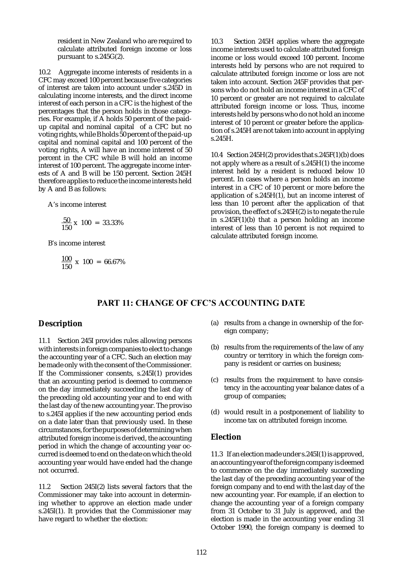resident in New Zealand who are required to calculate attributed foreign income or loss pursuant to s.245G(2).

10.2 Aggregate income interests of residents in a CFC may exceed 100 percent because five categories of interest are taken into account under s.245D in calculating income interests, and the direct income interest of each person in a CFC is the highest of the percentages that the person holds in those categories. For example, if A holds 50 percent of the paidup capital and nominal capital of a CFC but no voting rights, while B holds 50 percent of the paid-up capital and nominal capital and 100 percent of the voting rights, A will have an income interest of 50 percent in the CFC while B will hold an income interest of 100 percent. The aggregate income interests of A and B will be 150 percent. Section 245H therefore applies to reduce the income interests held by A and B as follows:

A's income interest

$$
\frac{50}{150} \times 100 = 33.33\%
$$

B's income interest

$$
\frac{100}{150} \times 100 = 66.67\%
$$

10.3 Section 245H applies where the aggregate income interests used to calculate attributed foreign income or loss would exceed 100 percent. Income interests held by persons who are not required to calculate attributed foreign income or loss are not taken into account. Section 245F provides that persons who do not hold an income interest in a CFC of 10 percent or greater are not required to calculate attributed foreign income or loss. Thus, income interests held by persons who do not hold an income interest of 10 percent or greater before the application of s.245H are not taken into account in applying s.245H.

10.4 Section 245H(2) provides that s.245F(1)(b) does not apply where as a result of s.245H(1) the income interest held by a resident is reduced below 10 percent. In cases where a person holds an income interest in a CFC of 10 percent or more before the application of s.245H(1), but an income interest of less than 10 percent after the application of that provision, the effect of s.245H(2) is to negate the rule in s.245F(1)(b) that a person holding an income interest of less than 10 percent is not required to calculate attributed foreign income.

## PART 11: CHANGE OF CFC'S ACCOUNTING DATE

## **Description**

11.1 Section 245I provides rules allowing persons with interests in foreign companies to elect to change the accounting year of a CFC. Such an election may be made only with the consent of the Commissioner. If the Commissioner consents, s.245I(1) provides that an accounting period is deemed to commence on the day immediately succeeding the last day of the preceding old accounting year and to end with the last day of the new accounting year. The proviso to s.245I applies if the new accounting period ends on a date later than that previously used. In these circumstances, for the purposes of determining when attributed foreign income is derived, the accounting period in which the change of accounting year occurred is deemed to end on the date on which the old accounting year would have ended had the change not occurred.

11.2 Section 245I(2) lists several factors that the Commissioner may take into account in determining whether to approve an election made under s.245I(1). It provides that the Commissioner may have regard to whether the election:

- (a) results from a change in ownership of the foreign company;
- (b) results from the requirements of the law of any country or territory in which the foreign company is resident or carries on business;
- (c) results from the requirement to have consistency in the accounting year balance dates of a group of companies;
- (d) would result in a postponement of liability to income tax on attributed foreign income.

## **Election**

11.3 If an election made under s.245I(1) is approved, an accounting year of the foreign company is deemed to commence on the day immediately succeeding the last day of the preceding accounting year of the foreign company and to end with the last day of the new accounting year. For example, if an election to change the accounting year of a foreign company from 31 October to 31 July is approved, and the election is made in the accounting year ending 31 October 1990, the foreign company is deemed to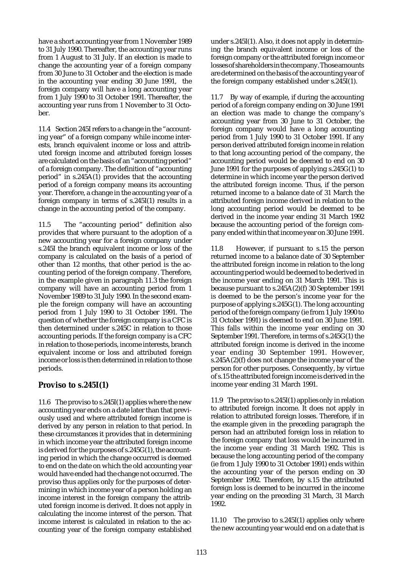have a short accounting year from 1 November 1989 to 31 July 1990. Thereafter, the accounting year runs from 1 August to 31 July. If an election is made to change the accounting year of a foreign company from 30 June to 31 October and the election is made in the accounting year ending 30 June 1991, the foreign company will have a long accounting year from 1 July 1990 to 31 October 1991. Thereafter, the accounting year runs from 1 November to 31 October.

11.4 Section 245I refers to a change in the "accounting year" of a foreign company while income interests, branch equivalent income or loss and attributed foreign income and attributed foreign losses are calculated on the basis of an "accounting period" of a foreign company. The definition of "accounting period" in s.245A(1) provides that the accounting period of a foreign company means its accounting year. Therefore, a change in the accounting year of a foreign company in terms of s.245I(1) results in a change in the accounting period of the company.

11.5 The "accounting period" definition also provides that where pursuant to the adoption of a new accounting year for a foreign company under s.245I the branch equivalent income or loss of the company is calculated on the basis of a period of other than 12 months, that other period is the accounting period of the foreign company. Therefore, in the example given in paragraph 11.3 the foreign company will have an accounting period from 1 November 1989 to 31 July 1990. In the second example the foreign company will have an accounting period from 1 July 1990 to 31 October 1991. The question of whether the foreign company is a CFC is then determined under s.245C in relation to those accounting periods. If the foreign company is a CFC in relation to those periods, income interests, branch equivalent income or loss and attributed foreign income or loss is then determined in relation to those periods.

## **Proviso to s.245I(1)**

11.6 The proviso to s.245I(1) applies where the new accounting year ends on a date later than that previously used and where attributed foreign income is derived by any person in relation to that period. In these circumstances it provides that in determining in which income year the attributed foreign income is derived for the purposes of s.245G(1), the accounting period in which the change occurred is deemed to end on the date on which the old accounting year would have ended had the change not occurred. The proviso thus applies only for the purposes of determining in which income year of a person holding an income interest in the foreign company the attributed foreign income is derived. It does not apply in calculating the income interest of the person. That income interest is calculated in relation to the accounting year of the foreign company established under s.245I(1). Also, it does not apply in determining the branch equivalent income or loss of the foreign company or the attributed foreign income or losses of shareholders in the company. Those amounts are determined on the basis of the accounting year of the foreign company established under s.245I(1).

11.7 By way of example, if during the accounting period of a foreign company ending on 30 June 1991 an election was made to change the company's accounting year from 30 June to 31 October, the foreign company would have a long accounting period from 1 July 1990 to 31 October 1991. If any person derived attributed foreign income in relation to that long accounting period of the company, the accounting period would be deemed to end on 30 June 1991 for the purposes of applying s.245G(1) to determine in which income year the person derived the attributed foreign income. Thus, if the person returned income to a balance date of 31 March the attributed foreign income derived in relation to the long accounting period would be deemed to be derived in the income year ending 31 March 1992 because the accounting period of the foreign company ended within that income year on 30 June 1991.

11.8 However, if pursuant to s.15 the person returned income to a balance date of 30 September the attributed foreign income in relation to the long accounting period would be deemed to be derived in the income year ending on 31 March 1991. This is because pursuant to s.245A(2)(f) 30 September 1991 is deemed to be the person's income year for the purpose of applying s.245G(1). The long accounting period of the foreign company (ie from 1 July 1990 to 31 October 1991) is deemed to end on 30 June 1991. This falls within the income year ending on 30 September 1991. Therefore, in terms of s.245G(1) the attributed foreign income is derived in the income year ending 30 September 1991. However, s.245A(2)(f) does not change the income year of the person for other purposes. Consequently, by virtue of s.15 the attributed foreign income is derived in the income year ending 31 March 1991.

11.9 The proviso to s.245I(1) applies only in relation to attributed foreign income. It does not apply in relation to attributed foreign losses. Therefore, if in the example given in the preceding paragraph the person had an attributed foreign loss in relation to the foreign company that loss would be incurred in the income year ending 31 March 1992. This is because the long accounting period of the company (ie from 1 July 1990 to 31 October 1991) ends within the accounting year of the person ending on 30 September 1992. Therefore, by s.15 the attributed foreign loss is deemed to be incurred in the income year ending on the preceding 31 March, 31 March 1992.

11.10 The proviso to s.245I(1) applies only where the new accounting year would end on a date that is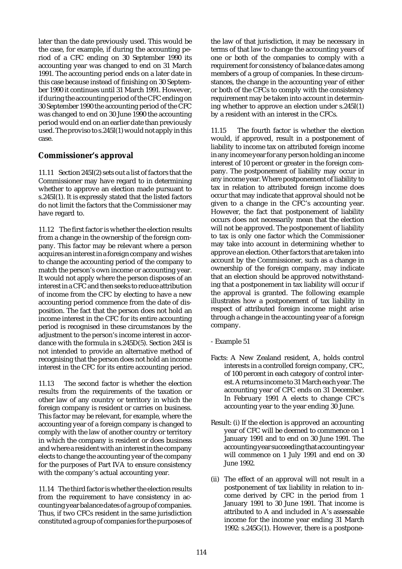later than the date previously used. This would be the case, for example, if during the accounting period of a CFC ending on 30 September 1990 its accounting year was changed to end on 31 March 1991. The accounting period ends on a later date in this case because instead of finishing on 30 September 1990 it continues until 31 March 1991. However, if during the accounting period of the CFC ending on 30 September 1990 the accounting period of the CFC was changed to end on 30 June 1990 the accounting period would end on an earlier date than previously used. The proviso to s.245I(1) would not apply in this case.

# **Commissioner's approval**

11.11 Section 245I(2) sets out a list of factors that the Commissioner may have regard to in determining whether to approve an election made pursuant to s.245I(1). It is expressly stated that the listed factors do not limit the factors that the Commissioner may have regard to.

11.12 The first factor is whether the election results from a change in the ownership of the foreign company. This factor may be relevant where a person acquires an interest in a foreign company and wishes to change the accounting period of the company to match the person's own income or accounting year. It would not apply where the person disposes of an interest in a CFC and then seeks to reduce attribution of income from the CFC by electing to have a new accounting period commence from the date of disposition. The fact that the person does not hold an income interest in the CFC for its entire accounting period is recognised in these circumstances by the adjustment to the person's income interest in accordance with the formula in s.245D(5). Section 245I is not intended to provide an alternative method of recognising that the person does not hold an income interest in the CFC for its entire accounting period.

11.13 The second factor is whether the election results from the requirements of the taxation or other law of any country or territory in which the foreign company is resident or carries on business. This factor may be relevant, for example, where the accounting year of a foreign company is changed to comply with the law of another country or territory in which the company is resident or does business and where a resident with an interest in the company elects to change the accounting year of the company for the purposes of Part IVA to ensure consistency with the company's actual accounting year.

11.14 The third factor is whether the election results from the requirement to have consistency in accounting year balance dates of a group of companies. Thus, if two CFCs resident in the same jurisdiction constituted a group of companies for the purposes of the law of that jurisdiction, it may be necessary in terms of that law to change the accounting years of one or both of the companies to comply with a requirement for consistency of balance dates among members of a group of companies. In these circumstances, the change in the accounting year of either or both of the CFCs to comply with the consistency requirement may be taken into account in determining whether to approve an election under s.245I(1) by a resident with an interest in the CFCs.

11.15 The fourth factor is whether the election would, if approved, result in a postponement of liability to income tax on attributed foreign income in any income year for any person holding an income interest of 10 percent or greater in the foreign company. The postponement of liability may occur in any income year. Where postponement of liability to tax in relation to attributed foreign income does occur that may indicate that approval should not be given to a change in the CFC's accounting year. However, the fact that postponement of liability occurs does not necessarily mean that the election will not be approved. The postponement of liability to tax is only one factor which the Commissioner may take into account in determining whether to approve an election. Other factors that are taken into account by the Commissioner, such as a change in ownership of the foreign company, may indicate that an election should be approved notwithstanding that a postponement in tax liability will occur if the approval is granted. The following example illustrates how a postponement of tax liability in respect of attributed foreign income might arise through a change in the accounting year of a foreign company.

- Example 51
- Facts: A New Zealand resident, A, holds control interests in a controlled foreign company, CFC, of 100 percent in each category of control interest. A returns income to 31 March each year. The accounting year of CFC ends on 31 December. In February 1991 A elects to change CFC's accounting year to the year ending 30 June.
- Result: (i) If the election is approved an accounting year of CFC will be deemed to commence on 1 January 1991 and to end on 30 June 1991. The accounting year succeeding that accounting year will commence on 1 July 1991 and end on 30 June 1992.
- (ii) The effect of an approval will not result in a postponement of tax liability in relation to income derived by CFC in the period from 1 January 1991 to 30 June 1991. That income is attributed to A and included in A's assessable income for the income year ending 31 March 1992: s.245G(1). However, there is a postpone-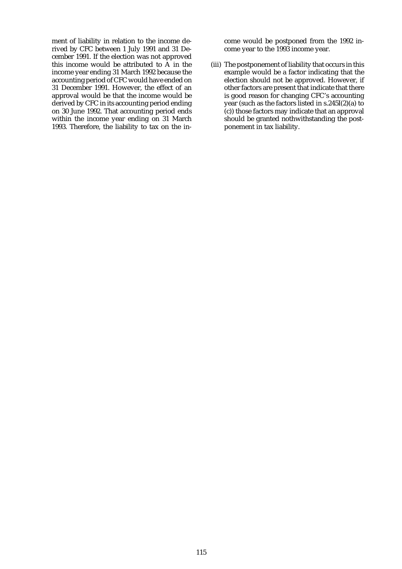ment of liability in relation to the income derived by CFC between 1 July 1991 and 31 December 1991. If the election was not approved this income would be attributed to  $\overline{A}$  in the income year ending 31 March 1992 because the accounting period of CFC would have ended on 31 December 1991. However, the effect of an approval would be that the income would be derived by CFC in its accounting period ending on 30 June 1992. That accounting period ends within the income year ending on 31 March 1993. Therefore, the liability to tax on the income would be postponed from the 1992 income year to the 1993 income year.

(iii) The postponement of liability that occurs in this example would be a factor indicating that the election should not be approved. However, if other factors are present that indicate that there is good reason for changing CFC's accounting year (such as the factors listed in s.245I(2)(a) to (c)) those factors may indicate that an approval should be granted nothwithstanding the postponement in tax liability.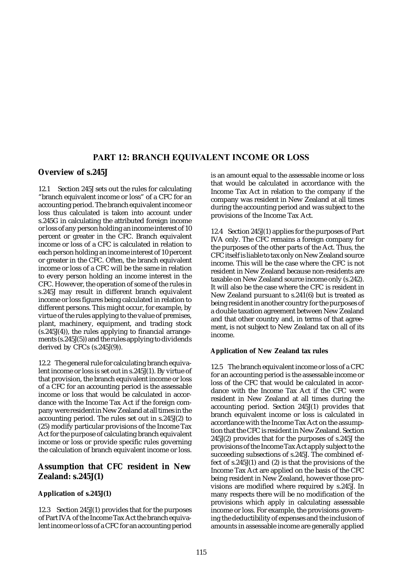## PART 12: BRANCH EQUIVALENT INCOME OR LOSS

## **Overview of s.245J**

12.1 Section 245J sets out the rules for calculating "branch equivalent income or loss" of a CFC for an accounting period. The branch equivalent income or loss thus calculated is taken into account under s.245G in calculating the attributed foreign income or loss of any person holding an income interest of 10 percent or greater in the CFC. Branch equivalent income or loss of a CFC is calculated in relation to each person holding an income interest of 10 percent or greater in the CFC. Often, the branch equivalent income or loss of a CFC will be the same in relation to every person holding an income interest in the CFC. However, the operation of some of the rules in s.245J may result in different branch equivalent income or loss figures being calculated in relation to different persons. This might occur, for example, by virtue of the rules applying to the value of premises, plant, machinery, equipment, and trading stock (s.245J(4)), the rules applying to financial arrangements (s.245J(5)) and the rules applying to dividends derived by CFCs (s.245J(9)).

12.2 The general rule for calculating branch equivalent income or loss is set out in s.245J(1). By virtue of that provision, the branch equivalent income or loss of a CFC for an accounting period is the assessable income or loss that would be calculated in accordance with the Income Tax Act if the foreign company were resident in New Zealand at all times in the accounting period. The rules set out in s.245J(2) to (25) modify particular provisions of the Income Tax Act for the purpose of calculating branch equivalent income or loss or provide specific rules governing the calculation of branch equivalent income or loss.

# **Assumption that CFC resident in New Zealand: s.245J(1)**

## **Application of s.245J(1)**

12.3 Section 245J(1) provides that for the purposes of Part IVA of the Income Tax Act the branch equivalent income or loss of a CFC for an accounting period is an amount equal to the assessable income or loss that would be calculated in accordance with the Income Tax Act in relation to the company if the company was resident in New Zealand at all times during the accounting period and was subject to the provisions of the Income Tax Act.

12.4 Section 245J(1) applies for the purposes of Part IVA only. The CFC remains a foreign company for the purposes of the other parts of the Act. Thus, the CFC itself is liable to tax only on New Zealand source income. This will be the case where the CFC is not resident in New Zealand because non-residents are taxable on New Zealand source income only (s.242). It will also be the case where the CFC is resident in New Zealand pursuant to s.241(6) but is treated as being resident in another country for the purposes of a double taxation agreement between New Zealand and that other country and, in terms of that agreement, is not subject to New Zealand tax on all of its income.

## **Application of New Zealand tax rules**

12.5 The branch equivalent income or loss of a CFC for an accounting period is the assessable income or loss of the CFC that would be calculated in accordance with the Income Tax Act if the CFC were resident in New Zealand at all times during the accounting period. Section 245J(1) provides that branch equivalent income or loss is calculated in accordance with the Income Tax Act on the assumption that the CFC is resident in New Zealand. Section 245J(2) provides that for the purposes of s.245J the provisions of the Income Tax Act apply subject to the succeeding subsections of s.245J. The combined effect of s.245J(1) and (2) is that the provisions of the Income Tax Act are applied on the basis of the CFC being resident in New Zealand, however those provisions are modified where required by s.245J. In many respects there will be no modification of the provisions which apply in calculating assessable income or loss. For example, the provisions governing the deductibility of expenses and the inclusion of amounts in assessable income are generally applied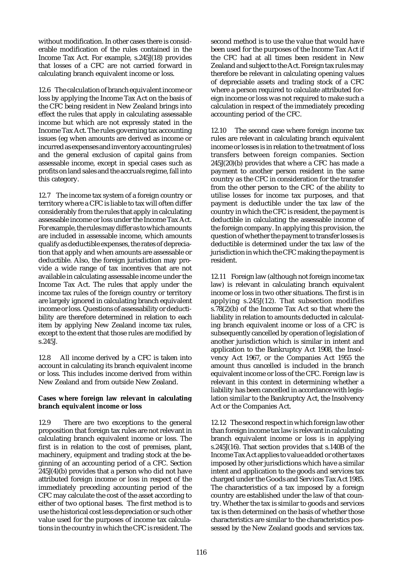without modification. In other cases there is considerable modification of the rules contained in the Income Tax Act. For example, s.245J(18) provides that losses of a CFC are not carried forward in calculating branch equivalent income or loss.

12.6 The calculation of branch equivalent income or loss by applying the Income Tax Act on the basis of the CFC being resident in New Zealand brings into effect the rules that apply in calculating assessable income but which are not expressly stated in the Income Tax Act. The rules governing tax accounting issues (eg when amounts are derived as income or incurred as expenses and inventory accounting rules) and the general exclusion of capital gains from assessable income, except in special cases such as profits on land sales and the accruals regime, fall into this category.

12.7 The income tax system of a foreign country or territory where a CFC is liable to tax will often differ considerably from the rules that apply in calculating assessable income or loss under the Income Tax Act. For example, the rules may differ as to which amounts are included in assessable income, which amounts qualify as deductible expenses, the rates of depreciation that apply and when amounts are assessable or deductible. Also, the foreign jurisdiction may provide a wide range of tax incentives that are not available in calculating assessable income under the Income Tax Act. The rules that apply under the income tax rules of the foreign country or territory are largely ignored in calculating branch equivalent income or loss. Questions of assessability or deductibility are therefore determined in relation to each item by applying New Zealand income tax rules, except to the extent that those rules are modified by s.245J.

12.8 All income derived by a CFC is taken into account in calculating its branch equivalent income or loss. This includes income derived from within New Zealand and from outside New Zealand.

## **Cases where foreign law relevant in calculating branch equivalent income or loss**

12.9 There are two exceptions to the general proposition that foreign tax rules are not relevant in calculating branch equivalent income or loss. The first is in relation to the cost of premises, plant, machinery, equipment and trading stock at the beginning of an accounting period of a CFC. Section  $245J(4)(b)$  provides that a person who did not have attributed foreign income or loss in respect of the immediately preceding accounting period of the CFC may calculate the cost of the asset according to either of two optional bases. The first method is to use the historical cost less depreciation or such other value used for the purposes of income tax calculations in the country in which the CFC is resident. The

second method is to use the value that would have been used for the purposes of the Income Tax Act if the CFC had at all times been resident in New Zealand and subject to the Act. Foreign tax rules may therefore be relevant in calculating opening values of depreciable assets and trading stock of a CFC where a person required to calculate attributed foreign income or loss was not required to make such a calculation in respect of the immediately preceding accounting period of the CFC.

12.10 The second case where foreign income tax rules are relevant in calculating branch equivalent income or losses is in relation to the treatment of loss transfers between foreign companies. Section 245J(20)(b) provides that where a CFC has made a payment to another person resident in the same country as the CFC in consideration for the transfer from the other person to the CFC of the ability to utilise losses for income tax purposes, and that payment is deductible under the tax law of the country in which the CFC is resident, the payment is deductible in calculating the assessable income of the foreign company. In applying this provision, the question of whether the payment to transfer losses is deductible is determined under the tax law of the jurisdiction in which the CFC making the payment is resident.

12.11 Foreign law (although not foreign income tax law) is relevant in calculating branch equivalent income or loss in two other situations. The first is in applying s.245J(12). That subsection modifies s.78(2)(b) of the Income Tax Act so that where the liability in relation to amounts deducted in calculating branch equivalent income or loss of a CFC is subsequently cancelled by operation of legislation of another jurisdiction which is similar in intent and application to the Bankruptcy Act 1908, the Insolvency Act 1967, or the Companies Act 1955 the amount thus cancelled is included in the branch equivalent income or loss of the CFC. Foreign law is relevant in this context in determining whether a liability has been cancelled in accordance with legislation similar to the Bankruptcy Act, the Insolvency Act or the Companies Act.

12.12 The second respect in which foreign law other than foreign income tax law is relevant in calculating branch equivalent income or loss is in applying s.245J(16). That section provides that s.140B of the Income Tax Act applies to value added or other taxes imposed by other jurisdictions which have a similar intent and application to the goods and services tax charged under the Goods and Services Tax Act 1985. The characteristics of a tax imposed by a foreign country are established under the law of that country. Whether the tax is similar to goods and services tax is then determined on the basis of whether those characteristics are similar to the characteristics possessed by the New Zealand goods and services tax.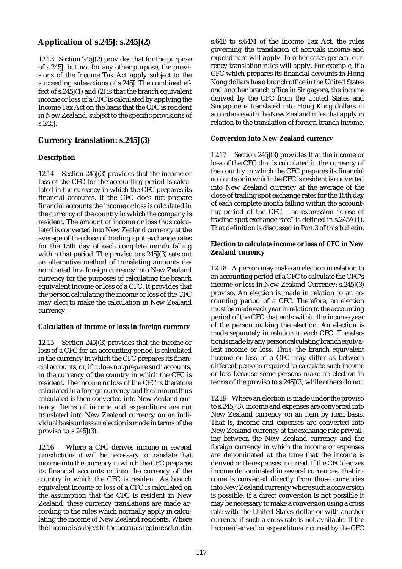# **Application of s.245J: s.245J(2)**

12.13 Section 245J(2) provides that for the purpose of s.245J, but not for any other purpose, the provisions of the Income Tax Act apply subject to the succeeding subsections of s.245J. The combined effect of s.245J(1) and (2) is that the branch equivalent income or loss of a CFC is calculated by applying the Income Tax Act on the basis that the CFC is resident in New Zealand, subject to the specific provisions of s.245J.

# **Currency translation: s.245J(3)**

## **Description**

12.14 Section 245J(3) provides that the income or loss of the CFC for the accounting period is calculated in the currency in which the CFC prepares its financial accounts. If the CFC does not prepare financial accounts the income or loss is calculated in the currency of the country in which the company is resident. The amount of income or loss thus calculated is converted into New Zealand currency at the average of the close of trading spot exchange rates for the 15th day of each complete month falling within that period. The proviso to s.245J(3) sets out an alternative method of translating amounts denominated in a foreign currency into New Zealand currency for the purposes of calculating the branch equivalent income or loss of a CFC. It provides that the person calculating the income or loss of the CFC may elect to make the calculation in New Zealand currency.

## **Calculation of income or loss in foreign currency**

12.15 Section 245J(3) provides that the income or loss of a CFC for an accounting period is calculated in the currency in which the CFC prepares its financial accounts, or, if it does not prepare such accounts, in the currency of the country in which the CFC is resident. The income or loss of the CFC is therefore calculated in a foreign currency and the amount thus calculated is then converted into New Zealand currency. Items of income and expenditure are not translated into New Zealand currency on an individual basis unless an election is made in terms of the proviso to s.245J(3).

12.16 Where a CFC derives income in several jurisdictions it will be necessary to translate that income into the currency in which the CFC prepares its financial accounts or into the currency of the country in which the CFC is resident. As branch equivalent income or loss of a CFC is calculated on the assumption that the CFC is resident in New Zealand, these currency translations are made according to the rules which normally apply in calculating the income of New Zealand residents. Where the income is subject to the accruals regime set out in

s.64B to s.64M of the Income Tax Act, the rules governing the translation of accruals income and expenditure will apply. In other cases general currency translation rules will apply. For example, if a CFC which prepares its financial accounts in Hong Kong dollars has a branch office in the United States and another branch office in Singapore, the income derived by the CFC from the United States and Singapore is translated into Hong Kong dollars in accordance with the New Zealand rules that apply in relation to the translation of foreign branch income.

## **Conversion into New Zealand currency**

12.17 Section 245J(3) provides that the income or loss of the CFC that is calculated in the currency of the country in which the CFC prepares its financial accounts or in which the CFC is resident is converted into New Zealand currency at the average of the close of trading spot exchange rates for the 15th day of each complete month falling within the accounting period of the CFC. The expression "close of trading spot exchange rate" is defined in s.245A(1). That definition is discussed in Part 3 of this bulletin.

## **Election to calculate income or loss of CFC in New Zealand currency**

12.18 A person may make an election in relation to an accounting period of a CFC to calculate the CFC's income or loss in New Zealand Currency: s.245J(3) proviso. An election is made in relation to an accounting period of a CFC. Therefore, an election must be made each year in relation to the accounting period of the CFC that ends within the income year of the person making the election. An election is made separately in relation to each CFC. The election is made by any person calculating branch equivalent income or loss. Thus, the branch equivalent income or loss of a CFC may differ as between different persons required to calculate such income or loss because some persons make an election in terms of the proviso to s.245J(3) while others do not.

12.19 Where an election is made under the proviso to s.245J(3), income and expenses are converted into New Zealand currency on an item by item basis. That is, income and expenses are converted into New Zealand currency at the exchange rate prevailing between the New Zealand currency and the foreign currency in which the income or expenses are denominated at the time that the income is derived or the expenses incurred. If the CFC derives income denominated in several currencies, that income is converted directly from those currencies into New Zealand currency where such a conversion is possible. If a direct conversion is not possible it may be necessary to make a conversion using a cross rate with the United States dollar or with another currency if such a cross rate is not available. If the income derived or expenditure incurred by the CFC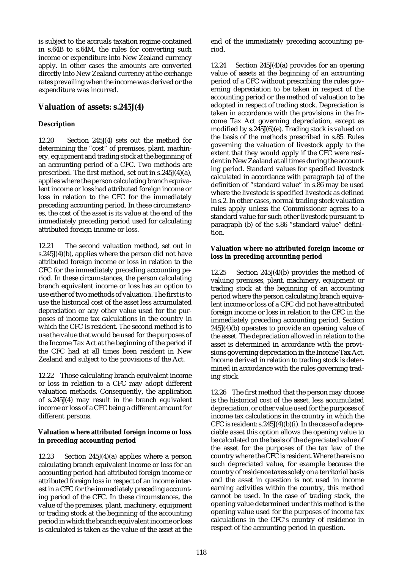is subject to the accruals taxation regime contained in s.64B to s.64M, the rules for converting such income or expenditure into New Zealand currency apply. In other cases the amounts are converted directly into New Zealand currency at the exchange rates prevailing when the income was derived or the expenditure was incurred.

# **Valuation of assets: s.245J(4)**

## **Description**

12.20 Section 245J(4) sets out the method for determining the "cost" of premises, plant, machinery, equipment and trading stock at the beginning of an accounting period of a CFC. Two methods are prescribed. The first method, set out in s.245J(4)(a), applies where the person calculating branch equivalent income or loss had attributed foreign income or loss in relation to the CFC for the immediately preceding accounting period. In these circumstances, the cost of the asset is its value at the end of the immediately preceding period used for calculating attributed foreign income or loss.

12.21 The second valuation method, set out in s.245J(4)(b), applies where the person did not have attributed foreign income or loss in relation to the CFC for the immediately preceding accounting period. In these circumstances, the person calculating branch equivalent income or loss has an option to use either of two methods of valuation. The first is to use the historical cost of the asset less accumulated depreciation or any other value used for the purposes of income tax calculations in the country in which the CFC is resident. The second method is to use the value that would be used for the purposes of the Income Tax Act at the beginning of the period if the CFC had at all times been resident in New Zealand and subject to the provisions of the Act.

12.22 Those calculating branch equivalent income or loss in relation to a CFC may adopt different valuation methods. Consequently, the application of s.245J(4) may result in the branch equivalent income or loss of a CFC being a different amount for different persons.

## **Valuation where attributed foreign income or loss in preceding accounting period**

12.23 Section 245J(4)(a) applies where a person calculating branch equivalent income or loss for an accounting period had attributed foreign income or attributed foreign loss in respect of an income interest in a CFC for the immediately preceding accounting period of the CFC. In these circumstances, the value of the premises, plant, machinery, equipment or trading stock at the beginning of the accounting period in which the branch equivalent income or loss is calculated is taken as the value of the asset at the end of the immediately preceding accounting period.

12.24 Section 245J(4)(a) provides for an opening value of assets at the beginning of an accounting period of a CFC without prescribing the rules governing depreciation to be taken in respect of the accounting period or the method of valuation to be adopted in respect of trading stock. Depreciation is taken in accordance with the provisions in the Income Tax Act governing depreciation, except as modified by s.245J(6)(e). Trading stock is valued on the basis of the methods prescribed in s.85. Rules governing the valuation of livestock apply to the extent that they would apply if the CFC were resident in New Zealand at all times during the accounting period. Standard values for specified livestock calculated in accordance with paragraph (a) of the definition of "standard value" in s.86 may be used where the livestock is specified livestock as defined in s.2. In other cases, normal trading stock valuation rules apply unless the Commissioner agrees to a standard value for such other livestock pursuant to paragraph (b) of the s.86 "standard value" definition.

### **Valuation where no attributed foreign income or loss in preceding accounting period**

12.25 Section 245J(4)(b) provides the method of valuing premises, plant, machinery, equipment or trading stock at the beginning of an accounting period where the person calculating branch equivalent income or loss of a CFC did not have attributed foreign income or loss in relation to the CFC in the immediately preceding accounting period. Section 245J(4)(b) operates to provide an opening value of the asset. The depreciation allowed in relation to the asset is determined in accordance with the provisions governing depreciation in the Income Tax Act. Income derived in relation to trading stock is determined in accordance with the rules governing trading stock.

12.26 The first method that the person may choose is the historical cost of the asset, less accumulated depreciation, or other value used for the purposes of income tax calculations in the country in which the CFC is resident:  $s.245J(4)(b)(i)$ . In the case of a depreciable asset this option allows the opening value to be calculated on the basis of the depreciated value of the asset for the purposes of the tax law of the country where the CFC is resident. Where there is no such depreciated value, for example because the country of residence taxes solely on a territorial basis and the asset in question is not used in income earning activities within the country, this method cannot be used. In the case of trading stock, the opening value determined under this method is the opening value used for the purposes of income tax calculations in the CFC's country of residence in respect of the accounting period in question.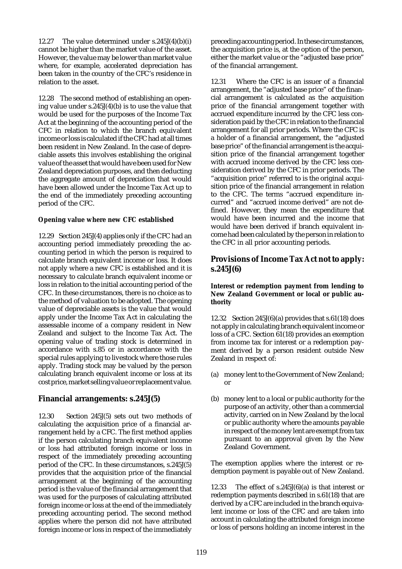12.27 The value determined under s.245J(4)(b)(i) cannot be higher than the market value of the asset. However, the value may be lower than market value where, for example, accelerated depreciation has been taken in the country of the CFC's residence in relation to the asset.

12.28 The second method of establishing an opening value under s.245J(4)(b) is to use the value that would be used for the purposes of the Income Tax Act at the beginning of the accounting period of the CFC in relation to which the branch equivalent income or loss is calculated if the CFC had at all times been resident in New Zealand. In the case of depreciable assets this involves establishing the original value of the asset that would have been used for New Zealand depreciation purposes, and then deducting the aggregate amount of depreciation that would have been allowed under the Income Tax Act up to the end of the immediately preceding accounting period of the CFC.

### **Opening value where new CFC established**

12.29 Section 245J(4) applies only if the CFC had an accounting period immediately preceding the accounting period in which the person is required to calculate branch equivalent income or loss. It does not apply where a new CFC is established and it is necessary to calculate branch equivalent income or loss in relation to the initial accounting period of the CFC. In these circumstances, there is no choice as to the method of valuation to be adopted. The opening value of depreciable assets is the value that would apply under the Income Tax Act in calculating the assessable income of a company resident in New Zealand and subject to the Income Tax Act. The opening value of trading stock is determined in accordance with s.85 or in accordance with the special rules applying to livestock where those rules apply. Trading stock may be valued by the person calculating branch equivalent income or loss at its cost price, market selling value or replacement value.

## **Financial arrangements: s.245J(5)**

12.30 Section 245J(5) sets out two methods of calculating the acquisition price of a financial arrangement held by a CFC. The first method applies if the person calculating branch equivalent income or loss had attributed foreign income or loss in respect of the immediately preceding accounting period of the CFC. In these circumstances, s.245J(5) provides that the acquisition price of the financial arrangement at the beginning of the accounting period is the value of the financial arrangement that was used for the purposes of calculating attributed foreign income or loss at the end of the immediately preceding accounting period. The second method applies where the person did not have attributed foreign income or loss in respect of the immediately preceding accounting period. In these circumstances, the acquisition price is, at the option of the person, either the market value or the "adjusted base price" of the financial arrangement.

12.31 Where the CFC is an issuer of a financial arrangement, the "adjusted base price" of the financial arrangement is calculated as the acquisition price of the financial arrangement together with accrued expenditure incurred by the CFC less consideration paid by the CFC in relation to the financial arrangement for all prior periods. Where the CFC is a holder of a financial arrangement, the "adjusted base price" of the financial arrangement is the acquisition price of the financial arrangement together with accrued income derived by the CFC less consideration derived by the CFC in prior periods. The "acquisition price" referred to is the original acquisition price of the financial arrangement in relation to the CFC. The terms "accrued expenditure incurred" and "accrued income derived" are not defined. However, they mean the expenditure that would have been incurred and the income that would have been derived if branch equivalent income had been calculated by the person in relation to the CFC in all prior accounting periods.

## **Provisions of Income Tax Act not to apply: s.245J(6)**

### **Interest or redemption payment from lending to New Zealand Government or local or public authority**

12.32 Section 245J(6)(a) provides that s.61(18) does not apply in calculating branch equivalent income or loss of a CFC. Section 61(18) provides an exemption from income tax for interest or a redemption payment derived by a person resident outside New Zealand in respect of:

- (a) money lent to the Government of New Zealand; or
- (b) money lent to a local or public authority for the purpose of an activity, other than a commercial activity, carried on in New Zealand by the local or public authority where the amounts payable in respect of the money lent are exempt from tax pursuant to an approval given by the New Zealand Government.

The exemption applies where the interest or redemption payment is payable out of New Zealand.

12.33 The effect of s.245J(6)(a) is that interest or redemption payments described in s.61(18) that are derived by a CFC are included in the branch equivalent income or loss of the CFC and are taken into account in calculating the attributed foreign income or loss of persons holding an income interest in the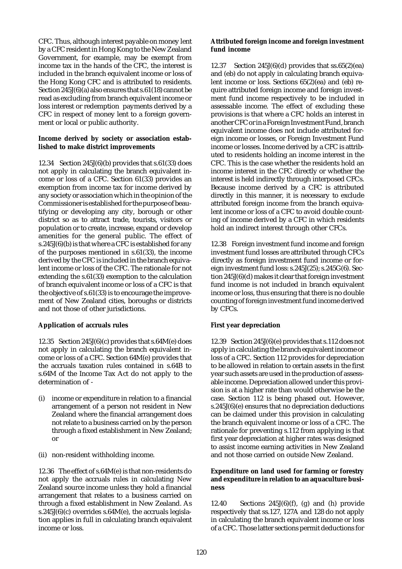CFC. Thus, although interest payable on money lent by a CFC resident in Hong Kong to the New Zealand Government, for example, may be exempt from income tax in the hands of the CFC, the interest is included in the branch equivalent income or loss of the Hong Kong CFC and is attributed to residents. Section 245J(6)(a) also ensures that s.61(18) cannot be read as excluding from branch equivalent income or loss interest or redemption payments derived by a CFC in respect of money lent to a foreign government or local or public authority.

## **Income derived by society or association established to make district improvements**

12.34 Section 245J(6)(b) provides that s.61(33) does not apply in calculating the branch equivalent income or loss of a CFC. Section 61(33) provides an exemption from income tax for income derived by any society or association which in the opinion of the Commissioner is established for the purpose of beautifying or developing any city, borough or other district so as to attract trade, tourists, visitors or population or to create, increase, expand or develop amenities for the general public. The effect of s.245J(6)(b) is that where a CFC is established for any of the purposes mentioned in s.61(33), the income derived by the CFC is included in the branch equivalent income or loss of the CFC. The rationale for not extending the s.61(33) exemption to the calculation of branch equivalent income or loss of a CFC is that the objective of s.61(33) is to encourage the improvement of New Zealand cities, boroughs or districts and not those of other jurisdictions.

## **Application of accruals rules**

12.35 Section 245J(6)(c) provides that s.64M(e) does not apply in calculating the branch equivalent income or loss of a CFC. Section 64M(e) provides that the accruals taxation rules contained in s.64B to s.64M of the Income Tax Act do not apply to the determination of -

- (i) income or expenditure in relation to a financial arrangement of a person not resident in New Zealand where the financial arrangement does not relate to a business carried on by the person through a fixed establishment in New Zealand; or
- (ii) non-resident withholding income.

12.36 The effect of s.64M(e) is that non-residents do not apply the accruals rules in calculating New Zealand source income unless they hold a financial arrangement that relates to a business carried on through a fixed establishment in New Zealand. As s.245J $(6)(c)$  overrides s.64 $M(e)$ , the accruals legislation applies in full in calculating branch equivalent income or loss.

### **Attributed foreign income and foreign investment fund income**

12.37 Section 245J $(6)(d)$  provides that ss. $65(2)(ea)$ and (eb) do not apply in calculating branch equivalent income or loss. Sections 65(2)(ea) and (eb) require attributed foreign income and foreign investment fund income respectively to be included in assessable income. The effect of excluding these provisions is that where a CFC holds an interest in another CFC or in a Foreign Investment Fund, branch equivalent income does not include attributed foreign income or losses, or Foreign Investment Fund income or losses. Income derived by a CFC is attributed to residents holding an income interest in the CFC. This is the case whether the residents hold an income interest in the CFC directly or whether the interest is held indirectly through interposed CFCs. Because income derived by a CFC is attributed directly in this manner, it is necessary to exclude attributed foreign income from the branch equivalent income or loss of a CFC to avoid double counting of income derived by a CFC in which residents hold an indirect interest through other CFCs.

12.38 Foreign investment fund income and foreign investment fund losses are attributed through CFCs directly as foreign investment fund income or foreign investment fund loss: s.245J(25); s.245G(6). Section 245J(6)(d) makes it clear that foreign investment fund income is not included in branch equivalent income or loss, thus ensuring that there is no double counting of foreign investment fund income derived by CFCs.

## **First year depreciation**

12.39 Section 245J(6)(e) provides that s.112 does not apply in calculating the branch equivalent income or loss of a CFC. Section 112 provides for depreciation to be allowed in relation to certain assets in the first year such assets are used in the production of assessable income. Depreciation allowed under this provision is at a higher rate than would otherwise be the case. Section 112 is being phased out. However, s.245J(6)(e) ensures that no depreciation deductions can be claimed under this provision in calculating the branch equivalent income or loss of a CFC. The rationale for preventing s.112 from applying is that first year depreciation at higher rates was designed to assist income earning activities in New Zealand and not those carried on outside New Zealand.

#### **Expenditure on land used for farming or forestry and expenditure in relation to an aquaculture business**

12.40 Sections  $245J(6)(f)$ , (g) and (h) provide respectively that ss.127, 127A and 128 do not apply in calculating the branch equivalent income or loss of a CFC. Those latter sections permit deductions for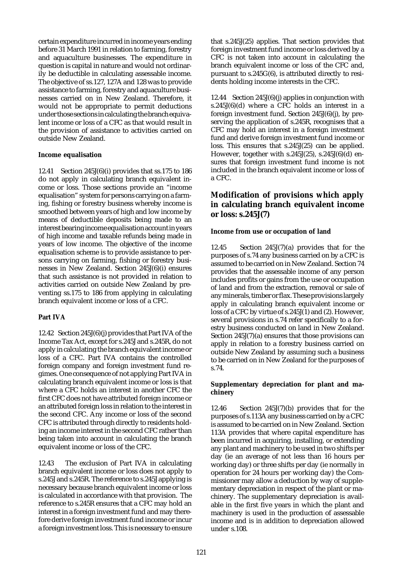certain expenditure incurred in income years ending before 31 March 1991 in relation to farming, forestry and aquaculture businesses. The expenditure in question is capital in nature and would not ordinarily be deductible in calculating assessable income. The objective of ss.127, 127A and 128 was to provide assistance to farming, forestry and aquaculture businesses carried on in New Zealand. Therefore, it would not be appropriate to permit deductions under those sections in calculating the branch equivalent income or loss of a CFC as that would result in the provision of assistance to activities carried on outside New Zealand.

### **Income equalisation**

12.41 Section 245J(6)(i) provides that ss.175 to 186 do not apply in calculating branch equivalent income or loss. Those sections provide an "income equalisation" system for persons carrying on a farming, fishing or forestry business whereby income is smoothed between years of high and low income by means of deductible deposits being made to an interest bearing income equalisation account in years of high income and taxable refunds being made in years of low income. The objective of the income equalisation scheme is to provide assistance to persons carrying on farming, fishing or forestry businesses in New Zealand. Section 245J(6)(i) ensures that such assistance is not provided in relation to activities carried on outside New Zealand by preventing ss.175 to 186 from applying in calculating branch equivalent income or loss of a CFC.

## **Part IVA**

12.42 Section 245J(6)(j) provides that Part IVA of the Income Tax Act, except for s.245J and s.245R, do not apply in calculating the branch equivalent income or loss of a CFC. Part IVA contains the controlled foreign company and foreign investment fund regimes. One consequence of not applying Part IVA in calculating branch equivalent income or loss is that where a CFC holds an interest in another CFC the first CFC does not have attributed foreign income or an attributed foreign loss in relation to the interest in the second CFC. Any income or loss of the second CFC is attributed through directly to residents holding an income interest in the second CFC rather than being taken into account in calculating the branch equivalent income or loss of the CFC.

12.43 The exclusion of Part IVA in calculating branch equivalent income or loss does not apply to s.245J and s.245R. The reference to s.245J applying is necessary because branch equivalent income or loss is calculated in accordance with that provision. The reference to s.245R ensures that a CFC may hold an interest in a foreign investment fund and may therefore derive foreign investment fund income or incur a foreign investment loss. This is necessary to ensure

that s.245J(25) applies. That section provides that foreign investment fund income or loss derived by a CFC is not taken into account in calculating the branch equivalent income or loss of the CFC and, pursuant to s.245G(6), is attributed directly to residents holding income interests in the CFC.

12.44 Section 245J(6)(j) applies in conjunction with s.245J(6)(d) where a CFC holds an interest in a foreign investment fund. Section 245J(6)(j), by preserving the application of s.245R, recognises that a CFC may hold an interest in a foreign investment fund and derive foreign investment fund income or loss. This ensures that s.245J(25) can be applied. However, together with s.245J(25), s.245J(6)(d) ensures that foreign investment fund income is not included in the branch equivalent income or loss of a CFC.

# **Modification of provisions which apply in calculating branch equivalent income or loss: s.245J(7)**

#### **Income from use or occupation of land**

12.45 Section 245J(7)(a) provides that for the purposes of s.74 any business carried on by a CFC is assumed to be carried on in New Zealand. Section 74 provides that the assessable income of any person includes profits or gains from the use or occupation of land and from the extraction, removal or sale of any minerals, timber or flax. These provisions largely apply in calculating branch equivalent income or loss of a CFC by virtue of s.245J(1) and (2). However, several provisions in s.74 refer specifically to a forestry business conducted on land in New Zealand. Section 245J(7)(a) ensures that those provisions can apply in relation to a forestry business carried on outside New Zealand by assuming such a business to be carried on in New Zealand for the purposes of s.74.

### **Supplementary depreciation for plant and machinery**

12.46 Section 245J(7)(b) provides that for the purposes of s.113A any business carried on by a CFC is assumed to be carried on in New Zealand. Section 113A provides that where capital expenditure has been incurred in acquiring, installing, or extending any plant and machinery to be used in two shifts per day (ie an average of not less than 16 hours per working day) or three shifts per day (ie normally in operation for 24 hours per working day) the Commissioner may allow a deduction by way of supplementary depreciation in respect of the plant or machinery. The supplementary depreciation is available in the first five years in which the plant and machinery is used in the production of assessable income and is in addition to depreciation allowed under s.108.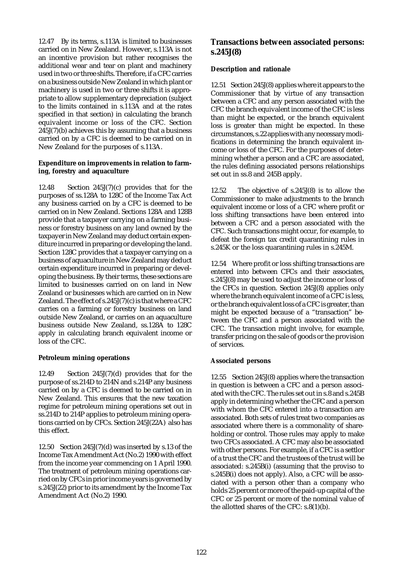12.47 By its terms, s.113A is limited to businesses carried on in New Zealand. However, s.113A is not an incentive provision but rather recognises the additional wear and tear on plant and machinery used in two or three shifts. Therefore, if a CFC carries on a business outside New Zealand in which plant or machinery is used in two or three shifts it is appropriate to allow supplementary depreciation (subject to the limits contained in s.113A and at the rates specified in that section) in calculating the branch equivalent income or loss of the CFC. Section  $245J(7)(b)$  achieves this by assuming that a business carried on by a CFC is deemed to be carried on in New Zealand for the purposes of s.113A.

### **Expenditure on improvements in relation to farming, forestry and aquaculture**

12.48 Section 245J(7)(c) provides that for the purposes of ss.128A to 128C of the Income Tax Act any business carried on by a CFC is deemed to be carried on in New Zealand. Sections 128A and 128B provide that a taxpayer carrying on a farming business or forestry business on any land owned by the taxpayer in New Zealand may deduct certain expenditure incurred in preparing or developing the land. Section 128C provides that a taxpayer carrying on a business of aquaculture in New Zealand may deduct certain expenditure incurred in preparing or developing the business. By their terms, these sections are limited to businesses carried on on land in New Zealand or businesses which are carried on in New Zealand. The effect of s.245J(7)(c) is that where a CFC carries on a farming or forestry business on land outside New Zealand, or carries on an aquaculture business outside New Zealand, ss.128A to 128C apply in calculating branch equivalent income or loss of the CFC.

## **Petroleum mining operations**

12.49 Section 245J(7)(d) provides that for the purpose of ss.214D to 214N and s.214P any business carried on by a CFC is deemed to be carried on in New Zealand. This ensures that the new taxation regime for petroleum mining operations set out in ss.214D to 214P applies to petroleum mining operations carried on by CFCs. Section 245J(22A) also has this effect.

12.50 Section 245J(7)(d) was inserted by s.13 of the Income Tax Amendment Act (No.2) 1990 with effect from the income year commencing on 1 April 1990. The treatment of petroleum mining operations carried on by CFCs in prior income years is governed by s.245J(22) prior to its amendment by the Income Tax Amendment Act (No.2) 1990.

# **Transactions between associated persons: s.245J(8)**

### **Description and rationale**

12.51 Section 245J(8) applies where it appears to the Commissioner that by virtue of any transaction between a CFC and any person associated with the CFC the branch equivalent income of the CFC is less than might be expected, or the branch equivalent loss is greater than might be expected. In these circumstances, s.22 applies with any necessary modifications in determining the branch equivalent income or loss of the CFC. For the purposes of determining whether a person and a CFC are associated, the rules defining associated persons relationships set out in ss.8 and 245B apply.

12.52 The objective of s.245J(8) is to allow the Commissioner to make adjustments to the branch equivalent income or loss of a CFC where profit or loss shifting transactions have been entered into between a CFC and a person associated with the CFC. Such transactions might occur, for example, to defeat the foreign tax credit quarantining rules in s.245K or the loss quarantining rules in s.245M.

12.54 Where profit or loss shifting transactions are entered into between CFCs and their associates, s.245J(8) may be used to adjust the income or loss of the CFCs in question. Section 245J(8) applies only where the branch equivalent income of a CFC is less, or the branch equivalent loss of a CFC is greater, than might be expected because of a "transaction" between the CFC and a person associated with the CFC. The transaction might involve, for example, transfer pricing on the sale of goods or the provision of services.

## **Associated persons**

12.55 Section 245J(8) applies where the transaction in question is between a CFC and a person associated with the CFC. The rules set out in s.8 and s.245B apply in determining whether the CFC and a person with whom the CFC entered into a transaction are associated. Both sets of rules treat two companies as associated where there is a commonality of shareholding or control. Those rules may apply to make two CFCs associated. A CFC may also be associated with other persons. For example, if a CFC is a settlor of a trust the CFC and the trustees of the trust will be associated: s.245B(i) (assuming that the proviso to s.245B(i) does not apply). Also, a CFC will be associated with a person other than a company who holds 25 percent or more of the paid-up capital of the CFC or 25 percent or more of the nominal value of the allotted shares of the CFC: s.8(1)(b).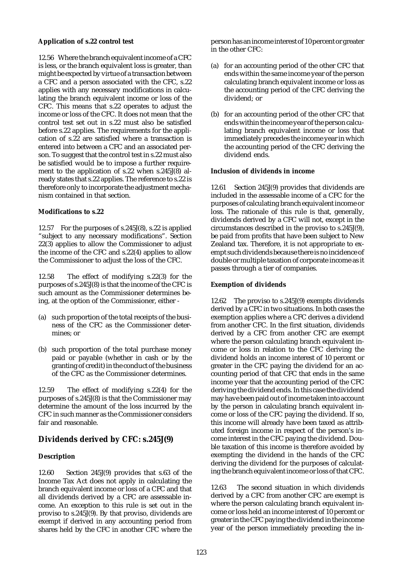## **Application of s.22 control test**

12.56 Where the branch equivalent income of a CFC is less, or the branch equivalent loss is greater, than might be expected by virtue of a transaction between a CFC and a person associated with the CFC, s.22 applies with any necessary modifications in calculating the branch equivalent income or loss of the CFC. This means that s.22 operates to adjust the income or loss of the CFC. It does not mean that the control test set out in s.22 must also be satisfied before s.22 applies. The requirements for the application of s.22 are satisfied where a transaction is entered into between a CFC and an associated person. To suggest that the control test in s.22 must also be satisfied would be to impose a further requirement to the application of s.22 when s.245J(8) already states that s.22 applies. The reference to s.22 is therefore only to incorporate the adjustment mechanism contained in that section.

## **Modifications to s.22**

12.57 For the purposes of s.245J(8), s.22 is applied "subject to any necessary modifications". Section 22(3) applies to allow the Commissioner to adjust the income of the CFC and s.22(4) applies to allow the Commissioner to adjust the loss of the CFC.

12.58 The effect of modifying s.22(3) for the purposes of s.245J(8) is that the income of the CFC is such amount as the Commissioner determines being, at the option of the Commissioner, either -

- (a) such proportion of the total receipts of the business of the CFC as the Commissioner determines; or
- (b) such proportion of the total purchase money paid or payable (whether in cash or by the granting of credit) in the conduct of the business of the CFC as the Commissioner determines.

12.59 The effect of modifying s.22(4) for the purposes of s.245J(8) is that the Commissioner may determine the amount of the loss incurred by the CFC in such manner as the Commissioner considers fair and reasonable.

## **Dividends derived by CFC: s.245J(9)**

## **Description**

12.60 Section 245J(9) provides that s.63 of the Income Tax Act does not apply in calculating the branch equivalent income or loss of a CFC and that all dividends derived by a CFC are assessable income. An exception to this rule is set out in the proviso to s.245J(9). By that proviso, dividends are exempt if derived in any accounting period from shares held by the CFC in another CFC where the

person has an income interest of 10 percent or greater in the other CFC:

- (a) for an accounting period of the other CFC that ends within the same income year of the person calculating branch equivalent income or loss as the accounting period of the CFC deriving the dividend; or
- (b) for an accounting period of the other CFC that ends within the income year of the person calculating branch equivalent income or loss that immediately precedes the income year in which the accounting period of the CFC deriving the dividend ends.

## **Inclusion of dividends in income**

12.61 Section 245J(9) provides that dividends are included in the assessable income of a CFC for the purposes of calculating branch equivalent income or loss. The rationale of this rule is that, generally, dividends derived by a CFC will not, except in the circumstances described in the proviso to s.245J(9), be paid from profits that have been subject to New Zealand tax. Therefore, it is not appropriate to exempt such dividends because there is no incidence of double or multiple taxation of corporate income as it passes through a tier of companies.

## **Exemption of dividends**

12.62 The proviso to s.245J(9) exempts dividends derived by a CFC in two situations. In both cases the exemption applies where a CFC derives a dividend from another CFC. In the first situation, dividends derived by a CFC from another CFC are exempt where the person calculating branch equivalent income or loss in relation to the CFC deriving the dividend holds an income interest of 10 percent or greater in the CFC paying the dividend for an accounting period of that CFC that ends in the same income year that the accounting period of the CFC deriving the dividend ends. In this case the dividend may have been paid out of income taken into account by the person in calculating branch equivalent income or loss of the CFC paying the dividend. If so, this income will already have been taxed as attributed foreign income in respect of the person's income interest in the CFC paying the dividend. Double taxation of this income is therefore avoided by exempting the dividend in the hands of the CFC deriving the dividend for the purposes of calculating the branch equivalent income or loss of that CFC.

12.63 The second situation in which dividends derived by a CFC from another CFC are exempt is where the person calculating branch equivalent income or loss held an income interest of 10 percent or greater in the CFC paying the dividend in the income year of the person immediately preceding the in-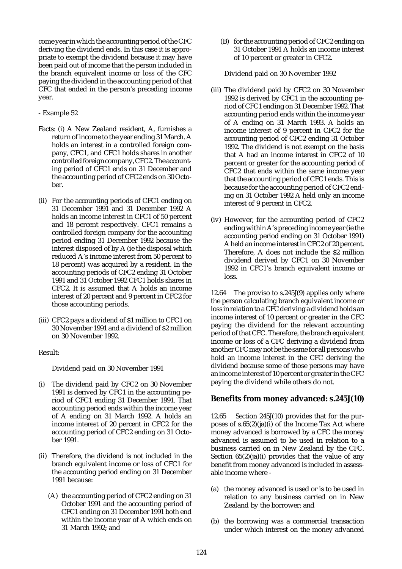come year in which the accounting period of the CFC deriving the dividend ends. In this case it is appropriate to exempt the dividend because it may have been paid out of income that the person included in the branch equivalent income or loss of the CFC paying the dividend in the accounting period of that CFC that ended in the person's preceding income year.

### - Example 52

- Facts: (i) A New Zealand resident, A, furnishes a return of income to the year ending 31 March. A holds an interest in a controlled foreign company, CFC1, and CFC1 holds shares in another controlled foreign company, CFC2. The accounting period of CFC1 ends on 31 December and the accounting period of CFC2 ends on 30 October.
- (ii) For the accounting periods of CFC1 ending on 31 December 1991 and 31 December 1992 A holds an income interest in CFC1 of 50 percent and 18 percent respectively. CFC1 remains a controlled foreign company for the accounting period ending 31 December 1992 because the interest disposed of by A (ie the disposal which reduced A's income interest from 50 percent to 18 percent) was acquired by a resident. In the accounting periods of CFC2 ending 31 October 1991 and 31 October 1992 CFC1 holds shares in CFC2. It is assumed that A holds an income interest of 20 percent and 9 percent in CFC2 for those accounting periods.
- (iii) CFC2 pays a dividend of \$1 million to CFC1 on 30 November 1991 and a dividend of \$2 million on 30 November 1992.

#### Result:

Dividend paid on 30 November 1991

- (i) The dividend paid by CFC2 on 30 November 1991 is derived by CFC1 in the accounting period of CFC1 ending 31 December 1991. That accounting period ends within the income year of A ending on 31 March 1992. A holds an income interest of 20 percent in CFC2 for the accounting period of CFC2 ending on 31 October 1991.
- (ii) Therefore, the dividend is not included in the branch equivalent income or loss of CFC1 for the accounting period ending on 31 December 1991 because:
	- (A) the accounting period of CFC2 ending on 31 October 1991 and the accounting period of CFC1 ending on 31 December 1991 both end within the income year of A which ends on 31 March 1992; and

(B) for the accounting period of CFC2 ending on 31 October 1991 A holds an income interest of 10 percent or greater in CFC2.

Dividend paid on 30 November 1992

- (iii) The dividend paid by CFC2 on 30 November 1992 is derived by CFC1 in the accounting period of CFC1 ending on 31 December 1992. That accounting period ends within the income year of A ending on 31 March 1993. A holds an income interest of 9 percent in CFC2 for the accounting period of CFC2 ending 31 October 1992. The dividend is not exempt on the basis that A had an income interest in CFC2 of 10 percent or greater for the accounting period of CFC2 that ends within the same income year that the accounting period of CFC1 ends. This is because for the accounting period of CFC2 ending on 31 October 1992 A held only an income interest of 9 percent in CFC2.
- (iv) However, for the accounting period of CFC2 ending within A's preceding income year (ie the accounting period ending on 31 October 1991) A held an income interest in CFC2 of 20 percent. Therefore, A does not include the \$2 million dividend derived by CFC1 on 30 November 1992 in CFC1's branch equivalent income or loss.

12.64 The proviso to s.245J(9) applies only where the person calculating branch equivalent income or loss in relation to a CFC deriving a dividend holds an income interest of 10 percent or greater in the CFC paying the dividend for the relevant accounting period of that CFC. Therefore, the branch equivalent income or loss of a CFC deriving a dividend from another CFC may not be the same for all persons who hold an income interest in the CFC deriving the dividend because some of those persons may have an income interest of 10 percent or greater in the CFC paying the dividend while others do not.

## **Benefits from money advanced: s.245J(10)**

12.65 Section 245J(10) provides that for the purposes of  $s.65(2)(ia)(i)$  of the Income Tax Act where money advanced is borrowed by a CFC the money advanced is assumed to be used in relation to a business carried on in New Zealand by the CFC. Section  $65(2)(ia)(i)$  provides that the value of any benefit from money advanced is included in assessable income where -

- (a) the money advanced is used or is to be used in relation to any business carried on in New Zealand by the borrower; and
- (b) the borrowing was a commercial transaction under which interest on the money advanced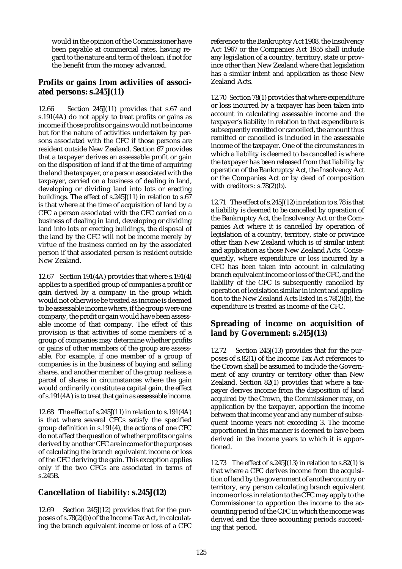would in the opinion of the Commissioner have been payable at commercial rates, having regard to the nature and term of the loan, if not for the benefit from the money advanced.

# **Profits or gains from activities of associated persons: s.245J(11)**

12.66 Section 245J(11) provides that s.67 and s.191(4A) do not apply to treat profits or gains as income if those profits or gains would not be income but for the nature of activities undertaken by persons associated with the CFC if those persons are resident outside New Zealand. Section 67 provides that a taxpayer derives an assessable profit or gain on the disposition of land if at the time of acquiring the land the taxpayer, or a person associated with the taxpayer, carried on a business of dealing in land, developing or dividing land into lots or erecting buildings. The effect of s.245J(11) in relation to s.67 is that where at the time of acquisition of land by a CFC a person associated with the CFC carried on a business of dealing in land, developing or dividing land into lots or erecting buildings, the disposal of the land by the CFC will not be income merely by virtue of the business carried on by the associated person if that associated person is resident outside New Zealand.

12.67 Section 191(4A) provides that where s.191(4) applies to a specified group of companies a profit or gain derived by a company in the group which would not otherwise be treated as income is deemed to be assessable income where, if the group were one company, the profit or gain would have been assessable income of that company. The effect of this provision is that activities of some members of a group of companies may determine whether profits or gains of other members of the group are assessable. For example, if one member of a group of companies is in the business of buying and selling shares, and another member of the group realises a parcel of shares in circumstances where the gain would ordinarily constitute a capital gain, the effect of s.191(4A) is to treat that gain as assessable income.

12.68 The effect of s.245J(11) in relation to s.191(4A) is that where several CFCs satisfy the specified group definition in s.191(4), the actions of one CFC do not affect the question of whether profits or gains derived by another CFC are income for the purposes of calculating the branch equivalent income or loss of the CFC deriving the gain. This exception applies only if the two CFCs are associated in terms of s.245B.

# **Cancellation of liability: s.245J(12)**

12.69 Section 245J(12) provides that for the purposes of s.78(2)(b) of the Income Tax Act, in calculating the branch equivalent income or loss of a CFC reference to the Bankruptcy Act 1908, the Insolvency Act 1967 or the Companies Act 1955 shall include any legislation of a country, territory, state or province other than New Zealand where that legislation has a similar intent and application as those New Zealand Acts.

12.70 Section 78(1) provides that where expenditure or loss incurred by a taxpayer has been taken into account in calculating assessable income and the taxpayer's liability in relation to that expenditure is subsequently remitted or cancelled, the amount thus remitted or cancelled is included in the assessable income of the taxpayer. One of the circumstances in which a liability is deemed to be cancelled is where the taxpayer has been released from that liability by operation of the Bankruptcy Act, the Insolvency Act or the Companies Act or by deed of composition with creditors: s.78(2)(b).

12.71 The effect of s.245J(12) in relation to s.78 is that a liability is deemed to be cancelled by operation of the Bankruptcy Act, the Insolvency Act or the Companies Act where it is cancelled by operation of legislation of a country, territory, state or province other than New Zealand which is of similar intent and application as those New Zealand Acts. Consequently, where expenditure or loss incurred by a CFC has been taken into account in calculating branch equivalent income or loss of the CFC, and the liability of the CFC is subsequently cancelled by operation of legislation similar in intent and application to the New Zealand Acts listed in s.78(2)(b), the expenditure is treated as income of the CFC.

# **Spreading of income on acquisition of land by Government: s.245J(13)**

12.72 Section 245J(13) provides that for the purposes of s.82(1) of the Income Tax Act references to the Crown shall be assumed to include the Government of any country or territory other than New Zealand. Section 82(1) provides that where a taxpayer derives income from the disposition of land acquired by the Crown, the Commissioner may, on application by the taxpayer, apportion the income between that income year and any number of subsequent income years not exceeding 3. The income apportioned in this manner is deemed to have been derived in the income years to which it is apportioned.

12.73 The effect of s.245J(13) in relation to s.82(1) is that where a CFC derives income from the acquisition of land by the government of another country or territory, any person calculating branch equivalent income or loss in relation to the CFC may apply to the Commissioner to apportion the income to the accounting period of the CFC in which the income was derived and the three accounting periods succeeding that period.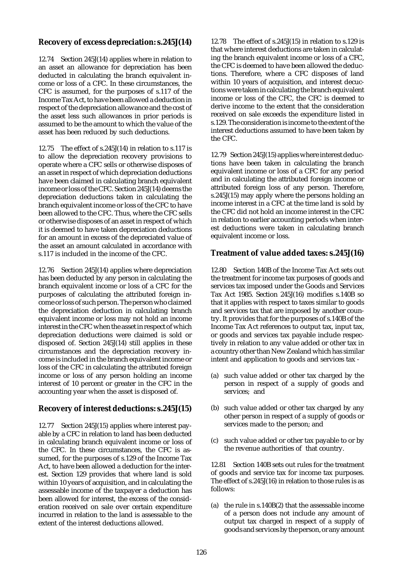# **Recovery of excess depreciation: s.245J(14)**

12.74 Section 245J(14) applies where in relation to an asset an allowance for depreciation has been deducted in calculating the branch equivalent income or loss of a CFC. In these circumstances, the CFC is assumed, for the purposes of s.117 of the Income Tax Act, to have been allowed a deduction in respect of the depreciation allowance and the cost of the asset less such allowances in prior periods is assumed to be the amount to which the value of the asset has been reduced by such deductions.

12.75 The effect of s.245J(14) in relation to s.117 is to allow the depreciation recovery provisions to operate where a CFC sells or otherwise disposes of an asset in respect of which depreciation deductions have been claimed in calculating branch equivalent income or loss of the CFC. Section 245J(14) deems the depreciation deductions taken in calculating the branch equivalent income or loss of the CFC to have been allowed to the CFC. Thus, where the CFC sells or otherwise disposes of an asset in respect of which it is deemed to have taken depreciation deductions for an amount in excess of the depreciated value of the asset an amount calculated in accordance with s.117 is included in the income of the CFC.

12.76 Section 245J(14) applies where depreciation has been deducted by any person in calculating the branch equivalent income or loss of a CFC for the purposes of calculating the attributed foreign income or loss of such person. The person who claimed the depreciation deduction in calculating branch equivalent income or loss may not hold an income interest in the CFC when the asset in respect of which depreciation deductions were claimed is sold or disposed of. Section 245J(14) still applies in these circumstances and the depreciation recovery income is included in the branch equivalent income or loss of the CFC in calculating the attributed foreign income or loss of any person holding an income interest of 10 percent or greater in the CFC in the accounting year when the asset is disposed of.

# **Recovery of interest deductions: s.245J(15)**

12.77 Section 245J(15) applies where interest payable by a CFC in relation to land has been deducted in calculating branch equivalent income or loss of the CFC. In these circumstances, the CFC is assumed, for the purposes of s.129 of the Income Tax Act, to have been allowed a deduction for the interest. Section 129 provides that where land is sold within 10 years of acquisition, and in calculating the assessable income of the taxpayer a deduction has been allowed for interest, the excess of the consideration received on sale over certain expenditure incurred in relation to the land is assessable to the extent of the interest deductions allowed.

12.78 The effect of s.245J(15) in relation to s.129 is that where interest deductions are taken in calculating the branch equivalent income or loss of a CFC, the CFC is deemed to have been allowed the deductions. Therefore, where a CFC disposes of land within 10 years of acquisition, and interest decuctions were taken in calculating the branch equivalent income or loss of the CFC, the CFC is deemed to derive income to the extent that the consideration received on sale exceeds the expenditure listed in s.129. The consideration is income to the extent of the interest deductions assumed to have been taken by the CFC.

12.79 Section 245J(15) applies where interest deductions have been taken in calculating the branch equivalent income or loss of a CFC for any period and in calculating the attributed foreign income or attributed foreign loss of any person. Therefore, s.245J(15) may apply where the persons holding an income interest in a CFC at the time land is sold by the CFC did not hold an income interest in the CFC in relation to earlier accounting periods when interest deductions were taken in calculating branch equivalent income or loss.

# **Treatment of value added taxes: s.245J(16)**

12.80 Section 140B of the Income Tax Act sets out the treatment for income tax purposes of goods and services tax imposed under the Goods and Services Tax Act 1985. Section 245J(16) modifies s.140B so that it applies with respect to taxes similar to goods and services tax that are imposed by another country. It provides that for the purposes of s.140B of the Income Tax Act references to output tax, input tax, or goods and services tax payable include respectively in relation to any value added or other tax in a country other than New Zealand which has similar intent and application to goods and services tax -

- (a) such value added or other tax charged by the person in respect of a supply of goods and services; and
- (b) such value added or other tax charged by any other person in respect of a supply of goods or services made to the person; and
- (c) such value added or other tax payable to or by the revenue authorities of that country.

12.81 Section 140B sets out rules for the treatment of goods and service tax for income tax purposes. The effect of s.245J(16) in relation to those rules is as follows:

(a) the rule in s.140B(2) that the assessable income of a person does not include any amount of output tax charged in respect of a supply of goods and services by the person, or any amount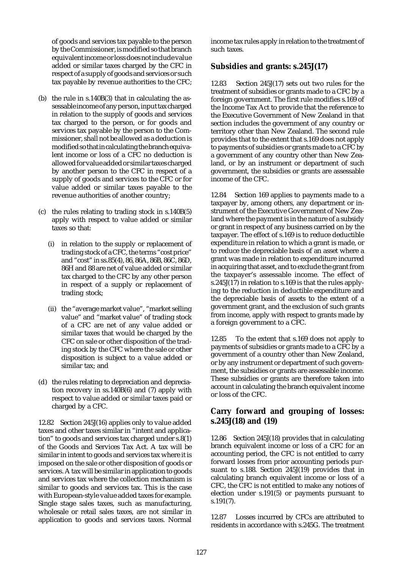of goods and services tax payable to the person by the Commissioner, is modified so that branch equivalent income or loss does not include value added or similar taxes charged by the CFC in respect of a supply of goods and services or such tax payable by revenue authorities to the CFC;

- (b) the rule in s.140B(3) that in calculating the assessable income of any person, input tax charged in relation to the supply of goods and services tax charged to the person, or for goods and services tax payable by the person to the Commissioner, shall not be allowed as a deduction is modified so that in calculating the branch equivalent income or loss of a CFC no deduction is allowed for value added or similar taxes charged by another person to the CFC in respect of a supply of goods and services to the CFC or for value added or similar taxes payable to the revenue authorities of another country;
- (c) the rules relating to trading stock in s.140B(5) apply with respect to value added or similar taxes so that:
	- (i) in relation to the supply or replacement of trading stock of a CFC, the terms "cost price" and "cost" in ss.85(4), 86, 86A, 86B, 86C, 86D, 86H and 88 are net of value added or similar tax charged to the CFC by any other person in respect of a supply or replacement of trading stock;
	- (ii) the "average market value", "market selling value" and "market value" of trading stock of a CFC are net of any value added or similar taxes that would be charged by the CFC on sale or other disposition of the trading stock by the CFC where the sale or other disposition is subject to a value added or similar tax; and
- (d) the rules relating to depreciation and depreciation recovery in ss.140B(6) and (7) apply with respect to value added or similar taxes paid or charged by a CFC.

12.82 Section 245J(16) applies only to value added taxes and other taxes similar in "intent and application" to goods and services tax charged under s.8(1) of the Goods and Services Tax Act. A tax will be similar in intent to goods and services tax where it is imposed on the sale or other disposition of goods or services. A tax will be similar in application to goods and services tax where the collection mechanism is similar to goods and services tax. This is the case with European-style value added taxes for example. Single stage sales taxes, such as manufacturing, wholesale or retail sales taxes, are not similar in application to goods and services taxes. Normal

income tax rules apply in relation to the treatment of such taxes.

# **Subsidies and grants: s.245J(17)**

12.83 Section 245J(17) sets out two rules for the treatment of subsidies or grants made to a CFC by a foreign government. The first rule modifies s.169 of the Income Tax Act to provide that the reference to the Executive Government of New Zealand in that section includes the government of any country or territory other than New Zealand. The second rule provides that to the extent that s.169 does not apply to payments of subsidies or grants made to a CFC by a government of any country other than New Zealand, or by an instrument or department of such government, the subsidies or grants are assessable income of the CFC.

12.84 Section 169 applies to payments made to a taxpayer by, among others, any department or instrument of the Executive Government of New Zealand where the payment is in the nature of a subsidy or grant in respect of any business carried on by the taxpayer. The effect of s.169 is to reduce deductible expenditure in relation to which a grant is made, or to reduce the depreciable basis of an asset where a grant was made in relation to expenditure incurred in acquiring that asset, and to exclude the grant from the taxpayer's assessable income. The effect of s.245J(17) in relation to s.169 is that the rules applying to the reduction in deductible expenditure and the depreciable basis of assets to the extent of a government grant, and the exclusion of such grants from income, apply with respect to grants made by a foreign government to a CFC.

12.85 To the extent that s.169 does not apply to payments of subsidies or grants made to a CFC by a government of a country other than New Zealand, or by any instrument or department of such government, the subsidies or grants are assessable income. These subsidies or grants are therefore taken into account in calculating the branch equivalent income or loss of the CFC.

# **Carry forward and grouping of losses: s.245J(18) and (19)**

12.86 Section 245J(18) provides that in calculating branch equivalent income or loss of a CFC for an accounting period, the CFC is not entitled to carry forward losses from prior accounting periods pursuant to s.188. Section 245J(19) provides that in calculating branch equivalent income or loss of a CFC, the CFC is not entitled to make any notices of election under s.191(5) or payments pursuant to s.191(7).

12.87 Losses incurred by CFCs are attributed to residents in accordance with s.245G. The treatment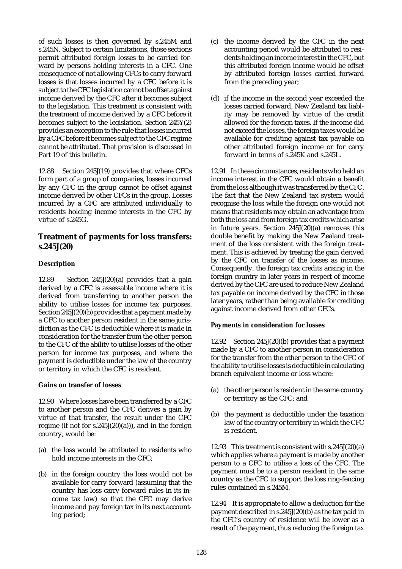of such losses is then governed by s.245M and s.245N. Subject to certain limitations, those sections permit attributed foreign losses to be carried forward by persons holding interests in a CFC. One consequence of not allowing CFCs to carry forward losses is that losses incurred by a CFC before it is subject to the CFC legislation cannot be offset against income derived by the CFC after it becomes subject to the legislation. This treatment is consistent with the treatment of income derived by a CFC before it becomes subject to the legislation. Section 245Y(2) provides an exception to the rule that losses incurred by a CFC before it becomes subject to the CFC regime cannot be attributed. That provision is discussed in Part 19 of this bulletin.

12.88 Section 245J(19) provides that where CFCs form part of a group of companies, losses incurred by any CFC in the group cannot be offset against income derived by other CFCs in the group. Losses incurred by a CFC are attributed individually to residents holding income interests in the CFC by virtue of s.245G.

## **Treatment of payments for loss transfers: s.245J(20)**

## **Description**

12.89 Section 245J(20)(a) provides that a gain derived by a CFC is assessable income where it is derived from transferring to another person the ability to utilise losses for income tax purposes. Section 245J(20)(b) provides that a payment made by a CFC to another person resident in the same jurisdiction as the CFC is deductible where it is made in consideration for the transfer from the other person to the CFC of the ability to utilise losses of the other person for income tax purposes, and where the payment is deductible under the law of the country or territory in which the CFC is resident.

## **Gains on transfer of losses**

12.90 Where losses have been transferred by a CFC to another person and the CFC derives a gain by virtue of that transfer, the result under the CFC regime (if not for  $s.245J(20)(a)$ )), and in the foreign country, would be:

- (a) the loss would be attributed to residents who hold income interests in the CFC;
- (b) in the foreign country the loss would not be available for carry forward (assuming that the country has loss carry forward rules in its income tax law) so that the CFC may derive income and pay foreign tax in its next accounting period;
- (c) the income derived by the CFC in the next accounting period would be attributed to residents holding an income interest in the CFC, but this attributed foreign income would be offset by attributed foreign losses carried forward from the preceding year;
- (d) if the income in the second year exceeded the losses carried forward, New Zealand tax liablity may be removed by virtue of the credit allowed for the foreign taxes. If the income did not exceed the losses, the foreign taxes would be available for crediting against tax payable on other attributed foreign income or for carry forward in terms of s.245K and s.245L.

12.91 In these circumstances, residents who held an income interest in the CFC would obtain a benefit from the loss although it was transferred by the CFC. The fact that the New Zealand tax system would recognise the loss while the foreign one would not means that residents may obtain an advantage from both the loss and from foreign tax credits which arise in future years. Section 245J(20)(a) removes this double benefit by making the New Zealand treatment of the loss consistent with the foreign treatment. This is achieved by treating the gain derived by the CFC on transfer of the losses as income. Consequently, the foreign tax credits arising in the foreign country in later years in respect of income derived by the CFC are used to reduce New Zealand tax payable on income derived by the CFC in those later years, rather than being available for crediting against income derived from other CFCs.

## **Payments in consideration for losses**

12.92 Section 245J(20)(b) provides that a payment made by a CFC to another person in consideration for the transfer from the other person to the CFC of the ability to utilise losses is deductible in calculating branch equivalent income or loss where:

- (a) the other person is resident in the same country or territory as the CFC; and
- (b) the payment is deductible under the taxation law of the country or territory in which the CFC is resident.

12.93 This treatment is consistent with s.245J(20)(a) which applies where a payment is made by another person to a CFC to utilise a loss of the CFC. The payment must be to a person resident in the same country as the CFC to support the loss ring-fencing rules contained in s.245M.

12.94 It is appropriate to allow a deduction for the payment described in s.245J(20)(b) as the tax paid in the CFC's country of residence will be lower as a result of the payment, thus reducing the foreign tax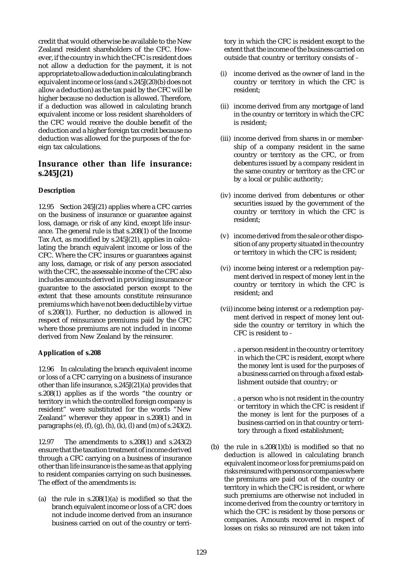credit that would otherwise be available to the New Zealand resident shareholders of the CFC. However, if the country in which the CFC is resident does not allow a deduction for the payment, it is not appropriate to allow a deduction in calculating branch equivalent income or loss (and s.245J(20)(b) does not allow a deduction) as the tax paid by the CFC will be higher because no deduction is allowed. Therefore, if a deduction was allowed in calculating branch equivalent income or loss resident shareholders of the CFC would receive the double benefit of the deduction and a higher foreign tax credit because no deduction was allowed for the purposes of the foreign tax calculations.

## **Insurance other than life insurance: s.245J(21)**

## **Description**

12.95 Section 245J(21) applies where a CFC carries on the business of insurance or guarantee against loss, damage, or risk of any kind, except life insurance. The general rule is that s.208(1) of the Income Tax Act, as modified by s.245J(21), applies in calculating the branch equivalent income or loss of the CFC. Where the CFC insures or guarantees against any loss, damage, or risk of any person associated with the CFC, the assessable income of the CFC also includes amounts derived in providing insurance or guarantee to the associated person except to the extent that these amounts constitute reinsurance premiums which have not been deductible by virtue of s.208(1). Further, no deduction is allowed in respect of reinsurance premiums paid by the CFC where those premiums are not included in income derived from New Zealand by the reinsurer.

## **Application of s.208**

12.96 In calculating the branch equivalent income or loss of a CFC carrying on a business of insurance other than life insurance, s.245J(21)(a) provides that s.208(1) applies as if the words "the country or territory in which the controlled foreign company is resident" were substituted for the words "New Zealand" wherever they appear in s.208(1) and in paragraphs (e), (f), (g), (h), (k), (l) and (m) of s.243(2).

12.97 The amendments to s.208(1) and s.243(2) ensure that the taxation treatment of income derived through a CFC carrying on a business of insurance other than life insurance is the same as that applying to resident companies carrying on such businesses. The effect of the amendments is:

(a) the rule in  $s.208(1)(a)$  is modified so that the branch equivalent income or loss of a CFC does not include income derived from an insurance business carried on out of the country or territory in which the CFC is resident except to the extent that the income of the business carried on outside that country or territory consists of -

- income derived as the owner of land in the country or territory in which the CFC is resident;
- (ii) income derived from any mortgage of land in the country or territory in which the CFC is resident;
- (iii) income derived from shares in or membership of a company resident in the same country or territory as the CFC, or from debentures issued by a company resident in the same country or territory as the CFC or by a local or public authority;
- (iv) income derived from debentures or other securities issued by the government of the country or territory in which the CFC is resident;
- (v) income derived from the sale or other disposition of any property situated in the country or territory in which the CFC is resident;
- (vi) income being interest or a redemption payment derived in respect of money lent in the country or territory in which the CFC is resident; and
- (vii) income being interest or a redemption payment derived in respect of money lent outside the country or territory in which the CFC is resident to -
	- . a person resident in the country or territory in which the CFC is resident, except where the money lent is used for the purposes of a business carried on through a fixed establishment outside that country; or
	- . a person who is not resident in the country or territory in which the CFC is resident if the money is lent for the purposes of a business carried on in that country or territory through a fixed establishment;
- (b) the rule in  $s.208(1)(b)$  is modified so that no deduction is allowed in calculating branch equivalent income or loss for premiums paid on risks reinsured with persons or companies where the premiums are paid out of the country or territory in which the CFC is resident, or where such premiums are otherwise not included in income derived from the country or territory in which the CFC is resident by those persons or companies. Amounts recovered in respect of losses on risks so reinsured are not taken into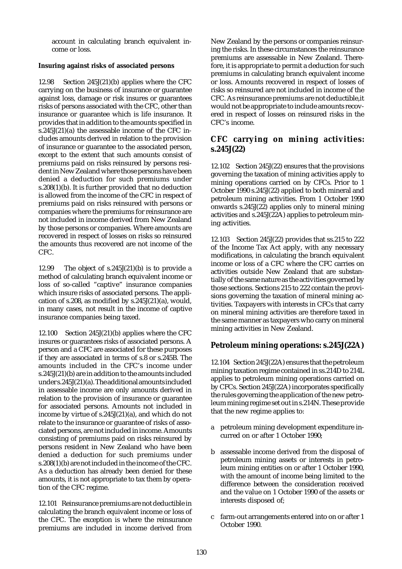account in calculating branch equivalent income or loss.

## **Insuring against risks of associated persons**

12.98 Section 245J(21)(b) applies where the CFC carrying on the business of insurance or guarantee against loss, damage or risk insures or guarantees risks of persons associated with the CFC, other than insurance or guarantee which is life insurance. It provides that in addition to the amounts specified in s.245J(21)(a) the assessable income of the CFC includes amounts derived in relation to the provision of insurance or guarantee to the associated person, except to the extent that such amounts consist of premiums paid on risks reinsured by persons resident in New Zealand where those persons have been denied a deduction for such premiums under s.208(1)(b). It is further provided that no deduction is allowed from the income of the CFC in respect of premiums paid on risks reinsured with persons or companies where the premiums for reinsurance are not included in income derived from New Zealand by those persons or companies. Where amounts are recovered in respect of losses on risks so reinsured the amounts thus recovered are not income of the CFC.

12.99 The object of s.245J(21)(b) is to provide a method of calculating branch equivalent income or loss of so-called "captive" insurance companies which insure risks of associated persons. The application of s.208, as modified by s.245J(21)(a), would, in many cases, not result in the income of captive insurance companies being taxed.

12.100 Section 245J(21)(b) applies where the CFC insures or guarantees risks of associated persons. A person and a CFC are associated for these purposes if they are associated in terms of s.8 or s.245B. The amounts included in the CFC's income under s.245J(21)(b) are in addition to the amounts included under s.245J(21)(a). The additional amounts included in assessable income are only amounts derived in relation to the provision of insurance or guarantee for associated persons. Amounts not included in income by virtue of s.245J(21)(a), and which do not relate to the insurance or guarantee of risks of associated persons, are not included in income. Amounts consisting of premiums paid on risks reinsured by persons resident in New Zealand who have been denied a deduction for such premiums under s.208(1)(b) are not included in the income of the CFC. As a deduction has already been denied for these amounts, it is not appropriate to tax them by operation of the CFC regime.

12.101 Reinsurance premiums are not deductible in calculating the branch equivalent income or loss of the CFC. The exception is where the reinsurance premiums are included in income derived from

New Zealand by the persons or companies reinsuring the risks. In these circumstances the reinsurance premiums are assessable in New Zealand. Therefore, it is appropriate to permit a deduction for such premiums in calculating branch equivalent income or loss. Amounts recovered in respect of losses of risks so reinsured are not included in income of the CFC. As reinsurance premiums are not deductible,it would not be appropriate to include amounts recovered in respect of losses on reinsured risks in the CFC's income.

# **CFC carrying on mining activities: s.245J(22)**

12.102 Section 245J(22) ensures that the provisions governing the taxation of mining activities apply to mining operations carried on by CFCs. Prior to 1 October 1990 s.245J(22) applied to both mineral and petroleum mining activities. From 1 October 1990 onwards s.245J(22) applies only to mineral mining activities and s.245J(22A) applies to petroleum mining activities.

12.103 Section 245J(22) provides that ss.215 to 222 of the Income Tax Act apply, with any necessary modifications, in calculating the branch equivalent income or loss of a CFC where the CFC carries on activities outside New Zealand that are substantially of the same nature as the activities governed by those sections. Sections 215 to 222 contain the provisions governing the taxation of mineral mining activities. Taxpayers with interests in CFCs that carry on mineral mining activities are therefore taxed in the same manner as taxpayers who carry on mineral mining activities in New Zealand.

# **Petroleum mining operations: s.245J(22A)**

12.104 Section 245J(22A) ensures that the petroleum mining taxation regime contained in ss.214D to 214L applies to petroleum mining operations carried on by CFCs. Section 245J(22A) incorporates specifically the rules governing the application of the new petroleum mining regime set out in s.214N. These provide that the new regime applies to:

- a petroleum mining development expenditure incurred on or after 1 October 1990;
- b assessable income derived from the disposal of petroleum mining assets or interests in petroleum mining entities on or after 1 October 1990, with the amount of income being limited to the difference between the consideration received and the value on 1 October 1990 of the assets or interests disposed of;
- c farm-out arrangements entered into on or after 1 October 1990.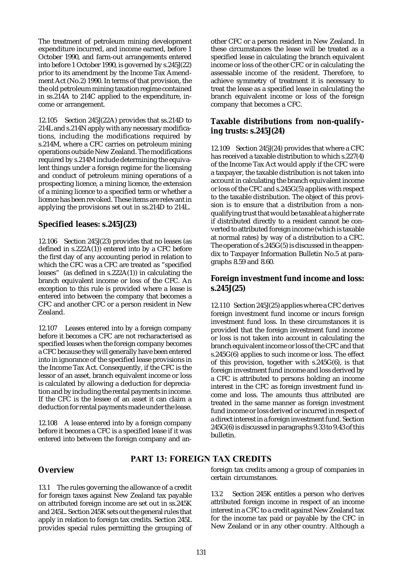The treatment of petroleum mining development expenditure incurred, and income earned, before 1 October 1990, and farm-out arrangements entered into before 1 October 1990, is governed by s.245J(22) prior to its amendment by the Income Tax Amendment Act (No.2) 1990. In terms of that provision, the the old petroleum mining taxation regime contained in ss.214A to 214C applied to the expenditure, income or arrangement.

12.105 Section 245J(22A) provides that ss.214D to 214L and s.214N apply with any necessary modifications, including the modifications required by s.214M, where a CFC carries on petroleum mining operations outside New Zealand. The modifications required by s.214M include determining the equivalent things under a foreign regime for the licensing and conduct of petroleum mining operations of a prospecting licence, a mining licence, the extension of a mining licence to a specified term or whether a licence has been revoked. These items are relevant in applying the provisions set out in ss.214D to 214L.

## **Specified leases: s.245J(23)**

12.106 Section 245J(23) provides that no leases (as defined in s.222A(1)) entered into by a CFC before the first day of any accounting period in relation to which the CFC was a CFC are treated as "specified leases" (as defined in s.222A(1)) in calculating the branch equivalent income or loss of the CFC. An exception to this rule is provided where a lease is entered into between the company that becomes a CFC and another CFC or a person resident in New Zealand.

12.107 Leases entered into by a foreign company before it becomes a CFC are not recharacterised as specified leases when the foreign company becomes a CFC because they will generally have been entered into in ignorance of the specified lease provisions in the Income Tax Act. Consequently, if the CFC is the lessor of an asset, branch equivalent income or loss is calculated by allowing a deduction for depreciation and by including the rental payments in income. If the CFC is the lessee of an asset it can claim a deduction for rental payments made under the lease.

12.108 A lease entered into by a foreign company before it becomes a CFC is a specified lease if it was entered into between the foreign company and another CFC or a person resident in New Zealand. In these circumstances the lease will be treated as a specified lease in calculating the branch equivalent income or loss of the other CFC or in calculating the assessable income of the resident. Therefore, to achieve symmetry of treatment it is necessary to treat the lease as a specified lease in calculating the branch equivalent income or loss of the foreign company that becomes a CFC.

# **Taxable distributions from non-qualifying trusts: s.245J(24)**

12.109 Section 245J(24) provides that where a CFC has received a taxable distribution to which s.227(4) of the Income Tax Act would apply if the CFC were a taxpayer, the taxable distribution is not taken into account in calculating the branch equivalent income or loss of the CFC and s.245G(5) applies with respect to the taxable distribution. The object of this provision is to ensure that a distribution from a nonqualifying trust that would be taxable at a higher rate if distributed directly to a resident cannot be converted to attributed foreign income (which is taxable at normal rates) by way of a distribution to a CFC. The operation of  $s.245G(5)$  is discussed in the appendix to Taxpayer Information Bulletin No.5 at paragraphs 8.59 and 8.60.

# **Foreign investment fund income and loss: s.245J(25)**

12.110 Section 245J(25) applies where a CFC derives foreign investment fund income or incurs foreign investment fund loss. In these circumstances it is provided that the foreign investment fund income or loss is not taken into account in calculating the branch equivalent income or loss of the CFC and that s.245G(6) applies to such income or loss. The effect of this provision, together with s.245G(6), is that foreign investment fund income and loss derived by a CFC is attributed to persons holding an income interest in the CFC as foreign investment fund income and loss. The amounts thus attributed are treated in the same manner as foreign investment fund income or loss derived or incurred in respect of a direct interest in a foreign investment fund. Section 245G(6) is discussed in paragraphs 9.33 to 9.43 of this bulletin.

# PART 13: FOREIGN TAX CREDITS

# **Overview**

13.1 The rules governing the allowance of a credit for foreign taxes against New Zealand tax payable on attributed foreign income are set out in ss.245K and 245L. Section 245K sets out the general rules that apply in relation to foreign tax credits. Section 245L provides special rules permitting the grouping of foreign tax credits among a group of companies in certain circumstances.

13.2 Section 245K entitles a person who derives attributed foreign income in respect of an income interest in a CFC to a credit against New Zealand tax for the income tax paid or payable by the CFC in New Zealand or in any other country. Although a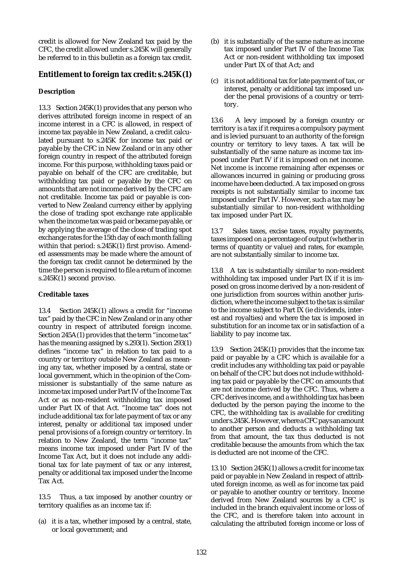credit is allowed for New Zealand tax paid by the CFC, the credit allowed under s.245K will generally be referred to in this bulletin as a foreign tax credit.

# **Entitlement to foreign tax credit: s.245K(1)**

## **Description**

13.3 Section 245K(1) provides that any person who derives attributed foreign income in respect of an income interest in a CFC is allowed, in respect of income tax payable in New Zealand, a credit calculated pursuant to s.245K for income tax paid or payable by the CFC in New Zealand or in any other foreign country in respect of the attributed foreign income. For this purpose, withholding taxes paid or payable on behalf of the CFC are creditable, but withholding tax paid or payable by the CFC on amounts that are not income derived by the CFC are not creditable. Income tax paid or payable is converted to New Zealand currency either by applying the close of trading spot exchange rate applicable when the income tax was paid or became payable, or by applying the average of the close of trading spot exchange rates for the 15th day of each month falling within that period: s.245K(1) first proviso. Amended assessments may be made where the amount of the foreign tax credit cannot be determined by the time the person is required to file a return of income: s.245K(1) second proviso.

## **Creditable taxes**

13.4 Section 245K(1) allows a credit for "income tax" paid by the CFC in New Zealand or in any other country in respect of attributed foreign income. Section 245A(1) provides that the term "income tax" has the meaning assigned by s.293(1). Section 293(1) defines "income tax" in relation to tax paid to a country or territory outside New Zealand as meaning any tax, whether imposed by a central, state or local government, which in the opinion of the Commissioner is substantially of the same nature as income tax imposed under Part IV of the Income Tax Act or as non-resident withholding tax imposed under Part IX of that Act. "Income tax" does not include additional tax for late payment of tax or any interest, penalty or additional tax imposed under penal provisions of a foreign country or territory. In relation to New Zealand, the term "income tax" means income tax imposed under Part IV of the Income Tax Act, but it does not include any additional tax for late payment of tax or any interest, penalty or additional tax imposed under the Income Tax Act.

13.5 Thus, a tax imposed by another country or territory qualifies as an income tax if:

(a) it is a tax, whether imposed by a central, state, or local government; and

- (b) it is substantially of the same nature as income tax imposed under Part IV of the Income Tax Act or non-resident withholding tax imposed under Part IX of that Act; and
- (c) it is not additional tax for late payment of tax, or interest, penalty or additional tax imposed under the penal provisions of a country or territory.

13.6 A levy imposed by a foreign country or territory is a tax if it requires a compulsory payment and is levied pursuant to an authority of the foreign country or territory to levy taxes. A tax will be substantially of the same nature as income tax imposed under Part IV if it is imposed on net income. Net income is income remaining after expenses or allowances incurred in gaining or producing gross income have been deducted. A tax imposed on gross receipts is not substantially similar to income tax imposed under Part IV. However, such a tax may be substantially similar to non-resident withholding tax imposed under Part IX.

13.7 Sales taxes, excise taxes, royalty payments, taxes imposed on a percentage of output (whether in terms of quantity or value) and rates, for example, are not substantially similar to income tax.

13.8 A tax is substantially similar to non-resident withholding tax imposed under Part IX if it is imposed on gross income derived by a non-resident of one jurisdiction from sources within another jurisdiction, where the income subject to the tax is similar to the income subject to Part IX (ie dividends, interest and royalties) and where the tax is imposed in substitution for an income tax or in satisfaction of a liability to pay income tax.

13.9 Section 245K(1) provides that the income tax paid or payable by a CFC which is available for a credit includes any withholding tax paid or payable on behalf of the CFC but does not include withholding tax paid or payable by the CFC on amounts that are not income derived by the CFC. Thus, where a CFC derives income, and a withholding tax has been deducted by the person paying the income to the CFC, the withholding tax is available for crediting under s.245K. However, where a CFC pays an amount to another person and deducts a withholding tax from that amount, the tax thus deducted is not creditable because the amounts from which the tax is deducted are not income of the CFC.

13.10 Section 245K(1) allows a credit for income tax paid or payable in New Zealand in respect of attributed foreign income, as well as for income tax paid or payable to another country or territory. Income derived from New Zealand sources by a CFC is included in the branch equivalent income or loss of the CFC, and is therefore taken into account in calculating the attributed foreign income or loss of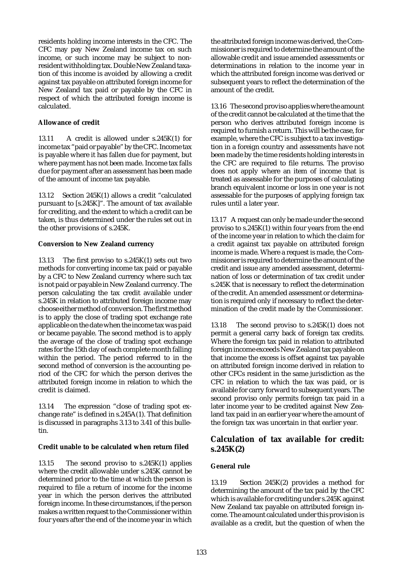residents holding income interests in the CFC. The CFC may pay New Zealand income tax on such income, or such income may be subject to nonresident withholding tax. Double New Zealand taxation of this income is avoided by allowing a credit against tax payable on attributed foreign income for New Zealand tax paid or payable by the CFC in respect of which the attributed foreign income is calculated.

### **Allowance of credit**

13.11 A credit is allowed under s.245K(1) for income tax "paid or payable" by the CFC. Income tax is payable where it has fallen due for payment, but where payment has not been made. Income tax falls due for payment after an assessment has been made of the amount of income tax payable.

13.12 Section 245K(1) allows a credit "calculated pursuant to [s.245K]". The amount of tax available for crediting, and the extent to which a credit can be taken, is thus determined under the rules set out in the other provisions of s.245K.

### **Conversion to New Zealand currency**

13.13 The first proviso to s.245K(1) sets out two methods for converting income tax paid or payable by a CFC to New Zealand currency where such tax is not paid or payable in New Zealand currency. The person calculating the tax credit available under s.245K in relation to attributed foreign income may choose either method of conversion. The first method is to apply the close of trading spot exchange rate applicable on the date when the income tax was paid or became payable. The second method is to apply the average of the close of trading spot exchange rates for the 15th day of each complete month falling within the period. The period referred to in the second method of conversion is the accounting period of the CFC for which the person derives the attributed foreign income in relation to which the credit is claimed.

13.14 The expression "close of trading spot exchange rate" is defined in s.245A(1). That definition is discussed in paragraphs 3.13 to 3.41 of this bulletin.

## **Credit unable to be calculated when return filed**

13.15 The second proviso to s.245K(1) applies where the credit allowable under s.245K cannot be determined prior to the time at which the person is required to file a return of income for the income year in which the person derives the attributed foreign income. In these circumstances, if the person makes a written request to the Commissioner within four years after the end of the income year in which the attributed foreign income was derived, the Commissioner is required to determine the amount of the allowable credit and issue amended assessments or determinations in relation to the income year in which the attributed foreign income was derived or subsequent years to reflect the determination of the amount of the credit.

13.16 The second proviso applies where the amount of the credit cannot be calculated at the time that the person who derives attributed foreign income is required to furnish a return. This will be the case, for example, where the CFC is subject to a tax investigation in a foreign country and assessments have not been made by the time residents holding interests in the CFC are required to file returns. The proviso does not apply where an item of income that is treated as assessable for the purposes of calculating branch equivalent income or loss in one year is not assessable for the purposes of applying foreign tax rules until a later year.

13.17 A request can only be made under the second proviso to s.245K(1) within four years from the end of the income year in relation to which the claim for a credit against tax payable on attributed foreign income is made. Where a request is made, the Commissioner is required to determine the amount of the credit and issue any amended assessment, determination of loss or determination of tax credit under s.245K that is necessary to reflect the determination of the credit. An amended assessment or determination is required only if necessary to reflect the determination of the credit made by the Commissioner.

13.18 The second proviso to s.245K(1) does not permit a general carry back of foreign tax credits. Where the foreign tax paid in relation to attributed foreign income exceeds New Zealand tax payable on that income the excess is offset against tax payable on attributed foreign income derived in relation to other CFCs resident in the same jurisdiction as the CFC in relation to which the tax was paid, or is available for carry forward to subsequent years. The second proviso only permits foreign tax paid in a later income year to be credited against New Zealand tax paid in an earlier year where the amount of the foreign tax was uncertain in that earlier year.

# **Calculation of tax available for credit: s.245K(2)**

## **General rule**

13.19 Section 245K(2) provides a method for determining the amount of the tax paid by the CFC which is available for crediting under s.245K against New Zealand tax payable on attributed foreign income. The amount calculated under this provision is available as a credit, but the question of when the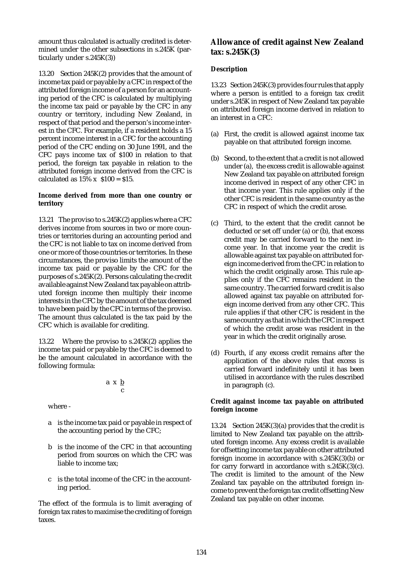amount thus calculated is actually credited is determined under the other subsections in s.245K (particularly under s.245K(3))

13.20 Section 245K(2) provides that the amount of income tax paid or payable by a CFC in respect of the attributed foreign income of a person for an accounting period of the CFC is calculated by multiplying the income tax paid or payable by the CFC in any country or territory, including New Zealand, in respect of that period and the person's income interest in the CFC. For example, if a resident holds a 15 percent income interest in a CFC for the accounting period of the CFC ending on 30 June 1991, and the CFC pays income tax of \$100 in relation to that period, the foreign tax payable in relation to the attributed foreign income derived from the CFC is calculated as  $15\% \times$  \$100 = \$15.

### **Income derived from more than one country or territory**

13.21 The proviso to s.245K(2) applies where a CFC derives income from sources in two or more countries or territories during an accounting period and the CFC is not liable to tax on income derived from one or more of those countries or territories. In these circumstances, the proviso limits the amount of the income tax paid or payable by the CFC for the purposes of s.245K(2). Persons calculating the credit available against New Zealand tax payable on attributed foreign income then multiply their income interests in the CFC by the amount of the tax deemed to have been paid by the CFC in terms of the proviso. The amount thus calculated is the tax paid by the CFC which is available for crediting.

13.22 Where the proviso to s.245K(2) applies the income tax paid or payable by the CFC is deemed to be the amount calculated in accordance with the following formula:

$$
a\ x\ \underline{b}{c}
$$

where -

- a is the income tax paid or payable in respect of the accounting period by the CFC;
- b is the income of the CFC in that accounting period from sources on which the CFC was liable to income tax;
- c is the total income of the CFC in the accounting period.

The effect of the formula is to limit averaging of foreign tax rates to maximise the crediting of foreign taxes.

# **Allowance of credit against New Zealand tax: s.245K(3)**

## **Description**

13.23 Section 245K(3) provides four rules that apply where a person is entitled to a foreign tax credit under s.245K in respect of New Zealand tax payable on attributed foreign income derived in relation to an interest in a CFC:

- (a) First, the credit is allowed against income tax payable on that attributed foreign income.
- (b) Second, to the extent that a credit is not allowed under (a), the excess credit is allowable against New Zealand tax payable on attributed foreign income derived in respect of any other CFC in that income year. This rule applies only if the other CFC is resident in the same country as the CFC in respect of which the credit arose.
- (c) Third, to the extent that the credit cannot be deducted or set off under (a) or (b), that excess credit may be carried forward to the next income year. In that income year the credit is allowable against tax payable on attributed foreign income derived from the CFC in relation to which the credit originally arose. This rule applies only if the CFC remains resident in the same country. The carried forward credit is also allowed against tax payable on attributed foreign income derived from any other CFC. This rule applies if that other CFC is resident in the same country as that in which the CFC in respect of which the credit arose was resident in the year in which the credit originally arose.
- (d) Fourth, if any excess credit remains after the application of the above rules that excess is carried forward indefinitely until it has been utilised in accordance with the rules described in paragraph (c).

### **Credit against income tax payable on attributed foreign income**

13.24 Section 245K(3)(a) provides that the credit is limited to New Zealand tax payable on the attributed foreign income. Any excess credit is available for offsetting income tax payable on other attributed foreign income in accordance with s.245K(3)(b) or for carry forward in accordance with  $s.245K(3)(c)$ . The credit is limited to the amount of the New Zealand tax payable on the attributed foreign income to prevent the foreign tax credit offsetting New Zealand tax payable on other income.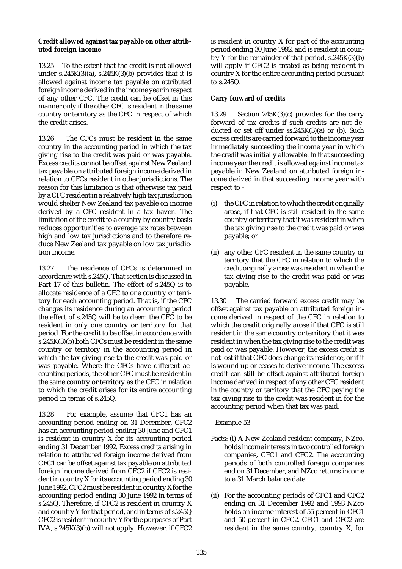### **Credit allowed against tax payable on other attributed foreign income**

13.25 To the extent that the credit is not allowed under s.245K $(3)(a)$ , s.245K $(3)(b)$  provides that it is allowed against income tax payable on attributed foreign income derived in the income year in respect of any other CFC. The credit can be offset in this manner only if the other CFC is resident in the same country or territory as the CFC in respect of which the credit arises.

13.26 The CFCs must be resident in the same country in the accounting period in which the tax giving rise to the credit was paid or was payable. Excess credits cannot be offset against New Zealand tax payable on attributed foreign income derived in relation to CFCs resident in other jurisdictions. The reason for this limitation is that otherwise tax paid by a CFC resident in a relatively high tax jurisdiction would shelter New Zealand tax payable on income derived by a CFC resident in a tax haven. The limitation of the credit to a country by country basis reduces opportunities to average tax rates between high and low tax jurisdictions and to therefore reduce New Zealand tax payable on low tax jurisdiction income.

13.27 The residence of CFCs is determined in accordance with s.245Q. That section is discussed in Part 17 of this bulletin. The effect of s.245Q is to allocate residence of a CFC to one country or territory for each accounting period. That is, if the CFC changes its residence during an accounting period the effect of s.245Q will be to deem the CFC to be resident in only one country or territory for that period. For the credit to be offset in accordance with s.245K(3)(b) both CFCs must be resident in the same country or territory in the accounting period in which the tax giving rise to the credit was paid or was payable. Where the CFCs have different accounting periods, the other CFC must be resident in the same country or territory as the CFC in relation to which the credit arises for its entire accounting period in terms of s.245Q.

13.28 For example, assume that CFC1 has an accounting period ending on 31 December, CFC2 has an accounting period ending 30 June and CFC1 is resident in country X for its accounting period ending 31 December 1992. Excess credits arising in relation to attributed foreign income derived from CFC1 can be offset against tax payable on attributed foreign income derived from CFC2 if CFC2 is resident in country X for its accounting period ending 30 June 1992. CFC2 must be resident in country X for the accounting period ending 30 June 1992 in terms of s.245Q. Therefore, if CFC2 is resident in country X and country Y for that period, and in terms of s.245Q CFC2 is resident in country Y for the purposes of Part IVA, s.245K(3)(b) will not apply. However, if CFC2

is resident in country X for part of the accounting period ending 30 June 1992, and is resident in country Y for the remainder of that period,  $s.245K(3)(b)$ will apply if CFC2 is treated as being resident in country X for the entire accounting period pursuant to s.245Q.

## **Carry forward of credits**

13.29 Section 245K(3)(c) provides for the carry forward of tax credits if such credits are not deducted or set off under ss.245K(3)(a) or (b). Such excess credits are carried forward to the income year immediately succeeding the income year in which the credit was initially allowable. In that succeeding income year the credit is allowed against income tax payable in New Zealand on attributed foreign income derived in that succeeding income year with respect to -

- (i) the CFC in relation to which the credit originally arose, if that CFC is still resident in the same country or territory that it was resident in when the tax giving rise to the credit was paid or was payable; or
- (ii) any other CFC resident in the same country or territory that the CFC in relation to which the credit originally arose was resident in when the tax giving rise to the credit was paid or was payable.

13.30 The carried forward excess credit may be offset against tax payable on attributed foreign income derived in respect of the CFC in relation to which the credit originally arose if that CFC is still resident in the same country or territory that it was resident in when the tax giving rise to the credit was paid or was payable. However, the excess credit is not lost if that CFC does change its residence, or if it is wound up or ceases to derive income. The excess credit can still be offset against attributed foreign income derived in respect of any other CFC resident in the country or territory that the CFC paying the tax giving rise to the credit was resident in for the accounting period when that tax was paid.

- Example 53
- Facts: (i) A New Zealand resident company, NZco, holds income interests in two controlled foreign companies, CFC1 and CFC2. The accounting periods of both controlled foreign companies end on 31 December, and NZco returns income to a 31 March balance date.
- (ii) For the accounting periods of CFC1 and CFC2 ending on 31 December 1992 and 1993 NZco holds an income interest of 55 percent in CFC1 and 50 percent in CFC2. CFC1 and CFC2 are resident in the same country, country X, for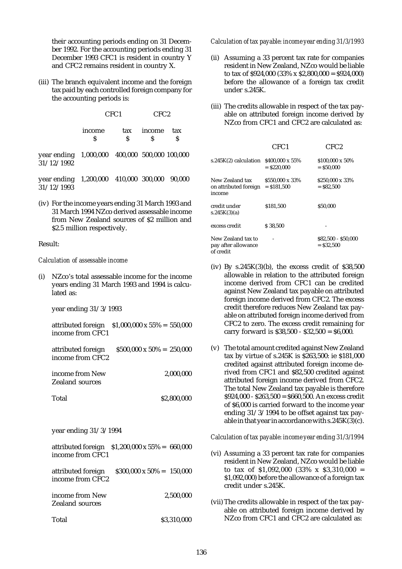their accounting periods ending on 31 December 1992. For the accounting periods ending 31 December 1993 CFC1 is resident in country Y and CFC2 remains resident in country X.

(iii) The branch equivalent income and the foreign tax paid by each controlled foreign company for the accounting periods is:

| CFC <sub>2</sub> |
|------------------|
|                  |

| income | tax income tax |  |
|--------|----------------|--|
|        |                |  |

year ending 1,000,000 400,000 500,000 100,000 31/12/1992

year ending 1,200,000 410,000 300,000 90,000 31/12/1993

(iv) For the income years ending 31 March 1993 and 31 March 1994 NZco derived assessable income from New Zealand sources of \$2 million and \$2.5 million respectively.

#### Result:

#### *Calculation of assessable income*

(i) NZco's total assessable income for the income years ending 31 March 1993 and 1994 is calculated as:

year ending 31/3/1993

attributed foreign \$1,000,000 x 55% = 550,000 income from CFC1

| attributed foreign | $$500,000 \times 50\% = 250,000$ |  |
|--------------------|----------------------------------|--|
| income from CFC2   |                                  |  |

income from New 2,000,000 Zealand sources

Total \$2,800,000

year ending 31/3/1994

| attributed foreign $$1,200,000 \times 55\% = 660,000$ |  |
|-------------------------------------------------------|--|
| income from CFC1                                      |  |

attributed foreign \$300,000 x 50% = 150,000 income from CFC2

income from New 2,500,000 Zealand sources

Total \$3,310,000

### *Calculation of tax payable: income year ending 31/3/1993*

- (ii) Assuming a 33 percent tax rate for companies resident in New Zealand, NZco would be liable to tax of  $$924,000$   $(33\% \times $2,800,000 = $924,000)$ before the allowance of a foreign tax credit under s.245K.
- (iii) The credits allowable in respect of the tax payable on attributed foreign income derived by NZco from CFC1 and CFC2 are calculated as:

|                                                        | CFC1                             | CFC2                                |
|--------------------------------------------------------|----------------------------------|-------------------------------------|
| s.245K $(2)$ calculation $$400,000 \times 55\%$        | $=$ \$220,000                    | \$100,000 x 50%<br>$=$ \$50,000     |
| New Zealand tax<br>on attributed foreign<br>income     | \$550,000 x 33%<br>$=$ \$181.500 | \$250,000 x 33%<br>$=$ \$82,500     |
| credit under<br>s.245K(3)(a)                           | \$181.500                        | \$50.000                            |
| excess credit                                          | \$38.500                         |                                     |
| New Zealand tax to<br>pay after allowance<br>of credit |                                  | \$82,500 - \$50,000<br>$=$ \$32.500 |

- (iv) By  $s.245K(3)(b)$ , the excess credit of  $$38,500$ allowable in relation to the attributed foreign income derived from CFC1 can be credited against New Zealand tax payable on attributed foreign income derived from CFC2. The excess credit therefore reduces New Zealand tax payable on attributed foreign income derived from CFC2 to zero. The excess credit remaining for carry forward is \$38,500 - \$32,500 = \$6,000.
- (v) The total amount credited against New Zealand tax by virtue of s.245K is \$263,500: ie \$181,000 credited against attributed foreign income derived from CFC1 and \$82,500 credited against attributed foreign income derived from CFC2. The total New Zealand tax payable is therefore  $$924,000 - $263,500 = $660,500$ . An excess credit of \$6,000 is carried forward to the income year ending 31/3/1994 to be offset against tax payable in that year in accordance with s.245K(3)(c).

*Calculation of tax payable: income year ending 31/3/1994*

- (vi) Assuming a 33 percent tax rate for companies resident in New Zealand, NZco would be liable to tax of  $$1,092,000$   $(33\% \times $3,310,000 =$ \$1,092,000) before the allowance of a foreign tax credit under s.245K.
- (vii) The credits allowable in respect of the tax payable on attributed foreign income derived by NZco from CFC1 and CFC2 are calculated as: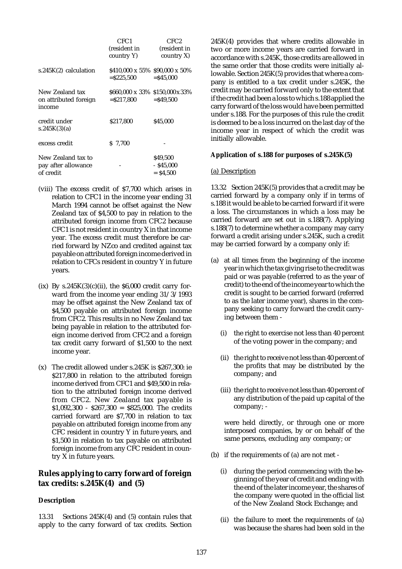|                                                        | CFC1<br>(resident in<br>country Y)               | CFC2<br>(resident in<br>country X       |
|--------------------------------------------------------|--------------------------------------------------|-----------------------------------------|
| $s.245K(2)$ calculation                                | \$410,000 x 55% \$90,000 x 50%<br>$=$ \$225.500  | $=$ \$45.000                            |
| New Zealand tax<br>on attributed foreign<br>income     | \$660,000 x 33% \$150,000 x 33%<br>$=$ \$217,800 | $=$ \$49,500                            |
| credit under<br>s.245K(3)(a)                           | \$217.800                                        | \$45,000                                |
| excess credit                                          | \$ 7.700                                         |                                         |
| New Zealand tax to<br>pay after allowance<br>of credit |                                                  | \$49,500<br>$-$ \$45.000<br>$=$ \$4.500 |

- (viii) The excess credit of \$7,700 which arises in relation to CFC1 in the income year ending 31 March 1994 cannot be offset against the New Zealand tax of \$4,500 to pay in relation to the attributed foreign income from CFC2 because CFC1 is not resident in country X in that income year. The excess credit must therefore be carried forward by NZco and credited against tax payable on attributed foreign income derived in relation to CFCs resident in country Y in future years.
- (ix) By  $s.245K(3)(c)(ii)$ , the  $$6,000$  credit carry forward from the income year ending 31/3/1993 may be offset against the New Zealand tax of \$4,500 payable on attributed foreign income from CFC2. This results in no New Zealand tax being payable in relation to the attributed foreign income derived from CFC2 and a foreign tax credit carry forward of \$1,500 to the next income year.
- (x) The credit allowed under s.245K is \$267,300: ie \$217,800 in relation to the attributed foreign income derived from CFC1 and \$49,500 in relation to the attributed foreign income derived from CFC2. New Zealand tax payable is  $$1,092,300 - $267,300 = $825,000$ . The credits carried forward are \$7,700 in relation to tax payable on attributed foreign income from any CFC resident in country Y in future years, and \$1,500 in relation to tax payable on attributed foreign income from any CFC resident in country X in future years.

## **Rules applying to carry forward of foreign tax credits: s.245K(4) and (5)**

## **Description**

13.31 Sections 245K(4) and (5) contain rules that apply to the carry forward of tax credits. Section 245K(4) provides that where credits allowable in two or more income years are carried forward in accordance with s.245K, those credits are allowed in the same order that those credits were initially allowable. Section 245K(5) provides that where a company is entitled to a tax credit under s.245K, the credit may be carried forward only to the extent that if the credit had been a loss to which s.188 applied the carry forward of the loss would have been permitted under s.188. For the purposes of this rule the credit is deemed to be a loss incurred on the last day of the income year in respect of which the credit was initially allowable.

## **Application of s.188 for purposes of s.245K(5)**

### (a) Description

13.32 Section 245K(5) provides that a credit may be carried forward by a company only if in terms of s.188 it would be able to be carried forward if it were a loss. The circumstances in which a loss may be carried forward are set out in s.188(7). Applying s.188(7) to determine whether a company may carry forward a credit arising under s.245K, such a credit may be carried forward by a company only if:

- (a) at all times from the beginning of the income year in which the tax giving rise to the credit was paid or was payable (referred to as the year of credit) to the end of the income year to which the credit is sought to be carried forward (referred to as the later income year), shares in the company seeking to carry forward the credit carrying between them -
	- (i) the right to exercise not less than 40 percent of the voting power in the company; and
	- (ii) the right to receive not less than 40 percent of the profits that may be distributed by the company; and
	- (iii) the right to receive not less than 40 percent of any distribution of the paid up capital of the company; -

were held directly, or through one or more interposed companies, by or on behalf of the same persons, excluding any company; or

- (b) if the requirements of (a) are not met
	- (i) during the period commencing with the beginning of the year of credit and ending with the end of the later income year, the shares of the company were quoted in the official list of the New Zealand Stock Exchange; and
	- (ii) the failure to meet the requirements of (a) was because the shares had been sold in the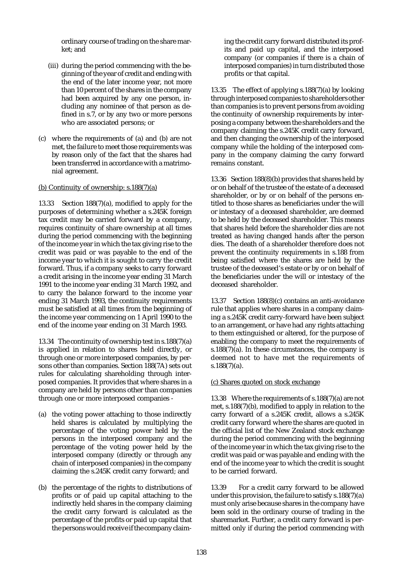ordinary course of trading on the share market; and

- (iii) during the period commencing with the beginning of the year of credit and ending with the end of the later income year, not more than 10 percent of the shares in the company had been acquired by any one person, including any nominee of that person as defined in s.7, or by any two or more persons who are associated persons; or
- (c) where the requirements of (a) and (b) are not met, the failure to meet those requirements was by reason only of the fact that the shares had been transferred in accordance with a matrimonial agreement.

#### (b) Continuity of ownership: s.188(7)(a)

13.33 Section 188(7)(a), modified to apply for the purposes of determining whether a s.245K foreign tax credit may be carried forward by a company, requires continuity of share ownership at all times during the period commencing with the beginning of the income year in which the tax giving rise to the credit was paid or was payable to the end of the income year to which it is sought to carry the credit forward. Thus, if a company seeks to carry forward a credit arising in the income year ending 31 March 1991 to the income year ending 31 March 1992, and to carry the balance forward to the income year ending 31 March 1993, the continuity requirements must be satisfied at all times from the beginning of the income year commencing on 1 April 1990 to the end of the income year ending on 31 March 1993.

13.34 The continuity of ownership test in s.188(7)(a) is applied in relation to shares held directly, or through one or more interposed companies, by persons other than companies. Section 188(7A) sets out rules for calculating shareholding through interposed companies. It provides that where shares in a company are held by persons other than companies through one or more interposed companies -

- (a) the voting power attaching to those indirectly held shares is calculated by multiplying the percentage of the voting power held by the persons in the interposed company and the percentage of the voting power held by the interposed company (directly or through any chain of interposed companies) in the company claiming the s.245K credit carry forward; and
- (b) the percentage of the rights to distributions of profits or of paid up capital attaching to the indirectly held shares in the company claiming the credit carry forward is calculated as the percentage of the profits or paid up capital that the persons would receive if the company claim-

ing the credit carry forward distributed its profits and paid up capital, and the interposed company (or companies if there is a chain of interposed companies) in turn distributed those profits or that capital.

13.35 The effect of applying s.188(7)(a) by looking through interposed companies to shareholders other than companies is to prevent persons from avoiding the continuity of ownership requirements by interposing a company between the shareholders and the company claiming the s.245K credit carry forward, and then changing the ownership of the interposed company while the holding of the interposed company in the company claiming the carry forward remains constant.

13.36 Section 188(8)(b) provides that shares held by or on behalf of the trustee of the estate of a deceased shareholder, or by or on behalf of the persons entitled to those shares as beneficiaries under the will or intestacy of a deceased shareholder, are deemed to be held by the deceased shareholder. This means that shares held before the shareholder dies are not treated as having changed hands after the person dies. The death of a shareholder therefore does not prevent the continuity requirements in s.188 from being satisfied where the shares are held by the trustee of the deceased's estate or by or on behalf of the beneficiaries under the will or intestacy of the deceased shareholder.

13.37 Section 188(8)(c) contains an anti-avoidance rule that applies where shares in a company claiming a s.245K credit carry-forward have been subject to an arrangement, or have had any rights attaching to them extinguished or altered, for the purpose of enabling the company to meet the requirements of s.188(7)(a). In these circumstances, the company is deemed not to have met the requirements of s.188(7)(a).

## (c) Shares quoted on stock exchange

13.38 Where the requirements of s.188(7)(a) are not met, s.188(7)(b), modified to apply in relation to the carry forward of a s.245K credit, allows a s.245K credit carry forward where the shares are quoted in the official list of the New Zealand stock exchange during the period commencing with the beginning of the income year in which the tax giving rise to the credit was paid or was payable and ending with the end of the income year to which the credit is sought to be carried forward.

13.39 For a credit carry forward to be allowed under this provision, the failure to satisfy s.188(7)(a) must only arise because shares in the company have been sold in the ordinary course of trading in the sharemarket. Further, a credit carry forward is permitted only if during the period commencing with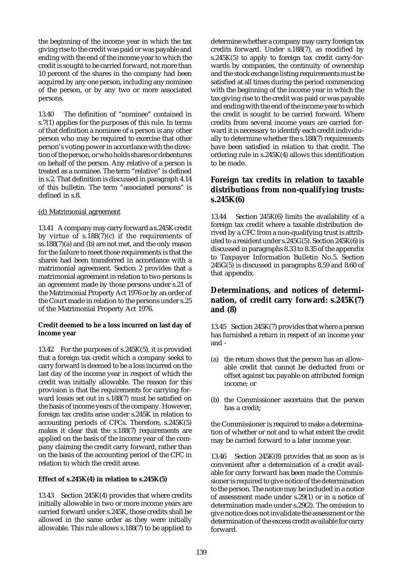the beginning of the income year in which the tax giving rise to the credit was paid or was payable and ending with the end of the income year to which the credit is sought to be carried forward, not more than 10 percent of the shares in the company had been acquired by any one person, including any nominee of the person, or by any two or more associated persons.

13.40 The definition of "nominee" contained in s.7(1) applies for the purposes of this rule. In terms of that definition a nominee of a person is any other person who may be required to exercise that other person's voting power in accordance with the direction of the person, or who holds shares or debentures on behalf of the person. Any relative of a person is treated as a nominee. The term "relative" is defined in s.2. That definition is discussed in paragraph 4.14 of this bulletin. The term "associated persons" is defined in s.8.

### (d) Matrimonial agreement

13.41 A company may carry forward a s.245K credit by virtue of  $s.188(7)(c)$  if the requirements of ss.188(7)(a) and (b) are not met, and the only reason for the failure to meet those requirements is that the shares had been transferred in accordance with a matrimonial agreement. Section 2 provides that a matrimonial agreement in relation to two persons is an agreement made by those persons under s.21 of the Matrimonial Property Act 1976 or by an order of the Court made in relation to the persons under s.25 of the Matrimonial Property Act 1976.

### **Credit deemed to be a loss incurred on last day of income year**

13.42 For the purposes of s.245K(5), it is provided that a foreign tax credit which a company seeks to carry forward is deemed to be a loss incurred on the last day of the income year in respect of which the credit was initially allowable. The reason for this provision is that the requirements for carrying forward losses set out in s.188(7) must be satisfied on the basis of income years of the company. However, foreign tax credits arise under s.245K in relation to accounting periods of CFCs. Therefore, s.245K(5) makes it clear that the s.188(7) requirements are applied on the basis of the income year of the company claiming the credit carry forward, rather than on the basis of the accounting period of the CFC in relation to which the credit arose.

#### **Effect of s.245K(4) in relation to s.245K(5)**

13.43 Section 245K(4) provides that where credits initially allowable in two or more income years are carried forward under s.245K, those credits shall be allowed in the same order as they were initially allowable. This rule allows s.188(7) to be applied to

determine whether a company may carry foreign tax credits forward. Under s.188(7), as modified by  $s.245K(5)$  to apply to foreign tax credit carry-forwards by companies, the continuity of ownership and the stock exchange listing requirements must be satisfied at all times during the period commencing with the beginning of the income year in which the tax giving rise to the credit was paid or was payable and ending with the end of the income year to which the credit is sought to be carried forward. Where credits from several income years are carried forward it is necessary to identify each credit individually to determine whether the s.188(7) requirements have been satisfied in relation to that credit. The ordering rule in s.245K(4) allows this identification to be made.

# **Foreign tax credits in relation to taxable distributions from non-qualifying trusts: s.245K(6)**

13.44 Section 245K(6) limits the availability of a foreign tax credit where a taxable distribution derived by a CFC from a non-qualifying trust is attributed to a resident under s.245G(5). Section 245K(6) is discussed in paragraphs 8.33 to 8.35 of the appendix to Taxpayer Information Bulletin No.5. Section 245G(5) is discussed in paragraphs 8.59 and 8.60 of that appendix.

# **Determinations, and notices of determination, of credit carry forward: s.245K(7) and (8)**

13.45 Section 245K(7) provides that where a person has furnished a return in respect of an income year and -

- (a) the return shows that the person has an allowable credit that cannot be deducted from or offset against tax payable on attributed foreign income; or
- (b) the Commissioner ascertains that the person has a credit;

the Commissioner is required to make a determination of whether or not and to what extent the credit may be carried forward to a later income year.

13.46 Section 245K(8) provides that as soon as is convenient after a determination of a credit available for carry forward has been made the Commissioner is required to give notice of the determination to the person. The notice may be included in a notice of assessment made under s.29(1) or in a notice of determination made under s.29(2). The omission to give notice does not invalidate the assessment or the determination of the excess credit available for carry forward.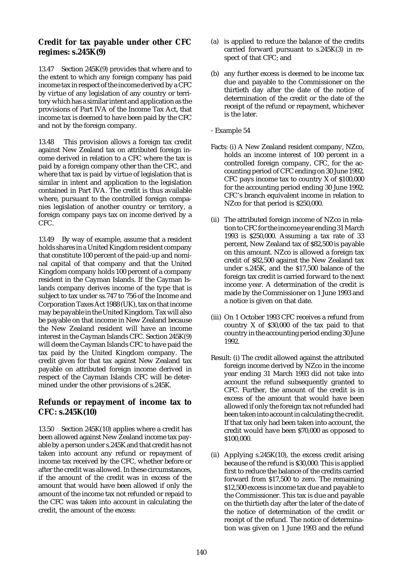# **Credit for tax payable under other CFC regimes: s.245K(9)**

13.47 Section 245K(9) provides that where and to the extent to which any foreign company has paid income tax in respect of the income derived by a CFC by virtue of any legislation of any country or territory which has a similar intent and application as the provisions of Part IVA of the Income Tax Act, that income tax is deemed to have been paid by the CFC and not by the foreign company.

13.48 This provision allows a foreign tax credit against New Zealand tax on attributed foreign income derived in relation to a CFC where the tax is paid by a foreign company other than the CFC, and where that tax is paid by virtue of legislation that is similar in intent and application to the legislation contained in Part IVA. The credit is thus available where, pursuant to the controlled foreign companies legislation of another country or territory, a foreign company pays tax on income derived by a CFC.

13.49 By way of example, assume that a resident holds shares in a United Kingdom resident company that constitute 100 percent of the paid-up and nominal capital of that company and that the United Kingdom company holds 100 percent of a company resident in the Cayman Islands. If the Cayman Islands company derives income of the type that is subject to tax under ss.747 to 756 of the Income and Corporation Taxes Act 1988 (UK), tax on that income may be payable in the United Kingdom. Tax will also be payable on that income in New Zealand because the New Zealand resident will have an income interest in the Cayman Islands CFC. Section 245K(9) will deem the Cayman Islands CFC to have paid the tax paid by the United Kingdom company. The credit given for that tax against New Zealand tax payable on attributed foreign income derived in respect of the Cayman Islands CFC will be determined under the other provisions of s.245K.

# **Refunds or repayment of income tax to CFC: s.245K(10)**

13.50 Section 245K(10) applies where a credit has been allowed against New Zealand income tax payable by a person under s.245K and that credit has not taken into account any refund or repayment of income tax received by the CFC, whether before or after the credit was allowed. In these circumstances, if the amount of the credit was in excess of the amount that would have been allowed if only the amount of the income tax not refunded or repaid to the CFC was taken into account in calculating the credit, the amount of the excess:

- (a) is applied to reduce the balance of the credits carried forward pursuant to s.245K(3) in respect of that CFC; and
- (b) any further excess is deemed to be income tax due and payable to the Commissioner on the thirtieth day after the date of the notice of determination of the credit or the date of the receipt of the refund or repayment, whichever is the later.
- Example 54
- Facts: (i) A New Zealand resident company, NZco, holds an income interest of 100 percent in a controlled foreign company, CFC, for the accounting period of CFC ending on 30 June 1992. CFC pays income tax to country X of \$100,000 for the accounting period ending 30 June 1992. CFC's branch equivalent income in relation to NZco for that period is \$250,000.
- (ii) The attributed foreign income of NZco in relation to CFC for the income year ending 31 March 1993 is \$250,000. Assuming a tax rate of 33 percent, New Zealand tax of \$82,500 is payable on this amount. NZco is allowed a foreign tax credit of \$82,500 against the New Zealand tax under s.245K, and the \$17,500 balance of the foreign tax credit is carried forward to the next income year. A determination of the credit is made by the Commissioner on 1 June 1993 and a notice is given on that date.
- (iii) On 1 October 1993 CFC receives a refund from country X of \$30,000 of the tax paid to that country in the accounting period ending 30 June 1992.
- Result: (i) The credit allowed against the attributed foreign income derived by NZco in the income year ending 31 March 1993 did not take into account the refund subsequently granted to CFC. Further, the amount of the credit is in excess of the amount that would have been allowed if only the foreign tax not refunded had been taken into account in calculating the credit. If that tax only had been taken into account, the credit would have been \$70,000 as opposed to \$100,000.
- (ii) Applying s.245K(10), the excess credit arising because of the refund is \$30,000. This is applied first to reduce the balance of the credits carried forward from \$17,500 to zero. The remaining \$12,500 excess is income tax due and payable to the Commissioner. This tax is due and payable on the thirtieth day after the later of the date of the notice of determination of the credit or receipt of the refund. The notice of determination was given on 1 June 1993 and the refund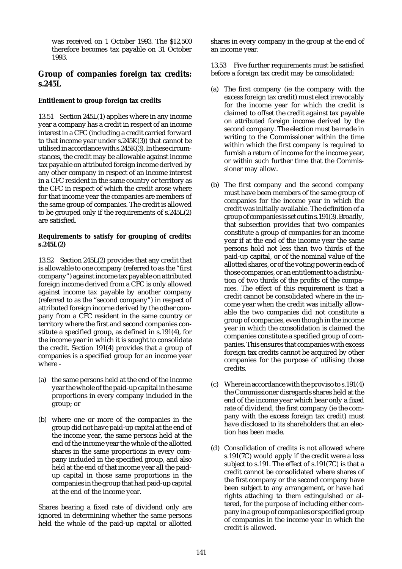was received on 1 October 1993. The \$12,500 therefore becomes tax payable on 31 October 1993.

# **Group of companies foreign tax credits: s.245L**

## **Entitlement to group foreign tax credits**

13.51 Section 245L(1) applies where in any income year a company has a credit in respect of an income interest in a CFC (including a credit carried forward to that income year under s.245K(3)) that cannot be utilised in accordance with s.245K(3). In these circumstances, the credit may be allowable against income tax payable on attributed foreign income derived by any other company in respect of an income interest in a CFC resident in the same country or territory as the CFC in respect of which the credit arose where for that income year the companies are members of the same group of companies. The credit is allowed to be grouped only if the requirements of s.245L(2) are satisfied.

## **Requirements to satisfy for grouping of credits: s.245L(2)**

13.52 Section 245L(2) provides that any credit that is allowable to one company (referred to as the "first company") against income tax payable on attributed foreign income derived from a CFC is only allowed against income tax payable by another company (referred to as the "second company") in respect of attributed foreign income derived by the other company from a CFC resident in the same country or territory where the first and second companies constitute a specified group, as defined in s.191(4), for the income year in which it is sought to consolidate the credit. Section 191(4) provides that a group of companies is a specified group for an income year where -

- (a) the same persons held at the end of the income year the whole of the paid-up capital in the same proportions in every company included in the group; or
- (b) where one or more of the companies in the group did not have paid-up capital at the end of the income year, the same persons held at the end of the income year the whole of the allotted shares in the same proportions in every company included in the specified group, and also held at the end of that income year all the paidup capital in those same proportions in the companies in the group that had paid-up capital at the end of the income year.

Shares bearing a fixed rate of dividend only are ignored in determining whether the same persons held the whole of the paid-up capital or allotted shares in every company in the group at the end of an income year.

13.53 Five further requirements must be satisfied before a foreign tax credit may be consolidated:

- (a) The first company (ie the company with the excess foreign tax credit) must elect irrevocably for the income year for which the credit is claimed to offset the credit against tax payable on attributed foreign income derived by the second company. The election must be made in writing to the Commissioner within the time within which the first company is required to furnish a return of income for the income year, or within such further time that the Commissioner may allow.
- (b) The first company and the second company must have been members of the same group of companies for the income year in which the credit was initially available. The definition of a group of companies is set out in s.191(3). Broadly, that subsection provides that two companies constitute a group of companies for an income year if at the end of the income year the same persons hold not less than two thirds of the paid-up capital, or of the nominal value of the allotted shares, or of the voting power in each of those companies, or an entitlement to a distribution of two thirds of the profits of the companies. The effect of this requirement is that a credit cannot be consolidated where in the income year when the credit was initially allowable the two companies did not constitute a group of companies, even though in the income year in which the consolidation is claimed the companies constitute a specified group of companies. This ensures that companies with excess foreign tax credits cannot be acquired by other companies for the purpose of utilising those credits.
- (c) Where in accordance with the proviso to s.191(4) the Commissioner disregards shares held at the end of the income year which bear only a fixed rate of dividend, the first company (ie the company with the excess foreign tax credit) must have disclosed to its shareholders that an election has been made.
- (d) Consolidation of credits is not allowed where s.191(7C) would apply if the credit were a loss subject to s.191. The effect of s.191(7C) is that a credit cannot be consolidated where shares of the first company or the second company have been subject to any arrangement, or have had rights attaching to them extinguished or altered, for the purpose of including either company in a group of companies or specified group of companies in the income year in which the credit is allowed.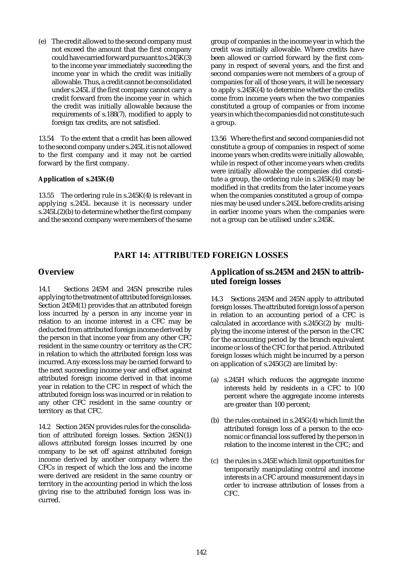(e) The credit allowed to the second company must not exceed the amount that the first company could have carried forward pursuant to s.245K(3) to the income year immediately succeeding the income year in which the credit was initially allowable. Thus, a credit cannot be consolidated under s.245L if the first company cannot carry a credit forward from the income year in which the credit was initially allowable because the requirements of s.188(7), modified to apply to foreign tax credits, are not satisfied.

13.54 To the extent that a credit has been allowed to the second company under s.245L it is not allowed to the first company and it may not be carried forward by the first company.

#### **Application of s.245K(4)**

13.55 The ordering rule in s.245K(4) is relevant in applying s.245L because it is necessary under  $s.\overline{245}L(2)$ (b) to determine whether the first company and the second company were members of the same group of companies in the income year in which the credit was initially allowable. Where credits have been allowed or carried forward by the first company in respect of several years, and the first and second companies were not members of a group of companies for all of those years, it will be necessary to apply s.245K(4) to determine whether the credits come from income years when the two companies constituted a group of companies or from income years in which the companies did not constitute such a group.

13.56 Where the first and second companies did not constitute a group of companies in respect of some income years when credits were initially allowable, while in respect of other income years when credits were initially allowable the companies did constitute a group, the ordering rule in s.245K(4) may be modified in that credits from the later income years when the companies constituted a group of companies may be used under s.245L before credits arising in earlier income years when the companies were not a group can be utilised under s.245K.

# PART 14: ATTRIBUTED FOREIGN LOSSES

## **Overview**

14.1 Sections 245M and 245N prescribe rules applying to the treatment of attributed foreign losses. Section 245M(1) provides that an attributed foreign loss incurred by a person in any income year in relation to an income interest in a CFC may be deducted from attributed foreign income derived by the person in that income year from any other CFC resident in the same country or territory as the CFC in relation to which the attributed foreign loss was incurred. Any excess loss may be carried forward to the next succeeding income year and offset against attributed foreign income derived in that income year in relation to the CFC in respect of which the attributed foreign loss was incurred or in relation to any other CFC resident in the same country or territory as that CFC.

14.2 Section 245N provides rules for the consolidation of attributed foreign losses. Section 245N(1) allows attributed foreign losses incurred by one company to be set off against attributed foreign income derived by another company where the CFCs in respect of which the loss and the income were derived are resident in the same country or territory in the accounting period in which the loss giving rise to the attributed foreign loss was incurred.

# **Application of ss.245M and 245N to attributed foreign losses**

14.3 Sections 245M and 245N apply to attributed foreign losses. The attributed foreign loss of a person in relation to an accounting period of a CFC is calculated in accordance with s.245G(2) by multiplying the income interest of the person in the CFC for the accounting period by the branch equivalent income or loss of the CFC for that period. Attributed foreign losses which might be incurred by a person on application of s.245G(2) are limited by:

- (a) s.245H which reduces the aggregate income interests held by residents in a CFC to 100 percent where the aggregate income interests are greater than 100 percent;
- (b) the rules contained in s.245G(4) which limit the attributed foreign loss of a person to the economic or financial loss suffered by the person in relation to the income interest in the CFC; and
- (c) the rules in s.245E which limit opportunities for temporarily manipulating control and income interests in a CFC around measurement days in order to increase attribution of losses from a CFC.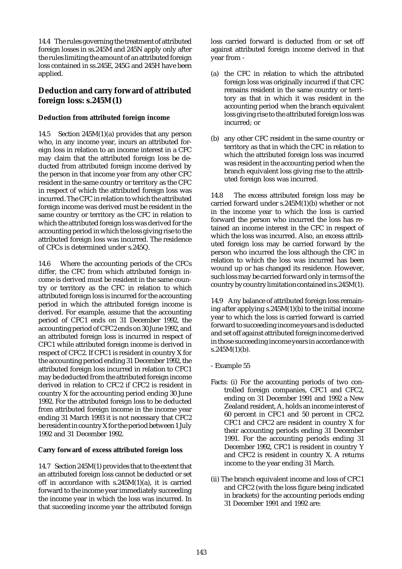14.4 The rules governing the treatment of attributed foreign losses in ss.245M and 245N apply only after the rules limiting the amount of an attributed foreign loss contained in ss.245E, 245G and 245H have been applied.

# **Deduction and carry forward of attributed foreign loss: s.245M(1)**

## **Deduction from attributed foreign income**

14.5 Section 245M(1)(a) provides that any person who, in any income year, incurs an attributed foreign loss in relation to an income interest in a CFC may claim that the attributed foreign loss be deducted from attributed foreign income derived by the person in that income year from any other CFC resident in the same country or territory as the CFC in respect of which the attributed foreign loss was incurred. The CFC in relation to which the attributed foreign income was derived must be resident in the same country or territory as the CFC in relation to which the attributed foreign loss was derived for the accounting period in which the loss giving rise to the attributed foreign loss was incurred. The residence of CFCs is determined under s.245Q.

14.6 Where the accounting periods of the CFCs differ, the CFC from which attributed foreign income is derived must be resident in the same country or territory as the CFC in relation to which attributed foreign loss is incurred for the accounting period in which the attributed foreign income is derived. For example, assume that the accounting period of CFC1 ends on 31 December 1992, the accounting period of CFC2 ends on 30 June 1992, and an attributed foreign loss is incurred in respect of CFC1 while attributed foreign income is derived in respect of CFC2. If CFC1 is resident in country X for the accounting period ending 31 December 1992, the attributed foreign loss incurred in relation to CFC1 may be deducted from the attributed foreign income derived in relation to CFC2 if CFC2 is resident in country X for the accounting period ending 30 June 1992. For the attributed foreign loss to be deducted from attributed foreign income in the income year ending 31 March 1993 it is not necessary that CFC2 be resident in country X for the period between 1 July 1992 and 31 December 1992.

## **Carry forward of excess attributed foreign loss**

14.7 Section 245M(1) provides that to the extent that an attributed foreign loss cannot be deducted or set off in accordance with  $s.245M(1)(a)$ , it is carried forward to the income year immediately succeeding the income year in which the loss was incurred. In that succeeding income year the attributed foreign loss carried forward is deducted from or set off against attributed foreign income derived in that year from -

- (a) the CFC in relation to which the attributed foreign loss was originally incurred if that CFC remains resident in the same country or territory as that in which it was resident in the accounting period when the branch equivalent loss giving rise to the attributed foreign loss was incurred; or
- (b) any other CFC resident in the same country or territory as that in which the CFC in relation to which the attributed foreign loss was incurred was resident in the accounting period when the branch equivalent loss giving rise to the attributed foreign loss was incurred.

14.8 The excess attributed foreign loss may be carried forward under s.245M(1)(b) whether or not in the income year to which the loss is carried forward the person who incurred the loss has retained an income interest in the CFC in respect of which the loss was incurred. Also, an excess attributed foreign loss may be carried forward by the person who incurred the loss although the CFC in relation to which the loss was incurred has been wound up or has changed its residence. However, such loss may be carried forward only in terms of the country by country limitation contained in s.245M(1).

14.9 Any balance of attributed foreign loss remaining after applying s.245M(1)(b) to the initial income year to which the loss is carried forward is carried forward to succeeding income years and is deducted and set off against attributed foreign income derived in those succeeding income years in accordance with  $s.245M(1)(b).$ 

- Example 55
- Facts: (i) For the accounting periods of two controlled foreign companies, CFC1 and CFC2, ending on 31 December 1991 and 1992 a New Zealand resident, A, holds an income interest of 60 percent in CFC1 and 50 percent in CFC2. CFC1 and CFC2 are resident in country X for their accounting periods ending 31 December 1991. For the accounting periods ending 31 December 1992, CFC1 is resident in country Y and CFC2 is resident in country X. A returns income to the year ending 31 March.
- (ii) The branch equivalent income and loss of CFC1 and CFC2 (with the loss figure being indicated in brackets) for the accounting periods ending 31 December 1991 and 1992 are: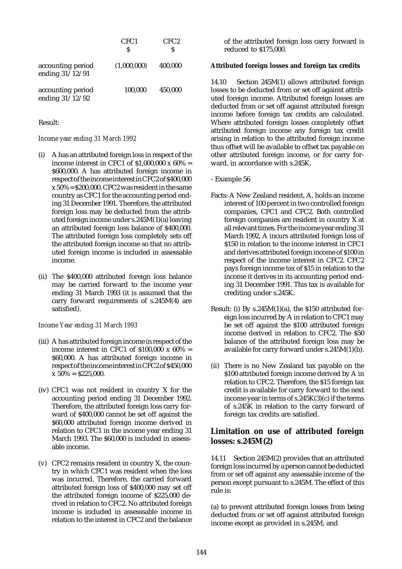|                                      | CFC <sub>1</sub><br>S | CFC <sub>2</sub><br>S |
|--------------------------------------|-----------------------|-----------------------|
| accounting period<br>ending 31/12/91 | (1,000,000)           | 400,000               |
| accounting period<br>ending 31/12/92 | 100,000               | 450,000               |

#### Result:

#### *Income year ending 31 March 1992*

- (i) A has an attributed foreign loss in respect of the income interest in CFC1 of  $$1,000,000 \times 60\% =$ \$600,000. A has attributed foreign income in respect of the income interest in CFC2 of \$400,000  $x\,50\% = $200,000$ . CFC2 was resident in the same country as CFC1 for the accounting period ending 31 December 1991. Therefore, the attributed foreign loss may be deducted from the attributed foreign income under s.245M(1)(a) leaving an attributed foreign loss balance of \$400,000. The attributed foreign loss completely sets off the attributed foreign income so that no attributed foreign income is included in assessable income.
- (ii) The \$400,000 attributed foreign loss balance may be carried forward to the income year ending 31 March 1993 (it is assumed that the carry forward requirements of s.245M(4) are satisfied).

#### *Income Year ending 31 March 1993*

- (iii) A has attributed foreign income in respect of the income interest in CFC1 of  $$100,000 \times 60\% =$ \$60,000. A has attributed foreign income in respect of the income interest in CFC2 of \$450,000  $x 50\% = $225,000.$
- (iv) CFC1 was not resident in country X for the accounting period ending 31 December 1992. Therefore, the attributed foreign loss carry forward of \$400,000 cannot be set off against the \$60,000 attributed foreign income derived in relation to CFC1 in the income year ending 31 March 1993. The \$60,000 is included in assessable income.
- (v) CFC2 remains resident in country X, the country in which CFC1 was resident when the loss was incurred. Therefore, the carried forward attributed foreign loss of \$400,000 may set off the attributed foreign income of \$225,000 derived in relation to CFC2. No attributed foreign income is included in assesssable income in relation to the interest in CFC2 and the balance

of the attributed foreign loss carry forward is reduced to \$175,000.

#### **Attributed foreign losses and foreign tax credits**

14.10 Section 245M(1) allows attributed foreign losses to be deducted from or set off against attributed foreign income. Attributed foreign losses are deducted from or set off against attributed foreign income before foreign tax credits are calculated. Where attributed foreign losses completely offset attributed foreign income any foreign tax credit arising in relation to the attributed foreign income thus offset will be available to offset tax payable on other attributed foreign income, or for carry forward, in accordance with s.245K.

### - Example 56

- Facts: A New Zealand resident, A, holds an income interest of 100 percent in two controlled foreign companies, CFC1 and CFC2. Both controlled foreign companies are resident in country X at all relevant times. For the income year ending 31 March 1992, A incurs attributed foreign loss of \$150 in relation to the income interest in CFC1 and derives attributed foreign income of \$100 in respect of the income interest in CFC2. CFC2 pays foreign income tax of \$15 in relation to the income it derives in its accounting period ending 31 December 1991. This tax is available for crediting under s.245K.
- Result: (i) By  $s.245M(1)(a)$ , the \$150 attributed foreign loss incurred by A in relation to CFC1 may be set off against the \$100 attributed foreign income derived in relation to CFC2. The \$50 balance of the attributed foreign loss may be available for carry forward under s.245M(1)(b).
- (ii) There is no New Zealand tax payable on the \$100 attributed foreign income derived by A in relation to CFC2. Therefore, the \$15 foreign tax credit is available for carry forward to the next income year in terms of s.245K(3)(c) if the terms of s.245K in relation to the carry forward of foreign tax credits are satisfied.

## **Limitation on use of attributed foreign losses: s.245M(2)**

14.11 Section 245M(2) provides that an attributed foreign loss incurred by a person cannot be deducted from or set off against any assessable income of the person except pursuant to s.245M. The effect of this rule is:

(a) to prevent attributed foreign losses from being deducted from or set off against attributed foreign income except as provided in s.245M; and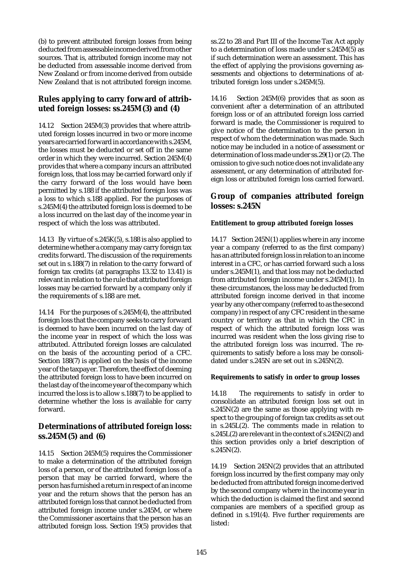(b) to prevent attributed foreign losses from being deducted from assessable income derived from other sources. That is, attributed foreign income may not be deducted from assessable income derived from New Zealand or from income derived from outside New Zealand that is not attributed foreign income.

## **Rules applying to carry forward of attributed foreign losses: ss.245M(3) and (4)**

14.12 Section 245M(3) provides that where attributed foreign losses incurred in two or more income years are carried forward in accordance with s.245M, the losses must be deducted or set off in the same order in which they were incurred. Section 245M(4) provides that where a company incurs an attributed foreign loss, that loss may be carried forward only if the carry forward of the loss would have been permitted by s.188 if the attributed foreign loss was a loss to which s.188 applied. For the purposes of s.245M(4) the attributed foreign loss is deemed to be a loss incurred on the last day of the income year in respect of which the loss was attributed.

14.13 By virtue of s.245K(5), s.188 is also applied to determine whether a company may carry foreign tax credits forward. The discussion of the requirements set out in s.188(7) in relation to the carry forward of foreign tax credits (at paragraphs 13.32 to 13.41) is relevant in relation to the rule that attributed foreign losses may be carried forward by a company only if the requirements of s.188 are met.

14.14 For the purposes of s.245M(4), the attributed foreign loss that the company seeks to carry forward is deemed to have been incurred on the last day of the income year in respect of which the loss was attributed. Attributed foreign losses are calculated on the basis of the accounting period of a CFC. Section 188(7) is applied on the basis of the income year of the taxpayer. Therefore, the effect of deeming the attributed foreign loss to have been incurred on the last day of the income year of the company which incurred the loss is to allow s.188(7) to be applied to determine whether the loss is available for carry forward.

## **Determinations of attributed foreign loss: ss.245M(5) and (6)**

14.15 Section 245M(5) requires the Commissioner to make a determination of the attributed foreign loss of a person, or of the attributed foreign loss of a person that may be carried forward, where the person has furnished a return in respect of an income year and the return shows that the person has an attributed foreign loss that cannot be deducted from attributed foreign income under s.245M, or where the Commissioner ascertains that the person has an attributed foreign loss. Section 19(5) provides that ss.22 to 28 and Part III of the Income Tax Act apply to a determination of loss made under s.245M(5) as if such determination were an assessment. This has the effect of applying the provisions governing assessments and objections to determinations of attributed foreign loss under s.245M(5).

14.16 Section 245M(6) provides that as soon as convenient after a determination of an attributed foreign loss or of an attributed foreign loss carried forward is made, the Commissioner is required to give notice of the determination to the person in respect of whom the determination was made. Such notice may be included in a notice of assessment or determination of loss made under ss.29(1) or (2). The omission to give such notice does not invalidate any assessment, or any determination of attributed foreign loss or attributed foreign loss carried forward.

## **Group of companies attributed foreign losses: s.245N**

### **Entitlement to group attributed foreign losses**

14.17 Section 245N(1) applies where in any income year a company (referred to as the first company) has an attributed foreign loss in relation to an income interest in a CFC, or has carried forward such a loss under s.245M(1), and that loss may not be deducted from attributed foreign income under s.245M(1). In these circumstances, the loss may be deducted from attributed foreign income derived in that income year by any other company (referred to as the second company) in respect of any CFC resident in the same country or territory as that in which the CFC in respect of which the attributed foreign loss was incurred was resident when the loss giving rise to the attributed foreign loss was incurred. The requirements to satisfy before a loss may be consolidated under s.245N are set out in s.245N(2).

### **Requirements to satisfy in order to group losses**

14.18 The requirements to satisfy in order to consolidate an attributed foreign loss set out in  $s.245N(2)$  are the same as those applying with respect to the grouping of foreign tax credits as set out in s.245L(2). The comments made in relation to s.245L(2) are relevant in the context of s.245N(2) and this section provides only a brief description of  $s.245N(2)$ .

14.19 Section 245N(2) provides that an attributed foreign loss incurred by the first company may only be deducted from attributed foreign income derived by the second company where in the income year in which the deduction is claimed the first and second companies are members of a specified group as defined in s.191(4). Five further requirements are listed: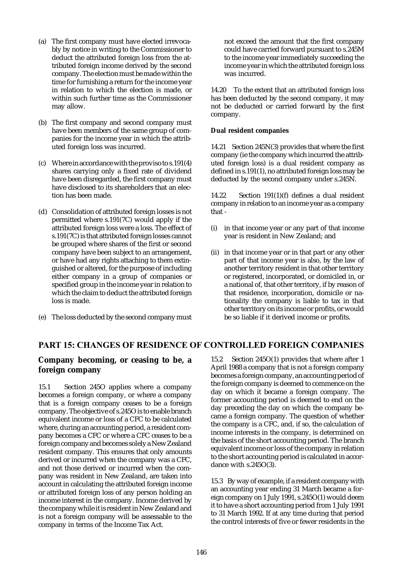- (a) The first company must have elected irrevocably by notice in writing to the Commissioner to deduct the attributed foreign loss from the attributed foreign income derived by the second company. The election must be made within the time for furnishing a return for the income year in relation to which the election is made, or within such further time as the Commissioner may allow.
- (b) The first company and second company must have been members of the same group of companies for the income year in which the attributed foreign loss was incurred.
- (c) Where in accordance with the proviso to s.191(4) shares carrying only a fixed rate of dividend have been disregarded, the first company must have disclosed to its shareholders that an election has been made.
- (d) Consolidation of attributed foreign losses is not permitted where s.191(7C) would apply if the attributed foreign loss were a loss. The effect of s.191(7C) is that attributed foreign losses cannot be grouped where shares of the first or second company have been subject to an arrangement, or have had any rights attaching to them extinguished or altered, for the purpose of including either company in a group of companies or specified group in the income year in relation to which the claim to deduct the attributed foreign loss is made.
- (e) The loss deducted by the second company must

not exceed the amount that the first company could have carried forward pursuant to s.245M to the income year immediately succeeding the income year in which the attributed foreign loss was incurred.

14.20 To the extent that an attributed foreign loss has been deducted by the second company, it may not be deducted or carried forward by the first company.

#### **Dual resident companies**

14.21 Section 245N(3) provides that where the first company (ie the company which incurred the attributed foreign loss) is a dual resident company as defined in s.191(1), no attributed foreign loss may be deducted by the second company under s.245N.

14.22 Section 191(1)(f) defines a dual resident company in relation to an income year as a company that -

- (i) in that income year or any part of that income year is resident in New Zealand; and
- (ii) in that income year or in that part or any other part of that income year is also, by the law of another territory resident in that other territory or registered, incorporated, or domiciled in, or a national of, that other territory, if by reason of that residence, incorporation, domicile or nationality the company is liable to tax in that other territory on its income or profits, or would be so liable if it derived income or profits.

## PART 15: CHANGES OF RESIDENCE OF CONTROLLED FOREIGN COMPANIES

## **Company becoming, or ceasing to be, a foreign company**

15.1 Section 245O applies where a company becomes a foreign company, or where a company that is a foreign company ceases to be a foreign company. The objective of s.245O is to enable branch equivalent income or loss of a CFC to be calculated where, during an accounting period, a resident company becomes a CFC or where a CFC ceases to be a foreign company and becomes solely a New Zealand resident company. This ensures that only amounts derived or incurred when the company was a CFC, and not those derived or incurred when the company was resident in New Zealand, are taken into account in calculating the attributed foreign income or attributed foreign loss of any person holding an income interest in the company. Income derived by the company while it is resident in New Zealand and is not a foreign company will be assessable to the company in terms of the Income Tax Act.

15.2 Section 245O(1) provides that where after 1 April 1988 a company that is not a foreign company becomes a foreign company, an accounting period of the foreign company is deemed to commence on the day on which it became a foreign company. The former accounting period is deemed to end on the day preceding the day on which the company became a foreign company. The question of whether the company is a CFC, and, if so, the calculation of income interests in the company, is determined on the basis of the short accounting period. The branch equivalent income or loss of the company in relation to the short accounting period is calculated in accordance with s.245O(3).

15.3 By way of example, if a resident company with an accounting year ending 31 March became a foreign company on 1 July 1991, s.245O(1) would deem it to have a short accounting period from 1 July 1991 to 31 March 1992. If at any time during that period the control interests of five or fewer residents in the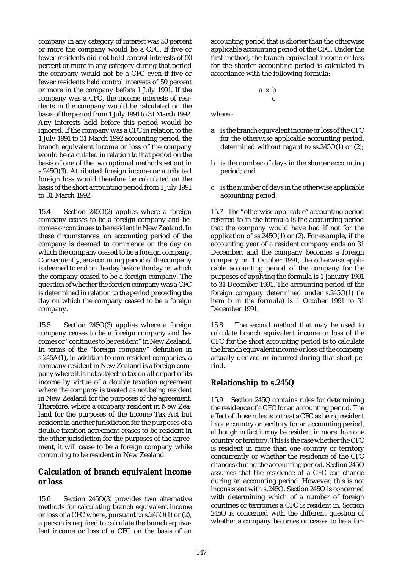company in any category of interest was 50 percent or more the company would be a CFC. If five or fewer residents did not hold control interests of 50 percent or more in any category during that period the company would not be a CFC even if five or fewer residents held control interests of 50 percent or more in the company before 1 July 1991. If the company was a CFC, the income interests of residents in the company would be calculated on the basis of the period from 1 July 1991 to 31 March 1992. Any interests held before this period would be ignored. If the company was a CFC in relation to the 1 July 1991 to 31 March 1992 accounting period, the branch equivalent income or loss of the company would be calculated in relation to that period on the basis of one of the two optional methods set out in s.245O(3). Attributed foreign income or attributed foreign loss would therefore be calculated on the basis of the short accounting period from 1 July 1991 to 31 March 1992.

15.4 Section 245O(2) applies where a foreign company ceases to be a foreign company and becomes or continues to be resident in New Zealand. In these circumstances, an accounting period of the company is deemed to commence on the day on which the company ceased to be a foreign company. Consequently, an accounting period of the company is deemed to end on the day before the day on which the company ceased to be a foreign company. The question of whether the foreign company was a CFC is determined in relation to the period preceding the day on which the company ceased to be a foreign company.

15.5 Section 245O(3) applies where a foreign company ceases to be a foreign company and becomes or "continues to be resident" in New Zealand. In terms of the "foreign company" definition in s.245A(1), in addition to non-resident companies, a company resident in New Zealand is a foreign company where it is not subject to tax on all or part of its income by virtue of a double taxation agreement where the company is treated as not being resident in New Zealand for the purposes of the agreement. Therefore, where a company resident in New Zealand for the purposes of the Income Tax Act but resident in another jurisdiction for the purposes of a double taxation agreement ceases to be resident in the other jurisdiction for the purposes of the agreement, it will cease to be a foreign company while continuing to be resident in New Zealand.

## **Calculation of branch equivalent income or loss**

15.6 Section 245O(3) provides two alternative methods for calculating branch equivalent income or loss of a CFC where, pursuant to s.245O(1) or (2), a person is required to calculate the branch equivalent income or loss of a CFC on the basis of an accounting period that is shorter than the otherwise applicable accounting period of the CFC. Under the first method, the branch equivalent income or loss for the shorter accounting period is calculated in accordance with the following formula:

$$
\begin{array}{c}\n\text{a} \times \text{b} \\
\text{c}\n\end{array}
$$

where -

- a is the branch equivalent income or loss of the CFC for the otherwise applicable accounting period, determined without regard to ss.245O(1) or (2);
- b is the number of days in the shorter accounting period; and
- c is the number of days in the otherwise applicable accounting period.

15.7 The "otherwise applicable" accounting period referred to in the formula is the accounting period that the company would have had if not for the application of ss.245O(1) or (2). For example, if the accounting year of a resident company ends on 31 December, and the company becomes a foreign company on 1 October 1991, the otherwise applicable accounting period of the company for the purposes of applying the formula is 1 January 1991 to 31 December 1991. The accounting period of the foreign company determined under s.245O(1) (ie item b in the formula) is 1 October 1991 to 31 December 1991.

15.8 The second method that may be used to calculate branch equivalent income or loss of the CFC for the short accounting period is to calculate the branch equivalent income or loss of the company actually derived or incurred during that short period.

# **Relationship to s.245Q**

15.9 Section 245Q contains rules for determining the residence of a CFC for an accounting period. The effect of those rules is to treat a CFC as being resident in one country or territory for an accounting period, although in fact it may be resident in more than one country or territory. This is the case whether the CFC is resident in more than one country or territory concurrently or whether the residence of the CFC changes during the accounting period. Section 245O assumes that the residence of a CFC can change during an accounting period. However, this is not inconsistent with s.245Q. Section 245Q is concerned with determining which of a number of foreign countries or territories a CFC is resident in. Section 245O is concerned with the different question of whether a company becomes or ceases to be a for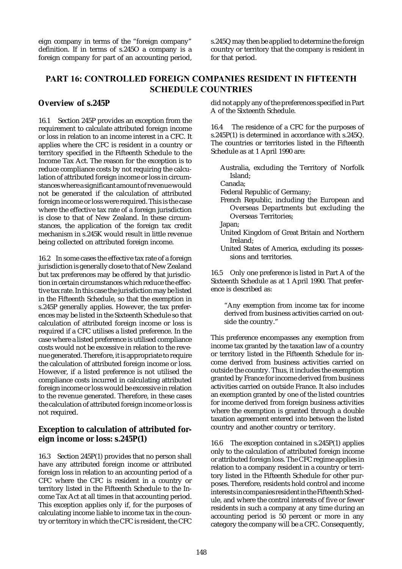eign company in terms of the "foreign company" definition. If in terms of s.245O a company is a foreign company for part of an accounting period,

s.245Q may then be applied to determine the foreign country or territory that the company is resident in for that period.

# PART 16: CONTROLLED FOREIGN COMPANIES RESIDENT IN FIFTEENTH SCHEDULE COUNTRIES

## **Overview of s.245P**

16.1 Section 245P provides an exception from the requirement to calculate attributed foreign income or loss in relation to an income interest in a CFC. It applies where the CFC is resident in a country or territory specified in the Fifteenth Schedule to the Income Tax Act. The reason for the exception is to reduce compliance costs by not requiring the calculation of attributed foreign income or loss in circumstances where a significant amount of revenue would not be generated if the calculation of attributed foreign income or loss were required. This is the case where the effective tax rate of a foreign jurisdiction is close to that of New Zealand. In these circumstances, the application of the foreign tax credit mechanism in s.245K would result in little revenue being collected on attributed foreign income.

16.2 In some cases the effective tax rate of a foreign jurisdiction is generally close to that of New Zealand but tax preferences may be offered by that jurisdiction in certain circumstances which reduce the effective tax rate. In this case the jurisdiction may be listed in the Fifteenth Schedule, so that the exemption in s.245P generally applies. However, the tax preferences may be listed in the Sixteenth Schedule so that calculation of attributed foreign income or loss is required if a CFC utilises a listed preference. In the case where a listed preference is utilised compliance costs would not be excessive in relation to the revenue generated. Therefore, it is appropriate to require the calculation of attributed foreign income or loss. However, if a listed preference is not utilised the compliance costs incurred in calculating attributed foreign income or loss would be excessive in relation to the revenue generated. Therefore, in these cases the calculation of attributed foreign income or loss is not required.

## **Exception to calculation of attributed foreign income or loss: s.245P(1)**

16.3 Section 245P(1) provides that no person shall have any attributed foreign income or attributed foreign loss in relation to an accounting period of a CFC where the CFC is resident in a country or territory listed in the Fifteenth Schedule to the Income Tax Act at all times in that accounting period. This exception applies only if, for the purposes of calculating income liable to income tax in the country or territory in which the CFC is resident, the CFC

did not apply any of the preferences specified in Part A of the Sixteenth Schedule.

16.4 The residence of a CFC for the purposes of s.245P(1) is determined in accordance with s.245Q. The countries or territories listed in the Fifteenth Schedule as at 1 April 1990 are:

Australia, excluding the Territory of Norfolk Island;

Canada;

- Federal Republic of Germany;
- French Republic, including the European and Overseas Departments but excluding the Overseas Territories;
- Japan;
- United Kingdom of Great Britain and Northern Ireland;
- United States of America, excluding its possessions and territories.

16.5 Only one preference is listed in Part A of the Sixteenth Schedule as at 1 April 1990. That preference is described as:

"Any exemption from income tax for income derived from business activities carried on outside the country."

This preference encompasses any exemption from income tax granted by the taxation law of a country or territory listed in the Fifteenth Schedule for income derived from business activities carried on outside the country. Thus, it includes the exemption granted by France for income derived from business activities carried on outside France. It also includes an exemption granted by one of the listed countries for income derived from foreign business activities where the exemption is granted through a double taxation agreement entered into between the listed country and another country or territory.

16.6 The exception contained in s.245P(1) applies only to the calculation of attributed foreign income or attributed foreign loss. The CFC regime applies in relation to a company resident in a country or territory listed in the Fifteenth Schedule for other purposes. Therefore, residents hold control and income interests in companies resident in the Fifteenth Schedule, and where the control interests of five or fewer residents in such a company at any time during an accounting period is 50 percent or more in any category the company will be a CFC. Consequently,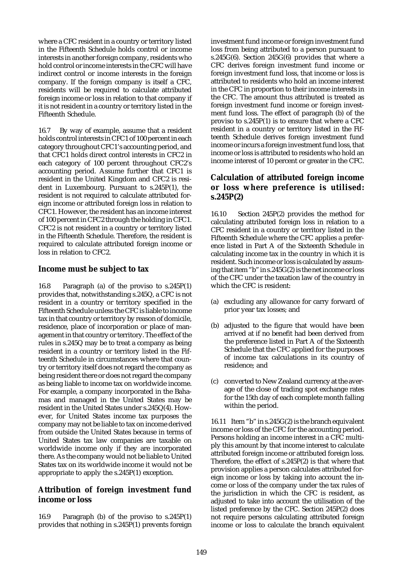where a CFC resident in a country or territory listed in the Fifteenth Schedule holds control or income interests in another foreign company, residents who hold control or income interests in the CFC will have indirect control or income interests in the foreign company. If the foreign company is itself a CFC, residents will be required to calculate attributed foreign income or loss in relation to that company if it is not resident in a country or territory listed in the Fifteenth Schedule.

16.7 By way of example, assume that a resident holds control interests in CFC1 of 100 percent in each category throughout CFC1's accounting period, and that CFC1 holds direct control interests in CFC2 in each category of 100 percent throughout CFC2's accounting period. Assume further that CFC1 is resident in the United Kingdom and CFC2 is resident in Luxembourg. Pursuant to s.245P(1), the resident is not required to calculate attributed foreign income or attributed foreign loss in relation to CFC1. However, the resident has an income interest of 100 percent in CFC2 through the holding in CFC1. CFC2 is not resident in a country or territory listed in the Fifteenth Schedule. Therefore, the resident is required to calculate attributed foreign income or loss in relation to CFC2.

## **Income must be subject to tax**

16.8 Paragraph (a) of the proviso to s.245P(1) provides that, notwithstanding s.245Q, a CFC is not resident in a country or territory specified in the Fifteenth Schedule unless the CFC is liable to income tax in that country or territory by reason of domicile, residence, place of incorporation or place of management in that country or territory. The effect of the rules in s.245Q may be to treat a company as being resident in a country or territory listed in the Fifteenth Schedule in circumstances where that country or territory itself does not regard the company as being resident there or does not regard the company as being liable to income tax on worldwide income. For example, a company incorporated in the Bahamas and managed in the United States may be resident in the United States under s.245Q(4). However, for United States income tax purposes the company may not be liable to tax on income derived from outside the United States because in terms of United States tax law companies are taxable on worldwide income only if they are incorporated there. As the company would not be liable to United States tax on its worldwide income it would not be appropriate to apply the s.245P(1) exception.

# **Attribution of foreign investment fund income or loss**

16.9 Paragraph (b) of the proviso to s.245P(1) provides that nothing in s.245P(1) prevents foreign

investment fund income or foreign investment fund loss from being attributed to a person pursuant to s.245G(6). Section 245G(6) provides that where a CFC derives foreign investment fund income or foreign investment fund loss, that income or loss is attributed to residents who hold an income interest in the CFC in proportion to their income interests in the CFC. The amount thus attributed is treated as foreign investment fund income or foreign investment fund loss. The effect of paragraph (b) of the proviso to s.245P(1) is to ensure that where a CFC resident in a country or territory listed in the Fifteenth Schedule derives foreign investment fund income or incurs a foreign investment fund loss, that income or loss is attributed to residents who hold an income interest of 10 percent or greater in the CFC.

# **Calculation of attributed foreign income or loss where preference is utilised: s.245P(2)**

16.10 Section 245P(2) provides the method for calculating attributed foreign loss in relation to a CFC resident in a country or territory listed in the Fifteenth Schedule where the CFC applies a preference listed in Part A of the Sixteenth Schedule in calculating income tax in the country in which it is resident. Such income or loss is calculated by assuming that item "b" in s.245G(2) is the net income or loss of the CFC under the taxation law of the country in which the CFC is resident:

- (a) excluding any allowance for carry forward of prior year tax losses; and
- (b) adjusted to the figure that would have been arrived at if no benefit had been derived from the preference listed in Part A of the Sixteenth Schedule that the CFC applied for the purposes of income tax calculations in its country of residence; and
- (c) converted to New Zealand currency at the average of the close of trading spot exchange rates for the 15th day of each complete month falling within the period.

16.11 Item "b" in s.245G(2) is the branch equivalent income or loss of the CFC for the accounting period. Persons holding an income interest in a CFC multiply this amount by that income interest to calculate attributed foreign income or attributed foreign loss. Therefore, the effect of s.245P(2) is that where that provision applies a person calculates attributed foreign income or loss by taking into account the income or loss of the company under the tax rules of the jurisdiction in which the CFC is resident, as adjusted to take into account the utilisation of the listed preference by the CFC. Section 245P(2) does not require persons calculating attributed foreign income or loss to calculate the branch equivalent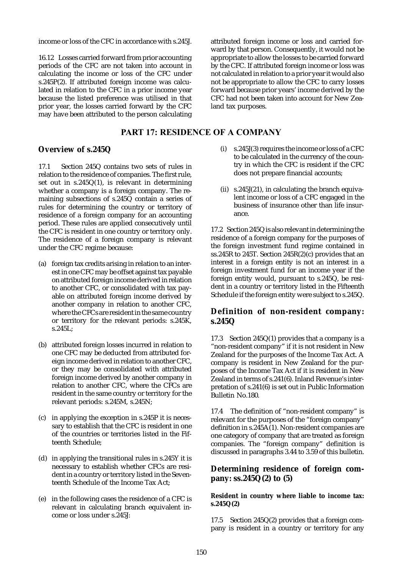income or loss of the CFC in accordance with s.245J.

16.12 Losses carried forward from prior accounting periods of the CFC are not taken into account in calculating the income or loss of the CFC under s.245P(2). If attributed foreign income was calculated in relation to the CFC in a prior income year because the listed preference was utilised in that prior year, the losses carried forward by the CFC may have been attributed to the person calculating

## PART 17: RESIDENCE OF A COMPANY

## **Overview of s.245Q**

17.1 Section 245Q contains two sets of rules in relation to the residence of companies. The first rule, set out in s.245Q(1), is relevant in determining whether a company is a foreign company. The remaining subsections of s.245Q contain a series of rules for determining the country or territory of residence of a foreign company for an accounting period. These rules are applied consecutively until the CFC is resident in one country or territory only. The residence of a foreign company is relevant under the CFC regime because:

- (a) foreign tax credits arising in relation to an interest in one CFC may be offset against tax payable on attributed foreign income derived in relation to another CFC, or consolidated with tax payable on attributed foreign income derived by another company in relation to another CFC, where the CFCs are resident in the same country or territory for the relevant periods: s.245K, s.245L;
- (b) attributed foreign losses incurred in relation to one CFC may be deducted from attributed foreign income derived in relation to another CFC, or they may be consolidated with attributed foreign income derived by another company in relation to another CFC, where the CFCs are resident in the same country or territory for the relevant periods: s.245M, s.245N;
- (c) in applying the exception in s.245P it is necessary to establish that the CFC is resident in one of the countries or territories listed in the Fifteenth Schedule;
- (d) in applying the transitional rules in s.245Y it is necessary to establish whether CFCs are resident in a country or territory listed in the Seventeenth Schedule of the Income Tax Act;
- (e) in the following cases the residence of a CFC is relevant in calculating branch equivalent income or loss under s.245J:

attributed foreign income or loss and carried forward by that person. Consequently, it would not be appropriate to allow the losses to be carried forward by the CFC. If attributed foreign income or loss was not calculated in relation to a prior year it would also not be appropriate to allow the CFC to carry losses forward because prior years' income derived by the CFC had not been taken into account for New Zealand tax purposes.

- (i) s.245J(3) requires the income or loss of a CFC to be calculated in the currency of the country in which the CFC is resident if the CFC does not prepare financial accounts;
- (ii)  $s.245J(21)$ , in calculating the branch equivalent income or loss of a CFC engaged in the business of insurance other than life insurance.

17.2 Section 245Q is also relevant in determining the residence of a foreign company for the purposes of the foreign investment fund regime contained in ss.245R to 245T. Section 245R(2)(c) provides that an interest in a foreign entity is not an interest in a foreign investment fund for an income year if the foreign entity would, pursuant to s.245Q, be resident in a country or territory listed in the Fifteenth Schedule if the foreign entity were subject to s.245Q.

# **Definition of non-resident company: s.245Q**

17.3 Section 245Q(1) provides that a company is a "non-resident company" if it is not resident in New Zealand for the purposes of the Income Tax Act. A company is resident in New Zealand for the purposes of the Income Tax Act if it is resident in New Zealand in terms of s.241(6). Inland Revenue's interpretation of s.241(6) is set out in Public Information Bulletin No.180.

17.4 The definition of "non-resident company" is relevant for the purposes of the "foreign company" definition in s.245A(1). Non-resident companies are one category of company that are treated as foreign companies. The "foreign company" definition is discussed in paragraphs 3.44 to 3.59 of this bulletin.

## **Determining residence of foreign company: ss.245Q(2) to (5)**

#### **Resident in country where liable to income tax: s.245Q(2)**

17.5 Section 245Q(2) provides that a foreign company is resident in a country or territory for any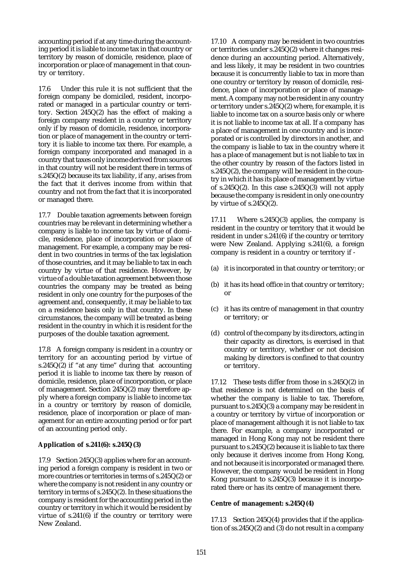accounting period if at any time during the accounting period it is liable to income tax in that country or territory by reason of domicile, residence, place of incorporation or place of management in that country or territory.

17.6 Under this rule it is not sufficient that the foreign company be domiciled, resident, incorporated or managed in a particular country or territory. Section 245Q(2) has the effect of making a foreign company resident in a country or territory only if by reason of domicile, residence, incorporation or place of management in the country or territory it is liable to income tax there. For example, a foreign company incorporated and managed in a country that taxes only income derived from sources in that country will not be resident there in terms of s.245Q(2) because its tax liability, if any, arises from the fact that it derives income from within that country and not from the fact that it is incorporated or managed there.

17.7 Double taxation agreements between foreign countries may be relevant in determining whether a company is liable to income tax by virtue of domicile, residence, place of incorporation or place of management. For example, a company may be resident in two countries in terms of the tax legislation of those countries, and it may be liable to tax in each country by virtue of that residence. However, by virtue of a double taxation agreement between those countries the company may be treated as being resident in only one country for the purposes of the agreement and, consequently, it may be liable to tax on a residence basis only in that country. In these circumstances, the company will be treated as being resident in the country in which it is resident for the purposes of the double taxation agreement.

17.8 A foreign company is resident in a country or territory for an accounting period by virtue of s.245 $Q(2)$  if "at any time" during that accounting period it is liable to income tax there by reason of domicile, residence, place of incorporation, or place of management. Section 245Q(2) may therefore apply where a foreign company is liable to income tax in a country or territory by reason of domicile, residence, place of incorporation or place of management for an entire accounting period or for part of an accounting period only.

### **Application of s.241(6): s.245Q(3)**

17.9 Section 245Q(3) applies where for an accounting period a foreign company is resident in two or more countries or territories in terms of s.245Q(2) or where the company is not resident in any country or territory in terms of s.245Q(2). In these situations the company is resident for the accounting period in the country or territory in which it would be resident by virtue of s.241(6) if the country or territory were New Zealand.

17.10 A company may be resident in two countries or territories under s.245Q(2) where it changes residence during an accounting period. Alternatively, and less likely, it may be resident in two countries because it is concurrently liable to tax in more than one country or territory by reason of domicile, residence, place of incorporation or place of management. A company may not be resident in any country or territory under s.245Q(2) where, for example, it is liable to income tax on a source basis only or where it is not liable to income tax at all. If a company has a place of management in one country and is incorporated or is controlled by directors in another, and the company is liable to tax in the country where it has a place of management but is not liable to tax in the other country by reason of the factors listed in s.245Q(2), the company will be resident in the country in which it has its place of management by virtue of s.245 $Q(2)$ . In this case s.245 $Q(3)$  will not apply because the company is resident in only one country by virtue of s.245Q(2).

17.11 Where s.245Q(3) applies, the company is resident in the country or territory that it would be resident in under s.241(6) if the country or territory were New Zealand. Applying s.241(6), a foreign company is resident in a country or territory if -

- (a) it is incorporated in that country or territory; or
- (b) it has its head office in that country or territory; or
- (c) it has its centre of management in that country or territory; or
- (d) control of the company by its directors, acting in their capacity as directors, is exercised in that country or territory, whether or not decision making by directors is confined to that country or territory.

17.12 These tests differ from those in s.245Q(2) in that residence is not determined on the basis of whether the company is liable to tax. Therefore, pursuant to s.245Q(3) a company may be resident in a country or territory by virtue of incorporation or place of management although it is not liable to tax there. For example, a company incorporated or managed in Hong Kong may not be resident there pursuant to s.245Q(2) because it is liable to tax there only because it derives income from Hong Kong, and not because it is incorporated or managed there. However, the company would be resident in Hong Kong pursuant to s.245Q(3) because it is incorporated there or has its centre of management there.

#### **Centre of management: s.245Q(4)**

17.13 Section 245Q(4) provides that if the application of ss.245Q(2) and (3) do not result in a company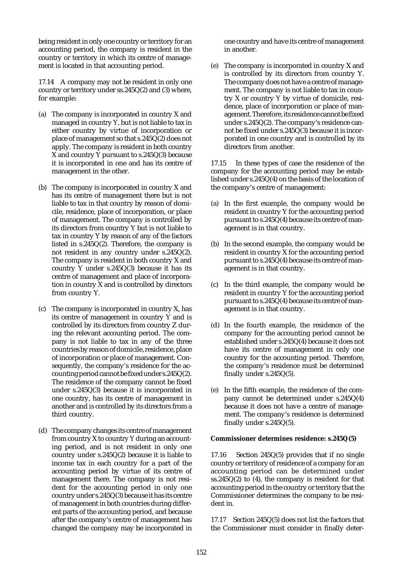being resident in only one country or territory for an accounting period, the company is resident in the country or territory in which its centre of management is located in that accounting period.

17.14 A company may not be resident in only one country or territory under ss.245Q(2) and (3) where, for example:

- (a) The company is incorporated in country X and managed in country Y, but is not liable to tax in either country by virtue of incorporation or place of management so that s.245Q(2) does not apply. The company is resident in both country X and country  $\bar{Y}$  pursuant to s.245Q(3) because it is incorporated in one and has its centre of management in the other.
- (b) The company is incorporated in country X and has its centre of management there but is not liable to tax in that country by reason of domicile, residence, place of incorporation, or place of management. The company is controlled by its directors from country Y but is not liable to tax in country Y by reason of any of the factors listed in s.245Q(2). Therefore, the company is not resident in any country under s.245Q(2). The company is resident in both country X and country Y under s.245Q(3) because it has its centre of management and place of incorporation in country X and is controlled by directors from country Y.
- (c) The company is incorporated in country X, has its centre of management in country Y and is controlled by its directors from country Z during the relevant accounting period. The company is not liable to tax in any of the three countries by reason of domicile, residence, place of incorporation or place of management. Consequently, the company's residence for the accounting period cannot be fixed under s.245Q(2). The residence of the company cannot be fixed under s.245Q(3) because it is incorporated in one country, has its centre of management in another and is controlled by its directors from a third country.
- (d) The company changes its centre of management from country X to country Y during an accounting period, and is not resident in only one country under s.245Q(2) because it is liable to income tax in each country for a part of the accounting period by virtue of its centre of management there. The company is not resident for the accounting period in only one country under s.245Q(3) because it has its centre of management in both countries during different parts of the accounting period, and because after the company's centre of management has changed the company may be incorporated in

one country and have its centre of management in another.

(e) The company is incorporated in country X and is controlled by its directors from country Y. The company does not have a centre of management. The company is not liable to tax in country X or country Y by virtue of domicile, residence, place of incorporation or place of management. Therefore, its residence cannot be fixed under s.245Q(2). The company's residence cannot be fixed under s.245Q(3) because it is incorporated in one country and is controlled by its directors from another.

17.15 In these types of case the residence of the company for the accounting period may be established under s.245Q(4) on the basis of the location of the company's centre of management:

- (a) In the first example, the company would be resident in country Y for the accounting period pursuant to s.245Q(4) because its centre of management is in that country.
- (b) In the second example, the company would be resident in country X for the accounting period pursuant to s.245Q(4) because its centre of management is in that country.
- (c) In the third example, the company would be resident in country Y for the accounting period pursuant to s.245Q(4) because its centre of management is in that country.
- (d) In the fourth example, the residence of the company for the accounting period cannot be established under s.245Q(4) because it does not have its centre of management in only one country for the accounting period. Therefore, the company's residence must be determined finally under s.245Q(5).
- (e) In the fifth example, the residence of the company cannot be determined under s.245Q(4) because it does not have a centre of management. The company's residence is determined finally under s.245Q(5).

#### **Commissioner determines residence: s.245Q(5)**

17.16 Section 245Q(5) provides that if no single country or territory of residence of a company for an accounting period can be determined under ss.245Q(2) to (4), the company is resident for that accounting period in the country or territory that the Commissioner determines the company to be resident in.

17.17 Section 245Q(5) does not list the factors that the Commissioner must consider in finally deter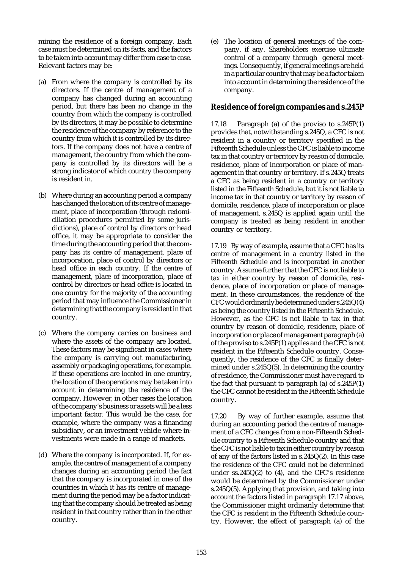mining the residence of a foreign company. Each case must be determined on its facts, and the factors to be taken into account may differ from case to case. Relevant factors may be:

- (a) From where the company is controlled by its directors. If the centre of management of a company has changed during an accounting period, but there has been no change in the country from which the company is controlled by its directors, it may be possible to determine the residence of the company by reference to the country from which it is controlled by its directors. If the company does not have a centre of management, the country from which the company is controlled by its directors will be a strong indicator of which country the company is resident in.
- (b) Where during an accounting period a company has changed the location of its centre of management, place of incorporation (through redomiciliation procedures permitted by some jurisdictions), place of control by directors or head office, it may be appropriate to consider the time during the accounting period that the company has its centre of management, place of incorporation, place of control by directors or head office in each country. If the centre of management, place of incorporation, place of control by directors or head office is located in one country for the majority of the accounting period that may influence the Commissioner in determining that the company is resident in that country.
- (c) Where the company carries on business and where the assets of the company are located. These factors may be significant in cases where the company is carrying out manufacturing, assembly or packaging operations, for example. If these operations are located in one country, the location of the operations may be taken into account in determining the residence of the company. However, in other cases the location of the company's business or assets will be a less important factor. This would be the case, for example, where the company was a financing subsidiary, or an investment vehicle where investments were made in a range of markets.
- (d) Where the company is incorporated. If, for example, the centre of management of a company changes during an accounting period the fact that the company is incorporated in one of the countries in which it has its centre of management during the period may be a factor indicating that the company should be treated as being resident in that country rather than in the other country.

(e) The location of general meetings of the company, if any. Shareholders exercise ultimate control of a company through general meetings. Consequently, if general meetings are held in a particular country that may be a factor taken into account in determining the residence of the company.

## **Residence of foreign companies and s.245P**

17.18 Paragraph (a) of the proviso to s.245P(1) provides that, notwithstanding s.245Q, a CFC is not resident in a country or territory specified in the Fifteenth Schedule unless the CFC is liable to income tax in that country or territory by reason of domicile, residence, place of incorporation or place of management in that country or territory. If s.245Q treats a CFC as being resident in a country or territory listed in the Fifteenth Schedule, but it is not liable to income tax in that country or territory by reason of domicile, residence, place of incorporation or place of management, s.245Q is applied again until the company is treated as being resident in another country or territory.

17.19 By way of example, assume that a CFC has its centre of management in a country listed in the Fifteenth Schedule and is incorporated in another country. Assume further that the CFC is not liable to tax in either country by reason of domicile, residence, place of incorporation or place of management. In these circumstances, the residence of the CFC would ordinarily be determined under s.245Q(4) as being the country listed in the Fifteenth Schedule. However, as the CFC is not liable to tax in that country by reason of domicile, residence, place of incorporation or place of management paragraph (a) of the proviso to s.245P(1) applies and the CFC is not resident in the Fifteenth Schedule country. Consequently, the residence of the CFC is finally determined under s.245Q(5). In determining the country of residence, the Commissioner must have regard to the fact that pursuant to paragraph (a) of s.245P(1) the CFC cannot be resident in the Fifteenth Schedule country.

17.20 By way of further example, assume that during an accounting period the centre of management of a CFC changes from a non-Fifteenth Schedule country to a Fifteenth Schedule country and that the CFC is not liable to tax in either country by reason of any of the factors listed in s.245Q(2). In this case the residence of the CFC could not be determined under ss.245Q(2) to (4), and the CFC's residence would be determined by the Commissioner under s.245Q(5). Applying that provision, and taking into account the factors listed in paragraph 17.17 above, the Commissioner might ordinarily determine that the CFC is resident in the Fifteenth Schedule country. However, the effect of paragraph (a) of the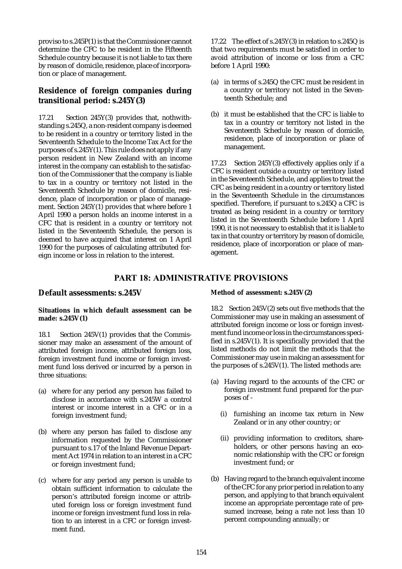proviso to s.245P(1) is that the Commissioner cannot determine the CFC to be resident in the Fifteenth Schedule country because it is not liable to tax there by reason of domicile, residence, place of incorporation or place of management.

## **Residence of foreign companies during transitional period: s.245Y(3)**

17.21 Section 245Y(3) provides that, nothwithstanding s.245Q, a non-resident company is deemed to be resident in a country or territory listed in the Seventeenth Schedule to the Income Tax Act for the purposes of s.245Y(1). This rule does not apply if any person resident in New Zealand with an income interest in the company can establish to the satisfaction of the Commissioner that the company is liable to tax in a country or territory not listed in the Seventeenth Schedule by reason of domicile, residence, place of incorporation or place of management. Section 245Y(1) provides that where before 1 April 1990 a person holds an income interest in a CFC that is resident in a country or territory not listed in the Seventeenth Schedule, the person is deemed to have acquired that interest on 1 April 1990 for the purposes of calculating attributed foreign income or loss in relation to the interest.

17.22 The effect of s.245Y(3) in relation to s.245Q is that two requirements must be satisfied in order to avoid attribution of income or loss from a CFC before 1 April 1990:

- (a) in terms of s.245Q the CFC must be resident in a country or territory not listed in the Seventeenth Schedule; and
- (b) it must be established that the CFC is liable to tax in a country or territory not listed in the Seventeenth Schedule by reason of domicile, residence, place of incorporation or place of management.

17.23 Section 245Y(3) effectively applies only if a CFC is resident outside a country or territory listed in the Seventeenth Schedule, and applies to treat the CFC as being resident in a country or territory listed in the Seventeenth Schedule in the circumstances specified. Therefore, if pursuant to s.245Q a CFC is treated as being resident in a country or territory listed in the Seventeenth Schedule before 1 April 1990, it is not necessary to establish that it is liable to tax in that country or territory by reason of domicile, residence, place of incorporation or place of management.

# PART 18: ADMINISTRATIVE PROVISIONS

### **Default assessments: s.245V**

### **Situations in which default assessment can be made: s.245V(1)**

18.1 Section 245V(1) provides that the Commissioner may make an assessment of the amount of attributed foreign income, attributed foreign loss, foreign investment fund income or foreign investment fund loss derived or incurred by a person in three situations:

- (a) where for any period any person has failed to disclose in accordance with s.245W a control interest or income interest in a CFC or in a foreign investment fund;
- (b) where any person has failed to disclose any information requested by the Commissioner pursuant to s.17 of the Inland Revenue Department Act 1974 in relation to an interest in a CFC or foreign investment fund;
- (c) where for any period any person is unable to obtain sufficient information to calculate the person's attributed foreign income or attributed foreign loss or foreign investment fund income or foreign investment fund loss in relation to an interest in a CFC or foreign investment fund.

### **Method of assessment: s.245V(2)**

18.2 Section 245V(2) sets out five methods that the Commissioner may use in making an assessment of attributed foreign income or loss or foreign investment fund income or loss in the circumstances specified in s.245V(1). It is specifically provided that the listed methods do not limit the methods that the Commissioner may use in making an assessment for the purposes of s.245V(1). The listed methods are:

- (a) Having regard to the accounts of the CFC or foreign investment fund prepared for the purposes of -
	- (i) furnishing an income tax return in New Zealand or in any other country; or
	- (ii) providing information to creditors, shareholders, or other persons having an economic relationship with the CFC or foreign investment fund; or
- (b) Having regard to the branch equivalent income of the CFC for any prior period in relation to any person, and applying to that branch equivalent income an appropriate percentage rate of presumed increase, being a rate not less than 10 percent compounding annually; or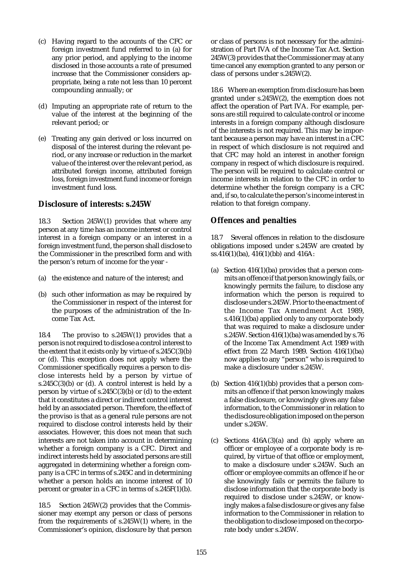- (c) Having regard to the accounts of the CFC or foreign investment fund referred to in (a) for any prior period, and applying to the income disclosed in those accounts a rate of presumed increase that the Commissioner considers appropriate, being a rate not less than 10 percent compounding annually; or
- (d) Imputing an appropriate rate of return to the value of the interest at the beginning of the relevant period; or
- (e) Treating any gain derived or loss incurred on disposal of the interest during the relevant period, or any increase or reduction in the market value of the interest over the relevant period, as attributed foreign income, attributed foreign loss, foreign investment fund income or foreign investment fund loss.

## **Disclosure of interests: s.245W**

18.3 Section 245W(1) provides that where any person at any time has an income interest or control interest in a foreign company or an interest in a foreign investment fund, the person shall disclose to the Commissioner in the prescribed form and with the person's return of income for the year -

- (a) the existence and nature of the interest; and
- (b) such other information as may be required by the Commissioner in respect of the interest for the purposes of the administration of the Income Tax Act.

18.4 The proviso to s.245W(1) provides that a person is not required to disclose a control interest to the extent that it exists only by virtue of s.245C(3)(b) or (d). This exception does not apply where the Commissioner specifically requires a person to disclose interests held by a person by virtue of s.245 $C(3)(b)$  or (d). A control interest is held by a person by virtue of  $s.245C(3)(b)$  or (d) to the extent that it constitutes a direct or indirect control interest held by an associated person. Therefore, the effect of the proviso is that as a general rule persons are not required to disclose control interests held by their associates. However, this does not mean that such interests are not taken into account in determining whether a foreign company is a CFC. Direct and indirect interests held by associated persons are still aggregated in determining whether a foreign company is a CFC in terms of s.245C and in determining whether a person holds an income interest of 10 percent or greater in a CFC in terms of s.245F(1)(b).

18.5 Section 245W(2) provides that the Commissioner may exempt any person or class of persons from the requirements of s.245W(1) where, in the Commissioner's opinion, disclosure by that person or class of persons is not necessary for the administration of Part IVA of the Income Tax Act. Section 245W(3) provides that the Commissioner may at any time cancel any exemption granted to any person or class of persons under s.245W(2).

18.6 Where an exemption from disclosure has been granted under s.245W(2), the exemption does not affect the operation of Part IVA. For example, persons are still required to calculate control or income interests in a foreign company although disclosure of the interests is not required. This may be important because a person may have an interest in a CFC in respect of which disclosure is not required and that CFC may hold an interest in another foreign company in respect of which disclosure is required. The person will be required to calculate control or income interests in relation to the CFC in order to determine whether the foreign company is a CFC and, if so, to calculate the person's income interest in relation to that foreign company.

# **Offences and penalties**

18.7 Several offences in relation to the disclosure obligations imposed under s.245W are created by ss.416(1)(ba), 416(1)(bb) and 416A:

- (a) Section 416(1)(ba) provides that a person commits an offence if that person knowingly fails, or knowingly permits the failure, to disclose any information which the person is required to disclose under s.245W. Prior to the enactment of the Income Tax Amendment Act 1989, s.416(1)(ba) applied only to any corporate body that was required to make a disclosure under s.245W. Section 416(1)(ba) was amended by s.76 of the Income Tax Amendment Act 1989 with effect from 22 March 1989. Section 416(1)(ba) now applies to any "person" who is required to make a disclosure under s.245W.
- (b) Section 416(1)(bb) provides that a person commits an offence if that person knowingly makes a false disclosure, or knowingly gives any false information, to the Commissioner in relation to the disclosure obligation imposed on the person under s.245W.
- (c) Sections 416A(3)(a) and (b) apply where an officer or employee of a corporate body is required, by virtue of that office or employment, to make a disclosure under s.245W. Such an officer or employee commits an offence if he or she knowingly fails or permits the failure to disclose information that the corporate body is required to disclose under s.245W, or knowingly makes a false disclosure or gives any false information to the Commissioner in relation to the obligation to disclose imposed on the corporate body under s.245W.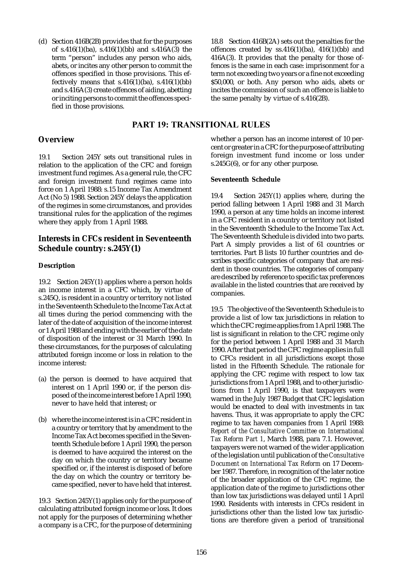(d) Section 416B(2B) provides that for the purposes of s.416(1)(ba), s.416(1)(bb) and s.416A(3) the term "person" includes any person who aids, abets, or incites any other person to commit the offences specified in those provisions. This effectively means that  $s.416(1)(ba)$ ,  $s.416(1)(bb)$ and s.416A(3) create offences of aiding, abetting or inciting persons to commit the offences specified in those provisions.

18.8 Section 416B(2A) sets out the penalties for the offences created by  $ss.416(1)(ba)$ ,  $416(1)(bb)$  and 416A(3). It provides that the penalty for those offences is the same in each case: imprisonment for a term not exceeding two years or a fine not exceeding \$50,000, or both. Any person who aids, abets or incites the commission of such an offence is liable to the same penalty by virtue of s.416(2B).

## PART 19: TRANSITIONAL RULES

### **Overview**

19.1 Section 245Y sets out transitional rules in relation to the application of the CFC and foreign investment fund regimes. As a general rule, the CFC and foreign investment fund regimes came into force on 1 April 1988: s.15 Income Tax Amendment Act (No 5) 1988. Section 245Y delays the application of the regimes in some circumstances, and provides transitional rules for the application of the regimes where they apply from 1 April 1988.

## **Interests in CFCs resident in Seventeenth Schedule country: s.245Y(1)**

### **Description**

19.2 Section 245Y(1) applies where a person holds an income interest in a CFC which, by virtue of s.245Q, is resident in a country or territory not listed in the Seventeenth Schedule to the Income Tax Act at all times during the period commencing with the later of the date of acquisition of the income interest or 1 April 1988 and ending with the earlier of the date of disposition of the interest or 31 March 1990. In these circumstances, for the purposes of calculating attributed foreign income or loss in relation to the income interest:

- (a) the person is deemed to have acquired that interest on 1 April 1990 or, if the person disposed of the income interest before 1 April 1990, never to have held that interest; or
- (b) where the income interest is in a CFC resident in a country or territory that by amendment to the Income Tax Act becomes specified in the Seventeenth Schedule before 1 April 1990, the person is deemed to have acquired the interest on the day on which the country or territory became specified or, if the interest is disposed of before the day on which the country or territory became specified, never to have held that interest.

19.3 Section 245Y(1) applies only for the purpose of calculating attributed foreign income or loss. It does not apply for the purposes of determining whether a company is a CFC, for the purpose of determining whether a person has an income interest of 10 percent or greater in a CFC for the purpose of attributing foreign investment fund income or loss under s.245 $G(6)$ , or for any other purpose.

### **Seventeenth Schedule**

19.4 Section 245Y(1) applies where, during the period falling between 1 April 1988 and 31 March 1990, a person at any time holds an income interest in a CFC resident in a country or territory not listed in the Seventeenth Schedule to the Income Tax Act. The Seventeenth Schedule is divided into two parts. Part A simply provides a list of 61 countries or territories. Part B lists 10 further countries and describes specific categories of company that are resident in those countries. The categories of company are described by reference to specific tax preferences available in the listed countries that are received by companies.

19.5 The objective of the Seventeenth Schedule is to provide a list of low tax jurisdictions in relation to which the CFC regime applies from 1 April 1988. The list is significant in relation to the CFC regime only for the period between 1 April 1988 and 31 March 1990. After that period the CFC regime applies in full to CFCs resident in all jurisdictions except those listed in the Fifteenth Schedule. The rationale for applying the CFC regime with respect to low tax jurisdictions from 1 April 1988, and to other jurisdictions from 1 April 1990, is that taxpayers were warned in the July 1987 Budget that CFC legislation would be enacted to deal with investments in tax havens. Thus, it was appropriate to apply the CFC regime to tax haven companies from 1 April 1988: *Report of the Consultative Committee on International Tax Reform Part 1*, March 1988, para 7.1. However, taxpayers were not warned of the wider application of the legislation until publication of the *Consultative Document on International Tax Reform* on 17 December 1987. Therefore, in recognition of the later notice of the broader application of the CFC regime, the application date of the regime to jurisdictions other than low tax jurisdictions was delayed until 1 April 1990. Residents with interests in CFCs resident in jurisdictions other than the listed low tax jurisdictions are therefore given a period of transitional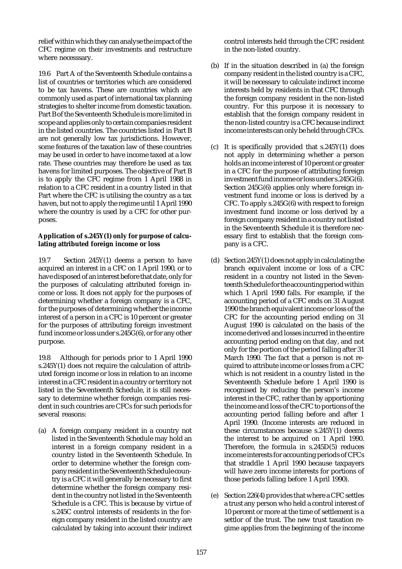relief within which they can analyse the impact of the CFC regime on their investments and restructure where necesssary.

19.6 Part A of the Seventeenth Schedule contains a list of countries or territories which are considered to be tax havens. These are countries which are commonly used as part of international tax planning strategies to shelter income from domestic taxation. Part B of the Seventeenth Schedule is more limited in scope and applies only to certain companies resident in the listed countries. The countries listed in Part B are not generally low tax jurisdictions. However, some features of the taxation law of these countries may be used in order to have income taxed at a low rate. These countries may therefore be used as tax havens for limited purposes. The objective of Part B is to apply the CFC regime from 1 April 1988 in relation to a CFC resident in a country listed in that Part where the CFC is utilising the country as a tax haven, but not to apply the regime until 1 April 1990 where the country is used by a CFC for other purposes.

### **Application of s.245Y(1) only for purpose of calculating attributed foreign income or loss**

19.7 Section 245Y(1) deems a person to have acquired an interest in a CFC on 1 April 1990, or to have disposed of an interest before that date, only for the purposes of calculating attributed foreign income or loss. It does not apply for the purposes of determining whether a foreign company is a CFC, for the purposes of determining whether the income interest of a person in a CFC is 10 percent or greater for the purposes of attributing foreign investment fund income or loss under s.245G(6), or for any other purpose.

19.8 Although for periods prior to 1 April 1990 s.245Y(1) does not require the calculation of attributed foreign income or loss in relation to an income interest in a CFC resident in a country or territory not listed in the Seventeenth Schedule, it is still necessary to determine whether foreign companies resident in such countries are CFCs for such periods for several reasons:

(a) A foreign company resident in a country not listed in the Seventeenth Schedule may hold an interest in a foreign company resident in a country listed in the Seventeenth Schedule. In order to determine whether the foreign company resident in the Seventeenth Schedule country is a CFC it will generally be necessary to first determine whether the foreign company resident in the country not listed in the Seventeenth Schedule is a CFC. This is because by virtue of s.245C control interests of residents in the foreign company resident in the listed country are calculated by taking into account their indirect control interests held through the CFC resident in the non-listed country.

- (b) If in the situation described in (a) the foreign company resident in the listed country is a CFC, it will be necessary to calculate indirect income interests held by residents in that CFC through the foreign company resident in the non-listed country. For this purpose it is necessary to establish that the foreign company resident in the non-listed country is a CFC because indirect income interests can only be held through CFCs.
- (c) It is specifically provided that s.245Y(1) does not apply in determining whether a person holds an income interest of 10 percent or greater in a CFC for the purpose of attributing foreign investment fund income or loss under s.245G(6). Section 245G(6) applies only where foreign investment fund income or loss is derived by a CFC. To apply s.245G(6) with respect to foreign investment fund income or loss derived by a foreign company resident in a country not listed in the Seventeenth Schedule it is therefore necessary first to establish that the foreign company is a CFC.
- (d) Section 245Y(1) does not apply in calculating the branch equivalent income or loss of a CFC resident in a country not listed in the Seventeenth Schedule for the accounting period within which 1 April 1990 falls. For example, if the accounting period of a CFC ends on 31 August 1990 the branch equivalent income or loss of the CFC for the accounting period ending on 31 August 1990 is calculated on the basis of the income derived and losses incurred in the entire accounting period ending on that day, and not only for the portion of the period falling after 31 March 1990. The fact that a person is not required to attribute income or losses from a CFC which is not resident in a country listed in the Seventeenth Schedule before 1 April 1990 is recognised by reducing the person's income interest in the CFC, rather than by apportioning the income and loss of the CFC to portions of the accounting period falling before and after 1 April 1990. (Income interests are reduced in these circumstances because s.245Y(1) deems the interest to be acquired on 1 April 1990. Therefore, the formula in s.245D(5) reduces income interests for accounting periods of CFCs that straddle 1 April 1990 because taxpayers will have zero income interests for portions of those periods falling before 1 April 1990).
- (e) Section 226(4) provides that where a CFC settles a trust any person who held a control interest of 10 percent or more at the time of settlement is a settlor of the trust. The new trust taxation regime applies from the beginning of the income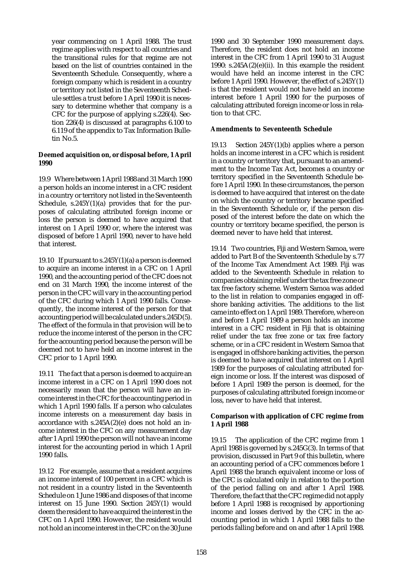year commencing on 1 April 1988. The trust regime applies with respect to all countries and the transitional rules for that regime are not based on the list of countries contained in the Seventeenth Schedule. Consequently, where a foreign company which is resident in a country or territory not listed in the Seventeenth Schedule settles a trust before 1 April 1990 it is necessary to determine whether that company is a CFC for the purpose of applying s.226(4). Section 226(4) is discussed at paragraphs 6.100 to 6.119 of the appendix to Tax Information Bulletin No.5.

#### **Deemed acquisition on, or disposal before, 1 April 1990**

19.9 Where between 1 April 1988 and 31 March 1990 a person holds an income interest in a CFC resident in a country or territory not listed in the Seventeenth Schedule,  $s.245Y(1)(a)$  provides that for the purposes of calculating attributed foreign income or loss the person is deemed to have acquired that interest on 1 April 1990 or, where the interest was disposed of before 1 April 1990, never to have held that interest.

19.10 If pursuant to s.245Y(1)(a) a person is deemed to acquire an income interest in a CFC on 1 April 1990, and the accounting period of the CFC does not end on 31 March 1990, the income interest of the person in the CFC will vary in the accounting period of the CFC during which 1 April 1990 falls. Consequently, the income interest of the person for that accounting period will be calculated under s.245D(5). The effect of the formula in that provision will be to reduce the income interest of the person in the CFC for the accounting period because the person will be deemed not to have held an income interest in the CFC prior to 1 April 1990.

19.11 The fact that a person is deemed to acquire an income interest in a CFC on 1 April 1990 does not necessarily mean that the person will have an income interest in the CFC for the accounting period in which 1 April 1990 falls. If a person who calculates income interests on a measurement day basis in accordance with s.245A(2)(e) does not hold an income interest in the CFC on any measurement day after 1 April 1990 the person will not have an income interest for the accounting period in which 1 April 1990 falls.

19.12 For example, assume that a resident acquires an income interest of 100 percent in a CFC which is not resident in a country listed in the Seventeenth Schedule on 1 June 1986 and disposes of that income interest on 15 June 1990. Section 245Y(1) would deem the resident to have acquired the interest in the CFC on 1 April 1990. However, the resident would not hold an income interest in the CFC on the 30 June

1990 and 30 September 1990 measurement days. Therefore, the resident does not hold an income interest in the CFC from 1 April 1990 to 31 August 1990:  $s.245A(2)(e)(ii)$ . In this example the resident would have held an income interest in the CFC before 1 April 1990. However, the effect of s.245Y(1) is that the resident would not have held an income interest before 1 April 1990 for the purposes of calculating attributed foreign income or loss in relation to that CFC.

#### **Amendments to Seventeenth Schedule**

19.13 Section 245Y(1)(b) applies where a person holds an income interest in a CFC which is resident in a country or territory that, pursuant to an amendment to the Income Tax Act, becomes a country or territory specified in the Seventeenth Schedule before 1 April 1990. In these circumstances, the person is deemed to have acquired that interest on the date on which the country or territory became specified in the Seventeenth Schedule or, if the person disposed of the interest before the date on which the country or territory became specified, the person is deemed never to have held that interest.

19.14 Two countries, Fiji and Western Samoa, were added to Part B of the Seventeenth Schedule by s.77 of the Income Tax Amendment Act 1989. Fiji was added to the Seventeenth Schedule in relation to companies obtaining relief under the tax free zone or tax free factory scheme. Western Samoa was added to the list in relation to companies engaged in offshore banking activities. The additions to the list came into effect on 1 April 1989. Therefore, where on and before 1 April 1989 a person holds an income interest in a CFC resident in Fiji that is obtaining relief under the tax free zone or tax free factory scheme, or in a CFC resident in Western Samoa that is engaged in offshore banking activities, the person is deemed to have acquired that interest on 1 April 1989 for the purposes of calculating attributed foreign income or loss. If the interest was disposed of before 1 April 1989 the person is deemed, for the purposes of calculating attributed foreign income or loss, never to have held that interest.

#### **Comparison with application of CFC regime from 1 April 1988**

19.15 The application of the CFC regime from 1 April 1988 is governed by s.245G(3). In terms of that provision, discussed in Part 9 of this bulletin, where an accounting period of a CFC commences before 1 April 1988 the branch equivalent income or loss of the CFC is calculated only in relation to the portion of the period falling on and after 1 April 1988. Therefore, the fact that the CFC regime did not apply before 1 April 1988 is recognised by apportioning income and losses derived by the CFC in the accounting period in which 1 April 1988 falls to the periods falling before and on and after 1 April 1988.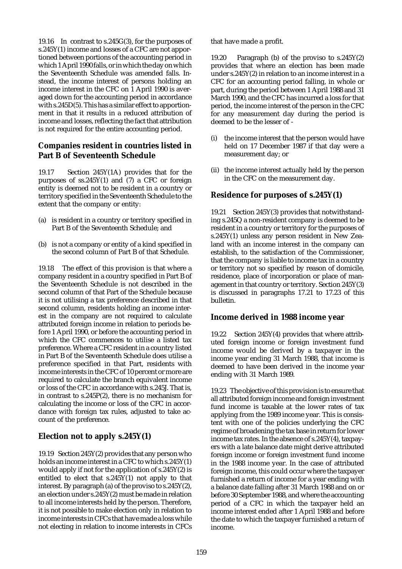19.16 In contrast to s.245G(3), for the purposes of s.245Y(1) income and losses of a CFC are not apportioned between portions of the accounting period in which 1 April 1990 falls, or in which the day on which the Seventeenth Schedule was amended falls. Instead, the income interest of persons holding an income interest in the CFC on 1 April 1990 is averaged down for the accounting period in accordance with s.245D(5). This has a similar effect to apportionment in that it results in a reduced attribution of income and losses, reflecting the fact that attribution is not required for the entire accounting period.

# **Companies resident in countries listed in Part B of Seventeenth Schedule**

19.17 Section 245Y(1A) provides that for the purposes of  $ss.245Y(1)$  and (7) a CFC or foreign entity is deemed not to be resident in a country or territory specified in the Seventeenth Schedule to the extent that the company or entity:

- (a) is resident in a country or territory specified in Part B of the Seventeenth Schedule; and
- (b) is not a company or entity of a kind specified in the second column of Part B of that Schedule.

19.18 The effect of this provision is that where a company resident in a country specified in Part B of the Seventeenth Schedule is not described in the second column of that Part of the Schedule because it is not utilising a tax preference described in that second column, residents holding an income interest in the company are not required to calculate attributed foreign income in relation to periods before 1 April 1990, or before the accounting period in which the CFC commences to utilise a listed tax preference. Where a CFC resident in a country listed in Part B of the Seventeenth Schedule does utilise a preference specified in that Part, residents with income interests in the CFC of 10 percent or more are required to calculate the branch equivalent income or loss of the CFC in accordance with s.245J. That is, in contrast to s.245P(2), there is no mechanism for calculating the income or loss of the CFC in accordance with foreign tax rules, adjusted to take account of the preference.

# **Election not to apply s.245Y(1)**

19.19 Section 245Y(2) provides that any person who holds an income interest in a CFC to which s.245Y(1) would apply if not for the application of s.245Y(2) is entitled to elect that s.245Y(1) not apply to that interest. By paragraph (a) of the proviso to s.245Y(2), an election under s.245Y(2) must be made in relation to all income interests held by the person. Therefore, it is not possible to make election only in relation to income interests in CFCs that have made a loss while not electing in relation to income interests in CFCs that have made a profit.

19.20 Paragraph (b) of the proviso to s.245Y(2) provides that where an election has been made under s.245Y(2) in relation to an income interest in a CFC for an accounting period falling, in whole or part, during the period between 1 April 1988 and 31 March 1990, and the CFC has incurred a loss for that period, the income interest of the person in the CFC for any measurement day during the period is deemed to be the lesser of -

- (i) the income interest that the person would have held on 17 December 1987 if that day were a measurement day; or
- (ii) the income interest actually held by the person in the CFC on the measurement day.

# **Residence for purposes of s.245Y(1)**

19.21 Section 245Y(3) provides that notwithstanding s.245Q a non-resident company is deemed to be resident in a country or territory for the purposes of s.245Y(1) unless any person resident in New Zealand with an income interest in the company can establish, to the satisfaction of the Commissioner, that the company is liable to income tax in a country or territory not so specified by reason of domicile, residence, place of incorporation or place of management in that country or territory. Section 245Y(3) is discussed in paragraphs 17.21 to 17.23 of this bulletin.

## **Income derived in 1988 income year**

19.22 Section 245Y(4) provides that where attributed foreign income or foreign investment fund income would be derived by a taxpayer in the income year ending 31 March 1988, that income is deemed to have been derived in the income year ending with 31 March 1989.

19.23 The objective of this provision is to ensure that all attributed foreign income and foreign investment fund income is taxable at the lower rates of tax applying from the 1989 income year. This is consistent with one of the policies underlying the CFC regime of broadening the tax base in return for lower income tax rates. In the absence of s.245Y(4), taxpayers with a late balance date might derive attributed foreign income or foreign investment fund income in the 1988 income year. In the case of attributed foreign income, this could occur where the taxpayer furnished a return of income for a year ending with a balance date falling after 31 March 1988 and on or before 30 September 1988, and where the accounting period of a CFC in which the taxpayer held an income interest ended after 1 April 1988 and before the date to which the taxpayer furnished a return of income.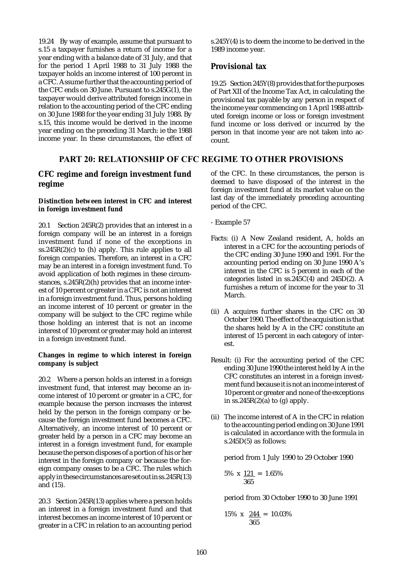19.24 By way of example, assume that pursuant to s.15 a taxpayer furnishes a return of income for a year ending with a balance date of 31 July, and that for the period 1 April 1988 to 31 July 1988 the taxpayer holds an income interest of 100 percent in a CFC. Assume further that the accounting period of the CFC ends on 30 June. Pursuant to s.245G(1), the taxpayer would derive attributed foreign income in relation to the accounting period of the CFC ending on 30 June 1988 for the year ending 31 July 1988. By s.15, this income would be derived in the income year ending on the preceding 31 March: ie the 1988 income year. In these circumstances, the effect of

# PART 20: RELATIONSHIP OF CFC REGIME TO OTHER PROVISIONS

## **CFC regime and foreign investment fund regime**

#### **Distinction between interest in CFC and interest in foreign investment fund**

20.1 Section  $245R(2)$  provides that an interest in a foreign company will be an interest in a foreign investment fund if none of the exceptions in  $ss.245R(2)(c)$  to (h) apply. This rule applies to all foreign companies. Therefore, an interest in a CFC may be an interest in a foreign investment fund. To avoid application of both regimes in these circumstances,  $s.245R(2)$ (h) provides that an income interest of 10 percent or greater in a CFC is not an interest in a foreign investment fund. Thus, persons holding an income interest of 10 percent or greater in the company will be subject to the CFC regime while those holding an interest that is not an income interest of 10 percent or greater may hold an interest in a foreign investment fund.

#### **Changes in regime to which interest in foreign company is subject**

20.2 Where a person holds an interest in a foreign investment fund, that interest may become an income interest of 10 percent or greater in a CFC, for example because the person increases the interest held by the person in the foreign company or because the foreign investment fund becomes a CFC. Alternatively, an income interest of 10 percent or greater held by a person in a CFC may become an interest in a foreign investment fund, for example because the person disposes of a portion of his or her interest in the foreign company or because the foreign company ceases to be a CFC. The rules which apply in these circumstances are set out in ss.245R(13) and (15).

20.3 Section 245R(13) applies where a person holds an interest in a foreign investment fund and that interest becomes an income interest of 10 percent or greater in a CFC in relation to an accounting period s.245Y(4) is to deem the income to be derived in the 1989 income year.

# **Provisional tax**

19.25 Section 245Y(8) provides that for the purposes of Part XII of the Income Tax Act, in calculating the provisional tax payable by any person in respect of the income year commencing on 1 April 1988 attributed foreign income or loss or foreign investment fund income or loss derived or incurred by the person in that income year are not taken into account.

of the CFC. In these circumstances, the person is deemed to have disposed of the interest in the foreign investment fund at its market value on the last day of the immediately preceding accounting period of the CFC.

- Example 57
- Facts: (i) A New Zealand resident, A, holds an interest in a CFC for the accounting periods of the CFC ending 30 June 1990 and 1991. For the accounting period ending on 30 June 1990 A's interest in the CFC is 5 percent in each of the categories listed in ss.245C(4) and 245D(2). A furnishes a return of income for the year to 31 March.
- (ii) A acquires further shares in the CFC on 30 October 1990. The effect of the acquisition is that the shares held by A in the CFC constitute an interest of 15 percent in each category of interest.
- Result: (i) For the accounting period of the CFC ending 30 June 1990 the interest held by A in the CFC constitutes an interest in a foreign investment fund because it is not an income interest of 10 percent or greater and none of the exceptions in  $ss.245R(2)(a)$  to (g) apply.
- (ii) The income interest of A in the CFC in relation to the accounting period ending on 30 June 1991 is calculated in accordance with the formula in s.245D(5) as follows:

period from 1 July 1990 to 29 October 1990

$$
5\% \times \frac{121}{365} = 1.65\%
$$

period from 30 October 1990 to 30 June 1991

$$
15\% \times \frac{244}{365} = 10.03\%
$$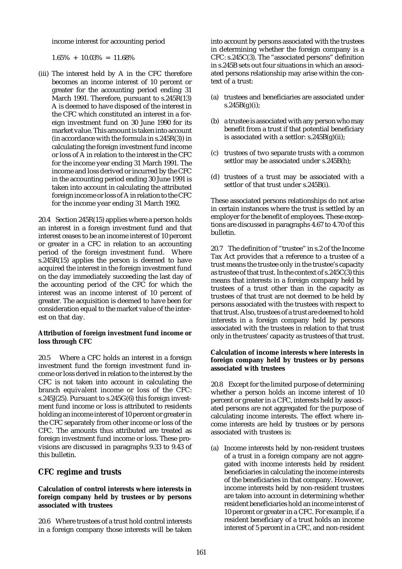income interest for accounting period

 $1.65\% + 10.03\% = 11.68\%$ 

(iii) The interest held by A in the CFC therefore becomes an income interest of 10 percent or greater for the accounting period ending 31 March 1991. Therefore, pursuant to s.245R(13) A is deemed to have disposed of the interest in the CFC which constituted an interest in a foreign investment fund on 30 June 1990 for its market value. This amount is taken into account (in accordance with the formula in s.245R(3)) in calculating the foreign investment fund income or loss of A in relation to the interest in the CFC for the income year ending 31 March 1991. The income and loss derived or incurred by the CFC in the accounting period ending 30 June 1991 is taken into account in calculating the attributed foreign income or loss of A in relation to the CFC for the income year ending 31 March 1992.

20.4 Section 245R(15) applies where a person holds an interest in a foreign investment fund and that interest ceases to be an income interest of 10 percent or greater in a CFC in relation to an accounting period of the foreign investment fund. Where s.245R(15) applies the person is deemed to have acquired the interest in the foreign investment fund on the day immediately succeeding the last day of the accounting period of the CFC for which the interest was an income interest of 10 percent of greater. The acquisition is deemed to have been for consideration equal to the market value of the interest on that day.

### **Attribution of foreign investment fund income or loss through CFC**

20.5 Where a CFC holds an interest in a foreign investment fund the foreign investment fund income or loss derived in relation to the interest by the CFC is not taken into account in calculating the branch equivalent income or loss of the CFC: s.245J(25). Pursuant to s.245G(6) this foreign investment fund income or loss is attributed to residents holding an income interest of 10 percent or greater in the CFC separately from other income or loss of the CFC. The amounts thus attributed are treated as foreign investment fund income or loss. These provisions are discussed in paragraphs 9.33 to 9.43 of this bulletin.

# **CFC regime and trusts**

#### **Calculation of control interests where interests in foreign company held by trustees or by persons associated with trustees**

20.6 Where trustees of a trust hold control interests in a foreign company those interests will be taken into account by persons associated with the trustees in determining whether the foreign company is a CFC: s.245C(3). The "associated persons" definition in s.245B sets out four situations in which an associated persons relationship may arise within the context of a trust:

- (a) trustees and beneficiaries are associated under  $s.245B(g)(i);$
- (b) a trustee is associated with any person who may benefit from a trust if that potential beneficiary is associated with a settlor:  $s.245B(g)(ii)$ ;
- (c) trustees of two separate trusts with a common settlor may be associated under s.245B(h);
- (d) trustees of a trust may be associated with a settlor of that trust under s.245B(i).

These associated persons relationships do not arise in certain instances where the trust is settled by an employer for the benefit of employees. These exceptions are discussed in paragraphs 4.67 to 4.70 of this bulletin.

20.7 The definition of "trustee" in s.2 of the Income Tax Act provides that a reference to a trustee of a trust means the trustee only in the trustee's capacity as trustee of that trust. In the context of s.245C(3) this means that interests in a foreign company held by trustees of a trust other than in the capacity as trustees of that trust are not deemed to be held by persons associated with the trustees with respect to that trust. Also, trustees of a trust are deemed to hold interests in a foreign company held by persons associated with the trustees in relation to that trust only in the trustees' capacity as trustees of that trust.

### **Calculation of income interests where interests in foreign company held by trustees or by persons associated with trustees**

20.8 Except for the limited purpose of determining whether a person holds an income interest of 10 percent or greater in a CFC, interests held by associated persons are not aggregated for the purpose of calculating income interests. The effect where income interests are held by trustees or by persons associated with trustees is:

(a) Income interests held by non-resident trustees of a trust in a foreign company are not aggregated with income interests held by resident beneficiaries in calculating the income interests of the beneficiaries in that company. However, income interests held by non-resident trustees are taken into account in determining whether resident beneficiaries hold an income interest of 10 percent or greater in a CFC. For example, if a resident beneficiary of a trust holds an income interest of 5 percent in a CFC, and non-resident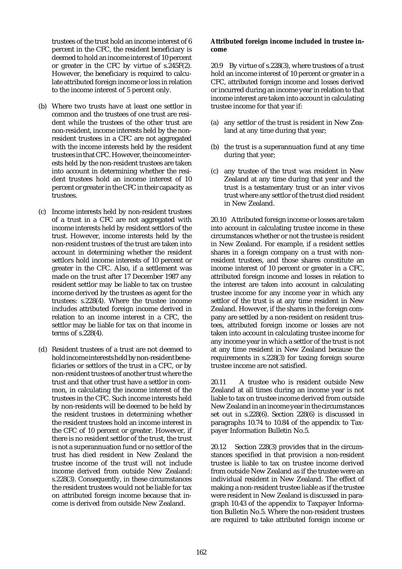trustees of the trust hold an income interest of 6 percent in the CFC, the resident beneficiary is deemed to hold an income interest of 10 percent or greater in the CFC by virtue of  $s.\overline{2}45F(2)$ . However, the beneficiary is required to calculate attributed foreign income or loss in relation to the income interest of 5 percent only.

- (b) Where two trusts have at least one settlor in common and the trustees of one trust are resident while the trustees of the other trust are non-resident, income interests held by the nonresident trustees in a CFC are not aggregated with the income interests held by the resident trustees in that CFC. However, the income interests held by the non-resident trustees are taken into account in determining whether the resident trustees hold an income interest of 10 percent or greater in the CFC in their capacity as trustees.
- (c) Income interests held by non-resident trustees of a trust in a CFC are not aggregated with income interests held by resident settlors of the trust. However, income interests held by the non-resident trustees of the trust are taken into account in determining whether the resident settlors hold income interests of 10 percent or greater in the CFC. Also, if a settlement was made on the trust after 17 December 1987 any resident settlor may be liable to tax on trustee income derived by the trustees as agent for the trustees: s.228(4). Where the trustee income includes attributed foreign income derived in relation to an income interest in a CFC, the settlor may be liable for tax on that income in terms of s.228(4).
- (d) Resident trustees of a trust are not deemed to hold income interests held by non-resident beneficiaries or settlors of the trust in a CFC, or by non-resident trustees of another trust where the trust and that other trust have a settlor in common, in calculating the income interest of the trustees in the CFC. Such income interests held by non-residents will be deemed to be held by the resident trustees in determining whether the resident trustees hold an income interest in the CFC of 10 percent or greater. However, if there is no resident settlor of the trust, the trust is not a superannuation fund or no settlor of the trust has died resident in New Zealand the trustee income of the trust will not include income derived from outside New Zealand: s.228(3). Consequently, in these circumstances the resident trustees would not be liable for tax on attributed foreign income because that income is derived from outside New Zealand.

#### **Attributed foreign income included in trustee income**

20.9 By virtue of s.228(3), where trustees of a trust hold an income interest of 10 percent or greater in a CFC, attributed foreign income and losses derived or incurred during an income year in relation to that income interest are taken into account in calculating trustee income for that year if:

- (a) any settlor of the trust is resident in New Zealand at any time during that year;
- (b) the trust is a superannuation fund at any time during that year;
- (c) any trustee of the trust was resident in New Zealand at any time during that year and the trust is a testamentary trust or an inter vivos trust where any settlor of the trust died resident in New Zealand.

20.10 Attributed foreign income or losses are taken into account in calculating trustee income in these circumstances whether or not the trustee is resident in New Zealand. For example, if a resident settles shares in a foreign company on a trust with nonresident trustees, and those shares constitute an income interest of 10 percent or greater in a CFC, attributed foreign income and losses in relation to the interest are taken into account in calculating trustee income for any income year in which any settlor of the trust is at any time resident in New Zealand. However, if the shares in the foreign company are settled by a non-resident on resident trustees, attributed foreign income or losses are not taken into account in calculating trustee income for any income year in which a settlor of the trust is not at any time resident in New Zealand because the requirements in s.228(3) for taxing foreign source trustee income are not satisfied.

20.11 A trustee who is resident outside New Zealand at all times during an income year is not liable to tax on trustee income derived from outside New Zealand in an income year in the circumstances set out in s.228(6). Section 228(6) is discussed in paragraphs 10.74 to 10.84 of the appendix to Taxpayer Information Bulletin No.5.

20.12 Section 228(3) provides that in the circumstances specified in that provision a non-resident trustee is liable to tax on trustee income derived from outside New Zealand as if the trustee were an individual resident in New Zealand. The effect of making a non-resident trustee liable as if the trustee were resident in New Zealand is discussed in paragraph 10.43 of the appendix to Taxpayer Information Bulletin No.5. Where the non-resident trustees are required to take attributed foreign income or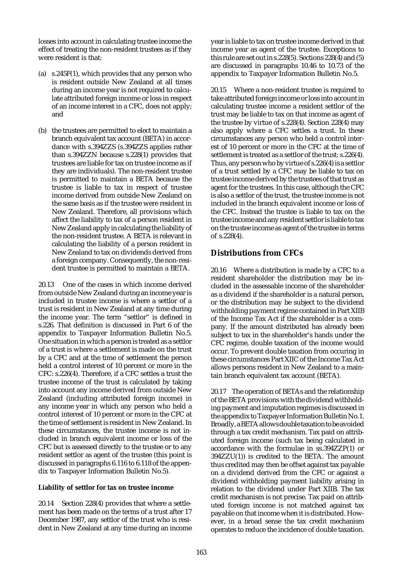losses into account in calculating trustee income the effect of treating the non-resident trustees as if they were resident is that:

- (a) s.245F(1), which provides that any person who is resident outside New Zealand at all times during an income year is not required to calculate attributed foreign income or loss in respect of an income interest in a CFC, does not apply; and
- (b) the trustees are permitted to elect to maintain a branch equivalent tax account (BETA) in accordance with s.394ZZS (s.394ZZS applies rather than s.394ZZN because s.228(1) provides that trustees are liable for tax on trustee income as if they are individuals). The non-resident trustee is permitted to maintain a BETA because the trustee is liable to tax in respect of trustee income derived from outside New Zealand on the same basis as if the trustee were resident in New Zealand. Therefore, all provisions which affect the liability to tax of a person resident in New Zealand apply in calculating the liability of the non-resident trustee. A BETA is relevant in calculating the liability of a person resident in New Zealand to tax on dividends derived from a foreign company. Consequently, the non-resident trustee is permitted to maintain a BETA.

20.13 One of the cases in which income derived from outside New Zealand during an income year is included in trustee income is where a settlor of a trust is resident in New Zealand at any time during the income year. The term "settlor" is defined in s.226. That definition is discussed in Part 6 of the appendix to Taxpayer Information Bulletin No.5. One situation in which a person is treated as a settlor of a trust is where a settlement is made on the trust by a CFC and at the time of settlement the person held a control interest of 10 percent or more in the CFC: s.226(4). Therefore, if a CFC settles a trust the trustee income of the trust is calculated by taking into account any income derived from outside New Zealand (including attributed foreign income) in any income year in which any person who held a control interest of 10 percent or more in the CFC at the time of settlement is resident in New Zealand. In these circumstances, the trustee income is not included in branch equivalent income or loss of the CFC but is assessed directly to the trustee or to any resident settlor as agent of the trustee (this point is discussed in paragraphs 6.116 to 6.118 of the appendix to Taxpayer Information Bulletin No.5).

### **Liability of settlor for tax on trustee income**

20.14 Section 228(4) provides that where a settlement has been made on the terms of a trust after 17 December 1987, any settlor of the trust who is resident in New Zealand at any time during an income year is liable to tax on trustee income derived in that income year as agent of the trustee. Exceptions to this rule are set out in s.228(5). Sections 228(4) and (5) are discussed in paragraphs 10.46 to 10.73 of the appendix to Taxpayer Information Bulletin No.5.

20.15 Where a non-resident trustee is required to take attributed foreign income or loss into account in calculating trustee income a resident settlor of the trust may be liable to tax on that income as agent of the trustee by virtue of s.228(4). Section 228(4) may also apply where a CFC settles a trust. In these circumstances any person who held a control interest of 10 percent or more in the CFC at the time of settlement is treated as a settlor of the trust: s.226(4). Thus, any person who by virtue of s.226(4) is a settlor of a trust settled by a CFC may be liable to tax on trustee income derived by the trustees of that trust as agent for the trustees. In this case, although the CFC is also a settlor of the trust, the trustee income is not included in the branch equivalent income or loss of the CFC. Instead the trustee is liable to tax on the trustee income and any resident settlor is liable to tax on the trustee income as agent of the trustee in terms of s.228(4).

## **Distributions from CFCs**

20.16 Where a distribution is made by a CFC to a resident shareholder the distribution may be included in the assessable income of the shareholder as a dividend if the shareholder is a natural person, or the distribution may be subject to the dividend withholding payment regime contained in Part XIIB of the Income Tax Act if the shareholder is a company. If the amount distributed has already been subject to tax in the shareholder's hands under the CFC regime, double taxation of the income would occur. To prevent double taxation from occuring in these circumstances Part XIIC of the Income Tax Act allows persons resident in New Zealand to a maintain branch equivalent tax account (BETA).

20.17 The operation of BETAs and the relationship of the BETA provisions with the dividend withholding payment and imputation regimes is discussed in the appendix to Taxpayer Information Bulletin No.1. Broadly, a BETA allows double taxation to be avoided through a tax credit mechanism. Tax paid on attributed foreign income (such tax being calculated in accordance with the formulae in ss.394ZZP(1) or 394ZZU(1)) is credited to the BETA. The amount thus credited may then be offset against tax payable on a dividend derived from the CFC or against a dividend withholding payment liability arising in relation to the dividend under Part XIIB. The tax credit mechanism is not precise. Tax paid on attributed foreign income is not matched against tax payable on that income when it is distributed. However, in a broad sense the tax credit mechanism operates to reduce the incidence of double taxation.